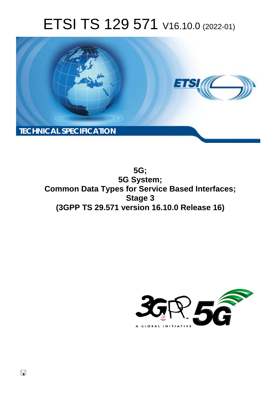# ETSI TS 129 571 V16.10.0 (2022-01)



**5G; 5G System; Common Data Types for Service Based Interfaces; Stage 3 (3GPP TS 29.571 version 16.10.0 Release 16)** 

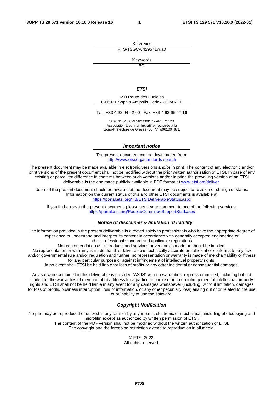Reference RTS/TSGC-0429571vga0

Keywords

 $\overline{5G}$ 

#### *ETSI*

650 Route des Lucioles F-06921 Sophia Antipolis Cedex - FRANCE

Tel.: +33 4 92 94 42 00 Fax: +33 4 93 65 47 16

Siret N° 348 623 562 00017 - APE 7112B Association à but non lucratif enregistrée à la Sous-Préfecture de Grasse (06) N° w061004871

#### *Important notice*

The present document can be downloaded from: <http://www.etsi.org/standards-search>

The present document may be made available in electronic versions and/or in print. The content of any electronic and/or print versions of the present document shall not be modified without the prior written authorization of ETSI. In case of any existing or perceived difference in contents between such versions and/or in print, the prevailing version of an ETSI deliverable is the one made publicly available in PDF format at [www.etsi.org/deliver](http://www.etsi.org/deliver).

Users of the present document should be aware that the document may be subject to revision or change of status. Information on the current status of this and other ETSI documents is available at <https://portal.etsi.org/TB/ETSIDeliverableStatus.aspx>

If you find errors in the present document, please send your comment to one of the following services: <https://portal.etsi.org/People/CommiteeSupportStaff.aspx>

#### *Notice of disclaimer & limitation of liability*

The information provided in the present deliverable is directed solely to professionals who have the appropriate degree of experience to understand and interpret its content in accordance with generally accepted engineering or other professional standard and applicable regulations.

No recommendation as to products and services or vendors is made or should be implied.

No representation or warranty is made that this deliverable is technically accurate or sufficient or conforms to any law and/or governmental rule and/or regulation and further, no representation or warranty is made of merchantability or fitness for any particular purpose or against infringement of intellectual property rights.

In no event shall ETSI be held liable for loss of profits or any other incidental or consequential damages.

Any software contained in this deliverable is provided "AS IS" with no warranties, express or implied, including but not limited to, the warranties of merchantability, fitness for a particular purpose and non-infringement of intellectual property rights and ETSI shall not be held liable in any event for any damages whatsoever (including, without limitation, damages for loss of profits, business interruption, loss of information, or any other pecuniary loss) arising out of or related to the use of or inability to use the software.

#### *Copyright Notification*

No part may be reproduced or utilized in any form or by any means, electronic or mechanical, including photocopying and microfilm except as authorized by written permission of ETSI. The content of the PDF version shall not be modified without the written authorization of ETSI.

The copyright and the foregoing restriction extend to reproduction in all media.

© ETSI 2022. All rights reserved.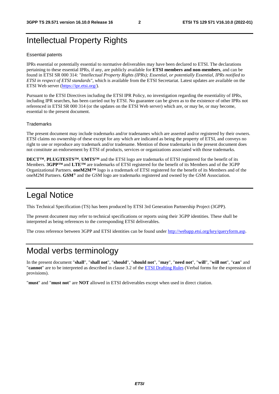# Intellectual Property Rights

#### Essential patents

IPRs essential or potentially essential to normative deliverables may have been declared to ETSI. The declarations pertaining to these essential IPRs, if any, are publicly available for **ETSI members and non-members**, and can be found in ETSI SR 000 314: *"Intellectual Property Rights (IPRs); Essential, or potentially Essential, IPRs notified to ETSI in respect of ETSI standards"*, which is available from the ETSI Secretariat. Latest updates are available on the ETSI Web server ([https://ipr.etsi.org/\)](https://ipr.etsi.org/).

Pursuant to the ETSI Directives including the ETSI IPR Policy, no investigation regarding the essentiality of IPRs, including IPR searches, has been carried out by ETSI. No guarantee can be given as to the existence of other IPRs not referenced in ETSI SR 000 314 (or the updates on the ETSI Web server) which are, or may be, or may become, essential to the present document.

#### **Trademarks**

The present document may include trademarks and/or tradenames which are asserted and/or registered by their owners. ETSI claims no ownership of these except for any which are indicated as being the property of ETSI, and conveys no right to use or reproduce any trademark and/or tradename. Mention of those trademarks in the present document does not constitute an endorsement by ETSI of products, services or organizations associated with those trademarks.

**DECT™**, **PLUGTESTS™**, **UMTS™** and the ETSI logo are trademarks of ETSI registered for the benefit of its Members. **3GPP™** and **LTE™** are trademarks of ETSI registered for the benefit of its Members and of the 3GPP Organizational Partners. **oneM2M™** logo is a trademark of ETSI registered for the benefit of its Members and of the oneM2M Partners. **GSM**® and the GSM logo are trademarks registered and owned by the GSM Association.

# Legal Notice

This Technical Specification (TS) has been produced by ETSI 3rd Generation Partnership Project (3GPP).

The present document may refer to technical specifications or reports using their 3GPP identities. These shall be interpreted as being references to the corresponding ETSI deliverables.

The cross reference between 3GPP and ETSI identities can be found under<http://webapp.etsi.org/key/queryform.asp>.

# Modal verbs terminology

In the present document "**shall**", "**shall not**", "**should**", "**should not**", "**may**", "**need not**", "**will**", "**will not**", "**can**" and "**cannot**" are to be interpreted as described in clause 3.2 of the [ETSI Drafting Rules](https://portal.etsi.org/Services/editHelp!/Howtostart/ETSIDraftingRules.aspx) (Verbal forms for the expression of provisions).

"**must**" and "**must not**" are **NOT** allowed in ETSI deliverables except when used in direct citation.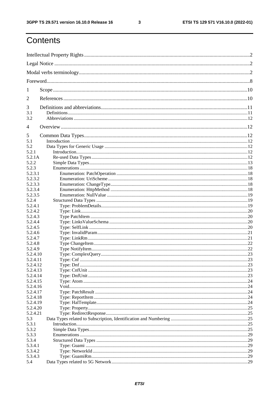$\mathbf{3}$ 

# Contents

| 1                  |  |  |  |
|--------------------|--|--|--|
| 2                  |  |  |  |
| 3                  |  |  |  |
| 3.1                |  |  |  |
| 3.2                |  |  |  |
| $\overline{4}$     |  |  |  |
| 5                  |  |  |  |
| 5.1                |  |  |  |
| 5.2                |  |  |  |
| 5.2.1              |  |  |  |
| 5.2.1A             |  |  |  |
| 5.2.2              |  |  |  |
| 5.2.3              |  |  |  |
| 5.2.3.1            |  |  |  |
| 5.2.3.2            |  |  |  |
| 5.2.3.3            |  |  |  |
| 5.2.3.4<br>5.2.3.5 |  |  |  |
| 5.2.4              |  |  |  |
| 5.2.4.1            |  |  |  |
| 5.2.4.2            |  |  |  |
| 5.2.4.3            |  |  |  |
| 5.2.4.4            |  |  |  |
| 5.2.4.5            |  |  |  |
| 5.2.4.6            |  |  |  |
| 5.2.4.7            |  |  |  |
| 5.2.4.8            |  |  |  |
| 5.2.4.9            |  |  |  |
| 5.2.4.10           |  |  |  |
| 5.2.4.11           |  |  |  |
| 5.2.4.12           |  |  |  |
| 5.2.4.13           |  |  |  |
| 5.2.4.14           |  |  |  |
| 5.2.4.15           |  |  |  |
| 5.2.4.16           |  |  |  |
| 5.2.4.17           |  |  |  |
| 5.2.4.18           |  |  |  |
| 5.2.4.19           |  |  |  |
| 5.2.4.20           |  |  |  |
| 5.2.4.21           |  |  |  |
| 5.3<br>5.3.1       |  |  |  |
| 5.3.2              |  |  |  |
| 5.3.3              |  |  |  |
| 5.3.4              |  |  |  |
| 5.3.4.1            |  |  |  |
| 5.3.4.2            |  |  |  |
| 5.3.4.3            |  |  |  |
| 5.4                |  |  |  |
|                    |  |  |  |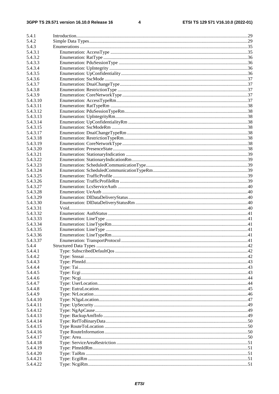$\overline{\mathbf{4}}$ 

| 5.4.1    |  |
|----------|--|
| 5.4.2    |  |
| 5.4.3    |  |
| 5.4.3.1  |  |
| 5.4.3.2  |  |
| 5.4.3.3  |  |
| 5.4.3.4  |  |
| 5.4.3.5  |  |
| 5.4.3.6  |  |
| 5.4.3.7  |  |
| 5.4.3.8  |  |
| 5.4.3.9  |  |
| 5.4.3.10 |  |
| 5.4.3.11 |  |
| 5.4.3.12 |  |
| 5.4.3.13 |  |
| 5.4.3.14 |  |
| 5.4.3.15 |  |
| 5.4.3.17 |  |
| 5.4.3.18 |  |
| 5.4.3.19 |  |
| 5.4.3.20 |  |
| 5.4.3.21 |  |
| 5.4.3.22 |  |
| 5.4.3.23 |  |
| 5.4.3.24 |  |
| 5.4.3.25 |  |
| 5.4.3.26 |  |
| 5.4.3.27 |  |
| 5.4.3.28 |  |
| 5.4.3.29 |  |
| 5.4.3.30 |  |
| 5.4.3.31 |  |
| 5.4.3.32 |  |
| 5.4.3.33 |  |
| 5.4.3.34 |  |
| 5.4.3.35 |  |
| 5.4.3.36 |  |
| 5.4.3.37 |  |
| 5.4.4    |  |
| 5.4.4.1  |  |
| 5.4.4.2  |  |
| 5.4.4.3  |  |
| 5.4.4.4  |  |
| 5.4.4.5  |  |
| 5.4.4.6  |  |
| 5.4.4.7  |  |
| 5.4.4.8  |  |
| 5.4.4.9  |  |
| 5.4.4.10 |  |
| 5.4.4.11 |  |
| 5.4.4.12 |  |
| 5.4.4.13 |  |
| 5.4.4.14 |  |
| 5.4.4.15 |  |
| 5.4.4.16 |  |
| 5.4.4.17 |  |
| 5.4.4.18 |  |
| 5.4.4.19 |  |
| 5.4.4.20 |  |
| 5.4.4.21 |  |
| 5.4.4.22 |  |
|          |  |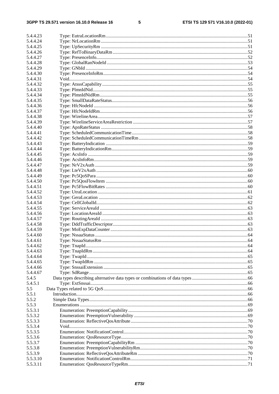#### $5\phantom{a}$

| 5.4.4.23             |  |
|----------------------|--|
| 5.4.4.24             |  |
| 5.4.4.25             |  |
| 5.4.4.26             |  |
| 5.4.4.27             |  |
| 5.4.4.28             |  |
| 5.4.4.29             |  |
| 5.4.4.30             |  |
| 5.4.4.31             |  |
| 5.4.4.32             |  |
| 5.4.4.33             |  |
| 5.4.4.34             |  |
| 5.4.4.35             |  |
| 5.4.4.36             |  |
| 5.4.4.37             |  |
| 5.4.4.38             |  |
| 5.4.4.39             |  |
| 5.4.4.40             |  |
| 5.4.4.41             |  |
| 5.4.4.42             |  |
| 5.4.4.43             |  |
| 5.4.4.44             |  |
| 5.4.4.45             |  |
| 5.4.4.46             |  |
| 5.4.4.47             |  |
| 5.4.4.48             |  |
| 5.4.4.49             |  |
| 5.4.4.50             |  |
| 5.4.4.51             |  |
| 5.4.4.52             |  |
| 5.4.4.53             |  |
| 5.4.4.54             |  |
| 5.4.4.55             |  |
| 5.4.4.56             |  |
| 5.4.4.57             |  |
| 5.4.4.58             |  |
| 5.4.4.59             |  |
| 5.4.4.60             |  |
| 5.4.4.61<br>5.4.4.62 |  |
| 5.4.4.63             |  |
| 5.4.4.64             |  |
| 5.4.4.65             |  |
| 5.4.4.66             |  |
| 5.4.4.67             |  |
| 5.4.5                |  |
| 5.4.5.1              |  |
| 5.5                  |  |
| 5.5.1                |  |
| 5.5.2                |  |
| 5.5.3                |  |
| 5.5.3.1              |  |
| 5.5.3.2              |  |
| 5.5.3.3              |  |
| 5.5.3.4              |  |
| 5.5.3.5              |  |
| 5.5.3.6              |  |
| 5.5.3.7              |  |
| 5.5.3.8              |  |
| 5.5.3.9              |  |
| 5.5.3.10             |  |
| 5.5.3.11             |  |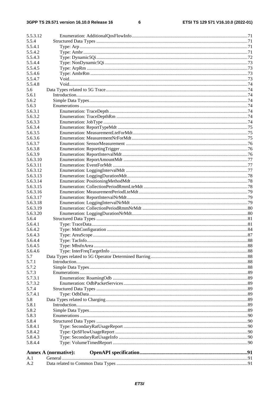#### $\bf 6$

| 5.5.3.12             |                      |  |  |
|----------------------|----------------------|--|--|
| 5.5.4                |                      |  |  |
| 5.5.4.1              |                      |  |  |
| 5.5.4.2              |                      |  |  |
| 5.5.4.3              |                      |  |  |
| 5.5.4.4              |                      |  |  |
| 5.5.4.5              |                      |  |  |
| 5.5.4.6              |                      |  |  |
| 5.5.4.7              |                      |  |  |
| 5.5.4.8              |                      |  |  |
| 5.6                  |                      |  |  |
| 5.6.1                |                      |  |  |
| 5.6.2                |                      |  |  |
| 5.6.3                |                      |  |  |
| 5.6.3.1              |                      |  |  |
| 5.6.3.2              |                      |  |  |
| 5.6.3.3              |                      |  |  |
| 5.6.3.4              |                      |  |  |
| 5.6.3.5              |                      |  |  |
| 5.6.3.6              |                      |  |  |
| 5.6.3.7              |                      |  |  |
| 5.6.3.8              |                      |  |  |
| 5.6.3.9              |                      |  |  |
| 5.6.3.10<br>5.6.3.11 |                      |  |  |
| 5.6.3.12             |                      |  |  |
| 5.6.3.13             |                      |  |  |
| 5.6.3.14             |                      |  |  |
| 5.6.3.15             |                      |  |  |
| 5.6.3.16             |                      |  |  |
| 5.6.3.17             |                      |  |  |
| 5.6.3.18             |                      |  |  |
| 5.6.3.19             |                      |  |  |
| 5.6.3.20             |                      |  |  |
| 5.6.4                |                      |  |  |
| 5.6.4.1              |                      |  |  |
| 5.6.4.2              |                      |  |  |
| 5.6.4.3              |                      |  |  |
| 5.6.4.4              |                      |  |  |
| 5.6.4.5              |                      |  |  |
| 5.6.4.6              |                      |  |  |
| 5.7                  |                      |  |  |
| 5.7.1<br>5.7.2       |                      |  |  |
| 5.7.3                |                      |  |  |
| 5.7.3.1              |                      |  |  |
| 5.7.3.2              |                      |  |  |
| 5.7.4                |                      |  |  |
| 5.7.4.1              |                      |  |  |
| 5.8                  |                      |  |  |
| 5.8.1                |                      |  |  |
| 5.8.2                |                      |  |  |
| 5.8.3                |                      |  |  |
| 5.8.4                |                      |  |  |
| 5.8.4.1              |                      |  |  |
| 5.8.4.2              |                      |  |  |
| 5.8.4.3              |                      |  |  |
| 5.8.4.4              |                      |  |  |
|                      | Annex A (normative): |  |  |
| A.1                  |                      |  |  |
| A.2                  |                      |  |  |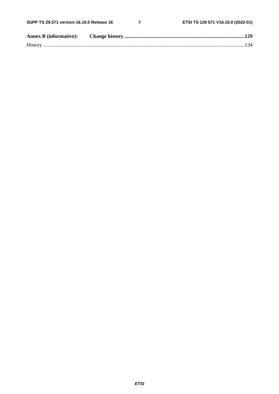$\overline{7}$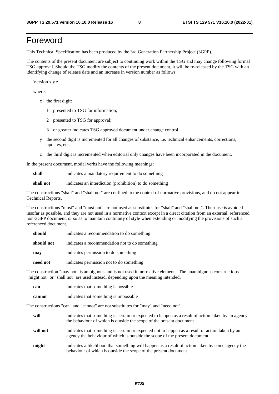# Foreword

This Technical Specification has been produced by the 3rd Generation Partnership Project (3GPP).

The contents of the present document are subject to continuing work within the TSG and may change following formal TSG approval. Should the TSG modify the contents of the present document, it will be re-released by the TSG with an identifying change of release date and an increase in version number as follows:

Version x.y.z

where:

- x the first digit:
	- 1 presented to TSG for information;
	- 2 presented to TSG for approval;
	- 3 or greater indicates TSG approved document under change control.
- y the second digit is incremented for all changes of substance, i.e. technical enhancements, corrections, updates, etc.
- z the third digit is incremented when editorial only changes have been incorporated in the document.

In the present document, modal verbs have the following meanings:

**shall** indicates a mandatory requirement to do something

**shall not** indicates an interdiction (prohibition) to do something

The constructions "shall" and "shall not" are confined to the context of normative provisions, and do not appear in Technical Reports.

The constructions "must" and "must not" are not used as substitutes for "shall" and "shall not". Their use is avoided insofar as possible, and they are not used in a normative context except in a direct citation from an external, referenced, non-3GPP document, or so as to maintain continuity of style when extending or modifying the provisions of such a referenced document.

| should     | indicates a recommendation to do something     |  |
|------------|------------------------------------------------|--|
| should not | indicates a recommendation not to do something |  |
| may        | indicates permission to do something           |  |
| need not   | indicates permission not to do something       |  |

The construction "may not" is ambiguous and is not used in normative elements. The unambiguous constructions "might not" or "shall not" are used instead, depending upon the meaning intended.

| can    | indicates that something is possible.  |
|--------|----------------------------------------|
| cannot | indicates that something is impossible |

The constructions "can" and "cannot" are not substitutes for "may" and "need not".

| will     | indicates that something is certain or expected to happen as a result of action taken by an agency<br>the behaviour of which is outside the scope of the present document     |
|----------|-------------------------------------------------------------------------------------------------------------------------------------------------------------------------------|
| will not | indicates that something is certain or expected not to happen as a result of action taken by an<br>agency the behaviour of which is outside the scope of the present document |
| might    | indicates a likelihood that something will happen as a result of action taken by some agency the<br>behaviour of which is outside the scope of the present document           |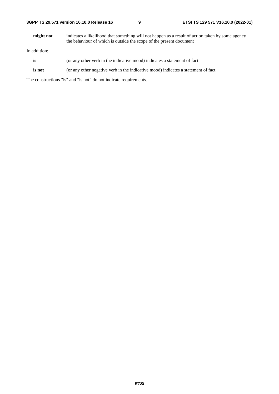| might not | indicates a likelihood that something will not happen as a result of action taken by some agency |
|-----------|--------------------------------------------------------------------------------------------------|
|           | the behaviour of which is outside the scope of the present document                              |

In addition:

- is (or any other verb in the indicative mood) indicates a statement of fact
- **is not** (or any other negative verb in the indicative mood) indicates a statement of fact

The constructions "is" and "is not" do not indicate requirements.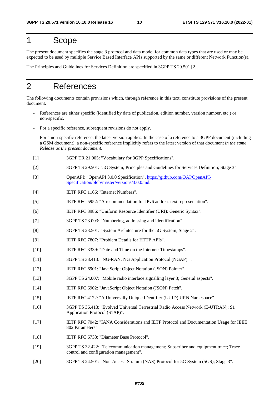# 1 Scope

The present document specifies the stage 3 protocol and data model for common data types that are used or may be expected to be used by multiple Service Based Interface APIs supported by the same or different Network Function(s).

The Principles and Guidelines for Services Definition are specified in 3GPP TS 29.501 [2].

# 2 References

The following documents contain provisions which, through reference in this text, constitute provisions of the present document.

- References are either specific (identified by date of publication, edition number, version number, etc.) or non-specific.
- For a specific reference, subsequent revisions do not apply.
- For a non-specific reference, the latest version applies. In the case of a reference to a 3GPP document (including a GSM document), a non-specific reference implicitly refers to the latest version of that document *in the same Release as the present document*.
- [1] 3GPP TR 21.905: "Vocabulary for 3GPP Specifications".
- [2] 3GPP TS 29.501: "5G System; Principles and Guidelines for Services Definition; Stage 3".
- [3] OpenAPI: "OpenAPI 3.0.0 Specification", [https://github.com/OAI/OpenAPI](https://github.com/OAI/OpenAPI-Specification/blob/master/versions/3.0.0.md)-[Specification/blob/master/versions/3.0.0.md](https://github.com/OAI/OpenAPI-Specification/blob/master/versions/3.0.0.md).
- [4] **IETF RFC 1166: "Internet Numbers".**
- [5] IETF RFC 5952: "A recommendation for IPv6 address text representation".
- [6] IETF RFC 3986: "Uniform Resource Identifier (URI): Generic Syntax".
- [7] 3GPP TS 23.003: "Numbering, addressing and identification".
- [8] 3GPP TS 23.501: "System Architecture for the 5G System; Stage 2".
- [9] IETF RFC 7807: "Problem Details for HTTP APIs".
- [10] IETF RFC 3339: "Date and Time on the Internet: Timestamps".
- [11] 3GPP TS 38.413: "NG-RAN; NG Application Protocol (NGAP) ".
- [12] IETF RFC 6901: "JavaScript Object Notation (JSON) Pointer".
- [13] 3GPP TS 24.007: "Mobile radio interface signalling layer 3; General aspects".
- [14] IETF RFC 6902: "JavaScript Object Notation (JSON) Patch".
- [15] IETF RFC 4122: "A Universally Unique IDentifier (UUID) URN Namespace".
- [16] 3GPP TS 36.413: "Evolved Universal Terrestrial Radio Access Network (E-UTRAN); S1 Application Protocol (S1AP)".
- [17] IETF RFC 7042: "IANA Considerations and IETF Protocol and Documentation Usage for IEEE 802 Parameters".
- [18] IETF RFC 6733: "Diameter Base Protocol".
- [19] 3GPP TS 32.422: "Telecommunication management; Subscriber and equipment trace; Trace control and configuration management".
- [20] 3GPP TS 24.501: "Non-Access-Stratum (NAS) Protocol for 5G System (5GS); Stage 3".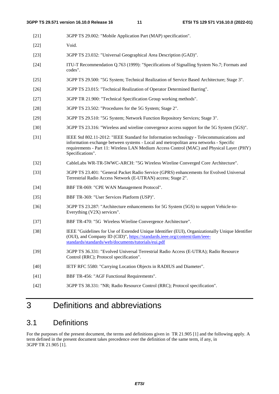- [21] 3GPP TS 29.002: "Mobile Application Part (MAP) specification".
- [22] Void.
- [23] 3GPP TS 23.032: "Universal Geographical Area Description (GAD)".
- [24] ITU-T Recommendation Q.763 (1999): "Specifications of Signalling System No.7; Formats and codes".
- [25] 3GPP TS 29.500: "5G System; Technical Realization of Service Based Architecture; Stage 3".
- [26] 3GPP TS 23.015: "Technical Realization of Operator Determined Barring".
- [27] 3GPP TR 21.900: "Technical Specification Group working methods".
- [28] 3GPP TS 23.502: "Procedures for the 5G System; Stage 2".
- [29] 3GPP TS 29.510: "5G System; Network Function Repository Services; Stage 3".
- [30] 3GPP TS 23.316: "Wireless and wireline convergence access support for the 5G System (5GS)".
- [31] IEEE Std 802.11-2012: "IEEE Standard for Information technology Telecommunications and information exchange between systems - Local and metropolitan area networks - Specific requirements - Part 11: Wireless LAN Medium Access Control (MAC) and Physical Layer (PHY) Specifications".
- [32] CableLabs WR-TR-5WWC-ARCH: "5G Wireless Wireline Converged Core Architecture".
- [33] 3GPP TS 23.401: "General Packet Radio Service (GPRS) enhancements for Evolved Universal Terrestrial Radio Access Network (E-UTRAN) access; Stage 2".
- [34] BBF TR-069: "CPE WAN Management Protocol".
- [35] BBF TR-369: "User Services Platform (USP)".
- [36] 3GPP TS 23.287: "Architecture enhancements for 5G System (5GS) to support Vehicle-to-Everything (V2X) services".
- [37] BBF TR-470: "5G Wireless Wireline Convergence Architecture".
- [38] IEEE "Guidelines for Use of Extended Unique Identifier (EUI), Organizationally Unique Identifier (OUI), and Company ID (CID)", [https://standards.ieee.org/content/dam/ieee](https://standards.ieee.org/content/dam/ieee-standards/standards/web/documents/tutorials/eui.pdf)[standards/standards/web/documents/tutorials/eui.pdf](https://standards.ieee.org/content/dam/ieee-standards/standards/web/documents/tutorials/eui.pdf)
- [39] 3GPP TS 36.331: "Evolved Universal Terrestrial Radio Access (E-UTRA); Radio Resource Control (RRC); Protocol specification".
- [40] IETF RFC 5580: "Carrying Location Objects in RADIUS and Diameter".
- [41] BBF TR-456: "AGF Functional Requirements".
- [42] 3GPP TS 38.331: "NR; Radio Resource Control (RRC); Protocol specification".

# 3 Definitions and abbreviations

### 3.1 Definitions

For the purposes of the present document, the terms and definitions given in TR 21.905 [1] and the following apply. A term defined in the present document takes precedence over the definition of the same term, if any, in 3GPP TR 21.905 [1].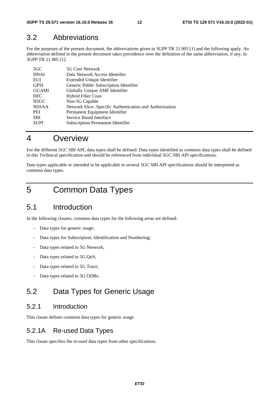### 3.2 Abbreviations

For the purposes of the present document, the abbreviations given in 3GPP TR 21.905 [1] and the following apply. An abbreviation defined in the present document takes precedence over the definition of the same abbreviation, if any, in 3GPP TR 21.905 [1].

| 5G Core Network                                         |
|---------------------------------------------------------|
| Data Network Access Identifier                          |
| Extended Unique Identifier                              |
| Generic Public Subscription Identifier                  |
| Globally Unique AMF Identifier                          |
| Hybrid Fiber Coax                                       |
| Non-5G Capable                                          |
| Network Slice-Specific Authentication and Authorization |
| Permanent Equipment Identifier                          |
| Service Based Interface                                 |
| <b>Subscription Permanent Identifier</b>                |
|                                                         |

# 4 Overview

For the different 5GC SBI API, data types shall be defined. Data types identified as common data types shall be defined in this Technical specification and should be referenced from individual 5GC SBI API specifications.

Data types applicable or intended to be applicable to several 5GC SBI API specifications should be interpreted as common data types.

5 Common Data Types

# 5.1 Introduction

In the following clauses, common data types for the following areas are defined:

- Data types for generic usage;
- Data types for Subscription, Identification and Numbering;
- Data types related to 5G Network;
- Data types related to 5G QoS;
- Data types related to 5G Trace;
- Data types related to 5G ODBs.

# 5.2 Data Types for Generic Usage

### 5.2.1 Introduction

This clause defines common data types for generic usage.

### 5.2.1A Re-used Data Types

This clause specifies the re-used data types from other specifications.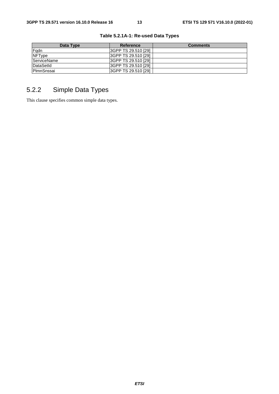| Data Type     | Reference                  | <b>Comments</b> |
|---------------|----------------------------|-----------------|
| Fadn          | I3GPP TS 29.510 [29]       |                 |
| <b>NFType</b> | 3GPP TS 29.510 [29]        |                 |
| ServiceName   | <b>SGPP TS 29.510 [29]</b> |                 |
| DataSetId     | 3GPP TS 29.510 [29]        |                 |
| PlmnSnssai    | I3GPP TS 29.510 [29]       |                 |

**Table 5.2.1A-1: Re-used Data Types** 

# 5.2.2 Simple Data Types

This clause specifies common simple data types.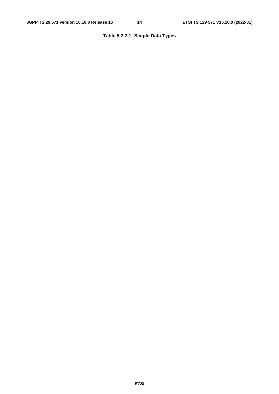### **Table 5.2.2-1: Simple Data Types**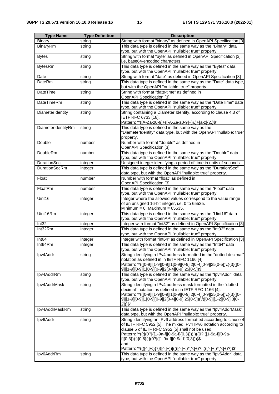| <b>Type Name</b>     | <b>Type Definition</b> | <b>Description</b>                                                                                                                   |
|----------------------|------------------------|--------------------------------------------------------------------------------------------------------------------------------------|
| <b>Binary</b>        | string                 | String with format "binary" as defined in OpenAPI Specification [3]                                                                  |
| BinaryRm             | string                 | This data type is defined in the same way as the "Binary" data                                                                       |
|                      |                        | type, but with the OpenAPI "nullable: true" property.                                                                                |
| <b>Bytes</b>         | string                 | String with format "byte" as defined in OpenAPI Specification [3],                                                                   |
|                      |                        | i.e, base64-encoded characters,                                                                                                      |
| <b>BytesRm</b>       | string                 | This data type is defined in the same way as the "Bytes" data                                                                        |
|                      |                        | type, but with the OpenAPI "nullable: true" property.                                                                                |
| Date                 | string                 | String with format "date" as defined in OpenAPI Specification [3]                                                                    |
| DateRm               | string                 | This data type is defined in the same way as the "Date" data type,                                                                   |
|                      |                        | but with the OpenAPI "nullable: true" property.                                                                                      |
| DateTime             | string                 | String with format "date-time" as defined in                                                                                         |
|                      |                        | OpenAPI Specification [3]                                                                                                            |
| <b>DateTimeRm</b>    | string                 | This data type is defined in the same way as the "DateTime" data                                                                     |
|                      |                        | type, but with the OpenAPI "nullable: true" property.                                                                                |
| DiameterIdentity     | string                 | String containing a Diameter Identity, according to clause 4.3 of                                                                    |
|                      |                        | IETF RFC 6733 [18].                                                                                                                  |
|                      |                        | Pattern: '^([A-Za-z0-9]+([-A-Za-z0-9]+)\.)+[a-z]{2,}\$'                                                                              |
| DiameterIdentityRm   | string                 | This data type is defined in the same way as the                                                                                     |
|                      |                        | "DiameterIdentity" data type, but with the OpenAPI "nullable: true"                                                                  |
|                      |                        | property.                                                                                                                            |
| Double               | number                 | Number with format "double" as defined in                                                                                            |
|                      |                        | OpenAPI Specification [3]                                                                                                            |
| <b>DoubleRm</b>      | number                 | This data type is defined in the same way as the "Double" data                                                                       |
| <b>DurationSec</b>   |                        | type, but with the OpenAPI "nullable: true" property.                                                                                |
| <b>DurationSecRm</b> | integer                | Unsigned integer identifying a period of time in units of seconds.<br>This data type is defined in the same way as the "DurationSec" |
|                      | integer                | data type, but with the OpenAPI "nullable: true" property.                                                                           |
| Float                | number                 | Number with format "float" as defined in                                                                                             |
|                      |                        | OpenAPI Specification [3]                                                                                                            |
| FloatRm              | number                 | This data type is defined in the same way as the "Float" data                                                                        |
|                      |                        | type, but with the OpenAPI "nullable: true" property.                                                                                |
| Uint16               | integer                | Integer where the allowed values correspond to the value range                                                                       |
|                      |                        | of an unsigned 16-bit integer, i.e. 0 to 65535.                                                                                      |
|                      |                        | Minimum = $0.$ Maximum = $65535.$                                                                                                    |
| Uint16Rm             | integer                | This data type is defined in the same way as the "Uint16" data                                                                       |
|                      |                        | type, but with the OpenAPI "nullable: true" property.                                                                                |
| Int32                | integer                | Integer with format "int32" as defined in OpenAPI Specification [3]                                                                  |
| Int32Rm              | integer                | This data type is defined in the same way as the "Int32" data                                                                        |
|                      |                        | type, but with the OpenAPI "nullable: true" property.                                                                                |
| Int <sub>64</sub>    | integer                | Integer with format "int64" as defined in OpenAPI Specification [3]                                                                  |
| Int64Rm              | integer                | This data type is defined in the same way as the "Int64" data                                                                        |
|                      |                        | type, but with the OpenAPI "nullable: true" property.                                                                                |
| Ipv4Addr             | string                 | String identifying a IPv4 address formatted in the "dotted decimal"                                                                  |
|                      |                        | notation as defined in in IETF RFC 1166 [4].                                                                                         |
|                      |                        | Pattern: '^(([0-9] [1-9][0-9] 1[0-9][0-9] 2[0-4][0-9] 25[0-5])\.){3}([0-                                                             |
|                      |                        | <u>9][[1-9][0-9] 1[0-9][0-9] 2[0-4][0-9] 25[0-5])\$'</u>                                                                             |
| Ipv4AddrRm           | string                 | This data type is defined in the same way as the "Ipv4Addr" data<br>type, but with the OpenAPI "nullable: true" property.            |
| Ipv4AddrMask         | string                 | String identifying a IPv4 address mask formatted in the "dotted                                                                      |
|                      |                        | decimal" notation as defined in in IETF RFC 1166 [4].                                                                                |
|                      |                        | Pattern: '^(([0-9] [1-9][0-9] 1[0-9][0-9] 2[0-4][0-9] 25[0-5])\.){3}([0-                                                             |
|                      |                        | 9] [1-9][0-9] 1[0-9][0-9] 2[0-4][0-9] 25[0-5])(V([0-9] [1-2][0-9] 3[0-                                                               |
|                      |                        | $2]$ ))\$'                                                                                                                           |
| Ipv4AddrMaskRm       | string                 | This data type is defined in the same way as the "Ipv4AddrMask"                                                                      |
|                      |                        | data type, but with the OpenAPI "nullable: true" property.                                                                           |
| Ipv6Addr             | string                 | String identifying an IPv6 address formatted according to clause 4                                                                   |
|                      |                        | of IETF RFC 5952 [5]. The mixed IPv4 IPv6 notation according to                                                                      |
|                      |                        | clause 5 of IETF RFC 5952 [5] shall not be used.                                                                                     |
|                      |                        | Pattern: '^((:)(0?)([1-9a-f][0-9a-f]{0,3}))):)((0?)([1-9a-f][0-9a-                                                                   |
|                      |                        | f]{0,3})):){0,6}(: (0? ([1-9a-f][0-9a-f]{0,3})))\$'                                                                                  |
|                      |                        | and<br>Pattern: '^((([^:]+:){7}([^:]+)) ((([^:]+:)*[^:]+)?::(([^:]+:)*[^:]+)?))\$'                                                   |
| Ipv6AddrRm           | string                 | This data type is defined in the same way as the "Ipv6Addr" data                                                                     |
|                      |                        | type, but with the OpenAPI "nullable: true" property.                                                                                |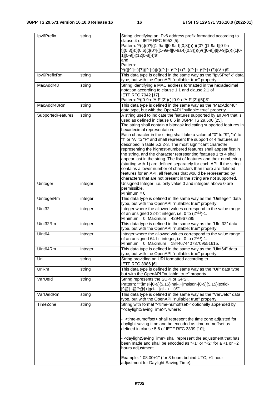| Ipv6Prefix         | string  | String identifying an IPv6 address prefix formatted according to                    |
|--------------------|---------|-------------------------------------------------------------------------------------|
|                    |         | clause 4 of IETF RFC 5952 [5].                                                      |
|                    |         | Pattern: '^((: (0? ([1-9a-f][0-9a-f]{0,3}))):)((0? ([1-9a-f][0-9a-                  |
|                    |         | f]{0,3})):){0,6}(: (0? ([1-9a-f][0-9a-f]{0,3})))(V(([0-9]) ([0-9]{2}) (1[0-         |
|                    |         | 1][0-9]) (12[0-8])))\$'                                                             |
|                    |         | and                                                                                 |
|                    |         |                                                                                     |
|                    |         | Pattern:                                                                            |
|                    |         | '^((([^:]+:){7}([^:]+)) ((([^:]+:)*[^:]+)?::(([^:]+:)*[^:]+)?))(\/.+)\$'            |
| Ipv6PrefixRm       | string  | This data type is defined in the same way as the "Ipv6Prefix" data                  |
|                    |         | type, but with the OpenAPI "nullable: true" property.                               |
| MacAddr48          | string  | String identifying a MAC address formatted in the hexadecimal                       |
|                    |         | notation according to clause 1.1 and clause 2.1 of                                  |
|                    |         |                                                                                     |
|                    |         | IETF RFC 7042 [17].                                                                 |
|                    |         | Pattern: '^([0-9a-fA-F]{2})((-[0-9a-fA-F]{2}){5})\$'                                |
| MacAddr48Rm        | string  | This data type is defined in the same way as the "MacAddr48"                        |
|                    |         | data type, but with the OpenAPI "nullable: true" property.                          |
| SupportedFeatures  | string  | A string used to indicate the features supported by an API that is                  |
|                    |         | used as defined in clause 6.6 in 3GPP TS 29.500 [25].                               |
|                    |         |                                                                                     |
|                    |         | The string shall contain a bitmask indicating supported features in                 |
|                    |         | hexadecimal representation:                                                         |
|                    |         | Each character in the string shall take a value of "0" to "9", "a" to               |
|                    |         | "f" or "A" to "F" and shall represent the support of 4 features as                  |
|                    |         | described in table 5.2.2-3. The most significant character                          |
|                    |         | representing the highest-numbered features shall appear first in                    |
|                    |         | the string, and the character representing features 1 to 4 shall                    |
|                    |         |                                                                                     |
|                    |         | appear last in the string. The list of features and their numbering                 |
|                    |         | (starting with 1) are defined separately for each API. If the string                |
|                    |         | contains a lower number of characters than there are defined                        |
|                    |         | features for an API, all features that would be represented by                      |
|                    |         | characters that are not present in the string are not supported.                    |
| Uinteger           | integer | Unsigned Integer, i.e. only value 0 and integers above 0 are                        |
|                    |         | permissible.                                                                        |
|                    |         |                                                                                     |
|                    |         | Minimum $= 0$ .                                                                     |
| UintegerRm         | integer | This data type is defined in the same way as the "Uinteger" data                    |
|                    |         | type, but with the OpenAPI "nullable: true" property.                               |
| Uint32             | integer | Integer where the allowed values correspond to the value range                      |
|                    |         | of an unsigned 32-bit integer, i.e. 0 to (2 <sup>^32</sup> )-1.                     |
|                    |         |                                                                                     |
|                    |         | Minimum = 0. Maximum = 4294967295.                                                  |
| Uint32Rm           | integer | This data type is defined in the same way as the "UInt32" data                      |
|                    |         | type, but with the OpenAPI "nullable: true" property.                               |
| Uint <sub>64</sub> | integer | Integer where the allowed values correspond to the value range                      |
|                    |         | of an unsigned 64-bit integer, i.e. 0 to (2 <sup>^64</sup> )-1.                     |
|                    |         | Minimum = 0. Maximum = 18446744073709551615.                                        |
|                    |         |                                                                                     |
| Uint64Rm           | integer | This data type is defined in the same way as the "Uint64" data                      |
|                    |         | type, but with the OpenAPI "nullable: true" property.                               |
| Uri                | string  | String providing an URI formatted according to                                      |
|                    |         | IETF RFC 3986 [6].                                                                  |
| UriRm              | string  | This data type is defined in the same way as the "Uri" data type,                   |
|                    |         |                                                                                     |
|                    |         | but with the OpenAPI "nullable: true" property.                                     |
| VarUeld            | string  | String represents the SUPI or GPSI.                                                 |
|                    |         | Pattern: "^(imsi-[0-9]{5,15} nai-.+ msisdn-[0-9]{5,15} extid-                       |
|                    |         | $[^{\wedge}$ @]+@[^@]+ gci-.+ gli-.+ .+)\$".                                        |
| VarUeldRm          | string  | This data type is defined in the same way as the "VarUeld" data                     |
|                    |         | type, but with the OpenAPI "nullable: true" property.                               |
|                    |         |                                                                                     |
| TimeZone           | string  | String with format " <time-numoffset>" optionally appended by</time-numoffset>      |
|                    |         | " <daylightsavingtime>", where:</daylightsavingtime>                                |
|                    |         |                                                                                     |
|                    |         | <time-numoffset> shall represent the time zone adjusted for</time-numoffset>        |
|                    |         | daylight saving time and be encoded as time-numoffset as                            |
|                    |         | defined in clause 5.6 of IETF RFC 3339 [10];                                        |
|                    |         |                                                                                     |
|                    |         |                                                                                     |
|                    |         | - <daylightsavingtime> shall represent the adjustment that has</daylightsavingtime> |
|                    |         | been made and shall be encoded as "+1" or "+2" for $a + 1$ or +2                    |
|                    |         | hours adjustment.                                                                   |
|                    |         |                                                                                     |
|                    |         | Example: "-08:00+1" (for 8 hours behind UTC, +1 hour                                |
|                    |         | adjustment for Daylight Saving Time).                                               |
|                    |         |                                                                                     |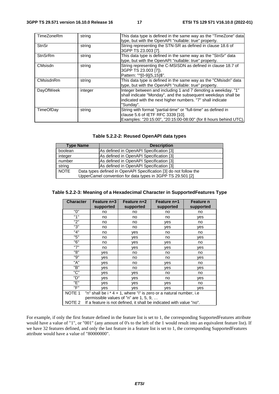| TimeZoneRm       | string  | This data type is defined in the same way as the "TimeZone" data<br>type, but with the OpenAPI "nullable: true" property.                                                                                 |
|------------------|---------|-----------------------------------------------------------------------------------------------------------------------------------------------------------------------------------------------------------|
| <b>StnSr</b>     | string  | String representing the STN-SR as defined in clause 18.6 of<br>3GPP TS 23,003 [7].                                                                                                                        |
| <b>StnSrRm</b>   | string  | This data type is defined in the same way as the "StnSr" data<br>type, but with the OpenAPI "nullable: true" property.                                                                                    |
| CMsisdn          | string  | String representing the C-MSISDN as defined in clause 18.7 of<br>3GPP TS 23.003 [7]).<br>Pattern: "^[0-9]{5,15}\$".                                                                                       |
| <b>CMsisdnRm</b> | string  | This data type is defined in the same way as the "CMsisdn" data<br>type, but with the OpenAPI "nullable: true" property.                                                                                  |
| DayOfWeek        | integer | Integer between and including 1 and 7 denoting a weekday. "1"<br>shall indicate "Monday", and the subsequent weekdays shall be<br>indicated with the next higher numbers. "7" shall indicate<br>"Sunday". |
| TimeOfDay        | string  | String with format "partial-time" or "full-time" as defined in<br>clause 5.6 of IETF RFC 3339 [10].<br>Examples: "20:15:00", "20:15:00-08:00" (for 8 hours behind UTC).                                   |

#### **Table 5.2.2-2: Reused OpenAPI data types**

| <b>Type Name</b> | <b>Description</b>                                                                                                              |
|------------------|---------------------------------------------------------------------------------------------------------------------------------|
| boolean          | As defined in OpenAPI Specification [3]                                                                                         |
| integer          | As defined in OpenAPI Specification [3]                                                                                         |
| number           | As defined in OpenAPI Specification [3]                                                                                         |
| string           | As defined in OpenAPI Specification [3]                                                                                         |
| <b>NOTE</b>      | Data types defined in OpenAPI Specification [3] do not follow the<br>UpperCamel convention for data types in 3GPP TS 29.501 [2] |

#### **Table 5.2.2-3: Meaning of a Hexadecimal Character in SupportedFeatures Type**

| <b>Character</b>                                                                           | <b>Feature n+3</b><br>supported        | Feature n+2       | Feature n+1 | <b>Feature n</b><br>supported |  |  |
|--------------------------------------------------------------------------------------------|----------------------------------------|-------------------|-------------|-------------------------------|--|--|
|                                                                                            |                                        | supported         | supported   |                               |  |  |
| "በ"                                                                                        | no                                     | no                | no          | no                            |  |  |
| "1"                                                                                        | no                                     | no                | no          | yes                           |  |  |
| "2"                                                                                        | no                                     | no.               | yes         | no                            |  |  |
| "3"                                                                                        | no                                     | no                | yes         | yes                           |  |  |
| "4"                                                                                        | no                                     | yes               | no          | no                            |  |  |
| "5"                                                                                        | no                                     | yes               | no          | yes                           |  |  |
| "6"                                                                                        | no                                     | yes               | yes         | no                            |  |  |
| "7"                                                                                        | no                                     | yes               | yes         | yes                           |  |  |
| "8"                                                                                        | yes                                    | no                | no          | no                            |  |  |
| "9"                                                                                        | yes                                    | no                | no          | yes                           |  |  |
| "A"                                                                                        | yes                                    | no                | yes         | no                            |  |  |
| "B"                                                                                        | yes                                    | no<br>ves<br>yes  |             |                               |  |  |
| "C"                                                                                        | yes                                    | no<br>no<br>yes   |             |                               |  |  |
| "D"                                                                                        | yes                                    | yes<br>no         |             | yes                           |  |  |
| "F"                                                                                        | ves                                    | yes<br>yes        |             | no                            |  |  |
| "F"                                                                                        | ves                                    | ves<br>yes<br>ves |             |                               |  |  |
| NOTE <sub>1</sub><br>"n" shall be $i * 4 + 1$ , where "i" is zero or a natural number, i.e |                                        |                   |             |                               |  |  |
|                                                                                            | permissible values of "n" are 1, 5, 9, |                   |             |                               |  |  |
| NOTE 2<br>If a feature is not defined, it shall be indicated with value "no".              |                                        |                   |             |                               |  |  |

For example, if only the first feature defined in the feature list is set to 1, the corresponding SupportedFeatures attribute would have a value of "1", or "001" (any amount of 0's to the left of the 1 would result into an equivalent feature list). If we have 32 features defined, and only the last feature in a feature list is set to 1, the corresponding SupportedFeatures attribute would have a value of "80000000".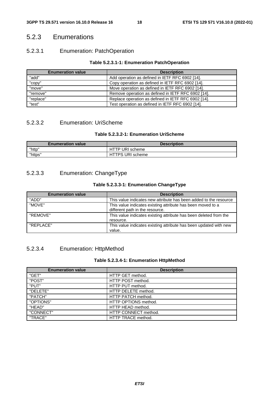### 5.2.3 Enumerations

### 5.2.3.1 Enumeration: PatchOperation

#### **Table 5.2.3.1-1: Enumeration PatchOperation**

| <b>Enumeration value</b>                                       | <b>Description</b>                                  |  |  |
|----------------------------------------------------------------|-----------------------------------------------------|--|--|
| "add"                                                          | Add operation as defined in IETF RFC 6902 [14].     |  |  |
| "copy"                                                         | Copy operation as defined in IETF RFC 6902 [14].    |  |  |
| "move"                                                         | Move operation as defined in IETF RFC 6902 [14].    |  |  |
| "remove"<br>Remove operation as defined in IETF RFC 6902 [14]. |                                                     |  |  |
| "replace"                                                      | Replace operation as defined in IETF RFC 6902 [14]. |  |  |
| "test"                                                         | Test operation as defined in IETF RFC 6902 [14].    |  |  |

### 5.2.3.2 Enumeration: UriScheme

### **Table 5.2.3.2-1: Enumeration UriScheme**

| <b>Enumeration value</b> | <b>Description</b> |  |  |  |
|--------------------------|--------------------|--|--|--|
| "http"                   | HTTP URI scheme    |  |  |  |
| "https"                  | HTTPS URI scheme   |  |  |  |

### 5.2.3.3 Enumeration: ChangeType

#### **Table 5.2.3.3-1: Enumeration ChangeType**

| <b>Enumeration value</b> | <b>Description</b>                                                                             |  |  |
|--------------------------|------------------------------------------------------------------------------------------------|--|--|
| "ADD"                    | This value indicates new attribute has been added to the resource                              |  |  |
| "MOVE"                   | This value indicates existing attribute has been moved to a<br>different path in the resource. |  |  |
| "REMOVE"                 | This value indicates existing attribute has been deleted from the<br>resource.                 |  |  |
| "REPI ACE"               | This value indicates existing attribute has been updated with new<br>value.                    |  |  |

### 5.2.3.4 Enumeration: HttpMethod

#### **Table 5.2.3.4-1: Enumeration HttpMethod**

| <b>Enumeration value</b> | <b>Description</b>   |  |  |  |
|--------------------------|----------------------|--|--|--|
| "GET"                    | HTTP GET method.     |  |  |  |
| "POST"                   | HTTP POST method.    |  |  |  |
| "PUT"                    | HTTP PUT method.     |  |  |  |
| "DELETE"                 | HTTP DELETE method.  |  |  |  |
| "PATCH"                  | HTTP PATCH method.   |  |  |  |
| "OPTIONS"                | HTTP OPTIONS method. |  |  |  |
| "HEAD"                   | HTTP HEAD method.    |  |  |  |
| "CONNECT"                | HTTP CONNECT method. |  |  |  |
| "TRACE"                  | HTTP TRACE method.   |  |  |  |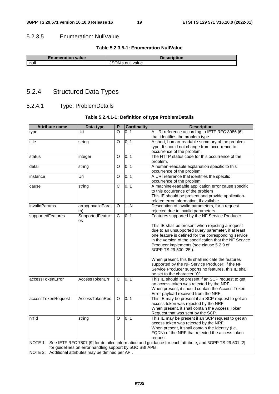#### 5.2.3.5 Enumeration: NullValue

#### **Table 5.2.3.5-1: Enumeration NullValue**

| <b>Enumeration value</b> | Description       |  |  |  |
|--------------------------|-------------------|--|--|--|
| null                     | JSON's null value |  |  |  |
|                          |                   |  |  |  |

# 5.2.4 Structured Data Types

### 5.2.4.1 Type: ProblemDetails

#### **Table 5.2.4.1-1: Definition of type ProblemDetails**

| <b>Attribute name</b>                                 | Data type                                                 | P                     | <b>Cardinality</b> | <b>Description</b>                                                                                             |
|-------------------------------------------------------|-----------------------------------------------------------|-----------------------|--------------------|----------------------------------------------------------------------------------------------------------------|
| type                                                  | Uri                                                       | O                     | 0.1                | A URI reference according to IETF RFC 3986 [6]                                                                 |
|                                                       |                                                           |                       |                    | that identifies the problem type.                                                                              |
| title                                                 | string                                                    | O                     | 0.1                | A short, human-readable summary of the problem                                                                 |
|                                                       |                                                           |                       |                    | type. It should not change from occurrence to                                                                  |
|                                                       |                                                           |                       |                    | occurrence of the problem.                                                                                     |
| status                                                | integer                                                   | O                     | 0.1                | The HTTP status code for this occurrence of the<br>problem.                                                    |
| detail                                                | string                                                    | O                     | 0.1                | A human-readable explanation specific to this                                                                  |
|                                                       |                                                           |                       |                    | occurrence of the problem.                                                                                     |
| instance                                              | Uri                                                       | O                     | 0.1                | A URI reference that identifies the specific                                                                   |
|                                                       |                                                           |                       |                    | occurrence of the problem.                                                                                     |
| cause                                                 | string                                                    | C                     | 0.1                | A machine-readable application error cause specific                                                            |
|                                                       |                                                           |                       |                    | to this occurrence of the problem                                                                              |
|                                                       |                                                           |                       |                    | This IE should be present and provide application-                                                             |
|                                                       |                                                           |                       |                    | related error information, if available.                                                                       |
| invalidParams                                         | array(InvalidPara                                         | $\circ$               | 1N                 | Description of invalid parameters, for a request                                                               |
|                                                       | m)                                                        |                       |                    | rejected due to invalid parameters.                                                                            |
| supportedFeatures                                     | SupportedFeatur<br>es                                     | $\overline{\text{c}}$ | 0.1                | Features supported by the NF Service Producer.                                                                 |
|                                                       |                                                           |                       |                    | This IE shall be present when rejecting a request                                                              |
|                                                       |                                                           |                       |                    | due to an unsupported query parameter, if at least                                                             |
|                                                       |                                                           |                       |                    | one feature is defined for the corresponding service                                                           |
|                                                       |                                                           |                       |                    | in the version of the specification that the NF Service                                                        |
|                                                       |                                                           |                       |                    | Producer implements (see clause 5.2.9 of                                                                       |
|                                                       |                                                           |                       |                    | 3GPP TS 29.500 [25]).                                                                                          |
|                                                       |                                                           |                       |                    |                                                                                                                |
|                                                       |                                                           |                       |                    | When present, this IE shall indicate the features                                                              |
|                                                       |                                                           |                       |                    | supported by the NF Service Producer; if the NF                                                                |
|                                                       |                                                           |                       |                    | Service Producer supports no features, this IE shall                                                           |
|                                                       |                                                           |                       |                    | be set to the character "0".                                                                                   |
| accessTokenError                                      | AccessTokenErr                                            | C                     | 0.1                | This IE should be present if an SCP request to get                                                             |
|                                                       |                                                           |                       |                    | an access token was rejected by the NRF.                                                                       |
|                                                       |                                                           |                       |                    | When present, it should contain the Access Token                                                               |
|                                                       |                                                           |                       |                    | Error payload received from the NRF.                                                                           |
| accessTokenRequest                                    | AccessTokenReq                                            | $\circ$               | 0.1                | This IE may be present if an SCP request to get an                                                             |
|                                                       |                                                           |                       |                    | access token was rejected by the NRF.                                                                          |
|                                                       |                                                           |                       |                    | When present, it shall contain the Access Token                                                                |
|                                                       |                                                           |                       |                    | Request that was sent by the SCP.                                                                              |
| nrfld                                                 | string                                                    | O                     | 0.1                | This IE may be present if an SCP request to get an                                                             |
|                                                       |                                                           |                       |                    | access token was rejected by the NRF.                                                                          |
|                                                       |                                                           |                       |                    | When present, it shall contain the Identity (i.e.                                                              |
|                                                       |                                                           |                       |                    | FQDN) of the NRF that rejected the access token                                                                |
|                                                       |                                                           |                       |                    | request.                                                                                                       |
|                                                       |                                                           |                       |                    | NOTE 1: See IETF RFC 7807 [9] for detailed information and guidance for each attribute, and 3GPP TS 29.501 [2] |
|                                                       | for guidelines on error handling support by 5GC SBI APIs. |                       |                    |                                                                                                                |
| NOTE 2: Additional attributes may be defined per API. |                                                           |                       |                    |                                                                                                                |
|                                                       |                                                           |                       |                    |                                                                                                                |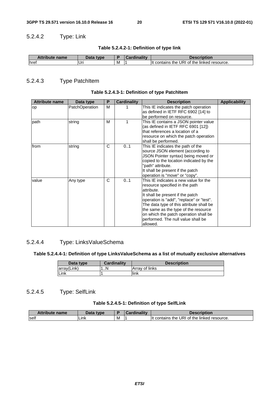### 5.2.4.2 Type: Link

| <b>Attribute name</b> | Data type |   | $J$ ardinality | <b>Description</b>                                  |
|-----------------------|-----------|---|----------------|-----------------------------------------------------|
| <b>I</b> href         | . Uri     | M |                | I of the linked resource.<br>contains the URI<br>It |

### 5.2.4.3 Type PatchItem

#### **Table 5.2.4.3-1: Definition of type PatchItem**

| <b>Attribute name</b> | Data type             | Р | Cardinality | <b>Description</b>                                                                                                                                                                                                                                                                                                                                   | <b>Applicability</b> |
|-----------------------|-----------------------|---|-------------|------------------------------------------------------------------------------------------------------------------------------------------------------------------------------------------------------------------------------------------------------------------------------------------------------------------------------------------------------|----------------------|
| op                    | <b>PatchOperation</b> | M |             | This IE indicates the patch operation<br>as defined in IETF RFC 6902 [14] to<br>be performed on resource.                                                                                                                                                                                                                                            |                      |
| path                  | string                | м | 1           | This IE contains a JSON pointer value<br>(as defined in IETF RFC 6901 [12])<br>that references a location of a<br>resource on which the patch operation<br>shall be performed.                                                                                                                                                                       |                      |
| from                  | string                | C | 01          | This IE indicates the path of the<br>source JSON element (according to<br>JSON Pointer syntax) being moved or<br>copied to the location indicated by the<br>"path" attribute.<br>It shall be present if the patch<br>operation is "move" or "copy".                                                                                                  |                      |
| value                 | Any type              | C | 01          | This IE indicates a new value for the<br>resource specified in the path<br>attribute.<br>It shall be present if the patch<br>operation is "add", "replace" or "test".<br>The data type of this attribute shall be<br>the same as the type of the resource<br>on which the patch operation shall be<br>performed. The null value shall be<br>allowed. |                      |

### 5.2.4.4 Type: LinksValueSchema

#### **Table 5.2.4.4-1: Definition of type LinksValueSchema as a list of mutually exclusive alternatives**

| Data type   | <b>Cardinality</b> | <b>Description</b> |
|-------------|--------------------|--------------------|
| array(Link) | ۱N                 | Array of links     |
| Link        |                    | link               |

### 5.2.4.5 Type: SelfLink

#### **Table 5.2.4.5-1: Definition of type SelfLink**

| <b>Attribute name</b> | Data<br><b>type</b> |   | <b>ardinality</b> | Description                                   |
|-----------------------|---------------------|---|-------------------|-----------------------------------------------|
| <b>self</b>           | ∟ınk                | M |                   | I of the linked resource.<br>contains the URI |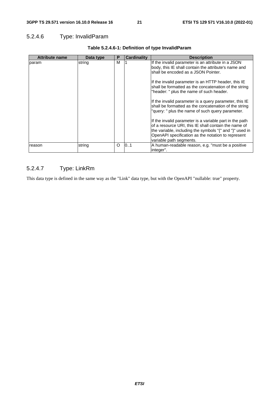### 5.2.4.6 Type: InvalidParam

| <b>Attribute name</b> | Data type | P        | <b>Cardinality</b> | <b>Description</b>                                                                                                                                                                                                                                                                                                                                                                                                               |
|-----------------------|-----------|----------|--------------------|----------------------------------------------------------------------------------------------------------------------------------------------------------------------------------------------------------------------------------------------------------------------------------------------------------------------------------------------------------------------------------------------------------------------------------|
| param                 | string    | м        |                    | If the invalid parameter is an attribute in a JSON<br>body, this IE shall contain the attribute's name and<br>shall be encoded as a JSON Pointer.<br>If the invalid parameter is an HTTP header, this IE<br>shall be formatted as the concatenation of the string<br>"header: " plus the name of such header.<br>If the invalid parameter is a query parameter, this IE<br>shall be formatted as the concatenation of the string |
| reason                | string    | $\Omega$ | 101                | "query: " plus the name of such query parameter.<br>If the invalid parameter is a variable part in the path<br>of a resource URI, this IE shall contain the name of<br>the variable, including the symbols "{" and "}" used in<br>OpenAPI specification as the notation to represent<br>variable path segments.<br>A human-readable reason, e.g. "must be a positive                                                             |
|                       |           |          |                    | integer".                                                                                                                                                                                                                                                                                                                                                                                                                        |

### **Table 5.2.4.6-1: Definition of type InvalidParam**

### 5.2.4.7 Type: LinkRm

This data type is defined in the same way as the "Link" data type, but with the OpenAPI "nullable: true" property.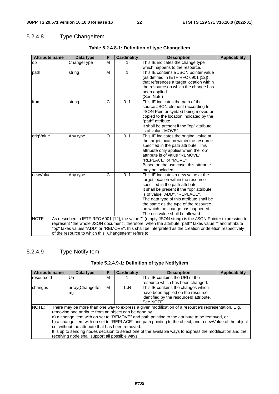# 5.2.4.8 Type ChangeItem

| <b>Attribute name</b> | Data type                                             | P | <b>Cardinality</b> | <b>Description</b>                                                                                      | <b>Applicability</b> |
|-----------------------|-------------------------------------------------------|---|--------------------|---------------------------------------------------------------------------------------------------------|----------------------|
| op                    | ChangeType                                            | M |                    | This IE indicates the change type                                                                       |                      |
|                       |                                                       |   |                    | which happens to the resource.                                                                          |                      |
| path                  | string                                                | M | 1                  | This IE contains a JSON pointer value                                                                   |                      |
|                       |                                                       |   |                    | (as defined in IETF RFC 6901 [12])<br>that references a target location within                          |                      |
|                       |                                                       |   |                    | the resource on which the change has                                                                    |                      |
|                       |                                                       |   |                    | been applied.                                                                                           |                      |
|                       |                                                       |   |                    | (See Note)                                                                                              |                      |
| from                  | string                                                | C | 0.1                | This IE indicates the path of the                                                                       |                      |
|                       |                                                       |   |                    | source JSON element (according to                                                                       |                      |
|                       |                                                       |   |                    | JSON Pointer syntax) being moved or                                                                     |                      |
|                       |                                                       |   |                    | copied to the location indicated by the                                                                 |                      |
|                       |                                                       |   |                    | "path" attribute.                                                                                       |                      |
|                       |                                                       |   |                    | It shall be present if the "op" attribute                                                               |                      |
|                       |                                                       |   |                    | is of value "MOVE".                                                                                     |                      |
| origValue             | Any type                                              | O | 01                 | This IE indicates the original value at                                                                 |                      |
|                       |                                                       |   |                    | the target location within the resource<br>specified in the path attribute. This                        |                      |
|                       |                                                       |   |                    | attribute only applies when the "op"                                                                    |                      |
|                       |                                                       |   |                    | attribute is of value "REMOVE",                                                                         |                      |
|                       |                                                       |   |                    | "REPLACE" or "MOVE"                                                                                     |                      |
|                       |                                                       |   |                    | Based on the use case, this attribute                                                                   |                      |
|                       |                                                       |   |                    | may be included.                                                                                        |                      |
| newValue              | Any type                                              | C | 0.1                | This IE indicates a new value at the                                                                    |                      |
|                       |                                                       |   |                    | target location within the resource                                                                     |                      |
|                       |                                                       |   |                    | specified in the path attribute.                                                                        |                      |
|                       |                                                       |   |                    | It shall be present if the "op" attribute                                                               |                      |
|                       |                                                       |   |                    | is of value "ADD", "REPLACE".                                                                           |                      |
|                       |                                                       |   |                    | The data type of this attribute shall be                                                                |                      |
|                       |                                                       |   |                    | the same as the type of the resource<br>on which the change has happened.                               |                      |
|                       |                                                       |   |                    | The null value shall be allowed.                                                                        |                      |
| NOTE:                 |                                                       |   |                    | As described in IETF RFC 6901 [12], the value "" (empty JSON string) is the JSON Pointer expression to  |                      |
|                       |                                                       |   |                    | represent "the whole JSON document"; therefore, when the attribute "path" takes value "" and attribute  |                      |
|                       |                                                       |   |                    | "op" takes values "ADD" or "REMOVE", this shall be interpreted as the creation or deletion respectively |                      |
|                       | of the resource to which this "Changeltem" refers to. |   |                    |                                                                                                         |                      |

### Table 5.2.4.8-1: Definition of type ChangeItem

### 5.2.4.9 Type NotifyItem

| Table 5.2.4.9-1: Definition of type Notifyltem |  |  |  |
|------------------------------------------------|--|--|--|
|------------------------------------------------|--|--|--|

| <b>Attribute name</b>                                                                                                                                                                                                                                                                                                                                                                                                                                                                                                                                                                                   | Data type       | Р | <b>Cardinality</b> | <b>Description</b>                      | <b>Applicability</b> |  |
|---------------------------------------------------------------------------------------------------------------------------------------------------------------------------------------------------------------------------------------------------------------------------------------------------------------------------------------------------------------------------------------------------------------------------------------------------------------------------------------------------------------------------------------------------------------------------------------------------------|-----------------|---|--------------------|-----------------------------------------|----------------------|--|
| resourceld                                                                                                                                                                                                                                                                                                                                                                                                                                                                                                                                                                                              | Uri             | м |                    | This IE contains the URI of the         |                      |  |
|                                                                                                                                                                                                                                                                                                                                                                                                                                                                                                                                                                                                         |                 |   |                    | resource which has been changed.        |                      |  |
| changes                                                                                                                                                                                                                                                                                                                                                                                                                                                                                                                                                                                                 | array(Changelte | м | 1N                 | This IE contains the changes which      |                      |  |
|                                                                                                                                                                                                                                                                                                                                                                                                                                                                                                                                                                                                         | m)              |   |                    | have been applied on the resource       |                      |  |
|                                                                                                                                                                                                                                                                                                                                                                                                                                                                                                                                                                                                         |                 |   |                    | identified by the resourceld attribute. |                      |  |
|                                                                                                                                                                                                                                                                                                                                                                                                                                                                                                                                                                                                         |                 |   |                    | See NOTE.                               |                      |  |
| NOTE:<br>There may be more than one way to express a given modification of a resource's representation. E.g.<br>removing one attribute from an object can be done by<br>a) a change item with op set to "REMOVE" and path pointing to the attribute to be removed, or<br>b) a change item with op set to "REPLACE" and path pointing to the object, and a new Value of the object<br>i.e. without the attribute that has been removed.<br>It is up to sending nodes decision to select one of the available ways to express the modification and the<br>receiving node shall support all possible ways. |                 |   |                    |                                         |                      |  |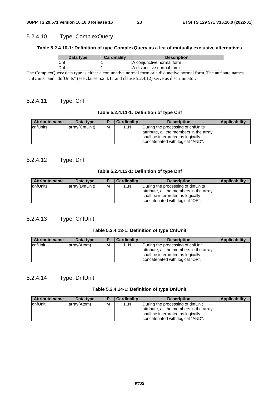#### 5.2.4.10 Type: ComplexQuery

#### **Table 5.2.4.10-1: Definition of type ComplexQuery as a list of mutually exclusive alternatives**

| Data type | <b>Cardinality</b> | <b>Description</b>        |
|-----------|--------------------|---------------------------|
| Cnf       |                    | A conjunctive normal form |
| Dnf       |                    | A disjunctive normal form |

The ComplexQuery data type is either a conjunctive normal form or a disjunctive normal form. The attribute names "cnfUnits" and "dnfUnits" (see clause 5.2.4.11 and clause 5.2.4.12) serve as discriminator.

### 5.2.4.11 Type: Cnf

#### **Table 5.2.4.11-1: Definition of type Cnf**

| <b>Attribute name</b> | Data type      | D | <b>Cardinality</b> | <b>Description</b>                      | Applicability |
|-----------------------|----------------|---|--------------------|-----------------------------------------|---------------|
| IcnfUnits             | array(CnfUnit) | м | 1N                 | During the processing of cnfUnits       |               |
|                       |                |   |                    | attribute, all the members in the array |               |
|                       |                |   |                    | shall be interpreted as logically       |               |
|                       |                |   |                    | concatenated with logical "AND".        |               |

#### 5.2.4.12 Type: Dnf

#### **Table 5.2.4.12-1: Definition of type Dnf**

| <b>Attribute name</b> | Data type      | E | <b>Cardinality</b> | <b>Description</b>                      | Applicability |
|-----------------------|----------------|---|--------------------|-----------------------------------------|---------------|
| IdnfUnits             | array(DnfUnit) | M | 1N                 | During the processing of dnfUnits       |               |
|                       |                |   |                    | attribute, all the members in the array |               |
|                       |                |   |                    | shall be interpreted as logically       |               |
|                       |                |   |                    | concatenated with logical "OR".         |               |

### 5.2.4.13 Type: CnfUnit

#### **Table 5.2.4.13-1: Definition of type CnfUnit**

| <b>Attribute name</b> | Data type   | D | <b>Cardinality</b> | <b>Description</b>                      | Applicability |
|-----------------------|-------------|---|--------------------|-----------------------------------------|---------------|
| <b>cnfUnit</b>        | array(Atom) | M | 1N                 | During the processing of cnfUnit        |               |
|                       |             |   |                    | attribute, all the members in the array |               |
|                       |             |   |                    | shall be interpreted as logically       |               |
|                       |             |   |                    | concatenated with logical "OR".         |               |

### 5.2.4.14 Type: DnfUnit

#### **Table 5.2.4.14-1: Definition of type DnfUnit**

| <b>Attribute name</b> | Data type   |   | <b>Cardinality</b> | <b>Description</b>                                                                                                                                   | Applicability |
|-----------------------|-------------|---|--------------------|------------------------------------------------------------------------------------------------------------------------------------------------------|---------------|
| dnfUnit               | array(Atom) | м | 1N                 | During the processing of dnfUnit<br>attribute, all the members in the array<br>shall be interpreted as logically<br>concatenated with logical "AND". |               |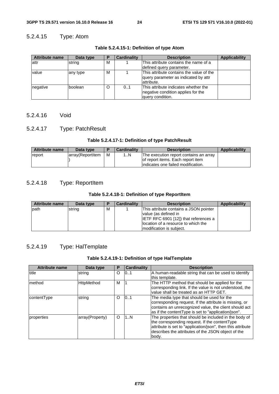### 5.2.4.15 Type: Atom

| <b>Attribute name</b> | Data type | P | Cardinality | <b>Description</b>                                                                              | <b>Applicability</b> |
|-----------------------|-----------|---|-------------|-------------------------------------------------------------------------------------------------|----------------------|
| lattr                 | string    | М |             | This attribute contains the name of a<br>defined query parameter.                               |                      |
| value                 | any type  | M |             | This attribute contains the value of the<br>query parameter as indicated by attr<br>lattribute. |                      |
| negative              | lboolean  | O | 0.1         | This attribute indicates whether the<br>negative condition applies for the<br>lauery condition. |                      |

#### **Table 5.2.4.15-1: Definition of type Atom**

### 5.2.4.16 Void

### 5.2.4.17 Type: PatchResult

#### **Table 5.2.4.17-1: Definition of type PatchResult**

| <b>Attribute name</b> | Data type        |   | <b>Cardinality</b> | <b>Description</b>                     | <b>Applicability</b> |
|-----------------------|------------------|---|--------------------|----------------------------------------|----------------------|
| report                | array(ReportItem | M | . N                | The execution report contains an array |                      |
|                       |                  |   |                    | of report items. Each report item      |                      |
|                       |                  |   |                    | lindicates one failed modification.    |                      |

### 5.2.4.18 Type: ReportItem

#### **Table 5.2.4.18-1: Definition of type ReportItem**

| Attribute name | Data type | в | Cardinality | <b>Description</b>                                                                                             | Applicability |
|----------------|-----------|---|-------------|----------------------------------------------------------------------------------------------------------------|---------------|
| path           | string    | м |             | This attribute contains a JSON pointer<br>value (as defined in<br><b>IETF RFC 6901 [12]) that references a</b> |               |
|                |           |   |             | location of a resource to which the<br>Imodification is subject.                                               |               |

### 5.2.4.19 Type: HalTemplate

#### **Table 5.2.4.19-1: Definition of type HalTemplate**

| <b>Attribute name</b> | Data type         | Р       | <b>Cardinality</b> | <b>Description</b>                                                                                                                                                                                                                    |
|-----------------------|-------------------|---------|--------------------|---------------------------------------------------------------------------------------------------------------------------------------------------------------------------------------------------------------------------------------|
| title                 | string            | O       | 101                | A human-readable string that can be used to identify<br>this template.                                                                                                                                                                |
| method                | <b>HttpMethod</b> | м       |                    | The HTTP method that should be applied for the<br>corresponding link. If the value is not understood, the<br>value shall be treated as an HTTP GET.                                                                                   |
| contentType           | string            | O       | 101                | The media type that should be used for the<br>corresponding request. If the attribute is missing, or<br>contains an unrecognized value, the client should act<br>as if the contentType is set to "application/json".                  |
| properties            | array(Property)   | $\circ$ | 1N                 | The properties that should be included in the body of<br>the corresponding request. If the content Type<br>attribute is set to "application/json", then this attribute<br>describes the attributes of the JSON object of the<br>body. |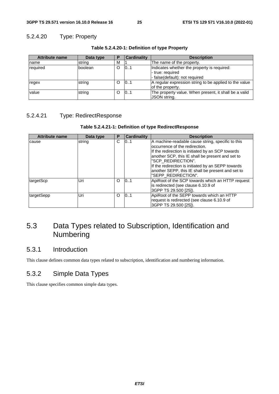### 5.2.4.20 Type: Property

| <b>Attribute name</b> | Data type | P       | <b>Cardinality</b> | <b>Description</b>                                                                                |
|-----------------------|-----------|---------|--------------------|---------------------------------------------------------------------------------------------------|
| name                  | string    | м       |                    | The name of the property.                                                                         |
| required              | boolean   | O       | 101                | Indicates whether the property is required:<br>- true: required<br>- false(default): not required |
| regex                 | string    | O       | 101                | A regular expression string to be applied to the value<br>of the property.                        |
| value                 | string    | $\circ$ | 101                | The property value. When present, it shall be a valid<br>JSON string.                             |

**Table 5.2.4.20-1: Definition of type Property** 

### 5.2.4.21 Type: RedirectResponse

#### **Table 5.2.4.21-1: Definition of type RedirectResponse**

| <b>Attribute name</b> | Data type | Р | <b>Cardinality</b> | <b>Description</b>                                 |
|-----------------------|-----------|---|--------------------|----------------------------------------------------|
| cause                 | string    | C | 0.1                | A machine-readable cause string, specific to this  |
|                       |           |   |                    | loccurrence of the redirection.                    |
|                       |           |   |                    | If the redirection is initiated by an SCP towards  |
|                       |           |   |                    | another SCP, this IE shall be present and set to   |
|                       |           |   |                    | "SCP REDIRECTION".                                 |
|                       |           |   |                    | If the redirection is initiated by an SEPP towards |
|                       |           |   |                    | another SEPP, this IE shall be present and set to  |
|                       |           |   |                    | "SEPP_REDIRECTION".                                |
| targetScp             | Uri       | O | 101                | ApiRoot of the SCP towards which an HTTP request   |
|                       |           |   |                    | is redirected (see clause 6.10.9 of                |
|                       |           |   |                    | 3GPP TS 29.500 [25]).                              |
| targetSepp            | Uri       | O | 101                | ApiRoot of the SEPP towards which an HTTP          |
|                       |           |   |                    | request is redirected (see clause 6.10.9 of        |
|                       |           |   |                    | 3GPP TS 29.500 [25]).                              |

# 5.3 Data Types related to Subscription, Identification and Numbering

### 5.3.1 Introduction

This clause defines common data types related to subscription, identification and numbering information.

### 5.3.2 Simple Data Types

This clause specifies common simple data types.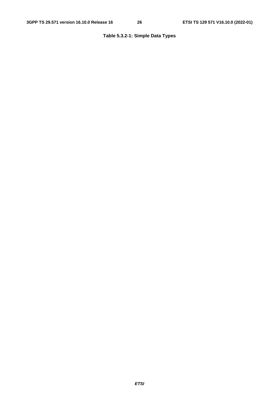### **Table 5.3.2-1: Simple Data Types**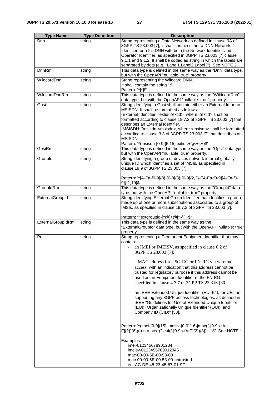| <b>Type Name</b>  | <b>Type Definition</b> | <b>Description</b>                                                                                                 |
|-------------------|------------------------|--------------------------------------------------------------------------------------------------------------------|
| Dnn               | string                 | String representing a Data Network as defined in clause 9A of                                                      |
|                   |                        | 3GPP TS 23.003 [7]; it shall contain either a DNN Network                                                          |
|                   |                        | Identifier, or a full DNN with both the Network Identifier and                                                     |
|                   |                        | Operator Identifier, as specified in 3GPP TS 23.003 [7] clause                                                     |
|                   |                        | 9.1.1 and 9.1.2. It shall be coded as string in which the labels are                                               |
|                   |                        | separated by dots (e.g. "Label1.Label2.Label3"). See NOTE 2.                                                       |
| <b>DnnRm</b>      | string                 | This data type is defined in the same way as the "Dnn" data type,                                                  |
|                   |                        | but with the OpenAPI "nullable: true" property.                                                                    |
| WildcardDnn       | string                 | String representing the Wildcard DNN.                                                                              |
|                   |                        | It shall contain the string "*".<br>Pattern: '^[*]\$'                                                              |
| WildcardDnnRm     | string                 | This data type is defined in the same way as the "WildcardDnn"                                                     |
|                   |                        | data type, but with the OpenAPI "nullable: true" property.                                                         |
| Gpsi              | string                 | String identifying a Gpsi shall contain either an External Id or an                                                |
|                   |                        | MSISDN. It shall be formatted as follows:                                                                          |
|                   |                        | -External Identifier: "extid- <extid>, where <extid> shall be</extid></extid>                                      |
|                   |                        | formatted according to clause 19.7.2 of 3GPP TS 23.003 [7] that                                                    |
|                   |                        | describes an External Identifier.                                                                                  |
|                   |                        | -MSISDN: "msisdn- <msisdn>, where <msisdn> shall be formatted</msisdn></msisdn>                                    |
|                   |                        | according to clause 3.3 of 3GPP TS 23.003 [7] that describes an                                                    |
|                   |                        | MSISDN.                                                                                                            |
|                   |                        | Pattern: '^(msisdn-[0-9]{5,15} extid-.+@.+ .+)\$'                                                                  |
| GpsiRm            | string                 | This data type is defined in the same way as the "Gpsi" data type,                                                 |
| GroupId           | string                 | but with the OpenAPI "nullable: true" property.<br>String identifying a group of devices network internal globally |
|                   |                        | unique ID which identifies a set of IMSIs, as specified in                                                         |
|                   |                        | clause 19.9 of 3GPP TS 23.003 [7].                                                                                 |
|                   |                        |                                                                                                                    |
|                   |                        | Pattern: '^[A-Fa-f0-9]{8}-[0-9]{3}-[0-9]{2,3}-([A-Fa-f0-9][A-Fa-f0-                                                |
|                   |                        | 9]){1,10}\$'.                                                                                                      |
| GroupIdRm         | string                 | This data type is defined in the same way as the "Groupld" data                                                    |
|                   |                        | type, but with the OpenAPI "nullable: true" property.                                                              |
| ExternalGroupId   | string                 | String identifying External Group Identifier that identifies a group                                               |
|                   |                        | made up of one or more subscriptions associated to a group of                                                      |
|                   |                        | IMSIs, as specified in clause 19.7.3 of 3GPP TS 23.003 [7].                                                        |
|                   |                        |                                                                                                                    |
| ExternalGroupIdRm |                        | Pattern: "^extgroupid-[^@]+@[^@]+\$"<br>This data type is defined in the same way as the                           |
|                   | string                 | "ExternalGroupId" data type, but with the OpenAPI "nullable: true"                                                 |
|                   |                        | property.                                                                                                          |
| Pei               | string                 | String representing a Permanent Equipment Identifier that may                                                      |
|                   |                        | contain:                                                                                                           |
|                   |                        | an IMEI or IMEISV, as specified in clause 6.2 of                                                                   |
|                   |                        | 3GPP TS 23.003 [7];                                                                                                |
|                   |                        |                                                                                                                    |
|                   |                        | a MAC address for a 5G-RG or FN-RG via wireline                                                                    |
|                   |                        | access, with an indication that this address cannot be                                                             |
|                   |                        | trusted for regulatory purpose if this address cannot be                                                           |
|                   |                        | used as an Equipment Identifier of the FN-RG, as                                                                   |
|                   |                        | specified in clause 4.7.7 of 3GPP TS 23.316 [30].                                                                  |
|                   |                        |                                                                                                                    |
|                   |                        | an IEEE Extended Unique Identifier (EUI-64), for UEs not                                                           |
|                   |                        | supporting any 3GPP access technologies, as defined in                                                             |
|                   |                        | IEEE "Guidelines for Use of Extended Unique Identifier                                                             |
|                   |                        | (EUI), Organizationally Unique Identifier (OUI), and                                                               |
|                   |                        | Company ID (CID)" [38].                                                                                            |
|                   |                        |                                                                                                                    |
|                   |                        | Pattern: '^(imei-[0-9]{15} imeisv-[0-9]{16} mac((-[0-9a-fA-                                                        |
|                   |                        | F]{2}){6})(-untrusted)? eui((-[0-9a-fA-F]{2}){8}) .+)\$'. See NOTE 1.                                              |
|                   |                        |                                                                                                                    |
|                   |                        | Examples:                                                                                                          |
|                   |                        | imei-012345678901234                                                                                               |
|                   |                        | imeisv-0123456789012345                                                                                            |
|                   |                        | mac-00-00-5E-00-53-00                                                                                              |
|                   |                        | mac-00-00-5E-00-53-00-untrusted                                                                                    |
|                   |                        | eui-AC-DE-48-23-45-67-01-9F                                                                                        |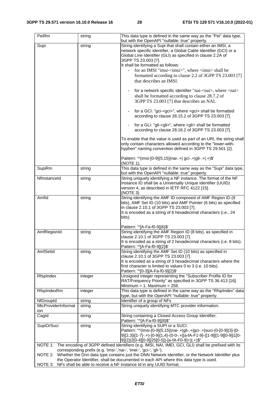| PeiRm               | string  | This data type is defined in the same way as the "Pei" data type,<br>but with the OpenAPI "nullable: true" property.                                        |
|---------------------|---------|-------------------------------------------------------------------------------------------------------------------------------------------------------------|
| Supi                | string  | String identifying a Supi that shall contain either an IMSI, a                                                                                              |
|                     |         | network specific identifier, a Global Cable Identifier (GCI) or a                                                                                           |
|                     |         | Global Line Identifier (GLI) as specified in clause 2.2A of                                                                                                 |
|                     |         | 3GPP TS 23.003 [7].                                                                                                                                         |
|                     |         | It shall be formatted as follows:                                                                                                                           |
|                     |         | for an IMSI "imsi- <imsi>", where <imsi> shall be</imsi></imsi>                                                                                             |
|                     |         | formatted according to clause 2.2 of 3GPP TS 23.003 [7]                                                                                                     |
|                     |         | that describes an IMSI.                                                                                                                                     |
|                     |         | for a network specific identifier "nai- <nai>, where <nai></nai></nai>                                                                                      |
|                     |         | shall be formatted according to clause 28.7.2 of                                                                                                            |
|                     |         | 3GPP TS 23.003 [7] that describes an NAI.                                                                                                                   |
|                     |         |                                                                                                                                                             |
|                     |         | for a GCI: "gci- <gci>", where <gci> shall be formatted<br/>÷,</gci></gci>                                                                                  |
|                     |         | according to clause 28.15.2 of 3GPP TS 23.003 [7].                                                                                                          |
|                     |         |                                                                                                                                                             |
|                     |         | for a GLI: "gli- <gli>", where <gli> shall be formatted</gli></gli>                                                                                         |
|                     |         | according to clause 28.16.2 of 3GPP TS 23.003 [7].                                                                                                          |
|                     |         | To enable that the value is used as part of an URI, the string shall                                                                                        |
|                     |         | only contain characters allowed according to the "lower-with-                                                                                               |
|                     |         | hyphen" naming convention defined in 3GPP TS 29.501 [2].                                                                                                    |
|                     |         |                                                                                                                                                             |
|                     |         | Pattern: '^(imsi-[0-9]{5,15} nai-.+  gci-.+ gli-.+ .+)\$'                                                                                                   |
|                     |         | (NOTE 1).                                                                                                                                                   |
| SupiRm              | string  | This data type is defined in the same way as the "Supi" data type,                                                                                          |
|                     |         | but with the OpenAPI "nullable: true" property.                                                                                                             |
| Nflnstanceld        | string  | String uniquely identifying a NF instance. The format of the NF                                                                                             |
|                     |         | Instance ID shall be a Universally Unique Identifier (UUID)                                                                                                 |
|                     |         | version 4, as described in IETF RFC 4122 [15].                                                                                                              |
|                     |         | (NOTE 3)                                                                                                                                                    |
| Amfld               | string  | String identifying the AMF ID composed of AMF Region ID (8<br>bits), AMF Set ID (10 bits) and AMF Pointer (6 bits) as specified                             |
|                     |         | in clause 2.10.1 of 3GPP TS 23.003 [7].                                                                                                                     |
|                     |         | It is encoded as a string of 6 hexadecimal characters (i.e., 24                                                                                             |
|                     |         | bits).                                                                                                                                                      |
|                     |         |                                                                                                                                                             |
|                     |         | Pattern: '^[A-Fa-f0-9]{6}\$'                                                                                                                                |
| AmfRegionId         | string  | String identifying the AMF Region ID (8 bits), as specified in                                                                                              |
|                     |         | clause 2.10.1 of 3GPP TS 23.003 [7].                                                                                                                        |
|                     |         | It is encoded as a string of 2 hexadecimal characters (i.e. 8 bits).                                                                                        |
|                     |         | Pattern: '^[A-Fa-f0-9]{2}\$'                                                                                                                                |
| AmfSetId            | string  | String identifying the AMF Set ID (10 bits) as specified in<br>clause 2.10.1 of 3GPP TS 23.003 [7].                                                         |
|                     |         | It is encoded as a string of 3 hexadecimal characters where the                                                                                             |
|                     |         | first character is limited to values 0 to 3 (i.e. 10 bits).                                                                                                 |
|                     |         | Pattern: '^[0-3][A-Fa-f0-9]{2}\$'                                                                                                                           |
| RfspIndex           | integer | Unsigned integer representing the "Subscriber Profile ID for                                                                                                |
|                     |         | RAT/Frequency Priority" as specified in 3GPP TS 36.413 [16].                                                                                                |
|                     |         | Minimum = 1. Maximum = 256.                                                                                                                                 |
| RfspIndexRm         | integer | This data type is defined in the same way as the "RfspIndex" data                                                                                           |
|                     |         | type, but with the OpenAPI "nullable: true" property.                                                                                                       |
| NfGroupId           | string  | Identifier of a group of NFs                                                                                                                                |
| MtcProviderInformat | string  | String uniquely identifying MTC provider information.                                                                                                       |
| ion<br>Cagld        |         | String containing a Closed Access Group Identifier.                                                                                                         |
|                     | string  | Pattern: "^[A-Fa-f0-9]{8}\$"                                                                                                                                |
| <b>SupiOrSuci</b>   | string  | String identifying a SUPI or a SUCI.                                                                                                                        |
|                     |         | Pattern: "^(imsi-[0-9]{5,15} nai-.+ gli-.+ gci-.+ suci-(0-[0-9]{3}-[0-                                                                                      |
|                     |         | 9]{2,3} [1-7]-.+)-[0-9]{1,4}-(0-0-.+ [a-fA-F1-9]-([1-9] [1-9][0-9] 1[0-                                                                                     |
|                     |         | 9]{2} 2[0-4][0-9] 25[0-5])-[a-fA-F0-9]+) .+)\$"                                                                                                             |
|                     |         | NOTE 1: The encoding of 3GPP defined identifiers (e.g. IMSI, NAI, IMEI, GCI, GLI) shall be prefixed with its                                                |
|                     |         | corresponding prefix (e.g. 'imsi-', 'nai-', 'imei-', 'gci-', 'gli-').                                                                                       |
|                     |         | NOTE 2: Whether the Dnn data type contains just the DNN Network Identifier, or the Network Identifier plus                                                  |
| NOTE 3:             |         | the Operator Identifier, shall be documented in each API where this data type is used.<br>NFs shall be able to receive a NF Instance Id in any UUID format. |
|                     |         |                                                                                                                                                             |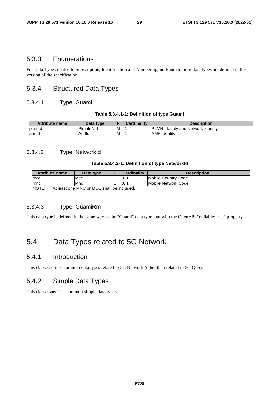### 5.3.3 Enumerations

For Data Types related to Subscription, Identification and Numbering, no Enumerations data types are defined in this version of the specification.

### 5.3.4 Structured Data Types

#### 5.3.4.1 Type: Guami

#### **Table 5.3.4.1-1: Definition of type Guami**

| <b>Attribute name</b> | Data type |   | Cardinality | <b>Description</b>                         |
|-----------------------|-----------|---|-------------|--------------------------------------------|
| plmnld                | PimnidNid | M |             | <b>IPLMN Identity and Network Identity</b> |
| lamfld                | Amfld     | M |             | AMF<br>: Identitv                          |

#### 5.3.4.2 Type: NetworkId

#### **Table 5.3.4.2-1: Definition of type NetworkId**

| <b>Attribute name</b>                                      | Data type |  | <b>Cardinality</b> | <b>Description</b>  |
|------------------------------------------------------------|-----------|--|--------------------|---------------------|
| <b>Imcc</b>                                                | Mcc       |  | 10                 | Mobile Country Code |
| Imnc                                                       | Mnc       |  | 10                 | Mobile Network Code |
| <b>NOTE:</b><br>At least one MNC or MCC shall be included. |           |  |                    |                     |

### 5.3.4.3 Type: GuamiRm

This data type is defined in the same way as the "Guami" data type, but with the OpenAPI "nullable: true" property.

# 5.4 Data Types related to 5G Network

### 5.4.1 Introduction

This clause defines common data types related to 5G Network (other than related to 5G QoS).

### 5.4.2 Simple Data Types

This clause specifies common simple data types.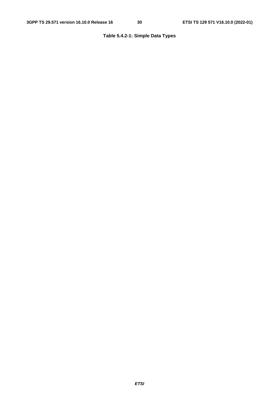### **Table 5.4.2-1: Simple Data Types**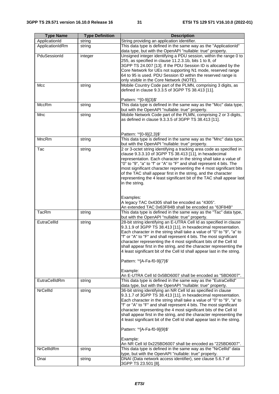| <b>Type Name</b> | <b>Type Definition</b> | <b>Description</b>                                                      |
|------------------|------------------------|-------------------------------------------------------------------------|
| ApplicationId    | string                 | String providing an application identifier.                             |
| ApplicationIdRm  | string                 | This data type is defined in the same way as the "ApplicationId"        |
|                  |                        | data type, but with the OpenAPI "nullable: true" property.              |
| PduSessionId     | integer                | Unsigned integer identifying a PDU session, within the range 0 to       |
|                  |                        | 255, as specified in clause 11.2.3.1b, bits 1 to 8, of                  |
|                  |                        | 3GPP TS 24.007 [13]. If the PDU Session ID is allocated by the          |
|                  |                        | Core Network for UEs not supporting N1 mode, reserved range             |
|                  |                        | 64 to 95 is used. PDU Session ID within the reserved range is           |
|                  |                        | only visible in the Core Network (NOTE).                                |
| Mcc              | string                 | Mobile Country Code part of the PLMN, comprising 3 digits, as           |
|                  |                        | defined in clause 9.3.3.5 of 3GPP TS 38.413 [11].                       |
|                  |                        |                                                                         |
|                  |                        | Pattern: '^[0-9]{3}\$'                                                  |
| <b>MccRm</b>     | string                 | This data type is defined in the same way as the "Mcc" data type,       |
|                  |                        | but with the OpenAPI "nullable: true" property.                         |
| Mnc              | string                 | Mobile Network Code part of the PLMN, comprising 2 or 3 digits,         |
|                  |                        | as defined in clause 9.3.3.5 of 3GPP TS 38.413 [11].                    |
|                  |                        |                                                                         |
|                  |                        |                                                                         |
|                  |                        | Pattern: '^[0-9]{2,3}\$'                                                |
| MncRm            | string                 | This data type is defined in the same way as the "Mnc" data type,       |
|                  |                        | but with the OpenAPI "nullable: true" property.                         |
| Tac              | string                 | 2 or 3-octet string identifying a tracking area code as specified in    |
|                  |                        | clause 9.3.3.10 of 3GPP TS 38.413 [11], in hexadecimal                  |
|                  |                        | representation. Each character in the string shall take a value of      |
|                  |                        | "0" to "9", "a" to "f" or "A" to "F" and shall represent 4 bits. The    |
|                  |                        | most significant character representing the 4 most significant bits     |
|                  |                        | of the TAC shall appear first in the string, and the character          |
|                  |                        | representing the 4 least significant bit of the TAC shall appear last   |
|                  |                        | in the string.                                                          |
|                  |                        |                                                                         |
|                  |                        |                                                                         |
|                  |                        | Examples:<br>A legacy TAC 0x4305 shall be encoded as "4305".            |
|                  |                        | An extended TAC 0x63F84B shall be encoded as "63F84B"                   |
| <b>TacRm</b>     |                        | This data type is defined in the same way as the "Tac" data type,       |
|                  | string                 | but with the OpenAPI "nullable: true" property.                         |
| EutraCellId      | string                 | 28-bit string identifying an E-UTRA Cell Id as specified in clause      |
|                  |                        | 9.3.1.9 of 3GPP TS 38.413 [11], in hexadecimal representation.          |
|                  |                        | Each character in the string shall take a value of "0" to "9", "a" to   |
|                  |                        | "f" or "A" to "F" and shall represent 4 bits. The most significant      |
|                  |                        | character representing the 4 most significant bits of the Cell Id       |
|                  |                        | shall appear first in the string, and the character representing the    |
|                  |                        | 4 least significant bit of the Cell Id shall appear last in the string. |
|                  |                        |                                                                         |
|                  |                        | Pattern: '^[A-Fa-f0-9]{7}\$'                                            |
|                  |                        |                                                                         |
|                  |                        | Example:                                                                |
|                  |                        | An E-UTRA Cell Id 0x5BD6007 shall be encoded as "5BD6007".              |
| EutraCellIdRm    | string                 | This data type is defined in the same way as the "EutraCellId"          |
|                  |                        | data type, but with the OpenAPI "nullable: true" property.              |
| NrCellId         | string                 | 36-bit string identifying an NR Cell Id as specified in clause          |
|                  |                        | 9.3.1.7 of 3GPP TS 38.413 [11], in hexadecimal representation.          |
|                  |                        | Each character in the string shall take a value of "0" to "9", "a" to   |
|                  |                        | "f" or "A" to "F" and shall represent 4 bits. The most significant      |
|                  |                        | character representing the 4 most significant bits of the Cell Id       |
|                  |                        | shall appear first in the string, and the character representing the    |
|                  |                        | 4 least significant bit of the Cell Id shall appear last in the string. |
|                  |                        |                                                                         |
|                  |                        | Pattern: '^[A-Fa-f0-9]{9}\$'                                            |
|                  |                        |                                                                         |
|                  |                        | Example:                                                                |
|                  |                        | An NR Cell Id 0x225BD6007 shall be encoded as "225BD6007".              |
| NrCellIdRm       | string                 | This data type is defined in the same way as the "NrCellId" data        |
|                  |                        | type, but with the OpenAPI "nullable: true" property.                   |
| Dnai             | string                 | DNAI (Data network access identifier), see clause 5.6.7 of              |
|                  |                        | 3GPP TS 23.501 [8].                                                     |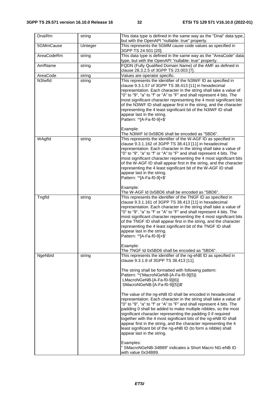| DnaiRm     | string   | This data type is defined in the same way as the "Dnai" data type,<br>but with the OpenAPI "nullable: true" property.                                                                                                                                                                                                                                                                                                                                                                                                                                                                                                                                      |
|------------|----------|------------------------------------------------------------------------------------------------------------------------------------------------------------------------------------------------------------------------------------------------------------------------------------------------------------------------------------------------------------------------------------------------------------------------------------------------------------------------------------------------------------------------------------------------------------------------------------------------------------------------------------------------------------|
| 5GMmCause  | Uinteger | This represents the 5GMM cause code values as specified in<br>3GPP TS 24.501 [20].                                                                                                                                                                                                                                                                                                                                                                                                                                                                                                                                                                         |
| AreaCodeRm | string   | This data type is defined in the same way as the "AreaCode" data<br>type, but with the OpenAPI "nullable: true" property.                                                                                                                                                                                                                                                                                                                                                                                                                                                                                                                                  |
| AmfName    | string   | FQDN (Fully Qualified Domain Name) of the AMF as defined in<br>clause 28.3.2.5 of 3GPP TS 23.003 [7].                                                                                                                                                                                                                                                                                                                                                                                                                                                                                                                                                      |
| AreaCode   | string   | Values are operator specific.                                                                                                                                                                                                                                                                                                                                                                                                                                                                                                                                                                                                                              |
| N3Iwfld    | string   | This represents the identifier of the N3IWF ID as specified in                                                                                                                                                                                                                                                                                                                                                                                                                                                                                                                                                                                             |
|            |          | clause 9.3.1.57 of 3GPP TS 38.413 [11] in hexadecimal<br>representation. Each character in the string shall take a value of<br>"0" to "9", "a" to "f" or "A" to "F" and shall represent 4 bits. The<br>most significant character representing the 4 most significant bits<br>of the N3IWF ID shall appear first in the string, and the character<br>representing the 4 least significant bit of the N3IWF ID shall<br>appear last in the string.<br>Pattern: '^[A-Fa-f0-9]+\$'                                                                                                                                                                            |
|            |          | Example:                                                                                                                                                                                                                                                                                                                                                                                                                                                                                                                                                                                                                                                   |
|            |          | The N3IWF Id 0x5BD6 shall be encoded as "5BD6".                                                                                                                                                                                                                                                                                                                                                                                                                                                                                                                                                                                                            |
| WAgfld     | string   | This represents the identifier of the W-AGF ID as specified in<br>clause 9.3.1.162 of 3GPP TS 38.413 [11] in hexadecimal<br>representation. Each character in the string shall take a value of<br>"0" to "9", "a" to "f" or "A" to "F" and shall represent 4 bits. The<br>most significant character representing the 4 most significant bits<br>of the W-AGF ID shall appear first in the string, and the character<br>representing the 4 least significant bit of the W-AGF ID shall<br>appear last in the string.<br>Pattern: '^[A-Fa-f0-9]+\$'                                                                                                         |
|            |          | Example:<br>The W-AGF Id 0x5BD6 shall be encoded as "5BD6".                                                                                                                                                                                                                                                                                                                                                                                                                                                                                                                                                                                                |
| Tngfld     | string   | This represents the identifier of the TNGF ID as specified in<br>clause 9.3.1.161 of 3GPP TS 38.413 [11] in hexadecimal<br>representation. Each character in the string shall take a value of<br>"0" to "9", "a" to "f" or "A" to "F" and shall represent 4 bits. The<br>most significant character representing the 4 most significant bits<br>of the TNGF ID shall appear first in the string, and the character<br>representing the 4 least significant bit of the TNGF ID shall<br>appear last in the string.<br>Pattern: '^[A-Fa-f0-9]+\$'<br>Example:                                                                                                |
|            |          | The TNGF Id 0x5BD6 shall be encoded as "5BD6".                                                                                                                                                                                                                                                                                                                                                                                                                                                                                                                                                                                                             |
| NgeNbld    | string   | This represents the identifier of the ng-eNB ID as specified in<br>clause 9.3.1.8 of 3GPP TS 38.413 [11].<br>The string shall be formatted with following pattern:<br>Pattern: '^('MacroNGeNB-[A-Fa-f0-9]{5}]<br>LMacroNGeNB-[A-Fa-f0-9]{6}]<br>SMacroNGeNB-[A-Fa-f0-9]{5})\$'                                                                                                                                                                                                                                                                                                                                                                             |
|            |          | The value of the ng-eNB ID shall be encoded in hexadecimal<br>representation. Each character in the string shall take a value of<br>"0" to "9", "a" to "f" or "A" to "F" and shall represent 4 bits. The<br>padding 0 shall be added to make multiple nibbles, so the most<br>significant character representing the padding 0 if required<br>together with the 4 most significant bits of the ng-eNB ID shall<br>appear first in the string, and the character representing the 4<br>least significant bit of the ng-eNB ID (to form a nibble) shall<br>appear last in the string.<br>Examples:<br>" SMacroNGeNB-34B89" indicates a Short Macro NG-eNB ID |
|            |          | with value 0x34B89.                                                                                                                                                                                                                                                                                                                                                                                                                                                                                                                                                                                                                                        |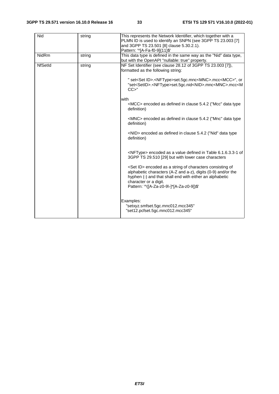| Nid            | string | This represents the Network Identifier, which together with a<br>PLMN ID is used to identify an SNPN (see 3GPP TS 23.003 [7]<br>and 3GPP TS 23.501 [8] clause 5.30.2.1).<br>Pattern: '^[A-Fa-f0-9]{11}\$'                                                              |
|----------------|--------|------------------------------------------------------------------------------------------------------------------------------------------------------------------------------------------------------------------------------------------------------------------------|
| NidRm          | string | This data type is defined in the same way as the "Nid" data type,<br>but with the OpenAPI "nullable: true" property.                                                                                                                                                   |
| <b>NfSetId</b> | string | NF Set Identifier (see clause 28.12 of 3GPP TS 23.003 [7]),<br>formatted as the following string:                                                                                                                                                                      |
|                |        | " set <set id="">.<nftype>set.5gc.mnc<mnc>.mcc<mcc>", or<br/>"set<setid>.<nftype>set.5gc.nid<nid>.mnc<mnc>.mcc<m<br>CC &gt; "</m<br></mnc></nid></nftype></setid></mcc></mnc></nftype></set>                                                                           |
|                |        | with<br><mcc> encoded as defined in clause 5.4.2 ("Mcc" data type<br/>definition)</mcc>                                                                                                                                                                                |
|                |        | <mnc> encoded as defined in clause 5.4.2 ("Mnc" data type<br/>definition)</mnc>                                                                                                                                                                                        |
|                |        | <nid> encoded as defined in clause 5.4.2 ("Nid" data type<br/>definition)</nid>                                                                                                                                                                                        |
|                |        | <nftype> encoded as a value defined in Table 6.1.6.3.3-1 of<br/>3GPP TS 29.510 [29] but with lower case characters</nftype>                                                                                                                                            |
|                |        | <set id=""> encoded as a string of characters consisting of<br/>alphabetic characters (A-Z and a-z), digits (0-9) and/or the<br/>hyphen (-) and that shall end with either an alphabetic<br/>character or a digit.<br/>Pattern: '^([A-Za-z0-9\-]*[A-Za-z0-9])\$'</set> |
|                |        | Examples:<br>"setxyz.smfset.5gc.mnc012.mcc345"<br>"set12.pcfset.5gc.mnc012.mcc345"                                                                                                                                                                                     |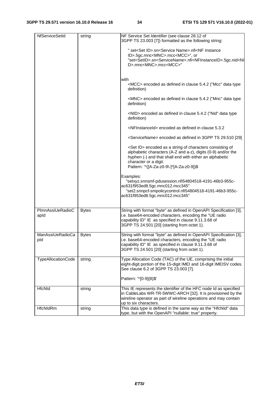| NfServiceSetId           | string       | NF Service Set Identifier (see clause 28.12 of<br>3GPP TS 23.003 [7]) formatted as the following string:                                                                                                                                                              |
|--------------------------|--------------|-----------------------------------------------------------------------------------------------------------------------------------------------------------------------------------------------------------------------------------------------------------------------|
|                          |              | " set <set id="">.sn<service name="">.nfi<nf instance<br="">ID&gt;.5gc.mnc<mnc>.mcc<mcc>", or<br/>"set<setid>.sn<servicename>.nfi<nfinstanceid>.5gc.nid<ni< td=""></ni<></nfinstanceid></servicename></setid></mcc></mnc></nf></service></set>                        |
|                          |              | D>.mnc <mnc>.mcc<mcc>"</mcc></mnc>                                                                                                                                                                                                                                    |
|                          |              | with                                                                                                                                                                                                                                                                  |
|                          |              | <mcc> encoded as defined in clause 5.4.2 ("Mcc" data type<br/>definition)</mcc>                                                                                                                                                                                       |
|                          |              | <mnc> encoded as defined in clause 5.4.2 ("Mnc" data type<br/>definition)</mnc>                                                                                                                                                                                       |
|                          |              | <nid> encoded as defined in clause 5.4.2 ("Nid" data type<br/>definition)</nid>                                                                                                                                                                                       |
|                          |              | <nfinstanceid> encoded as defined in clause 5.3.2</nfinstanceid>                                                                                                                                                                                                      |
|                          |              | <servicename> encoded as defined in 3GPP TS 29.510 [29]</servicename>                                                                                                                                                                                                 |
|                          |              | <set id=""> encoded as a string of characters consisting of<br/>alphabetic characters (A-Z and a-z), digits (0-9) and/or the<br/>hyphen (-) and that shall end with either an alphabetic<br/>character or a digit.<br/>Pattern: '^([A-Za-z0-9\-]*[A-Za-z0-9])\$</set> |
|                          |              |                                                                                                                                                                                                                                                                       |
|                          |              | Examples:<br>"setxyz.snnsmf-pdusession.nfi54804518-4191-46b3-955c-<br>ac631f953ed8.5gc.mnc012.mcc345"<br>"set2.snnpcf-smpolicycontrol.nfi54804518-4191-46b3-955c-<br>ac631f953ed8.5gc.mnc012.mcc345"                                                                  |
|                          |              |                                                                                                                                                                                                                                                                       |
| PlmnAssiUeRadioC<br>apid | <b>Bytes</b> | String with format "byte" as defined in OpenAPI Specification [3],<br>i.e. base64-encoded characters, encoding the "UE radio<br>capability ID" IE as specified in clause 9.11.3.68 of<br>3GPP TS 24.501 [20] (starting from octet 1).                                 |
| ManAssiUeRadioCa<br>pld  | <b>Bytes</b> | String with format "byte" as defined in OpenAPI Specification [3],<br>i.e. base64-encoded characters, encoding the "UE radio<br>capability ID" IE as specified in clause 9.11.3.68 of<br>3GPP TS 24.501 [20] (starting from octet 1).                                 |
| TypeAllocationCode       | string       | Type Allocation Code (TAC) of the UE, comprising the initial<br>eight-digit portion of the 15-digit IMEI and 16-digit IMEISV codes.<br>See clause 6.2 of 3GPP TS 23.003 [7].                                                                                          |
|                          |              | Pattern: '^[0-9]{8}\$'                                                                                                                                                                                                                                                |
| HfcNld                   | string       | This IE represents the identifier of the HFC node Id as specified                                                                                                                                                                                                     |
|                          |              | in CableLabs WR-TR-5WWC-ARCH [32]. It is provisioned by the<br>wireline operator as part of wireline operations and may contain                                                                                                                                       |
|                          |              | up to six characters.                                                                                                                                                                                                                                                 |
| HfcNldRm                 | string       | This data type is defined in the same way as the "HfcNld" data<br>type, but with the OpenAPI "nullable: true" property.                                                                                                                                               |
|                          |              |                                                                                                                                                                                                                                                                       |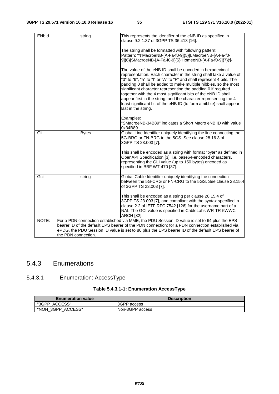| <b>ENbld</b>                                                                                                                                                                                       | string              | This represents the identifier of the eNB ID as specified in<br>clause 9.2.1.37 of 3GPP TS 36.413 [16].<br>The string shall be formatted with following pattern:<br>Pattern: '^('MacroeNB-[A-Fa-f0-9]{5} LMacroeNB-[A-Fa-f0-<br>9]{6} SMacroeNB-[A-Fa-f0-9]{5} HomeeNB-[A-Fa-f0-9]{7})\$'<br>The value of the eNB ID shall be encoded in hexadecimal<br>representation. Each character in the string shall take a value of<br>"0" to "9", "a" to "f" or "A" to "F" and shall represent 4 bits. The<br>padding 0 shall be added to make multiple nibbles, so the most<br>significant character representing the padding 0 if required<br>together with the 4 most significant bits of the eNB ID shall<br>appear first in the string, and the character representing the 4 |  |
|----------------------------------------------------------------------------------------------------------------------------------------------------------------------------------------------------|---------------------|---------------------------------------------------------------------------------------------------------------------------------------------------------------------------------------------------------------------------------------------------------------------------------------------------------------------------------------------------------------------------------------------------------------------------------------------------------------------------------------------------------------------------------------------------------------------------------------------------------------------------------------------------------------------------------------------------------------------------------------------------------------------------|--|
|                                                                                                                                                                                                    |                     | least significant bit of the eNB ID (to form a nibble) shall appear<br>last in the string.<br>Examples:<br>"SMacroeNB-34B89" indicates a Short Macro eNB ID with value<br>0x34B89.                                                                                                                                                                                                                                                                                                                                                                                                                                                                                                                                                                                        |  |
| Gli                                                                                                                                                                                                | <b>Bytes</b>        | Global Line Identifier uniquely identifying the line connecting the<br>5G-BRG or FN-BRG to the 5GS. See clause 28.16.3 of<br>3GPP TS 23.003 [7].                                                                                                                                                                                                                                                                                                                                                                                                                                                                                                                                                                                                                          |  |
|                                                                                                                                                                                                    |                     | This shall be encoded as a string with format "byte" as defined in<br>OpenAPI Specification [3], i.e. base64-encoded characters,<br>representing the GLI value (up to 150 bytes) encoded as<br>specified in BBF WT-470 [37].                                                                                                                                                                                                                                                                                                                                                                                                                                                                                                                                              |  |
| Gci                                                                                                                                                                                                | string              | Global Cable Identifier uniquely identifying the connection<br>between the 5G-CRG or FN-CRG to the 5GS. See clause 28.15.4<br>of 3GPP TS 23.003 [7].                                                                                                                                                                                                                                                                                                                                                                                                                                                                                                                                                                                                                      |  |
|                                                                                                                                                                                                    |                     | This shall be encoded as a string per clause 28.15.4 of<br>3GPP TS 23.003 [7], and compliant with the syntax specified in<br>clause 2.2 of IETF RFC 7542 [126] for the username part of a<br>NAI. The GCI value is specified in CableLabs WR-TR-5WWC-<br>ARCH [32].                                                                                                                                                                                                                                                                                                                                                                                                                                                                                                       |  |
| NOTE:                                                                                                                                                                                              |                     | For a PDN connection established via MME, the PDU Session ID value is set to 64 plus the EPS                                                                                                                                                                                                                                                                                                                                                                                                                                                                                                                                                                                                                                                                              |  |
| bearer ID of the default EPS bearer of the PDN connection; for a PDN connection established via<br>ePDG, the PDU Session ID value is set to 80 plus the EPS bearer ID of the default EPS bearer of |                     |                                                                                                                                                                                                                                                                                                                                                                                                                                                                                                                                                                                                                                                                                                                                                                           |  |
|                                                                                                                                                                                                    | the PDN connection. |                                                                                                                                                                                                                                                                                                                                                                                                                                                                                                                                                                                                                                                                                                                                                                           |  |

### 5.4.3 Enumerations

# 5.4.3.1 Enumeration: AccessType

| <b>Enumeration value</b> | <b>Description</b> |
|--------------------------|--------------------|
| "3GPP ACCESS"            | 3GPP access        |
| "NON 3GPP ACCESS"        | Non-3GPP access    |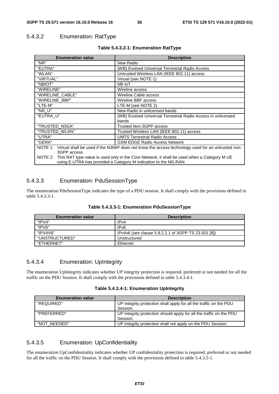# 5.4.3.2 Enumeration: RatType

| <b>Enumeration value</b>                                         | <b>Description</b>                                                                                        |
|------------------------------------------------------------------|-----------------------------------------------------------------------------------------------------------|
| "NR"                                                             | New Radio                                                                                                 |
| "EUTRA"                                                          | (WB) Evolved Universal Terrestrial Radio Access                                                           |
| "WLAN"                                                           | Untrusted Wireless LAN (IEEE 802.11) access                                                               |
| "VIRTUAL"                                                        | Virtual (see NOTE 1)                                                                                      |
| "NBIOT"                                                          | NB IoT                                                                                                    |
| "WIRELINE"                                                       | Wireline access                                                                                           |
| "WIRELINE CABLE"                                                 | Wireline Cable access                                                                                     |
| "WIRELINE BBF"                                                   | Wireline BBF access                                                                                       |
| "LTE-M"                                                          | LTE-M (see NOTE 2)                                                                                        |
| "NR U"                                                           | New Radio in unlicensed bands                                                                             |
| "EUTRA U"                                                        | (WB) Evolved Universal Terrestrial Radio Access in unlicensed                                             |
|                                                                  | bands                                                                                                     |
| "TRUSTED_N3GA"                                                   | Trusted Non-3GPP access                                                                                   |
| "TRUSTED_WLAN"                                                   | Trusted Wireless LAN (IEEE 802.11) access                                                                 |
| "UTRA"                                                           | <b>UMTS Terrestrial Radio Access</b>                                                                      |
| "GERA"                                                           | <b>GSM EDGE Radio Access Network</b>                                                                      |
|                                                                  | NOTE 1: Virtual shall be used if the N3IWF does not know the access technology used for an untrusted non- |
| 3GPP access.                                                     |                                                                                                           |
|                                                                  | NOTE 2: This RAT type value is used only in the Core Network; it shall be used when a Category M UE       |
| using E-UTRA has provided a Category M indication to the NG-RAN. |                                                                                                           |

#### **Table 5.4.3.2-1: Enumeration RatType**

## 5.4.3.3 Enumeration: PduSessionType

The enumeration PduSessionType indicates the type of a PDU session. It shall comply with the provisions defined in table 5.4.3.3-1.

|  |  | Table 5.4.3.3-1: Enumeration PduSessionType |
|--|--|---------------------------------------------|
|--|--|---------------------------------------------|

| <b>Enumeration value</b> | <b>Description</b>                                  |
|--------------------------|-----------------------------------------------------|
| " $IPV4"$                | IPv4                                                |
| "IPV6"                   | IP <sub>v6</sub>                                    |
| "IPV4V6"                 | IPv4v6 (see clause 5.8.2.2.1 of 3GPP TS 23.501 [8]) |
| "UNSTRUCTURED"           | Unstructured                                        |
| "FTHERNET"               | Ethernet                                            |

#### 5.4.3.4 Enumeration: UpIntegrity

The enumeration UpIntegrity indicates whether UP integrity protection is required, preferred or not needed for all the traffic on the PDU Session. It shall comply with the provisions defined in table 5.4.3.4-1.

| Table 5.4.3.4-1: Enumeration UpIntegrity |  |  |
|------------------------------------------|--|--|
|------------------------------------------|--|--|

| <b>Enumeration value</b> | <b>Description</b>                                                  |
|--------------------------|---------------------------------------------------------------------|
| "REQUIRED"               | UP integrity protection shall apply for all the traffic on the PDU  |
|                          | Session.                                                            |
| "PREFERRED"              | UP integrity protection should apply for all the traffic on the PDU |
|                          | Session.                                                            |
| "NOT NEEDED"             | UP integrity protection shall not apply on the PDU Session.         |

## 5.4.3.5 Enumeration: UpConfidentiality

The enumeration UpConfidentiality indicates whether UP confidentiality protection is required, preferred or not needed for all the traffic on the PDU Session. It shall comply with the provisions defined in table 5.4.3.5-1.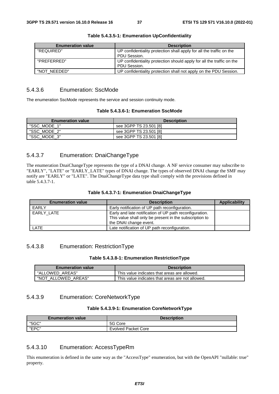| <b>Enumeration value</b> | <b>Description</b>                                                    |
|--------------------------|-----------------------------------------------------------------------|
| "REQUIRED"               | UP confidentiality protection shall apply for all the traffic on the  |
|                          | PDU Session.                                                          |
| "PRFFFRRFD"              | UP confidentiality protection should apply for all the traffic on the |
|                          | PDU Session.                                                          |
| "NOT NEEDED"             | UP confidentiality protection shall not apply on the PDU Session.     |

#### **Table 5.4.3.5-1: Enumeration UpConfidentiality**

## 5.4.3.6 Enumeration: SscMode

The enumeration SscMode represents the service and session continuity mode.

#### **Table 5.4.3.6-1: Enumeration SscMode**

| <b>Enumeration value</b> | <b>Description</b>     |
|--------------------------|------------------------|
| "SSC MODE 1"             | see 3GPP TS 23.501 [8] |
| "SSC MODE 2"             | see 3GPP TS 23.501 [8] |
| "SSC MODE 3"             | see 3GPP TS 23.501 [8] |

## 5.4.3.7 Enumeration: DnaiChangeType

The enumeration DnaiChangeType represents the type of a DNAI change. A NF service consumer may subscribe to "EARLY", "LATE" or "EARLY\_LATE" types of DNAI change. The types of observed DNAI change the SMF may notify are "EARLY" or "LATE". The DnaiChangeType data type shall comply with the provisions defined in table 5.4.3.7-1.

| <b>Enumeration value</b> | <b>Description</b>                                                                                                                           | Applicability |
|--------------------------|----------------------------------------------------------------------------------------------------------------------------------------------|---------------|
| EARLY                    | Early notification of UP path reconfiguration.                                                                                               |               |
| EARLY_LATE               | Early and late notification of UP path reconfiguration.<br>This value shall only be present in the subscription to<br>the DNAI change event. |               |
| <b>LATE</b>              | Late notification of UP path reconfiguration.                                                                                                |               |

### 5.4.3.8 Enumeration: RestrictionType

#### **Table 5.4.3.8-1: Enumeration RestrictionType**

| <b>Enumeration value</b> | <b>Description</b>                               |
|--------------------------|--------------------------------------------------|
| "ALLOWED AREAS"          | This value indicates that areas are allowed.     |
| "NOT ALLOWED AREAS"      | This value indicates that areas are not allowed. |

## 5.4.3.9 Enumeration: CoreNetworkType

#### **Table 5.4.3.9-1: Enumeration CoreNetworkType**

| <b>Enumeration value</b> | <b>Description</b>  |
|--------------------------|---------------------|
| "5GC"                    | 5G Core             |
| "EPC"                    | Evolved Packet Core |

## 5.4.3.10 Enumeration: AccessTypeRm

This enumeration is defined in the same way as the "AccessType" enumeration, but with the OpenAPI "nullable: true" property.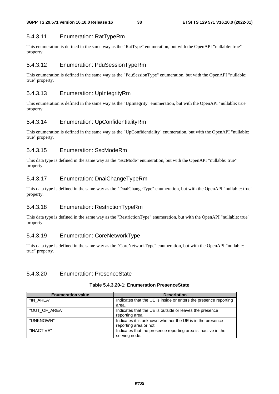## 5.4.3.11 Enumeration: RatTypeRm

This enumeration is defined in the same way as the "RatType" enumeration, but with the OpenAPI "nullable: true" property.

## 5.4.3.12 Enumeration: PduSessionTypeRm

This enumeration is defined in the same way as the "PduSessionType" enumeration, but with the OpenAPI "nullable: true" property.

## 5.4.3.13 Enumeration: UpIntegrityRm

This enumeration is defined in the same way as the "UpIntegrity" enumeration, but with the OpenAPI "nullable: true" property.

## 5.4.3.14 Enumeration: UpConfidentialityRm

This enumeration is defined in the same way as the "UpConfidentiality" enumeration, but with the OpenAPI "nullable: true" property.

## 5.4.3.15 Enumeration: SscModeRm

This data type is defined in the same way as the "SscMode" enumeration, but with the OpenAPI "nullable: true" property.

## 5.4.3.17 Enumeration: DnaiChangeTypeRm

This data type is defined in the same way as the "DnaiChangeType" enumeration, but with the OpenAPI "nullable: true" property.

## 5.4.3.18 Enumeration: RestrictionTypeRm

This data type is defined in the same way as the "RestrictionType" enumeration, but with the OpenAPI "nullable: true" property.

## 5.4.3.19 Enumeration: CoreNetworkType

This data type is defined in the same way as the "CoreNetworkType" enumeration, but with the OpenAPI "nullable: true" property.

## 5.4.3.20 Enumeration: PresenceState

| <b>Enumeration value</b> | <b>Description</b>                                                                  |
|--------------------------|-------------------------------------------------------------------------------------|
| "IN AREA"                | Indicates that the UE is inside or enters the presence reporting<br>area.           |
| "OUT OF AREA"            | Indicates that the UE is outside or leaves the presence<br>reporting area.          |
| "UNKNOWN"                | Indicates it is unknown whether the UE is in the presence<br>reporting area or not. |
| "INACTIVE"               | Indicates that the presence reporting area is inactive in the<br>serving node.      |

#### **Table 5.4.3.20-1: Enumeration PresenceState**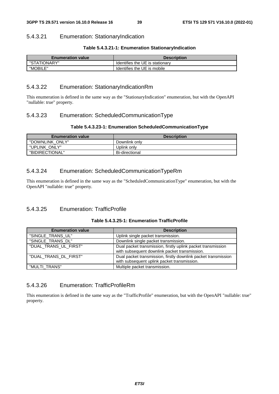### 5.4.3.21 Enumeration: StationaryIndication

#### **Table 5.4.3.21-1: Enumeration StationaryIndication**

| <b>Enumeration value</b> | <b>Description</b>              |  |
|--------------------------|---------------------------------|--|
| "STATIONARY"             | Identifies the UE is stationary |  |
| "MOBILE"                 | Identifies the UE is mobile     |  |

#### 5.4.3.22 Enumeration: StationaryIndicationRm

This enumeration is defined in the same way as the "StationaryIndication" enumeration, but with the OpenAPI "nullable: true" property.

#### 5.4.3.23 Enumeration: ScheduledCommunicationType

#### **Table 5.4.3.23-1: Enumeration ScheduledCommunicationType**

| <b>Enumeration value</b> | <b>Description</b>    |
|--------------------------|-----------------------|
| "DOWNLINK ONLY"          | Downlink only         |
| "UPLINK ONLY"            | Uplink onlv           |
| "BIDIRECTIONAL"          | <b>Bi-directional</b> |

#### 5.4.3.24 Enumeration: ScheduledCommunicationTypeRm

This enumeration is defined in the same way as the "ScheduledCommunicationType" enumeration, but with the OpenAPI "nullable: true" property.

## 5.4.3.25 Enumeration: TrafficProfile

|  | Table 5.4.3.25-1: Enumeration TrafficProfile |
|--|----------------------------------------------|
|--|----------------------------------------------|

| <b>Enumeration value</b> | <b>Description</b>                                             |  |  |
|--------------------------|----------------------------------------------------------------|--|--|
| "SINGLE TRANS UL"        | Uplink single packet transmission.                             |  |  |
| "SINGLE_TRANS_DL"        | Downlink single packet transmission.                           |  |  |
| "DUAL_TRANS_UL_FIRST"    | Dual packet transmission, firstly uplink packet transmission   |  |  |
|                          | with subsequent downlink packet transmission.                  |  |  |
| "DUAL_TRANS_DL_FIRST"    | Dual packet transmission, firstly downlink packet transmission |  |  |
|                          | with subsequent uplink packet transmission.                    |  |  |
| "MULTI TRANS"            | Multiple packet transmission.                                  |  |  |

## 5.4.3.26 Enumeration: TrafficProfileRm

This enumeration is defined in the same way as the "TrafficProfile" enumeration, but with the OpenAPI "nullable: true" property.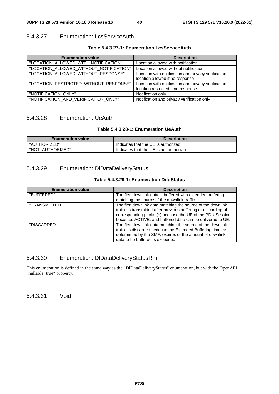# 5.4.3.27 Enumeration: LcsServiceAuth

## **Table 5.4.3.27-1: Enumeration LcsServiceAuth**

| <b>Enumeration value</b>                | <b>Description</b>                                                                         |
|-----------------------------------------|--------------------------------------------------------------------------------------------|
| "LOCATION_ALLOWED_WITH_NOTIFICATION"    | Location allowed with notification                                                         |
| "LOCATION_ALLOWED_WITHOUT_NOTIFICATION" | Location allowed without notification                                                      |
| "LOCATION_ALLOWED_WITHOUT_RESPONSE"     | Location with notification and privacy verification;<br>location allowed if no response    |
| "LOCATION_RESTRICTED_WITHOUT_RESPONSE"  | Location with notification and privacy verification;<br>location restricted if no response |
| "NOTIFICATION_ONLY"                     | Notification only                                                                          |
| "NOTIFICATION_AND_VERIFICATION_ONLY"    | Notification and privacy verification only                                                 |

## 5.4.3.28 Enumeration: UeAuth

## **Table 5.4.3.28-1: Enumeration UeAuth**

| <b>Enumeration value</b> | <b>Description</b>                       |
|--------------------------|------------------------------------------|
| "AUTHORIZED"             | Indicates that the UE is authorized.     |
| "NOT AUTHORIZED"         | Indicates that the UE is not authorized. |

# 5.4.3.29 Enumeration: DlDataDeliveryStatus

## **Table 5.4.3.29-1: Enumeration DddStatus**

| <b>Enumeration value</b> | <b>Description</b>                                                                                                                                                                                                                                        |
|--------------------------|-----------------------------------------------------------------------------------------------------------------------------------------------------------------------------------------------------------------------------------------------------------|
| "BUFFERED"               | The first downlink data is buffered with extended buffering<br>matching the source of the downlink traffic.                                                                                                                                               |
| "TRANSMITTED"            | The first downlink data matching the source of the downlink<br>traffic is transmitted after previous buffering or discarding of<br>corresponding packet(s) because the UE of the PDU Session<br>becomes ACTIVE, and buffered data can be delivered to UE. |
| "DISCARDED"              | The first downlink data matching the source of the downlink<br>traffic is discarded because the Extended Buffering time, as<br>determined by the SMF, expires or the amount of downlink<br>data to be buffered is exceeded.                               |

# 5.4.3.30 Enumeration: DlDataDeliveryStatusRm

This enumeration is defined in the same way as the "DlDataDeliveryStatus" enumeration, but with the OpenAPI "nullable: true" property.

5.4.3.31 Void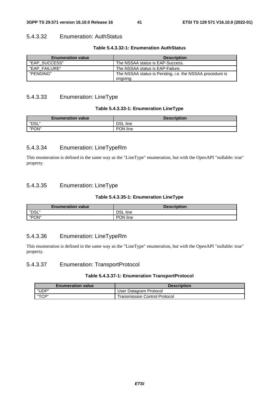## 5.4.3.32 Enumeration: AuthStatus

#### **Table 5.4.3.32-1: Enumeration AuthStatus**

| <b>Enumeration value</b> | <b>Description</b>                                       |
|--------------------------|----------------------------------------------------------|
| "EAP SUCCESS"            | The NSSAA status is EAP-Success.                         |
| "EAP FAILURE"            | The NSSAA status is EAP-Failure.                         |
| "PENDING"                | The NSSAA status is Pending, i.e. the NSSAA procedure is |
|                          | ongoing.                                                 |

## 5.4.3.33 Enumeration: LineType

### **Table 5.4.3.33-1: Enumeration LineType**

| <b>Enumeration value</b> | <b>Description</b> |
|--------------------------|--------------------|
| "DSL"                    | <b>DSL</b> line    |
| "PON"                    | PON line           |

## 5.4.3.34 Enumeration: LineTypeRm

This enumeration is defined in the same way as the "LineType" enumeration, but with the OpenAPI "nullable: true" property.

## 5.4.3.35 Enumeration: LineType

#### **Table 5.4.3.35-1: Enumeration LineType**

| <b>Enumeration value</b> | <b>Description</b> |
|--------------------------|--------------------|
| "DSL"                    | <b>DSL</b> line    |
| "PON"                    | PON line           |

## 5.4.3.36 Enumeration: LineTypeRm

This enumeration is defined in the same way as the "LineType" enumeration, but with the OpenAPI "nullable: true" property.

## 5.4.3.37 Enumeration: TransportProtocol

#### **Table 5.4.3.37-1: Enumeration TransportProtocol**

| <b>Enumeration value</b> | <b>Description</b>            |  |
|--------------------------|-------------------------------|--|
| "UDP"                    | User Datagram Protocol        |  |
| "TCP"                    | Transmission Control Protocol |  |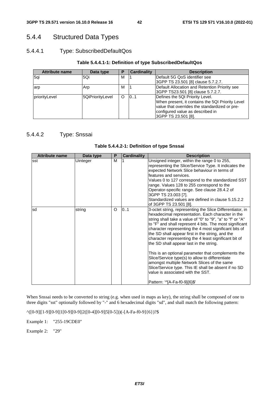# 5.4.4 Structured Data Types

## 5.4.4.1 Type: SubscribedDefaultQos

#### **Table 5.4.4.1-1: Definition of type SubscribedDefaultQos**

| <b>Attribute name</b> | Data type        | E | <b>Cardinality</b> | <b>Description</b>                               |
|-----------------------|------------------|---|--------------------|--------------------------------------------------|
| 5qi                   | 5Qi              | М |                    | Default 5G QoS identifier see                    |
|                       |                  |   |                    | 3GPP TS 23.501 [8] clause 5.7.2.7.               |
| arp                   | Arp              | М |                    | Default Allocation and Retention Priority see    |
|                       |                  |   |                    | 3GPP TS23.501 [8] clause 5.7.2.7.                |
| priorityLevel         | 5QiPriorityLevel | Ω | 10.1               | Defines the 5QI Priority Level.                  |
|                       |                  |   |                    | When present, it contains the 5QI Priority Level |
|                       |                  |   |                    | value that overrides the standardized or pre-    |
|                       |                  |   |                    | configured value as described in                 |
|                       |                  |   |                    | 3GPP TS 23.501 [8].                              |

# 5.4.4.2 Type: Snssai

| <b>Attribute name</b> | Data type | P       | <b>Cardinality</b> | <b>Description</b>                                                                                                                                                                                                                                                                                                                                                                                                                                                                                                                                                                                                                                                                                            |
|-----------------------|-----------|---------|--------------------|---------------------------------------------------------------------------------------------------------------------------------------------------------------------------------------------------------------------------------------------------------------------------------------------------------------------------------------------------------------------------------------------------------------------------------------------------------------------------------------------------------------------------------------------------------------------------------------------------------------------------------------------------------------------------------------------------------------|
| lsst                  | Uinteger  | м       |                    | Unsigned integer, within the range 0 to 255,<br>representing the Slice/Service Type. It indicates the<br>expected Network Slice behaviour in terms of<br>features and services.<br>Values 0 to 127 correspond to the standardized SST<br>range. Values 128 to 255 correspond to the<br>Operator-specific range. See clause 28.4.2 of<br>3GPP TS 23.003 [7].<br>Standardized values are defined in clause 5.15.2.2<br>of 3GPP TS 23.501 [8].                                                                                                                                                                                                                                                                   |
| lsd                   | string    | $\circ$ | 0.1                | 3-octet string, representing the Slice Differentiator, in<br>hexadecimal representation. Each character in the<br>string shall take a value of "0" to "9", "a" to "f" or "A"<br>to "F" and shall represent 4 bits. The most significant<br>character representing the 4 most significant bits of<br>the SD shall appear first in the string, and the<br>character representing the 4 least significant bit of<br>the SD shall appear last in the string.<br>This is an optional parameter that complements the<br>Slice/Service type(s) to allow to differentiate<br>amongst multiple Network Slices of the same<br>Slice/Service type. This IE shall be absent if no SD<br>value is associated with the SST. |
|                       |           |         |                    | Pattern: '^[A-Fa-f0-9]{6}\$'                                                                                                                                                                                                                                                                                                                                                                                                                                                                                                                                                                                                                                                                                  |

**Table 5.4.4.2-1: Definition of type Snssai** 

When Snssai needs to be converted to string (e.g. when used in maps as key), the string shall be composed of one to three digits "sst" optionally followed by "-" and 6 hexadecimal digits "sd", and shall match the following pattern:

^([0-9]|[1-9][0-9]|1[0-9][0-9]|2([0-4][0-9]|5[0-5]))(-[A-Fa-f0-9]{6})?\$

Example 1: "255-19CDE0"

Example 2: "29"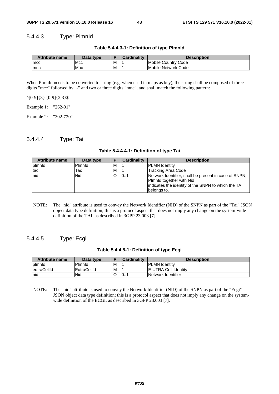#### 5.4.4.3 Type: PlmnId

**Table 5.4.4.3-1: Definition of type PlmnId** 

| <b>Attribute name</b> | Data type   |   | <b>Cardinality</b> | <b>Description</b>  |
|-----------------------|-------------|---|--------------------|---------------------|
| <b>Imcc</b>           | <b>IMcc</b> | M |                    | Mobile Country Code |
| mnc                   | <b>IMnc</b> | M |                    | Mobile Network Code |

When PlmnId needs to be converted to string (e.g. when used in maps as key), the string shall be composed of three digits "mcc" followed by "-" and two or three digits "mnc", and shall match the following pattern:

 $^{\wedge}[0-9]\{3\}$ -[0-9] $\{2,3\}$ \$

Example 1: "262-01"

Example 2: "302-720"

### 5.4.4.4 Type: Tai

**Table 5.4.4.4-1: Definition of type Tai** 

| Attribute name | Data type | E | Cardinality | <b>Description</b>                                                                                                                                     |
|----------------|-----------|---|-------------|--------------------------------------------------------------------------------------------------------------------------------------------------------|
| plmnld         | Pimnid    | м |             | <b>PLMN Identity</b>                                                                                                                                   |
| tac            | Tac       | М |             | Tracking Area Code                                                                                                                                     |
| Inid           | Nid       |   | 101         | Network Identifier, shall be present in case of SNPN,<br>Plmnld together with Nid<br>indicates the identity of the SNPN to which the TA<br>belongs to. |

NOTE: The "nid" attribute is used to convey the Network Identifier (NID) of the SNPN as part of the "Tai" JSON object data type definition; this is a protocol aspect that does not imply any change on the system-wide definition of the TAI, as described in 3GPP 23.003 [7].

### 5.4.4.5 Type: Ecgi

| Table 5.4.4.5-1: Definition of type Ecgi |  |  |  |  |  |  |  |
|------------------------------------------|--|--|--|--|--|--|--|
|------------------------------------------|--|--|--|--|--|--|--|

| Attribute name | Data type   |   | Cardinalitv | <b>Description</b>           |
|----------------|-------------|---|-------------|------------------------------|
| plmnld         | Pimnid      | м |             | <b>PLMN</b> Identity         |
| leutraCellId   | EutraCellId | M |             | <b>IE-UTRA Cell Identity</b> |
| nid            | Nid         |   | 0           | Network Identifier           |

NOTE: The "nid" attribute is used to convey the Network Identifier (NID) of the SNPN as part of the "Ecgi" JSON object data type definition; this is a protocol aspect that does not imply any change on the systemwide definition of the ECGI, as described in 3GPP 23.003 [7].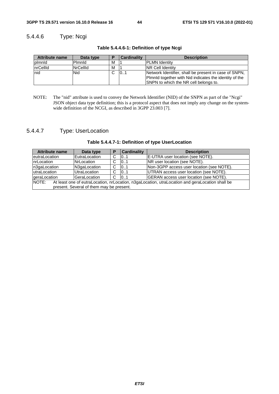## 5.4.4.6 Type: Ncgi

| <b>Attribute name</b> | Data type       |   | <b>Cardinality</b> | <b>Description</b>                                                                                                                                       |
|-----------------------|-----------------|---|--------------------|----------------------------------------------------------------------------------------------------------------------------------------------------------|
| plmnld                | Pimnid          | м |                    | <b>IPLMN Identity</b>                                                                                                                                    |
| nrCellId              | <b>NrCellId</b> | М |                    | <b>INR Cell Identity</b>                                                                                                                                 |
| nid                   | <b>Nid</b>      |   | $\overline{0}$     | Network Identifier, shall be present in case of SNPN,<br>Plmnld together with Nid indicates the identity of the<br>SNPN to which the NR cell belongs to. |

**Table 5.4.4.6-1: Definition of type Ncgi** 

NOTE: The "nid" attribute is used to convey the Network Identifier (NID) of the SNPN as part of the "Ncgi" JSON object data type definition; this is a protocol aspect that does not imply any change on the systemwide definition of the NCGI, as described in 3GPP 23.003 [7].

## 5.4.4.7 Type: UserLocation

| <b>Attribute name</b>                                                                                    | Data type     | D              | <b>Cardinality</b> | <b>Description</b>                        |  |  |
|----------------------------------------------------------------------------------------------------------|---------------|----------------|--------------------|-------------------------------------------|--|--|
| eutraLocation                                                                                            | EutraLocation | C              | 0.1                | E-UTRA user location (see NOTE).          |  |  |
| nrLocation                                                                                               | NrLocation    | C.             | 101                | NR user location (see NOTE).              |  |  |
| n3gaLocation                                                                                             | N3gaLocation  | C.             | 101                | Non-3GPP access user location (see NOTE). |  |  |
| utraLocation                                                                                             | UtraLocation  | $\overline{C}$ | 0.1                | UTRAN access user location (see NOTE).    |  |  |
| geraLocation                                                                                             | GeraLocation  | $\overline{C}$ | 0.1                | GERAN access user location (see NOTE).    |  |  |
| NOTE:<br>At least one of eutraLocation, nrLocation, n3gaLocation, utraLocation and geraLocation shall be |               |                |                    |                                           |  |  |
| present. Several of them may be present.                                                                 |               |                |                    |                                           |  |  |

#### **Table 5.4.4.7-1: Definition of type UserLocation**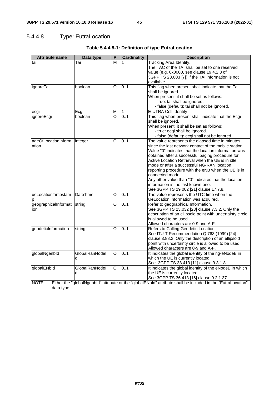# 5.4.4.8 Type: EutraLocation

| <b>Attribute name</b> | Data type           | P       | <b>Cardinality</b> | <b>Description</b>                                                                                                                                       |
|-----------------------|---------------------|---------|--------------------|----------------------------------------------------------------------------------------------------------------------------------------------------------|
| tai                   | Tai                 | м       | 1                  | <b>Tracking Area Identity.</b><br>The TAC of the TAI shall be set to one reserved                                                                        |
|                       |                     |         |                    | value (e.g. 0x0000, see clause 19.4.2.3 of                                                                                                               |
|                       |                     |         |                    | 3GPP TS 23.003 [7]) if the TAI information is not                                                                                                        |
|                       |                     |         |                    | available.                                                                                                                                               |
| ignoreTai             | boolean             | O       | 0.1                | This flag when present shall indicate that the Tai                                                                                                       |
|                       |                     |         |                    | shall be ignored.                                                                                                                                        |
|                       |                     |         |                    | When present, it shall be set as follows:                                                                                                                |
|                       |                     |         |                    | - true: tai shall be ignored.                                                                                                                            |
|                       |                     |         |                    | - false (default): tai shall not be ignored.                                                                                                             |
| ecgi                  | Ecgi                | M       | 1                  | E-UTRA Cell Identity                                                                                                                                     |
| ignoreEcgi            | boolean             | O       | 0.1                | This flag when present shall indicate that the Ecgi<br>shall be ignored.                                                                                 |
|                       |                     |         |                    | When present, it shall be set as follows:                                                                                                                |
|                       |                     |         |                    | - true: ecgi shall be ignored.                                                                                                                           |
|                       |                     |         |                    | - false (default): ecgi shall not be ignored.                                                                                                            |
| ageOfLocationInform   | integer             | O       | 0 <sub>1</sub>     | The value represents the elapsed time in minutes                                                                                                         |
| ation                 |                     |         |                    | since the last network contact of the mobile station.                                                                                                    |
|                       |                     |         |                    | Value "0" indicates that the location information was                                                                                                    |
|                       |                     |         |                    | obtained after a successful paging procedure for                                                                                                         |
|                       |                     |         |                    | Active Location Retrieval when the UE is in idle                                                                                                         |
|                       |                     |         |                    | mode or after a successful NG-RAN location                                                                                                               |
|                       |                     |         |                    | reporting procedure with the eNB when the UE is in                                                                                                       |
|                       |                     |         |                    | connected mode.                                                                                                                                          |
|                       |                     |         |                    | Any other value than "0" indicates that the location                                                                                                     |
|                       |                     |         |                    | information is the last known one.                                                                                                                       |
|                       |                     |         |                    | See 3GPP TS 29.002 [21] clause 17.7.8.                                                                                                                   |
| ueLocationTimestam    | <b>DateTime</b>     | O       | 0.1                | The value represents the UTC time when the                                                                                                               |
| р                     |                     |         |                    | UeLocation information was acquired.                                                                                                                     |
| geographicalInformat  | string              | O       | 01                 | Refer to geographical Information.                                                                                                                       |
| ion                   |                     |         |                    | See 3GPP TS 23.032 [23] clause 7.3.2. Only the                                                                                                           |
|                       |                     |         |                    | description of an ellipsoid point with uncertainty circle                                                                                                |
|                       |                     |         |                    | is allowed to be used.                                                                                                                                   |
|                       |                     |         |                    | Allowed characters are 0-9 and A-F;                                                                                                                      |
| geodeticInformation   | string              | O       | 0.1                | Refers to Calling Geodetic Location.                                                                                                                     |
|                       |                     |         |                    | See ITU-T Recommendation Q.763 (1999) [24]                                                                                                               |
|                       |                     |         |                    | clause 3.88.2. Only the description of an ellipsoid                                                                                                      |
|                       |                     |         |                    | point with uncertainty circle is allowed to be used.                                                                                                     |
|                       |                     |         | 0.1                | Allowed characters are 0-9 and A-F.                                                                                                                      |
| globalNgenbld         | GlobalRanNodel      | O       |                    | It indicates the global identity of the ng-eNodeB in                                                                                                     |
|                       | d                   |         |                    | which the UE is currently located.                                                                                                                       |
|                       |                     | $\circ$ |                    | See 3GPP TS 38.413 [11] clause 9.3.1.8.                                                                                                                  |
| globalENbld           | GlobalRanNodel<br>d |         | 0.1                | It indicates the global identity of the eNodeB in which                                                                                                  |
|                       |                     |         |                    | the UE is currently located.                                                                                                                             |
| NOTE:                 |                     |         |                    | See 3GPP TS 36.413 [16] clause 9.2.1.37.<br>Either the "globalNgenbld" attribute or the "globalENbld" attribute shall be included in the "EutraLocation" |
|                       |                     |         |                    |                                                                                                                                                          |
| data type.            |                     |         |                    |                                                                                                                                                          |

## **Table 5.4.4.8-1: Definition of type EutraLocation**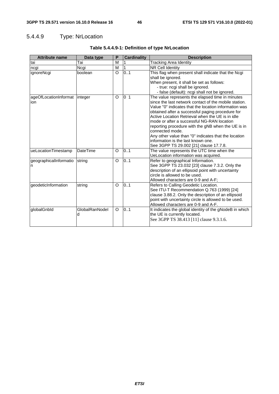# 5.4.4.9 Type: NrLocation

| <b>Attribute name</b>                  | Data type           | P        | <b>Cardinality</b> | <b>Description</b>                                                                                                                                                                                                                                                                                                                                                                                                                                                                                                                        |
|----------------------------------------|---------------------|----------|--------------------|-------------------------------------------------------------------------------------------------------------------------------------------------------------------------------------------------------------------------------------------------------------------------------------------------------------------------------------------------------------------------------------------------------------------------------------------------------------------------------------------------------------------------------------------|
| tai                                    | Tai                 | M        |                    | <b>Tracking Area Identity</b>                                                                                                                                                                                                                                                                                                                                                                                                                                                                                                             |
| ncgi                                   | Ncgi                | M        |                    | <b>NR Cell Identity</b>                                                                                                                                                                                                                                                                                                                                                                                                                                                                                                                   |
| ignoreNcgi                             | boolean             | O        | 0.1                | This flag when present shall indicate that the Ncgi<br>shall be ignored.<br>When present, it shall be set as follows:<br>- true: ncgi shall be ignored.<br>- false (default): ncgi shall not be ignored.                                                                                                                                                                                                                                                                                                                                  |
| ageOfLocationInformat   integer<br>ion |                     | $\circ$  | 0 <sub>1</sub>     | The value represents the elapsed time in minutes<br>since the last network contact of the mobile station.<br>Value "0" indicates that the location information was<br>obtained after a successful paging procedure for<br>Active Location Retrieval when the UE is in idle<br>mode or after a successful NG-RAN location<br>reporting procedure with the gNB when the UE is in<br>connected mode.<br>Any other value than "0" indicates that the location<br>information is the last known one.<br>See 3GPP TS 29.002 [21] clause 17.7.8. |
| ueLocationTimestamp                    | <b>DateTime</b>     | O        | 0.1                | The value represents the UTC time when the<br>UeLocation information was acquired.                                                                                                                                                                                                                                                                                                                                                                                                                                                        |
| geographicalInformatio<br>In           | string              | O        | 0.1                | Refer to geographical Information.<br>See 3GPP TS 23.032 [23] clause 7.3.2. Only the<br>description of an ellipsoid point with uncertainty<br>circle is allowed to be used.<br>Allowed characters are 0-9 and A-F;                                                                                                                                                                                                                                                                                                                        |
| geodeticInformation                    | string              | O        | 0.1                | Refers to Calling Geodetic Location.<br>See ITU-T Recommendation Q.763 (1999) [24]<br>clause 3.88.2. Only the description of an ellipsoid<br>point with uncertainty circle is allowed to be used.<br>Allowed characters are 0-9 and A-F.                                                                                                                                                                                                                                                                                                  |
| globalGnbld                            | GlobalRanNodel<br>d | $\Omega$ | 0.1                | It indicates the global identity of the gNodeB in which<br>the UE is currently located.<br>See 3GPP TS 38.413 [11] clause 9.3.1.6.                                                                                                                                                                                                                                                                                                                                                                                                        |

## **Table 5.4.4.9-1: Definition of type NrLocation**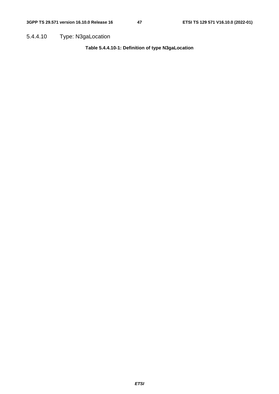5.4.4.10 Type: N3gaLocation

**Table 5.4.4.10-1: Definition of type N3gaLocation**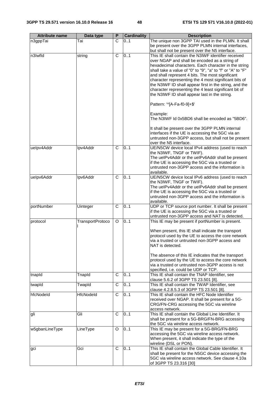| <b>Attribute name</b> | Data type               | P            | <b>Cardinality</b> | <b>Description</b>                                                                                       |
|-----------------------|-------------------------|--------------|--------------------|----------------------------------------------------------------------------------------------------------|
| n3gppTai              | Tai                     | C            | 01                 | The unique non 3GPP TAI used in the PLMN. It shall                                                       |
|                       |                         |              |                    | be present over the 3GPP PLMN internal interfaces,                                                       |
|                       |                         |              |                    | but shall not be present over the N5 interface.                                                          |
| n3Iwfld               | string                  | C            | 0.1                | This IE shall contain the N3IWF identifier received                                                      |
|                       |                         |              |                    | over NGAP and shall be encoded as a string of<br>hexadecimal characters. Each character in the string    |
|                       |                         |              |                    | shall take a value of "0" to "9", "a" to "f" or "A" to "F"                                               |
|                       |                         |              |                    | and shall represent 4 bits. The most significant                                                         |
|                       |                         |              |                    | character representing the 4 most significant bits of                                                    |
|                       |                         |              |                    | the N3IWF ID shall appear first in the string, and the                                                   |
|                       |                         |              |                    | character representing the 4 least significant bit of                                                    |
|                       |                         |              |                    | the N3IWF ID shall appear last in the string.                                                            |
|                       |                         |              |                    | Pattern: '^[A-Fa-f0-9]+\$'                                                                               |
|                       |                         |              |                    | Example:                                                                                                 |
|                       |                         |              |                    | The N3IWF Id 0x5BD6 shall be encoded as "5BD6".                                                          |
|                       |                         |              |                    | It shall be present over the 3GPP PLMN internal                                                          |
|                       |                         |              |                    | interfaces if the UE is accessing the 5GC via an                                                         |
|                       |                         |              |                    | untrusted non-3GPP access, but shall not be present                                                      |
|                       |                         |              |                    | over the N5 interface.                                                                                   |
| uelpv4Addr            | Ipv4Addr                | $\mathsf{C}$ | 0.1                | UE/N5CW device local IPv4 address (used to reach                                                         |
|                       |                         |              |                    | the N3IWF, TNGF or TWIF).<br>The uelPv4Addr or the uelPv6Addr shall be present                           |
|                       |                         |              |                    | if the UE is accessing the 5GC via a trusted or                                                          |
|                       |                         |              |                    | untrusted non-3GPP access and the information is                                                         |
|                       |                         |              |                    | available.                                                                                               |
| uelpv6Addr            | Ipv6Addr                | $\mathsf{C}$ | 0.1                | UE/N5CW device local IPv6 address (used to reach                                                         |
|                       |                         |              |                    | the N3IWF, TNGF or TWIF).                                                                                |
|                       |                         |              |                    | The uelPv4Addr or the uelPv6Addr shall be present                                                        |
|                       |                         |              |                    | if the UE is accessing the 5GC via a trusted or<br>untrusted non-3GPP access and the information is      |
|                       |                         |              |                    | available.                                                                                               |
| portNumber            | Uinteger                | C            | 0.1                | UDP or TCP source port number. It shall be present                                                       |
|                       |                         |              |                    | if the UE is accessing the 5GC via a trusted or                                                          |
|                       |                         |              |                    | untrusted non-3GPP access and NAT is detected.                                                           |
| protocol              | <b>TransportProtoco</b> | O            | 0.1                | This IE may be present if portNumber is present.                                                         |
|                       |                         |              |                    |                                                                                                          |
|                       |                         |              |                    | When present, this IE shall indicate the transport<br>protocol used by the UE to access the core network |
|                       |                         |              |                    | via a trusted or untrusted non-3GPP access and                                                           |
|                       |                         |              |                    | NAT is detected.                                                                                         |
|                       |                         |              |                    |                                                                                                          |
|                       |                         |              |                    | The absence of this IE indicates that the transport                                                      |
|                       |                         |              |                    | protocol used by the UE to access the core network<br>via a trusted or untrusted non-3GPP access is not  |
|                       |                         |              |                    | specified, i.e. could be UDP or TCP.                                                                     |
| tnapId                | TnapId                  | C            | 0.1                | This IE shall contain the TNAP Identifier, see                                                           |
|                       |                         |              |                    | clause 5.6.2 of 3GPP TS 23.501 [8].                                                                      |
| twapId                | TwapId                  | C            | 0.1                | This IE shall contain the TWAP Identifier, see                                                           |
|                       |                         |              |                    | clause 4.2.8.5.3 of 3GPP TS 23.501 [8].                                                                  |
| hfcNodeld             | HfcNodeld               | C            | 01                 | This IE shall contain the HFC Node Identifier                                                            |
|                       |                         |              |                    | received over NGAP. It shall be present for a 5G-<br>CRG/FN-CRG accessing the 5GC via wireline           |
|                       |                         |              |                    | access network.                                                                                          |
| gli                   | Gli                     | C            | 0.1                | This IE shall contain the Global Line Identifier. It                                                     |
|                       |                         |              |                    | shall be present for a 5G-BRG/FN-BRG accessing                                                           |
|                       |                         |              |                    | the 5GC via wireline access network.                                                                     |
| w5gbanLineType        | LineType                | O            | 0.1                | This IE may be present for a 5G-BRG/FN-BRG                                                               |
|                       |                         |              |                    | accessing the 5GC via wireline access network.                                                           |
|                       |                         |              |                    | When present, it shall indicate the type of the                                                          |
|                       |                         | $\mathsf{C}$ | 0.1                | wireline (DSL or PON).<br>This IE shall contain the Global Cable Identifier. It                          |
| gci                   | Gci                     |              |                    | shall be present for the N5GC device accessing the                                                       |
|                       |                         |              |                    | 5GC via wireline access network. See clause 4.10a                                                        |
|                       |                         |              |                    | of 3GPP TS 23.316 [30]                                                                                   |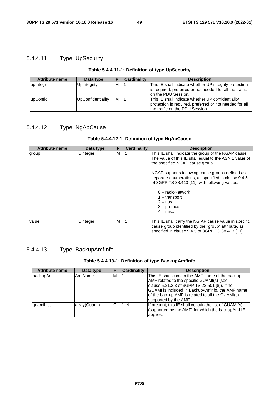# 5.4.4.11 Type: UpSecurity

#### **Table 5.4.4.11-1: Definition of type UpSecurity**

| <b>Attribute name</b> | Data type         |   | <b>Cardinality</b> | <b>Description</b>                                       |
|-----------------------|-------------------|---|--------------------|----------------------------------------------------------|
| upIntegr              | UpIntegrity       | м |                    | This IE shall indicate whether UP integrity protection   |
|                       |                   |   |                    | is required, preferred or not needed for all the traffic |
|                       |                   |   |                    | lon the PDU Session.                                     |
| upConfid              | UpConfidentiality | м |                    | This IE shall indicate whether UP confidentiality        |
|                       |                   |   |                    | protection is required, preferred or not needed for all  |
|                       |                   |   |                    | the traffic on the PDU Session.                          |

# 5.4.4.12 Type: NgApCause

#### **Table 5.4.4.12-1: Definition of type NgApCause**

| <b>Attribute name</b> | Data type | Р | <b>Cardinality</b> | <b>Description</b>                                                                                                                                                                                                                                                                                                                                                                                 |
|-----------------------|-----------|---|--------------------|----------------------------------------------------------------------------------------------------------------------------------------------------------------------------------------------------------------------------------------------------------------------------------------------------------------------------------------------------------------------------------------------------|
| group                 | Uinteger  | м |                    | This IE shall indicate the group of the NGAP cause.<br>The value of this IE shall equal to the ASN.1 value of<br>the specified NGAP cause group.<br>NGAP supports following cause groups defined as<br>separate enumerations, as specified in clause 9.4.5<br>of 3GPP TS 38.413 [11], with following values:<br>$0$ – radioNetwork<br>$1 -$ transport<br>$2 -$ nas<br>$3 -$ protocol<br>$4 -$ misc |
| value                 | Uinteger  | м |                    | This IE shall carry the NG AP cause value in specific<br>cause group identified by the "group" attribute, as<br>specified in clause 9.4.5 of 3GPP TS 38.413 [11].                                                                                                                                                                                                                                  |

# 5.4.4.13 Type: BackupAmfInfo

#### **Table 5.4.4.13-1: Definition of type BackupAmfInfo**

| <b>Attribute name</b> | Data type      | Р | <b>Cardinality</b> | <b>Description</b>                                                                                                                                                                                                                                                              |
|-----------------------|----------------|---|--------------------|---------------------------------------------------------------------------------------------------------------------------------------------------------------------------------------------------------------------------------------------------------------------------------|
| backupAmf             | <b>AmfName</b> | м |                    | This IE shall contain the AMF name of the backup<br>AMF related to the specific GUAMI(s) (see<br>clause 5.21.2.3 of 3GPP TS 23.501 [8]). If no<br>GUAMI is included in BackupAmfinfo, the AMF name<br>of the backup AMF is related to all the GUAMI(s)<br>supported by the AMF. |
| quamiList             | array(Guami)   | C | 1N                 | If present, this IE shall contain the list of GUAMI(s)<br>(supported by the AMF) for which the backupAmf IE<br>applies.                                                                                                                                                         |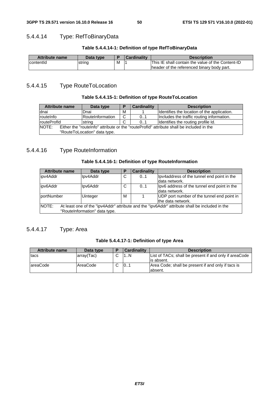# 5.4.4.14 Type: RefToBinaryData

#### **Table 5.4.4.14-1: Definition of type RefToBinaryData**

| <b>Attribute name</b> | Data type |   | Cardinalitv | <b>Description</b>                                |
|-----------------------|-----------|---|-------------|---------------------------------------------------|
| contentid             | string    | М |             | This IE shall contain the value of the Content-ID |
|                       |           |   |             | Theader of the referenced binary body part.       |

# 5.4.4.15 Type RouteToLocation

#### **Table 5.4.4.15-1: Definition of type RouteToLocation**

| Attribute name                                                                                    | Data type        |             | <b>Cardinality</b> | <b>Description</b>                          |  |
|---------------------------------------------------------------------------------------------------|------------------|-------------|--------------------|---------------------------------------------|--|
| dnai                                                                                              | Dnai             | м           |                    | Identifies the location of the application. |  |
| routeInfo                                                                                         | RouteInformation | C           | 0.1                | Includes the traffic routing information.   |  |
| <b>routeProfld</b>                                                                                | <b>string</b>    | $\sim$<br>U | 0.1                | Identifies the routing profile Id.          |  |
| NOTE:<br>Either the "routelnfo" attribute or the "routeProfld" attribute shall be included in the |                  |             |                    |                                             |  |
| "RouteToLocation" data type.                                                                      |                  |             |                    |                                             |  |

## 5.4.4.16 Type RouteInformation

#### **Table 5.4.4.16-1: Definition of type RouteInformation**

| <b>Attribute name</b>                                                                                   | Data type                     | Е | <b>Cardinality</b> | <b>Description</b>                          |  |  |  |
|---------------------------------------------------------------------------------------------------------|-------------------------------|---|--------------------|---------------------------------------------|--|--|--|
| lipv4Addr                                                                                               | Ipv4Addr                      | C | 0.1                | Ipv4address of the tunnel end point in the  |  |  |  |
|                                                                                                         |                               |   |                    | ldata network.                              |  |  |  |
| lipv6Addr                                                                                               | Ipv6Addr                      | C | 0.1                | Ipv6 address of the tunnel end point in the |  |  |  |
|                                                                                                         |                               |   |                    | data network.                               |  |  |  |
| lportNumber                                                                                             | <b>Uinteger</b>               | M |                    | UDP port number of the tunnel end point in  |  |  |  |
|                                                                                                         |                               |   |                    | the data network.                           |  |  |  |
| NOTE:<br>At least one of the "ipv4Addr" attribute and the "ipv6Addr" attribute shall be included in the |                               |   |                    |                                             |  |  |  |
|                                                                                                         | "RouteInformation" data type. |   |                    |                                             |  |  |  |

# 5.4.4.17 Type: Area

#### **Table 5.4.4.17-1: Definition of type Area**

| <b>Attribute name</b> | Data type  | Cardinality     | <b>Description</b>                                     |
|-----------------------|------------|-----------------|--------------------------------------------------------|
| <b>Itacs</b>          | array(Tac) | $\mathsf{N}$    | List of TACs; shall be present if and only if areaCode |
|                       |            |                 | lis absent.                                            |
| lareaCode             | AreaCode   | 10 <sub>1</sub> | Area Code; shall be present if and only if tacs is     |
|                       |            |                 | labsent.                                               |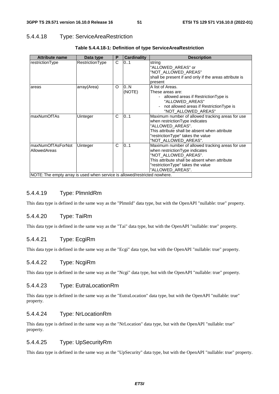#### 5.4.4.18 Type: ServiceAreaRestriction

| <b>Attribute name</b>                                                     | Data type       | P        | <b>Cardinality</b> | <b>Description</b>                                                                                                                                                                                                    |
|---------------------------------------------------------------------------|-----------------|----------|--------------------|-----------------------------------------------------------------------------------------------------------------------------------------------------------------------------------------------------------------------|
| restrictionType                                                           | RestrictionType | C        | 0.1                | string<br>"ALLOWED_AREAS" or<br>"NOT ALLOWED AREAS"<br>shall be present if and only if the areas attribute is<br>present                                                                                              |
| areas                                                                     | array(Area)     | $\Omega$ | 0N<br>(NOTE)       | A list of Areas.<br>These areas are:<br>- allowed areas if Restriction Type is<br>"ALLOWED AREAS"<br>not allowed areas if RestrictionType is<br>$\overline{\phantom{a}}$<br>"NOT_ALLOWED_AREAS"                       |
| maxNumOfTAs                                                               | Uinteger        | C        | 0.1                | Maximum number of allowed tracking areas for use<br>when restriction Type indicates<br>"ALLOWED AREAS".<br>This attribute shall be absent when attribute<br>"restrictionType" takes the value<br>"NOT ALLOWED AREAS". |
| maxNumOfTAsForNot<br>lAllowedAreas                                        | Uinteger        | C        | 0.1                | Maximum number of allowed tracking areas for use<br>when restrictionType indicates<br>"NOT ALLOWED AREAS".<br>This attribute shall be absent when attribute<br>"restrictionType" takes the value<br>"ALLOWED AREAS".  |
| NOTE: The empty array is used when service is allowed/restricted nowhere. |                 |          |                    |                                                                                                                                                                                                                       |

#### **Table 5.4.4.18-1: Definition of type ServiceAreaRestriction**

#### 5.4.4.19 Type: PlmnIdRm

This data type is defined in the same way as the "PlmnId" data type, but with the OpenAPI "nullable: true" property.

## 5.4.4.20 Type: TaiRm

This data type is defined in the same way as the "Tai" data type, but with the OpenAPI "nullable: true" property.

#### 5.4.4.21 Type: EcgiRm

This data type is defined in the same way as the "Ecgi" data type, but with the OpenAPI "nullable: true" property.

#### 5.4.4.22 Type: NcgiRm

This data type is defined in the same way as the "Ncgi" data type, but with the OpenAPI "nullable: true" property.

#### 5.4.4.23 Type: EutraLocationRm

This data type is defined in the same way as the "EutraLocation" data type, but with the OpenAPI "nullable: true" property.

#### 5.4.4.24 Type: NrLocationRm

This data type is defined in the same way as the "NrLocation" data type, but with the OpenAPI "nullable: true" property.

## 5.4.4.25 Type: UpSecurityRm

This data type is defined in the same way as the "UpSecurity" data type, but with the OpenAPI "nullable: true" property.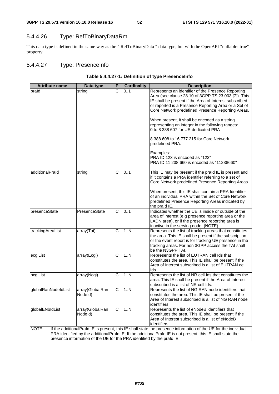# 5.4.4.26 Type: RefToBinaryDataRm

This data type is defined in the same way as the " RefToBinaryData " data type, but with the OpenAPI "nullable: true" property.

# 5.4.4.27 Type: PresenceInfo

#### **Table 5.4.4.27-1: Definition of type PresenceInfo**

| <b>Attribute name</b>                                                  | Data type                  | P            | <b>Cardinality</b> | <b>Description</b>                                                                                                                                                                                                                                                               |  |  |
|------------------------------------------------------------------------|----------------------------|--------------|--------------------|----------------------------------------------------------------------------------------------------------------------------------------------------------------------------------------------------------------------------------------------------------------------------------|--|--|
| prald                                                                  | string                     | C            | 01                 | Represents an identifier of the Presence Reporting<br>Area (see clause 28.10 of 3GPP TS 23.003 [7]). This<br>IE shall be present if the Area of Interest subscribed<br>or reported is a Presence Reporting Area or a Set of<br>Core Network predefined Presence Reporting Areas. |  |  |
|                                                                        |                            |              |                    | When present, it shall be encoded as a string<br>representing an integer in the following ranges:<br>0 to 8 388 607 for UE-dedicated PRA                                                                                                                                         |  |  |
|                                                                        |                            |              |                    | 8 388 608 to 16 777 215 for Core Network<br>predefined PRA.                                                                                                                                                                                                                      |  |  |
|                                                                        |                            |              |                    | Examples:<br>PRA ID 123 is encoded as "123"<br>PRA ID 11 238 660 is encoded as "11238660"                                                                                                                                                                                        |  |  |
| additionalPraId                                                        | string                     | C            | 0.1                | This IE may be present if the prald IE is present and<br>if it contains a PRA identifier referring to a set of<br>Core Network predefined Presence Reporting Areas.                                                                                                              |  |  |
|                                                                        |                            |              |                    | When present, this IE shall contain a PRA Identifier<br>of an individual PRA within the Set of Core Network<br>predefined Presence Reporting Areas indicated by<br>the praid IE.                                                                                                 |  |  |
| presenceState                                                          | PresenceState              | C            | 0.1                | Indicates whether the UE is inside or outside of the<br>area of interest (e.g presence reporting area or the<br>LADN area), or if the presence reporting area is<br>inactive in the serving node. (NOTE)                                                                         |  |  |
| trackingAreaList                                                       | array(Tai)                 | C            | 1N                 | Represents the list of tracking areas that constitutes<br>the area. This IE shall be present if the subscription<br>or the event report is for tracking UE presence in the<br>tracking areas. For non 3GPP access the TAI shall<br>be the N3GPP TAI.                             |  |  |
| ecgiList                                                               | array(Ecgi)                | $\mathsf{C}$ | 1N                 | Represents the list of EUTRAN cell Ids that<br>constitutes the area. This IE shall be present if the<br>Area of Interest subscribed is a list of EUTRAN cell<br>lds.                                                                                                             |  |  |
| ncgiList                                                               | array(Ncgi)                | C            | 1N                 | Represents the list of NR cell Ids that constitutes the<br>area. This IE shall be present if the Area of Interest<br>subscribed is a list of NR cell Ids.                                                                                                                        |  |  |
| globalRanNodeldList                                                    | array(GlobalRan<br>Nodeld) | C            | 1N                 | Represents the list of NG RAN node identifiers that<br>constitutes the area. This IE shall be present if the<br>Area of Interest subscribed is a list of NG RAN node<br>identifiers.                                                                                             |  |  |
| globalENbldList                                                        | array(GlobalRan<br>Nodeld) | C            | 1N                 | Represents the list of eNodeB identifiers that<br>constitutes the area. This IE shall be present if the<br>Area of Interest subscribed is a list of eNodeB<br>identifiers.                                                                                                       |  |  |
| NOTE:                                                                  |                            |              |                    | If the additionalPraId IE is present, this IE shall state the presence information of the UE for the individual                                                                                                                                                                  |  |  |
|                                                                        |                            |              |                    | PRA identified by the additionalPrald IE; If the additionalPrald IE is not present, this IE shall state the                                                                                                                                                                      |  |  |
| presence information of the UE for the PRA identified by the praId IE. |                            |              |                    |                                                                                                                                                                                                                                                                                  |  |  |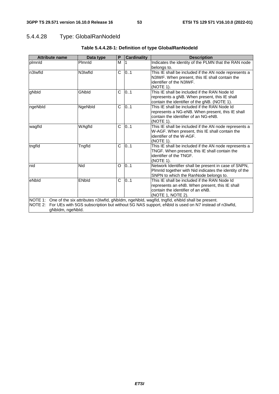# 5.4.4.28 Type: GlobalRanNodeId

| <b>Attribute name</b>                                                                                                                                                                                                                | Data type     | P | <b>Cardinality</b> | <b>Description</b>                                                                                                                                       |  |  |
|--------------------------------------------------------------------------------------------------------------------------------------------------------------------------------------------------------------------------------------|---------------|---|--------------------|----------------------------------------------------------------------------------------------------------------------------------------------------------|--|--|
| plmnld                                                                                                                                                                                                                               | Plmnld        | M |                    | Indicates the identity of the PLMN that the RAN node<br>belongs to.                                                                                      |  |  |
| n3Iwfld                                                                                                                                                                                                                              | N3Iwfld       | C | 0.1                | This IE shall be included if the AN node represents a<br>N3IWF. When present, this IE shall contain the<br>identifier of the N3IWF.<br>(NOTE 1).         |  |  |
| gNbld                                                                                                                                                                                                                                | GNbld         | C | 0.1                | This IE shall be included if the RAN Node Id<br>represents a gNB. When present, this IE shall<br>contain the identifier of the gNB. (NOTE 1).            |  |  |
| ngeNbld                                                                                                                                                                                                                              | NgeNbld       | C | 0.1                | This IE shall be included if the RAN Node Id<br>represents a NG-eNB. When present, this IE shall<br>contain the identifier of an NG-eNB.<br>(NOTE 1).    |  |  |
| wagfld                                                                                                                                                                                                                               | WAgfld        | C | 0.1                | This IE shall be included if the AN node represents a<br>W-AGF. When present, this IE shall contain the<br>identifier of the W-AGF.<br>(NOTE 1).         |  |  |
| tngfld                                                                                                                                                                                                                               | <b>Tngfld</b> | C | 0.1                | This IE shall be included if the AN node represents a<br>TNGF. When present, this IE shall contain the<br>identifier of the TNGF.<br>(NOTE 1).           |  |  |
| nid                                                                                                                                                                                                                                  | Nid           | O | 0.1                | Network Identifier shall be present in case of SNPN,<br>Plmnld together with Nid indicates the identity of the<br>SNPN to which the RanNode belongs to.  |  |  |
| eNbld                                                                                                                                                                                                                                | <b>ENbld</b>  | C | 0.1                | This IE shall be included if the RAN Node Id<br>represents an eNB. When present, this IE shall<br>contain the identifier of an eNB.<br>(NOTE 1, NOTE 2). |  |  |
| NOTE 1: One of the six attributes n3Iwfld, gNbIdm, ngeNbId, wagfld, tngfld, eNbId shall be present.<br>NOTE 2: For UEs with 5GS subscription but without 5G NAS support, eNbId is used on N7 instead of n3Iwfld,<br>gNbldm, ngeNbld. |               |   |                    |                                                                                                                                                          |  |  |

## **Table 5.4.4.28-1: Definition of type GlobalRanNodeId**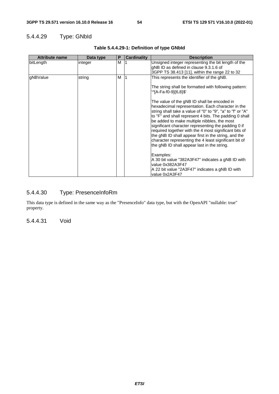# 5.4.4.29 Type: GNbId

| <b>Attribute name</b> | Data type | P | <b>Cardinality</b> | <b>Description</b>                                                                                                                                                                                                                                                                                                                                                                                                                                                                                                                                                                                                                                                                                                                                                                                                                                 |
|-----------------------|-----------|---|--------------------|----------------------------------------------------------------------------------------------------------------------------------------------------------------------------------------------------------------------------------------------------------------------------------------------------------------------------------------------------------------------------------------------------------------------------------------------------------------------------------------------------------------------------------------------------------------------------------------------------------------------------------------------------------------------------------------------------------------------------------------------------------------------------------------------------------------------------------------------------|
| bitLength             | integer   | M |                    | Unsigned integer representing the bit length of the<br>gNB ID as defined in clause 9.3.1.6 of<br>3GPP TS 38.413 [11], within the range 22 to 32                                                                                                                                                                                                                                                                                                                                                                                                                                                                                                                                                                                                                                                                                                    |
| gNBValue              | string    | M |                    | This represents the identifier of the gNB.<br>The string shall be formatted with following pattern:<br>'^[A-Fa-f0-9]{6,8}\$'<br>The value of the gNB ID shall be encoded in<br>hexadecimal representation. Each character in the<br>string shall take a value of "0" to "9", "a" to "f" or "A"<br>to "F" and shall represent 4 bits. The padding 0 shall<br>be added to make multiple nibbles, the most<br>significant character representing the padding 0 if<br>required together with the 4 most significant bits of<br>the gNB ID shall appear first in the string, and the<br>character representing the 4 least significant bit of<br>the gNB ID shall appear last in the string.<br>Examples:<br>A 30 bit value "382A3F47" indicates a gNB ID with<br>value 0x382A3F47<br>A 22 bit value "2A3F47" indicates a gNB ID with<br>value 0x2A3F47 |

### **Table 5.4.4.29-1: Definition of type GNbId**

# 5.4.4.30 Type: PresenceInfoRm

This data type is defined in the same way as the "PresenceInfo" data type, but with the OpenAPI "nullable: true" property.

5.4.4.31 Void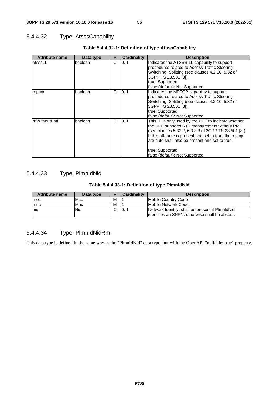# 5.4.4.32 Type: AtsssCapability

| <b>Attribute name</b> | Data type | P | <b>Cardinality</b> | <b>Description</b>                                                                                                                                                                                                                                                                                                               |
|-----------------------|-----------|---|--------------------|----------------------------------------------------------------------------------------------------------------------------------------------------------------------------------------------------------------------------------------------------------------------------------------------------------------------------------|
| latsssLL              | boolean   | C | 101                | Indicates the ATSSS-LL capability to support<br>procedures related to Access Traffic Steering,<br>Switching, Splitting (see clauses 4.2.10, 5.32 of<br>3GPP TS 23.501 [8]).<br>true: Supported<br>false (default): Not Supported                                                                                                 |
| mptcp                 | boolean   | C | 0.1                | Indicates the MPTCP capability to support<br>procedures related to Access Traffic Steering,<br>Switching, Splitting (see clauses 4.2.10, 5.32 of<br>3GPP TS 23.501 [8]).<br>true: Supported<br>false (default): Not Supported                                                                                                    |
| <b>rttWithoutPmf</b>  | boolean   | C | 0.1                | This IE is only used by the UPF to indicate whether<br>the UPF supports RTT measurement without PMF<br>(see clauses 5.32.2, 6.3.3.3 of 3GPP TS 23.501 [8]).<br>If this attribute is present and set to true, the mptcp<br>attribute shall also be present and set to true.<br>true: Supported<br>false (default): Not Supported. |

### **Table 5.4.4.32-1: Definition of type AtsssCapability**

# 5.4.4.33 Type: PlmnIdNid

## **Table 5.4.4.33-1: Definition of type PlmnIdNid**

| <b>Attribute name</b> | Data type | D | <b>Cardinality</b> | <b>Description</b>                                                                                 |
|-----------------------|-----------|---|--------------------|----------------------------------------------------------------------------------------------------|
| <b>Imcc</b>           | IMcc      | м |                    | Mobile Country Code                                                                                |
| <b>Imnc</b>           | Mnc       | M |                    | Mobile Network Code                                                                                |
| Inid                  | Nid       |   | 10                 | Network Identity; shall be present if PimnidNid<br>lidentifies an SNPN: otherwise shall be absent. |

# 5.4.4.34 Type: PlmnIdNidRm

This data type is defined in the same way as the "PlmnIdNid" data type, but with the OpenAPI "nullable: true" property.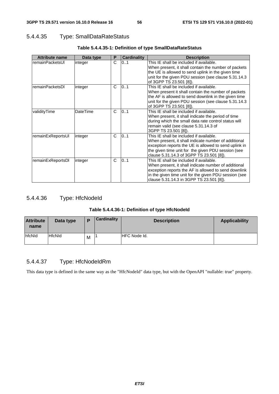# 5.4.4.35 Type: SmallDataRateStatus

| <b>Attribute name</b> | Data type       | P | <b>Cardinality</b> | <b>Description</b>                                                                                         |
|-----------------------|-----------------|---|--------------------|------------------------------------------------------------------------------------------------------------|
| remainPacketsUI       | integer         | C | 01                 | This IE shall be included if available.                                                                    |
|                       |                 |   |                    | When present, it shall contain the number of packets                                                       |
|                       |                 |   |                    | the UE is allowed to send uplink in the given time<br>unit for the given PDU session (see clause 5.31.14.3 |
|                       |                 |   |                    | of 3GPP TS 23.501 [8]).                                                                                    |
| remainPacketsDI       | integer         | C | 01                 | This IE shall be included if available.                                                                    |
|                       |                 |   |                    | When present it shall contain the number of packets                                                        |
|                       |                 |   |                    | the AF is allowed to send downlink in the given time                                                       |
|                       |                 |   |                    | unit for the given PDU session (see clause 5.31.14.3)                                                      |
| validityTime          | <b>DateTime</b> | C | 0.1                | of 3GPP TS 23.501 [8]).<br>This IE shall be included if available.                                         |
|                       |                 |   |                    | When present, it shall indicate the period of time                                                         |
|                       |                 |   |                    | during which the small data rate control status will                                                       |
|                       |                 |   |                    | remain valid (see clause 5.31.14.3 of                                                                      |
|                       |                 |   |                    | 3GPP TS 23.501 [8]).                                                                                       |
| remainExReportsUI     | integer         | C | 0.1                | This IE shall be included if available.                                                                    |
|                       |                 |   |                    | When present, it shall indicate number of additional                                                       |
|                       |                 |   |                    | exception reports the UE is allowed to send uplink in                                                      |
|                       |                 |   |                    | the given time unit for the given PDU session (see                                                         |
|                       |                 |   |                    | clause 5.31.14.3 of 3GPP TS 23.501 [8]).                                                                   |
| remainExReportsDI     | integer         | C | 0.1                | This IE shall be included if available.                                                                    |
|                       |                 |   |                    | When present, it shall indicate number of additional                                                       |
|                       |                 |   |                    | exception reports the AF is allowed to send downlink                                                       |
|                       |                 |   |                    | in the given time unit for the given PDU session (see                                                      |
|                       |                 |   |                    | clause 5.31.14.3 in 3GPP TS 23.501 [8]).                                                                   |

## **Table 5.4.4.35-1: Definition of type SmallDataRateStatus**

# 5.4.4.36 Type: HfcNodeId

### **Table 5.4.4.36-1: Definition of type HfcNodeId**

| <b>Attribute</b><br>name | Data type     | D | <b>Cardinality</b> | <b>Description</b>   | <b>Applicability</b> |
|--------------------------|---------------|---|--------------------|----------------------|----------------------|
| hfcNld                   | <b>HfcNId</b> | м |                    | <b>IHFC Node Id.</b> |                      |

# 5.4.4.37 Type: HfcNodeIdRm

This data type is defined in the same way as the "HfcNodeId" data type, but with the OpenAPI "nullable: true" property.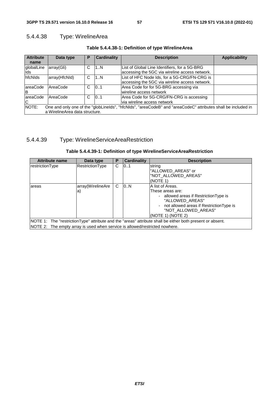# 5.4.4.38 Type: WirelineArea

| <b>Attribute</b><br>name | Data type                      | P | <b>Cardinality</b> | <b>Description</b>                                                                                            | <b>Applicability</b> |
|--------------------------|--------------------------------|---|--------------------|---------------------------------------------------------------------------------------------------------------|----------------------|
| globalLine<br>Ids        | array(Gli)                     | С | 1N                 | List of Global Line Identifiers, for a 5G-BRG<br>accessing the 5GC via wireline access network.               |                      |
| hfcNlds                  | array(HfcNld)                  | C | 1N                 | List of HFC Node Ids, for a 5G-CRG/FN-CRG is<br>accessing the 5GC via wireline access network.                |                      |
| lareaCode<br>ΙB          | AreaCode                       | C | 101                | Area Code for for 5G-BRG accessing via<br>wireline access network                                             |                      |
| lareaCode<br>С           | <b>AreaCode</b>                | C | 101                | Area Code for 5G-CRG/FN-CRG is accessing<br>via wireline access network                                       |                      |
| NOTE:                    | a WirelineArea data structure. |   |                    | One and only one of the "globLinelds", "hfcNlds", "areaCodeB" and "areaCodeC" attributes shall be included in |                      |

## **Table 5.4.4.38-1: Definition of type WirelineArea**

# 5.4.4.39 Type: WirelineServiceAreaRestriction

| Table 5.4.4.39-1: Definition of type WirelineServiceAreaRestriction |  |
|---------------------------------------------------------------------|--|
|---------------------------------------------------------------------|--|

| <b>Attribute name</b>                                                       | Data type                                                                                                 | Р | <b>Cardinality</b> | <b>Description</b>                                                                                                                                                                       |  |
|-----------------------------------------------------------------------------|-----------------------------------------------------------------------------------------------------------|---|--------------------|------------------------------------------------------------------------------------------------------------------------------------------------------------------------------------------|--|
| restrictionType                                                             | <b>RestrictionType</b>                                                                                    | C | 0.1                | string<br>"ALLOWED_AREAS" or<br>"NOT ALLOWED AREAS"<br>(NOTE 1)                                                                                                                          |  |
| lareas                                                                      | array(WirelineAre<br>la)                                                                                  | C | 10.N               | A list of Areas.<br>These areas are:<br>- allowed areas if Restriction Type is<br>"ALLOWED AREAS"<br>not allowed areas if RestrictionType is<br>"NOT_ALLOWED_AREAS"<br>(NOTE 1) (NOTE 2) |  |
|                                                                             | NOTE 1: The "restrictionType" attribute and the "areas" attribute shall be either both present or absent. |   |                    |                                                                                                                                                                                          |  |
| NOTE 2: The empty array is used when service is allowed/restricted nowhere. |                                                                                                           |   |                    |                                                                                                                                                                                          |  |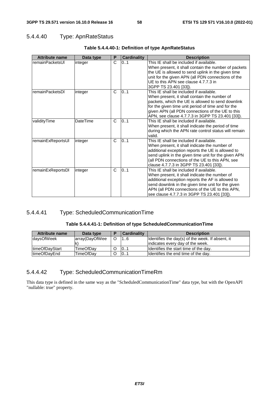## 5.4.4.40 Type: ApnRateStatus

| <b>Attribute name</b> | Data type       | P            | <b>Cardinality</b> | <b>Description</b>                                   |
|-----------------------|-----------------|--------------|--------------------|------------------------------------------------------|
| remainPacketsUI       | integer         | C            | 0.1                | This IE shall be included if available.              |
|                       |                 |              |                    | When present, it shall contain the number of packets |
|                       |                 |              |                    | the UE is allowed to send uplink in the given time   |
|                       |                 |              |                    | unit for the given APN (all PDN connections of the   |
|                       |                 |              |                    | UE to this APN see clause 4.7.7.3 in                 |
|                       |                 |              |                    | 3GPP TS 23.401 [33]).                                |
| remainPacketsDI       | integer         | C            | 0.1                | This IE shall be included if available.              |
|                       |                 |              |                    | When present, it shall contain the number of         |
|                       |                 |              |                    | packets, which the UE is allowed to send downlink    |
|                       |                 |              |                    | for the given time unit period of time and for the   |
|                       |                 |              |                    | given APN (all PDN connections of the UE to this     |
|                       |                 |              |                    | APN, see clause 4.7.7.3 in 3GPP TS 23.401 [33]).     |
| validityTime          | <b>DateTime</b> | $\mathsf{C}$ | 0.1                | This IE shall be included if available.              |
|                       |                 |              |                    | When present, it shall indicate the period of time   |
|                       |                 |              |                    | during which the APN rate control status will remain |
|                       |                 |              |                    | valid.                                               |
| remainExReportsUI     | integer         | $\mathsf{C}$ | 0.1                | This IE shall be included if available.              |
|                       |                 |              |                    | When present, it shall indicate the number of        |
|                       |                 |              |                    | additional exception reports the UE is allowed to    |
|                       |                 |              |                    | send uplink in the given time unit for the given APN |
|                       |                 |              |                    | (all PDN connections of the UE to this APN, see      |
|                       |                 |              |                    | clause 4.7.7.3 in 3GPP TS 23.401 [33]).              |
| remainExReportsDI     | integer         | C            | 0.1                | This IE shall be included if available.              |
|                       |                 |              |                    | When present, it shall indicate the number of        |
|                       |                 |              |                    | additional exception reports the AF is allowed to    |
|                       |                 |              |                    | send downlink in the given time unit for the given   |
|                       |                 |              |                    | APN (all PDN connections of the UE to this APN,      |
|                       |                 |              |                    | see clause 4.7.7.3 in 3GPP TS 23.401 [33]).          |

#### **Table 5.4.4.40-1: Definition of type ApnRateStatus**

## 5.4.4.41 Type: ScheduledCommunicationTime

#### **Table 5.4.4.41-1: Definition of type ScheduledCommunicationTime**

| <b>Attribute name</b>  | Data type        | <b>Cardinality</b> | <b>Description</b>                               |
|------------------------|------------------|--------------------|--------------------------------------------------|
| <b>daysOfWeek</b>      | array(DayOfWee   | 16                 | Identifies the day(s) of the week. If absent, it |
|                        |                  |                    | indicates every day of the week.                 |
| <b>ItimeOfDavStart</b> | <b>TimeOfDav</b> | 101                | Ildentifies the start time of the day.           |
| <b>ItimeOfDavEnd</b>   | <b>TimeOfDav</b> | 101                | Identifies the end time of the day.              |

## 5.4.4.42 Type: ScheduledCommunicationTimeRm

This data type is defined in the same way as the "ScheduledCommunicationTime" data type, but with the OpenAPI "nullable: true" property.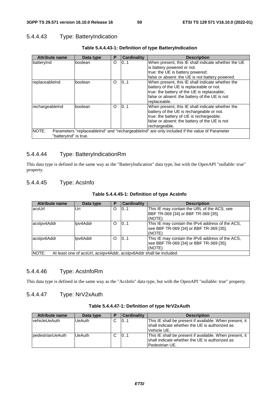## 5.4.4.43 Type: BatteryIndication

| <b>Attribute name</b> | Data type                                                                                     | P        | <b>Cardinality</b> | <b>Description</b>                                  |  |  |
|-----------------------|-----------------------------------------------------------------------------------------------|----------|--------------------|-----------------------------------------------------|--|--|
| batteryInd            | <b>boolean</b>                                                                                | O        | 0.1                | When present, this IE shall indicate whether the UE |  |  |
|                       |                                                                                               |          |                    | is battery powered or not.                          |  |  |
|                       |                                                                                               |          |                    | true: the UE is battery powered;                    |  |  |
|                       |                                                                                               |          |                    | false or absent: the UE is not battery powered.     |  |  |
| replaceableInd        | <b>boolean</b>                                                                                | O        | 0.1                | When present, this IE shall indicate whether the    |  |  |
|                       |                                                                                               |          |                    | battery of the UE is replaceable or not.            |  |  |
|                       |                                                                                               |          |                    | true: the battery of the UE is replaceable;         |  |  |
|                       |                                                                                               |          |                    | false or absent: the battery of the UE is not       |  |  |
|                       |                                                                                               |          |                    | replaceable.                                        |  |  |
| rechargeableInd       | boolean                                                                                       | $\Omega$ | 101                | When present, this IE shall indicate whether the    |  |  |
|                       |                                                                                               |          |                    | battery of the UE is rechargeable or not.           |  |  |
|                       |                                                                                               |          |                    | true: the battery of UE is rechargeable;            |  |  |
|                       |                                                                                               |          |                    | false or absent: the battery of the UE is not       |  |  |
|                       |                                                                                               |          |                    | rechargeable.                                       |  |  |
| NOTE:                 | Parameters "replaceable nd" and "rechargeable nd" are only included if the value of Parameter |          |                    |                                                     |  |  |
| "battervind" is true. |                                                                                               |          |                    |                                                     |  |  |

**Table 5.4.4.43-1: Definition of type BatteryIndication** 

## 5.4.4.44 Type: BatteryIndicationRm

This data type is defined in the same way as the "BatteryIndication" data type, but with the OpenAPI "nullable: true" property.

## 5.4.4.45 Type: AcsInfo

| Table 5.4.4.45-1: Definition of type AcsInfo |  |  |
|----------------------------------------------|--|--|
|----------------------------------------------|--|--|

| <b>Attribute name</b> | Data type                                                           | P        | <b>Cardinality</b> | <b>Description</b>                                                                                    |
|-----------------------|---------------------------------------------------------------------|----------|--------------------|-------------------------------------------------------------------------------------------------------|
| acsUrl                | Uri                                                                 | $\Omega$ | 101                | This IE may contain the URL of the ACS, see<br>BBF TR-069 [34] or BBF TR-369 [35].                    |
|                       |                                                                     |          |                    | (NOTE)                                                                                                |
| acslpv4Addr           | Ipv4Addr                                                            | $\Omega$ | 10.1               | This IE may contain the IPv4 address of the ACS,<br>see BBF TR-069 [34] or BBF TR-369 [35].<br>(NOTE) |
| acslpv6Addr           | Ipv6Addr                                                            | $\Omega$ | 10.1               | This IE may contain the IPv6 address of the ACS,<br>see BBF TR-069 [34] or BBF TR-369 [35].<br>(NOTE) |
| NOTE:                 | At least one of acsUrl, acsIpv4Addr, acsIpv6Addr shall be included. |          |                    |                                                                                                       |

## 5.4.4.46 Type: AcsInfoRm

This data type is defined in the same way as the "AcsInfo" data type, but with the OpenAPI "nullable: true" property.

# 5.4.4.47 Type: NrV2xAuth

| <b>Attribute name</b>     | Data type     | Е | Cardinality | <b>Description</b>                                                                                                            |
|---------------------------|---------------|---|-------------|-------------------------------------------------------------------------------------------------------------------------------|
| vehicleUeAuth             | <b>UeAuth</b> | ⌒ | 101         | This IE shall be present if available. When present, it<br>Ishall indicate whether the UE is authorized as<br>Vehicle UE.     |
| <b>I</b> pedestrianUeAuth | <b>UeAuth</b> | ⌒ | 0.1         | This IE shall be present if available. When present, it<br>Ishall indicate whether the UE is authorized as<br>lPedestrian UE. |

**Table 5.4.4.47-1: Definition of type NrV2xAuth**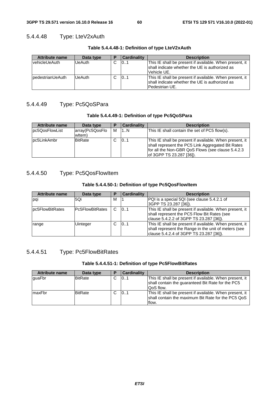# 5.4.4.48 Type: LteV2xAuth

| <b>Attribute name</b>   | Data type     | D      | <b>Cardinality</b> | <b>Description</b>                                      |
|-------------------------|---------------|--------|--------------------|---------------------------------------------------------|
| vehicleUeAuth           | <b>UeAuth</b> | ⌒<br>ີ | 101                | This IE shall be present if available. When present, it |
|                         |               |        |                    | Ishall indicate whether the UE is authorized as         |
|                         |               |        |                    | Vehicle UE.                                             |
| <b>pedestrianUeAuth</b> | <b>UeAuth</b> | C      | 01                 | This IE shall be present if available. When present, it |
|                         |               |        |                    | Ishall indicate whether the UE is authorized as         |
|                         |               |        |                    | Pedestrian UE.                                          |

#### **Table 5.4.4.48-1: Definition of type LteV2xAuth**

## 5.4.4.49 Type: Pc5QoSPara

#### **Table 5.4.4.49-1: Definition of type Pc5QoSPara**

| <b>Attribute name</b> | Data type                 | E | <b>Cardinality</b> | <b>Description</b>                                                                                                                                                                              |
|-----------------------|---------------------------|---|--------------------|-------------------------------------------------------------------------------------------------------------------------------------------------------------------------------------------------|
| pc5QosFlowList        | array(Pc5QosFlo<br>witem) | м | 1N                 | This IE shall contain the set of PC5 flow(s).                                                                                                                                                   |
| lpc5LinkAmbr          | <b>BitRate</b>            |   | 101                | This IE shall be present if available. When present, it<br>shall represent the PC5 Link Aggregated Bit Rates<br>for all the Non-GBR QoS Flows (see clause 5.4.2.3)<br>lof 3GPP TS 23.287 [36]). |

## 5.4.4.50 Type: Pc5QosFlowItem

#### **Table 5.4.4.50-1: Definition of type Pc5QosFlowItem**

| <b>Attribute name</b> | Data type              | Р | <b>Cardinality</b> | <b>Description</b>                                      |
|-----------------------|------------------------|---|--------------------|---------------------------------------------------------|
| pqi                   | 5Qi                    | м |                    | PQI is a special 5QI (see clause 5.4.2.1 of             |
|                       |                        |   |                    | 3GPP TS 23.287 [36]).                                   |
| lpc5FlowBitRates      | <b>Pc5FlowBitRates</b> | C | 101                | This IE shall be present if available. When present, it |
|                       |                        |   |                    | shall represent the PC5 Flow Bit Rates (see             |
|                       |                        |   |                    | clause 5.4.2.2 of 3GPP TS 23.287 [36]).                 |
| range                 | Uinteger               | C | 10.1               | This IE shall be present if available. When present, it |
|                       |                        |   |                    | shall represent the Range in the unit of meters (see    |
|                       |                        |   |                    | clause 5.4.2.4 of 3GPP TS 23.287 [36]).                 |

# 5.4.4.51 Type: Pc5FlowBitRates

#### **Table 5.4.4.51-1: Definition of type Pc5FlowBitRates**

| <b>Attribute name</b> | Data type      | P | <b>Cardinality</b> | <b>Description</b>                                                                                                               |
|-----------------------|----------------|---|--------------------|----------------------------------------------------------------------------------------------------------------------------------|
| guaFbr                | <b>BitRate</b> |   | 01                 | This IE shall be present if available. When present, it<br>shall contain the guaranteed Bit Rate for the PC5<br><b>QoS</b> flow. |
| maxFbr                | <b>BitRate</b> | С | 101                | This IE shall be present if available. When present, it<br>shall contain the maximum Bit Rate for the PC5 QoS<br>flow.           |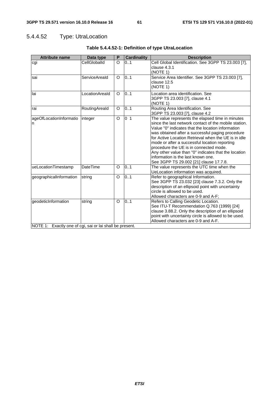# 5.4.4.52 Type: UtraLocation

| <b>Attribute name</b>                                                           | Data type       | P        | <b>Cardinality</b> | <b>Description</b>                                                                                                                                                                                                                                                                                                                                                                                                                                                                                            |
|---------------------------------------------------------------------------------|-----------------|----------|--------------------|---------------------------------------------------------------------------------------------------------------------------------------------------------------------------------------------------------------------------------------------------------------------------------------------------------------------------------------------------------------------------------------------------------------------------------------------------------------------------------------------------------------|
| cgi                                                                             | CellGloballd    | $\circ$  | 0.1                | Cell Global Identification. See 3GPP TS 23.003 [7],<br>clause 4.3.1<br>(NOTE 1)                                                                                                                                                                                                                                                                                                                                                                                                                               |
| sai                                                                             | ServiceAreald   | $\Omega$ | 0.1                | Service Area Identifier. See 3GPP TS 23.003 [7],<br>clause 12.5<br>(NOTE 1)                                                                                                                                                                                                                                                                                                                                                                                                                                   |
| llai                                                                            | LocationAreald  | $\Omega$ | 0.1                | Location area identification. See<br>3GPP TS 23.003 [7], clause 4.1<br>(NOTE 1)                                                                                                                                                                                                                                                                                                                                                                                                                               |
| rai                                                                             | RoutingAreald   | O        | 0.1                | Routing Area Identification. See<br>3GPP TS 23.003 [7], clause 4.2                                                                                                                                                                                                                                                                                                                                                                                                                                            |
| ageOfLocationInformatio<br>n                                                    | integer         | $\circ$  | 0 <sub>1</sub>     | The value represents the elapsed time in minutes<br>since the last network contact of the mobile station.<br>Value "0" indicates that the location information<br>was obtained after a successful paging procedure<br>for Active Location Retrieval when the UE is in idle<br>mode or after a successful location reporting<br>procedure the UE is in connected mode.<br>Any other value than "0" indicates that the location<br>information is the last known one.<br>See 3GPP TS 29.002 [21] clause 17.7.8. |
| ueLocationTimestamp                                                             | <b>DateTime</b> | $\circ$  | $\overline{0}.1$   | The value represents the UTC time when the<br>UeLocation information was acquired.                                                                                                                                                                                                                                                                                                                                                                                                                            |
| geographicalInformation                                                         | string          | $\circ$  | $\overline{0.1}$   | Refer to geographical Information.<br>See 3GPP TS 23.032 [23] clause 7.3.2. Only the<br>description of an ellipsoid point with uncertainty<br>circle is allowed to be used.<br>Allowed characters are 0-9 and A-F;                                                                                                                                                                                                                                                                                            |
| geodeticInformation<br>NOTE 1: Exactly one of cgi, sai or lai shall be present. | string          | $\circ$  | 0.1                | Refers to Calling Geodetic Location.<br>See ITU-T Recommendation Q.763 (1999) [24]<br>clause 3.88.2. Only the description of an ellipsoid<br>point with uncertainty circle is allowed to be used.<br>Allowed characters are 0-9 and A-F.                                                                                                                                                                                                                                                                      |

## **Table 5.4.4.52-1: Definition of type UtraLocation**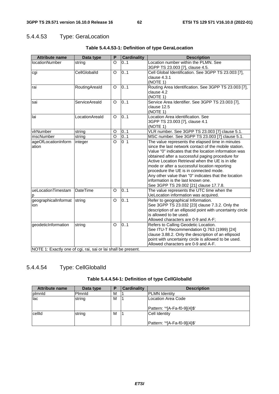# 5.4.4.53 Type: GeraLocation

| <b>Attribute name</b>                                         | Data type            | P                   | <b>Cardinality</b>      | <b>Description</b>                                                                                             |
|---------------------------------------------------------------|----------------------|---------------------|-------------------------|----------------------------------------------------------------------------------------------------------------|
| <b>locationNumber</b>                                         | string               | $\Omega$            | 0.1                     | Location number within the PLMN. See                                                                           |
|                                                               |                      |                     |                         | 3GPP TS 23.003 [7], clause 4.5.                                                                                |
| cgi                                                           | CellGloballd         | $\Omega$            | 0.1                     | Cell Global Identification. See 3GPP TS 23.003 [7],                                                            |
|                                                               |                      |                     |                         | clause 4.3.1                                                                                                   |
|                                                               |                      |                     |                         | (NOTE 1)                                                                                                       |
| rai                                                           | RoutingAreald        | O                   | 0.1                     | Routing Area Identification. See 3GPP TS 23.003 [7],                                                           |
|                                                               |                      |                     |                         | clause 4.2                                                                                                     |
|                                                               |                      |                     |                         | (NOTE 1)                                                                                                       |
| sai                                                           | <b>ServiceAreald</b> | O                   | 0.1                     | Service Area Identifier. See 3GPP TS 23.003 [7],                                                               |
|                                                               |                      |                     |                         | clause 12.5                                                                                                    |
|                                                               |                      |                     |                         | (NOTE 1)                                                                                                       |
| llai                                                          | LocationAreald       | $\Omega$            | 0.1                     | Location Area identification. See                                                                              |
|                                                               |                      |                     |                         | 3GPP TS 23.003 [7], clause 4.1                                                                                 |
|                                                               |                      |                     |                         | (NOTE 1)                                                                                                       |
| vlrNumber                                                     | string               | O<br>$\overline{O}$ | 0.1                     | VLR number. See 3GPP TS 23.003 [7] clause 5.1.                                                                 |
| mscNumber                                                     | string               | $\overline{O}$      | 0.1<br>$\overline{0}$ 1 | MSC number. See 3GPP TS 23.003 [7] clause 5.1.                                                                 |
| ageOfLocationInform                                           | integer              |                     |                         | The value represents the elapsed time in minutes                                                               |
| ation                                                         |                      |                     |                         | since the last network contact of the mobile station.<br>Value "0" indicates that the location information was |
|                                                               |                      |                     |                         |                                                                                                                |
|                                                               |                      |                     |                         | obtained after a successful paging procedure for<br>Active Location Retrieval when the UE is in idle           |
|                                                               |                      |                     |                         | mode or after a successful location reporting                                                                  |
|                                                               |                      |                     |                         | procedure the UE is in connected mode.                                                                         |
|                                                               |                      |                     |                         | Any other value than "0" indicates that the location                                                           |
|                                                               |                      |                     |                         | information is the last known one.                                                                             |
|                                                               |                      |                     |                         | See 3GPP TS 29.002 [21] clause 17.7.8.                                                                         |
| ueLocationTimestam                                            | <b>DateTime</b>      | $\Omega$            | 0.1                     | The value represents the UTC time when the                                                                     |
| р                                                             |                      |                     |                         | UeLocation information was acquired.                                                                           |
| geographicalInformat                                          | string               | O                   | 0.1                     | Refer to geographical Information.                                                                             |
| ion                                                           |                      |                     |                         | See 3GPP TS 23.032 [23] clause 7.3.2. Only the                                                                 |
|                                                               |                      |                     |                         | description of an ellipsoid point with uncertainty circle                                                      |
|                                                               |                      |                     |                         | is allowed to be used.                                                                                         |
|                                                               |                      |                     |                         | Allowed characters are 0-9 and A-F;                                                                            |
| geodeticInformation                                           | string               | O                   | 0.1                     | Refers to Calling Geodetic Location.                                                                           |
|                                                               |                      |                     |                         | See ITU-T Recommendation Q.763 (1999) [24]                                                                     |
|                                                               |                      |                     |                         | clause 3.88.2. Only the description of an ellipsoid                                                            |
|                                                               |                      |                     |                         | point with uncertainty circle is allowed to be used.                                                           |
|                                                               |                      |                     |                         | Allowed characters are 0-9 and A-F.                                                                            |
| NOTE 1: Exactly one of cgi, rai, sai or lai shall be present. |                      |                     |                         |                                                                                                                |

## **Table 5.4.4.53-1: Definition of type GeraLocation**

# 5.4.4.54 Type: CellGlobalId

| Table 5.4.4.54-1: Definition of type CellGloballd |  |  |
|---------------------------------------------------|--|--|
|                                                   |  |  |

| <b>Attribute name</b> | Data type | D | Cardinality | <b>Description</b>                                 |
|-----------------------|-----------|---|-------------|----------------------------------------------------|
| plmnld                | Pimnid    | М |             | <b>PLMN Identity</b>                               |
| llac                  | string    | M |             | Location Area Code<br>Pattern: '^[A-Fa-f0-9]{4}\$' |
| cellId                | string    | M |             | Cell Identity<br>Pattern: '^[A-Fa-f0-9]{4}\$'      |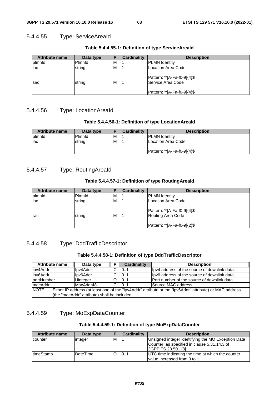### 5.4.4.55 Type: ServiceAreaId

| <b>Attribute name</b> | Data type | P | Cardinality | <b>Description</b>           |
|-----------------------|-----------|---|-------------|------------------------------|
| plmnld                | Plmnld    | М |             | <b>PLMN Identity</b>         |
| lac                   | string    | М |             | Location Area Code           |
|                       |           |   |             | Pattern: '^[A-Fa-f0-9]{4}\$' |
| <b>Isac</b>           | string    | M |             | Service Area Code            |
|                       |           |   |             | Pattern: '^[A-Fa-f0-9]{4}\$' |

**Table 5.4.4.55-1: Definition of type ServiceAreaId** 

## 5.4.4.56 Type: LocationAreaId

#### **Table 5.4.4.56-1: Definition of type LocationAreaId**

| <b>Attribute name</b> | Data type | Б | <b>Cardinality</b> | <b>Description</b>          |
|-----------------------|-----------|---|--------------------|-----------------------------|
| <b>Ipimnid</b>        | Pimnid    | M |                    | <b>PLMN Identity</b>        |
| lac                   | string    | M |                    | ILocation Area Code         |
|                       |           |   |                    | Pattern: 'YA-Fa-f0-91(4)\$' |

## 5.4.4.57 Type: RoutingAreaId

#### **Table 5.4.4.57-1: Definition of type RoutingAreaId**

| <b>Attribute name</b> | Data type | P | <b>Cardinality</b> | <b>Description</b>                                 |
|-----------------------|-----------|---|--------------------|----------------------------------------------------|
| plmnld                | Pimnid    | M |                    | <b>PLMN Identity</b>                               |
| lac                   | string    | М |                    | Location Area Code<br>Pattern: '^[A-Fa-f0-9]{4}\$' |
| rac                   | string    | M |                    | Routing Area Code<br>Pattern: '^[A-Fa-f0-9]{2}\$'  |

## 5.4.4.58 Type: DddTrafficDescriptor

#### **Table 5.4.4.58-1: Definition of type DddTrafficDescriptor**

| <b>Attribute name</b>                                                                                            | Data type       | P        | <b>Cardinality</b> | <b>Description</b>                            |  |
|------------------------------------------------------------------------------------------------------------------|-----------------|----------|--------------------|-----------------------------------------------|--|
| ipv4Addr                                                                                                         | lpv4Addr        |          | 101                | llpv4 address of the source of downlink data. |  |
| ipv6Addr                                                                                                         | lpv6Addr        | C        | 101                | llpv6 address of the source of downlink data. |  |
| portNumber                                                                                                       | <b>Uinteger</b> | $\Omega$ | 101                | Port number of the source of downlink data.   |  |
| macAddr                                                                                                          | MacAddr48       | C        | 10.1               | Source MAC address.                           |  |
| NOTE:<br>Either IP address (at least one of the "ipv4Addr" attribute or the "ipv6Addr" attribute) or MAC address |                 |          |                    |                                               |  |
| (the "macAddr" attribute) shall be included.                                                                     |                 |          |                    |                                               |  |

## 5.4.4.59 Type: MoExpDataCounter

#### **Table 5.4.4.59-1: Definition of type MoExpDataCounter**

| <b>Attribute name</b> | Data type       | Р | <b>Cardinality</b> | <b>Description</b>                                 |
|-----------------------|-----------------|---|--------------------|----------------------------------------------------|
| counter               | integer         | м |                    | Unsigned integer identifying the MO Exception Data |
|                       |                 |   |                    | Counter, as specified in clause 5.31.14.3 of       |
|                       |                 |   |                    | 3GPP TS 23.501 [8].                                |
| <b>ItimeStamp</b>     | <b>DateTime</b> |   | 101                | UTC time indicating the time at which the counter  |
|                       |                 |   |                    | value increased from 0 to 1.                       |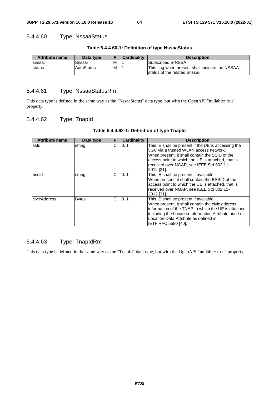## 5.4.4.60 Type: NssaaStatus

| <b>Attribute name</b> | Data type         |   | <b>Cardinality</b> | <b>Description</b>                                                                |
|-----------------------|-------------------|---|--------------------|-----------------------------------------------------------------------------------|
| <b>Isnssai</b>        | Snssai            | м |                    | Subscribed S-NSSAI                                                                |
| <b>Istatus</b>        | <b>AuthStatus</b> | м |                    | This flag when present shall indicate the NSSAA<br>Istatus of the related Snssai. |

#### **Table 5.4.4.60-1: Definition of type NssaaStatus**

## 5.4.4.61 Type: NssaaStatusRm

This data type is defined in the same way as the "NssaaStatus" data type, but with the OpenAPI "nullable: true" property.

## 5.4.4.62 Type: TnapId

| Table 5.4.4.62-1: Definition of type TnapId |  |  |  |  |  |  |  |
|---------------------------------------------|--|--|--|--|--|--|--|
|---------------------------------------------|--|--|--|--|--|--|--|

| <b>Attribute name</b> | Data type    | P | <b>Cardinality</b> | <b>Description</b>                                                                                                                                                                                                                                                                 |
|-----------------------|--------------|---|--------------------|------------------------------------------------------------------------------------------------------------------------------------------------------------------------------------------------------------------------------------------------------------------------------------|
| ssid                  | string       | C | 0.1                | This IE shall be present if the UE is accessing the<br>5GC via a trusted WLAN access network.<br>When present, it shall contain the SSID of the<br>access point to which the UE is attached, that is<br>received over NGAP, see IEEE Std 802.11-<br>2012 [31].                     |
| bssld                 | string       | C | 101                | This IE shall be present if available.<br>When present, it shall contain the BSSID of the<br>access point to which the UE is attached, that is<br>received over NGAP, see IEEE Std 802.11-<br>2012 [31].                                                                           |
| civicAddress          | <b>Bytes</b> | C | 101                | This IE shall be present if available.<br>When present, it shall contain the civic address<br>information of the TNAP to which the UE is attached,<br>including the Location-Information Attribute and / or<br>Location-Data Attribute as defined in<br><b>IETF RFC 5580 [40].</b> |

## 5.4.4.63 Type: TnapIdRm

This data type is defined in the same way as the "TnapId" data type, but with the OpenAPI "nullable: true" property.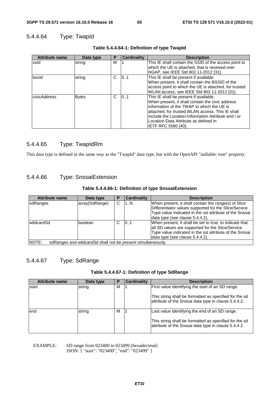## 5.4.4.64 Type: TwapId

| <b>Attribute name</b> | Data type    | Р | <b>Cardinality</b> | <b>Description</b>                                    |
|-----------------------|--------------|---|--------------------|-------------------------------------------------------|
| ssld                  | string       | м |                    | This IE shall contain the SSID of the access point to |
|                       |              |   |                    | which the UE is attached, that is received over       |
|                       |              |   |                    | NGAP, see IEEE Std 802.11-2012 [31].                  |
| bssld                 | string       | C | 101                | This IE shall be present if available.                |
|                       |              |   |                    | When present, it shall contain the BSSID of the       |
|                       |              |   |                    | access point to which the UE is attached, for trusted |
|                       |              |   |                    | WLAN access, see IEEE Std 802.11-2012 [31].           |
| civicAddress          | <b>Bytes</b> | C | 0.1                | This IE shall be present if available.                |
|                       |              |   |                    | When present, it shall contain the civic address      |
|                       |              |   |                    | information of the TWAP to which the UE is            |
|                       |              |   |                    | attached, for trusted WLAN access. This IE shall      |
|                       |              |   |                    | include the Location-Information Attribute and / or   |
|                       |              |   |                    | Location-Data Attribute as defined in                 |
|                       |              |   |                    | <b>IETF RFC 5580 [40].</b>                            |

### **Table 5.4.4.64-1: Definition of type TwapId**

## 5.4.4.65 Type: TwapIdRm

This data type is defined in the same way as the "TwapId" data type, but with the OpenAPI "nullable: true" property.

## 5.4.4.66 Type: SnssaiExtension

#### **Table 5.4.4.66-1: Definition of type SnssaiExtension**

| <b>Attribute name</b>                                                   | Data type      |   | <b>Cardinality</b> | <b>Description</b>                                                                                                                                                                                          |
|-------------------------------------------------------------------------|----------------|---|--------------------|-------------------------------------------------------------------------------------------------------------------------------------------------------------------------------------------------------------|
| <b>sdRanges</b>                                                         | array(SdRange) | C | 1N                 | When present, it shall contain the range(s) of Slice<br>Differentiator values supported for the Slice/Service<br>Type value indicated in the sst attribute of the Snssai<br>data type (see clause 5.4.4.2). |
| 101<br>IwildcardSd<br>C.<br>boolean                                     |                |   |                    | When present, it shall be set to true, to indicate that<br>all SD values are supported for the Slice/Service<br>Type value indicated in the sst attribute of the Snssai<br>data type (see clause 5.4.4.2).  |
| INOTE:<br>sdRanges and wildcard Sd shall not be present simultaneously. |                |   |                    |                                                                                                                                                                                                             |

## 5.4.4.67 Type: SdRange

#### **Table 5.4.4.67-1: Definition of type SdRange**

| <b>Attribute name</b> | Data type | Р | Cardinalitv | <b>Description</b>                                                                                             |
|-----------------------|-----------|---|-------------|----------------------------------------------------------------------------------------------------------------|
| start                 | string    | м |             | First value identifying the start of an SD range.                                                              |
|                       |           |   |             | This string shall be formatted as specified for the sd<br>attribute of the Snssai data type in clause 5.4.4.2. |
| lend                  | string    | м |             | Last value identifying the end of an SD range.                                                                 |
|                       |           |   |             | This string shall be formatted as specified for the sd<br>attribute of the Snssai data type in clause 5.4.4.2. |

EXAMPLE: SD range from 023400 to 023499 (hexadecimal) JSON: { "start": "023400", "end": "023499" }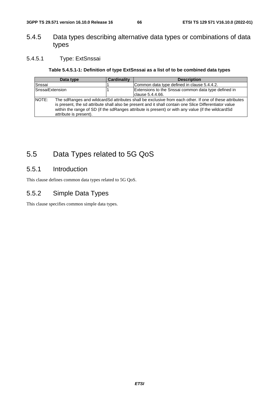# 5.4.5 Data types describing alternative data types or combinations of data types

## 5.4.5.1 Type: ExtSnssai

## **Table 5.4.5.1-1: Definition of type ExtSnssai as a list of to be combined data types**

|                        | Data type                                                                                                                                                                                                                                                                                                                                       | <b>Cardinality</b> | <b>Description</b>                                   |
|------------------------|-------------------------------------------------------------------------------------------------------------------------------------------------------------------------------------------------------------------------------------------------------------------------------------------------------------------------------------------------|--------------------|------------------------------------------------------|
| Snssai                 |                                                                                                                                                                                                                                                                                                                                                 |                    | Common data type defined in clause 5.4.4.2.          |
| <b>SnssaiExtension</b> |                                                                                                                                                                                                                                                                                                                                                 |                    | Extensions to the Snssai common data type defined in |
|                        |                                                                                                                                                                                                                                                                                                                                                 |                    | clause 5.4.4.66.                                     |
| <b>NOTE:</b>           | The sdRanges and wildcardSd attributes shall be exclusive from each other. If one of these attributes<br>is present, the sd attribute shall also be present and it shall contain one Slice Differentiator value<br>within the range of SD (if the sdRanges attribute is present) or with any value (if the wildcardSd<br>attribute is present). |                    |                                                      |

# 5.5 Data Types related to 5G QoS

# 5.5.1 Introduction

This clause defines common data types related to 5G QoS.

# 5.5.2 Simple Data Types

This clause specifies common simple data types.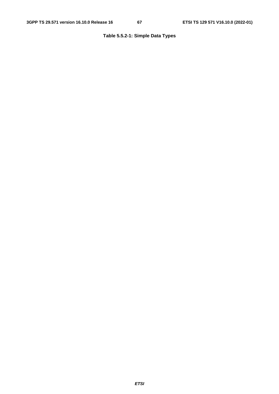## **Table 5.5.2-1: Simple Data Types**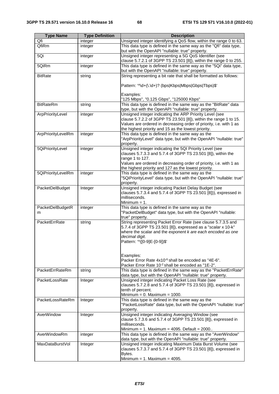| <b>Type Name</b>   | <b>Type Definition</b> | <b>Description</b>                                                                                                      |
|--------------------|------------------------|-------------------------------------------------------------------------------------------------------------------------|
| Qfi                | integer                | Unsigned integer identifying a QoS flow, within the range 0 to 63.                                                      |
| QfiRm              | integer                | This data type is defined in the same way as the "Qfi" data type,                                                       |
|                    |                        | but with the OpenAPI "nullable: true" property.                                                                         |
| 5Qi                | integer                | Unsigned integer representing a 5G QoS Identifier (see                                                                  |
|                    |                        | clause 5.7.2.1 of 3GPP TS 23.501 [8]), within the range 0 to 255.                                                       |
| 5QiRm              |                        | This data type is defined in the same way as the "5Qi" data type,                                                       |
|                    | integer                |                                                                                                                         |
|                    |                        | but with the OpenAPI "nullable: true" property.                                                                         |
| <b>BitRate</b>     | string                 | String representing a bit rate that shall be formatted as follows:                                                      |
|                    |                        |                                                                                                                         |
|                    |                        | Pattern: '^\d+(\.\d+)? (bps Kbps Mbps Gbps Tbps)\$'                                                                     |
|                    |                        | Examples:                                                                                                               |
|                    |                        | "125 Mbps", "0.125 Gbps", "125000 Kbps"                                                                                 |
|                    |                        | This data type is defined in the same way as the "BitRate" data                                                         |
| <b>BitRateRm</b>   | string                 |                                                                                                                         |
|                    |                        | type, but with the OpenAPI "nullable: true" property.                                                                   |
| ArpPriorityLevel   | integer                | Unsigned integer indicating the ARP Priority Level (see                                                                 |
|                    |                        | clause 5.7.2.2 of 3GPP TS 23.501 [8]), within the range 1 to 15.                                                        |
|                    |                        | Values are ordered in decreasing order of priority, i.e. with 1 as                                                      |
|                    |                        | the highest priority and 15 as the lowest priority.                                                                     |
| ArpPriorityLevelRm | integer                | This data type is defined in the same way as the                                                                        |
|                    |                        | "ArpPriorityLevel" data type, but with the OpenAPI "nullable: true"                                                     |
|                    |                        | property.                                                                                                               |
| 5QiPriorityLevel   | integer                | Unsigned integer indicating the 5QI Priority Level (see<br>clauses 5.7.3.3 and 5.7.4 of 3GPP TS 23.501 [8]), within the |
|                    |                        | range 1 to 127.                                                                                                         |
|                    |                        | Values are ordered in decreasing order of priority, i.e. with 1 as                                                      |
|                    |                        | the highest priority and 127 as the lowest priority.                                                                    |
| 5QiPriorityLevelRm | integer                | This data type is defined in the same way as the                                                                        |
|                    |                        | "5QiPriorityLevel" data type, but with the OpenAPI "nullable: true"                                                     |
|                    |                        | property.                                                                                                               |
| PacketDelBudget    | Integer                | Unsigned integer indicating Packet Delay Budget (see                                                                    |
|                    |                        | clauses 5.7.3.4 and 5.7.4 of 3GPP TS 23.501 [8])), expressed in                                                         |
|                    |                        | milliseconds.                                                                                                           |
|                    |                        | Minimum $= 1$ .                                                                                                         |
| PacketDelBudgetR   | integer                | This data type is defined in the same way as the                                                                        |
| m                  |                        | "PacketDelBudget" data type, but with the OpenAPI "nullable:                                                            |
|                    |                        | true" property.                                                                                                         |
| PacketErrRate      | string                 | String representing Packet Error Rate (see clause 5.7.3.5 and                                                           |
|                    |                        | 5.7.4 of 3GPP TS 23.501 [8]), expressed as a "scalar x 10-k"                                                            |
|                    |                        | where the scalar and the exponent k are each encoded as one                                                             |
|                    |                        | decimal digit.                                                                                                          |
|                    |                        | Pattern: '^([0-9]E-[0-9])\$'                                                                                            |
|                    |                        |                                                                                                                         |
|                    |                        |                                                                                                                         |
|                    |                        | Examples:                                                                                                               |
|                    |                        | Packer Error Rate 4x10 <sup>-6</sup> shall be encoded as "4E-6".                                                        |
|                    |                        | Packer Error Rate 10 <sup>-2</sup> shall be encoded as "1E-2".                                                          |
| PacketErrRateRm    | string                 | This data type is defined in the same way as the "PacketErrRate"                                                        |
|                    |                        | data type, but with the OpenAPI "nullable: true" property.                                                              |
| PacketLossRate     | Integer                | Unsigned integer indicating Packet Loss Rate (see                                                                       |
|                    |                        | clauses 5.7.2.8 and 5.7.4 of 3GPP TS 23.501 [8]), expressed in                                                          |
|                    |                        | tenth of percent.                                                                                                       |
|                    |                        | Minimum = $0.$ Maximum = 1000.                                                                                          |
| PacketLossRateRm   | Integer                | This data type is defined in the same way as the                                                                        |
|                    |                        | "PacketLossRate" data type, but with the OpenAPI "nullable: true"                                                       |
|                    |                        | property.                                                                                                               |
| AverWindow         | Integer                | Unsigned integer indicating Averaging Window (see                                                                       |
|                    |                        | clause 5.7.3.6 and 5.7.4 of 3GPP TS 23.501 [8]), expressed in                                                           |
|                    |                        | milliseconds.                                                                                                           |
|                    |                        | Minimum = 1. Maximum = $4095$ . Default = $2000$                                                                        |
| AverWindowRm       | integer                | This data type is defined in the same way as the "AverWindow"                                                           |
|                    |                        | data type, but with the OpenAPI "nullable: true" property.                                                              |
| MaxDataBurstVol    | Integer                | Unsigned integer indicating Maximum Data Burst Volume (see                                                              |
|                    |                        | clauses 5.7.3.7 and 5.7.4 of 3GPP TS 23.501 [8]), expressed in                                                          |
|                    |                        | Bytes.                                                                                                                  |
|                    |                        | Minimum = $1.$ Maximum = $4095.$                                                                                        |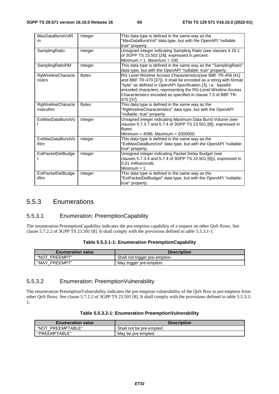| MaxDataBurstVolR<br>m           | Integer      | This data type is defined in the same way as the<br>"MaxDataBurstVol" data type, but with the OpenAPI "nullable:<br>true" property.                                                                                                                                                                                                             |
|---------------------------------|--------------|-------------------------------------------------------------------------------------------------------------------------------------------------------------------------------------------------------------------------------------------------------------------------------------------------------------------------------------------------|
| SamplingRatio                   | Integer      | Unsigned integer indicating Sampling Ratio (see clauses 4.15.1<br>of 3GPP TS 23.502 [28], expressed in percent.<br>Minimum = 1. Maximum = $100$                                                                                                                                                                                                 |
| SamplingRatioRM                 | Integer      | This data type is defined in the same way as the "SamplingRatio"<br>data type, but with the OpenAPI "nullable: true" property.                                                                                                                                                                                                                  |
| RgWirelineCharacte<br>ristics   | <b>Bytes</b> | RG Level Wireline Access Characteristics(see BBF TR-456 [41]<br>and BBF TR-470 [37]). It shall be encoded as a string with format<br>"byte" as defined in OpenAPI Specification [3], i.e. base64<br>encoded characters, representing the RG-Level Wireline Access<br>Characteristics encoded as specified in clause 7.5 of BBF TR-<br>470 [37]. |
| RgWirelineCharacte<br>risticsRm | <b>Bytes</b> | This data type is defined in the same way as the<br>"RgWirelineCharacteristics" data type, but with the OpenAPI<br>"nullable: true" property.                                                                                                                                                                                                   |
| ExtMaxDataBurstVo               | Integer      | Unsigned integer indicating Maximum Data Burst Volume (see<br>clauses 5.7.3.7 and 5.7.4 of 3GPP TS 23.501 [8]), expressed in<br>Bytes.<br>Minimum = 4096. Maximum = $2000000$ .                                                                                                                                                                 |
| ExtMaxDataBurstVo<br><b>IRm</b> | Integer      | This data type is defined in the same way as the<br>"ExtMaxDataBurstVol" data type, but with the OpenAPI "nullable:<br>true" property.                                                                                                                                                                                                          |
| <b>ExtPacketDelBudge</b><br>t   | Integer      | Unsigned integer indicating Packet Delay Budget (see<br>clauses 5.7.3.4 and 5.7.4 of 3GPP TS 23.501 [8])), expressed in<br>0.01 milliseconds.<br>Minimum $= 1$ .                                                                                                                                                                                |
| <b>ExtPacketDelBudge</b><br>tRm | Integer      | This data type is defined in the same way as the<br>"ExtPacketDelBudget" data type, but with the OpenAPI "nullable:<br>true" property.                                                                                                                                                                                                          |

# 5.5.3 Enumerations

## 5.5.3.1 Enumeration: PreemptionCapability

The enumeration PreemptionCapability indicates the pre-emption capability of a request on other QoS flows. See clause 5.7.2.2 of 3GPP TS 23.501 [8]. It shall comply with the provisions defined in table 5.5.3.1-1.

| <b>Enumeration value</b> | <b>Description</b>             |
|--------------------------|--------------------------------|
| "NOT PREEMPT"            | Shall not trigger pre-emption. |
| "MAY PREEMPT"            | May trigger pre-emption.       |

#### **Table 5.5.3.1-1: Enumeration PreemptionCapability**

## 5.5.3.2 Enumeration: PreemptionVulnerability

The enumeration PreemptionVulnerability indicates the pre-emption vulnerability of the QoS flow to pre-emption from other QoS flows. See clause 5.7.2.2 of 3GPP TS 23.501 [8]. It shall comply with the provisions defined in table 5.5.3.2- 1.

| <b>Enumeration value</b> | <b>Description</b>       |
|--------------------------|--------------------------|
| "NOT PREEMPTABLE"        | Shall not be pre-empted. |
| "PREEMPTABLE"            | May be pre-empted.       |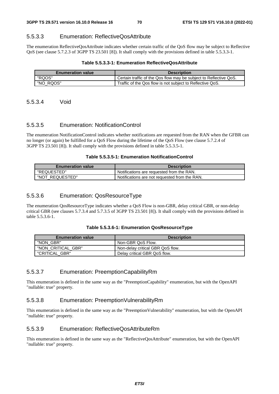#### 5.5.3.3 Enumeration: ReflectiveQosAttribute

The enumeration ReflectiveQosAttribute indicates whether certain traffic of the QoS flow may be subject to Reflective QoS (see clause 5.7.2.3 of 3GPP TS 23.501 [8]). It shall comply with the provisions defined in table 5.5.3.3-1.

#### **Table 5.5.3.3-1: Enumeration ReflectiveQosAttribute**

| <b>Enumeration value</b> | <b>Description</b>                                                |
|--------------------------|-------------------------------------------------------------------|
| "ROOS"                   | Certain traffic of the Qos flow may be subject to Reflective QoS. |
| "NO RQOS"                | Traffic of the Qos flow is not subject to Reflective QoS.         |

5.5.3.4 Void

#### 5.5.3.5 Enumeration: NotificationControl

The enumeration NotificationControl indicates whether notifications are requested from the RAN when the GFBR can no longer (or again) be fulfilled for a QoS Flow during the lifetime of the QoS Flow (see clause 5.7.2.4 of 3GPP TS 23.501 [8]). It shall comply with the provisions defined in table 5.5.3.5-1.

#### **Table 5.5.3.5-1: Enumeration NotificationControl**

| <b>Enumeration value</b> | <b>Description</b>                            |  |  |  |  |
|--------------------------|-----------------------------------------------|--|--|--|--|
| "REQUESTED"              | Notifications are requested from the RAN.     |  |  |  |  |
| "NOT REQUESTED"          | Notifications are not requested from the RAN. |  |  |  |  |

#### 5.5.3.6 Enumeration: QosResourceType

The enumeration QosResourceType indicates whether a QoS Flow is non-GBR, delay critical GBR, or non-delay critical GBR (see clauses 5.7.3.4 and 5.7.3.5 of 3GPP TS 23.501 [8]). It shall comply with the provisions defined in table 5.5.3.6-1.

| <b>Enumeration value</b> | <b>Description</b>               |  |  |
|--------------------------|----------------------------------|--|--|
| "NON GBR"                | Non-GBR QoS Flow.                |  |  |
| "NON CRITICAL GBR"       | Non-delay critical GBR QoS flow. |  |  |
| "CRITICAL GBR"           | Delay critical GBR QoS flow.     |  |  |

#### 5.5.3.7 Enumeration: PreemptionCapabilityRm

This enumeration is defined in the same way as the "PreemptionCapability" enumeration, but with the OpenAPI "nullable: true" property.

### 5.5.3.8 Enumeration: PreemptionVulnerabilityRm

This enumeration is defined in the same way as the "PreemptionVulnerability" enumeration, but with the OpenAPI "nullable: true" property.

#### 5.5.3.9 Enumeration: ReflectiveQosAttributeRm

This enumeration is defined in the same way as the "ReflectiveQosAttribute" enumeration, but with the OpenAPI "nullable: true" property.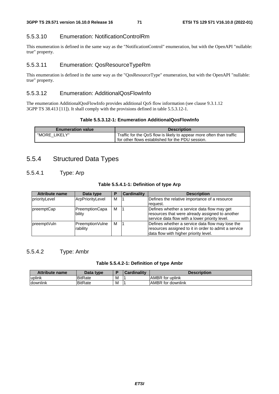### 5.5.3.10 Enumeration: NotificationControlRm

This enumeration is defined in the same way as the "NotificationControl" enumeration, but with the OpenAPI "nullable: true" property.

#### 5.5.3.11 Enumeration: QosResourceTypeRm

This enumeration is defined in the same way as the "QosResourceType" enumeration, but with the OpenAPI "nullable: true" property.

#### 5.5.3.12 Enumeration: AdditionalQosFlowInfo

The enumeration AdditionalQosFlowInfo provides additional QoS flow information (see clause 9.3.1.12 3GPP TS 38.413 [11]). It shall comply with the provisions defined in table 5.5.3.12-1.

#### **Table 5.5.3.12-1: Enumeration AdditionalQosFlowInfo**

| <b>Enumeration value</b> | <b>Description</b>                                                                                                       |
|--------------------------|--------------------------------------------------------------------------------------------------------------------------|
| "MORE LIKELY"            | Traffic for the QoS flow is likely to appear more often than traffic<br>for other flows established for the PDU session. |
|                          |                                                                                                                          |

# 5.5.4 Structured Data Types

## 5.5.4.1 Type: Arp

|  |  |  | Table 5.5.4.1-1: Definition of type Arp |  |  |  |
|--|--|--|-----------------------------------------|--|--|--|
|--|--|--|-----------------------------------------|--|--|--|

| <b>Attribute name</b> | Data type                   | P | Cardinality | <b>Description</b>                                                                                                                                |
|-----------------------|-----------------------------|---|-------------|---------------------------------------------------------------------------------------------------------------------------------------------------|
| priorityLevel         | ArpPriorityLevel            | м |             | Defines the relative importance of a resource                                                                                                     |
|                       |                             |   |             | reguest.                                                                                                                                          |
| preemptCap            | PreemptionCapa<br>bility    | M |             | Defines whether a service data flow may get<br>resources that were already assigned to another<br>service data flow with a lower priority level.  |
| preemptVuln           | PreemptionVulne<br>rability | м |             | Defines whether a service data flow may lose the<br>resources assigned to it in order to admit a service<br>data flow with higher priority level. |

#### 5.5.4.2 Type: Ambr

#### **Table 5.5.4.2-1: Definition of type Ambr**

| <b>Attribute name</b> | Data type       |   | <b>Cardinality</b> | <b>Description</b>       |
|-----------------------|-----------------|---|--------------------|--------------------------|
| uplink                | <b>IBitRate</b> | M |                    | <b>AMBR</b> for uplink   |
| downlink              | <b>BitRate</b>  | M |                    | <b>AMBR</b> for downlink |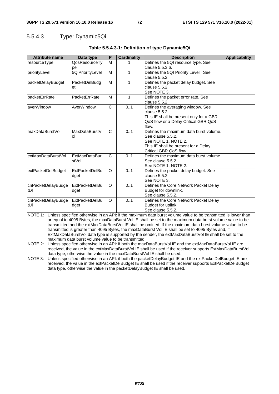# 5.5.4.3 Type: Dynamic5Qi

| <b>Attribute name</b>                                                                                                                                                   | Data type             | P              | <b>Cardinality</b> | <b>Description</b>                                                                                        | <b>Applicability</b> |
|-------------------------------------------------------------------------------------------------------------------------------------------------------------------------|-----------------------|----------------|--------------------|-----------------------------------------------------------------------------------------------------------|----------------------|
| resourceType                                                                                                                                                            | QosResourceTy         | м              | 1                  | Defines the 5QI resource type. See                                                                        |                      |
|                                                                                                                                                                         | pe                    |                |                    | clause 5.5.3.6.                                                                                           |                      |
| priorityLevel                                                                                                                                                           | 5QiPriorityLevel      | M              | $\mathbf{1}$       | Defines the 5QI Priority Level. See                                                                       |                      |
|                                                                                                                                                                         |                       |                |                    | clause 5.5.2.                                                                                             |                      |
| packetDelayBudget                                                                                                                                                       | PacketDelBudg         | M              | $\mathbf{1}$       | Defines the packet delay budget. See                                                                      |                      |
|                                                                                                                                                                         | et                    |                |                    | clause 5.5.2.                                                                                             |                      |
|                                                                                                                                                                         |                       |                |                    | See NOTE 3.                                                                                               |                      |
| packetErrRate                                                                                                                                                           | PacketErrRate         | м              | $\mathbf{1}$       | Defines the packet error rate. See                                                                        |                      |
|                                                                                                                                                                         |                       |                |                    | clause 5.5.2.                                                                                             |                      |
| averWindow                                                                                                                                                              | AverWindow            | $\overline{C}$ | 0.1                | Defines the averaging window. See                                                                         |                      |
|                                                                                                                                                                         |                       |                |                    | clause 5.5.2.                                                                                             |                      |
|                                                                                                                                                                         |                       |                |                    | This IE shall be present only for a GBR                                                                   |                      |
|                                                                                                                                                                         |                       |                |                    | QoS flow or a Delay Critical GBR QoS<br>flow.                                                             |                      |
| maxDataBurstVol                                                                                                                                                         | MaxDataBurstV         | $\mathsf{C}$   | 0.1                | Defines the maximum data burst volume.                                                                    |                      |
|                                                                                                                                                                         | οl                    |                |                    | See clause 5.5.2.                                                                                         |                      |
|                                                                                                                                                                         |                       |                |                    | See NOTE 1, NOTE 2.                                                                                       |                      |
|                                                                                                                                                                         |                       |                |                    | This IE shall be present for a Delay                                                                      |                      |
|                                                                                                                                                                         |                       |                |                    | Critical GBR QoS flow.                                                                                    |                      |
| extMaxDataBurstVol                                                                                                                                                      | <b>ExtMaxDataBur</b>  | $\mathsf{C}$   | 0.1                | Defines the maximum data burst volume.                                                                    |                      |
|                                                                                                                                                                         | stVol                 |                |                    | See clause 5.5.2.                                                                                         |                      |
|                                                                                                                                                                         |                       |                |                    | See NOTE 1, NOTE 2.                                                                                       |                      |
| extPacketDelBudget                                                                                                                                                      | <b>ExtPacketDelBu</b> | O              | 0.1                | Defines the packet delay budget. See                                                                      |                      |
|                                                                                                                                                                         | dget                  |                |                    | clause 5.5.2.                                                                                             |                      |
|                                                                                                                                                                         |                       |                |                    | See NOTE 3.                                                                                               |                      |
| cnPacketDelayBudge                                                                                                                                                      | <b>ExtPacketDelBu</b> | O              | 0.1                | Defines the Core Network Packet Delay                                                                     |                      |
| tDI                                                                                                                                                                     | dget                  |                |                    | Budget for downlink.                                                                                      |                      |
|                                                                                                                                                                         |                       |                |                    | See clause 5.5.2.                                                                                         |                      |
| cnPacketDelayBudge                                                                                                                                                      | <b>ExtPacketDelBu</b> | O              | 0.1                | Defines the Core Network Packet Delay                                                                     |                      |
| tUI                                                                                                                                                                     | dget                  |                |                    | Budget for uplink.                                                                                        |                      |
| See clause 5.5.2.                                                                                                                                                       |                       |                |                    |                                                                                                           |                      |
| NOTE 1: Unless specified otherwise in an API: if the maximum data burst volume value to be transmitted is lower than                                                    |                       |                |                    |                                                                                                           |                      |
|                                                                                                                                                                         |                       |                |                    | or equal to 4095 Bytes, the maxDataBurst Vol IE shall be set to the maximum data burst volume value to be |                      |
| transmitted and the extMaxDataBurstVol IE shall be omitted. If the maximum data burst volume value to be                                                                |                       |                |                    |                                                                                                           |                      |
| transmitted is greater than 4095 Bytes, the maxDataBurst Vol IE shall be set to 4095 Bytes and, if                                                                      |                       |                |                    |                                                                                                           |                      |
| ExtMaxDataBurstVol data type is supported by the sender, the extMaxDataBurstVol IE shall be set to the                                                                  |                       |                |                    |                                                                                                           |                      |
| maximum data burst volume value to be transmitted.<br>Unless specified otherwise in an API: if both the maxDataBurstVol IE and the extMaxDataBurstVol IE are<br>NOTE 2: |                       |                |                    |                                                                                                           |                      |
| received, the value in the extMaxDataBurstVol IE shall be used if the receiver supports ExtMaxDataBurstVol                                                              |                       |                |                    |                                                                                                           |                      |
| data type, otherwise the value in the maxDataBurstVol IE shall be used.                                                                                                 |                       |                |                    |                                                                                                           |                      |
| NOTE 3:                                                                                                                                                                 |                       |                |                    | Unless specified otherwise in an API: if both the packetDelayBudget IE and the extPacketDelBudget IE are  |                      |
| received, the value in the extPacketDelBudget IE shall be used if the receiver supports ExtPacketDelBudget                                                              |                       |                |                    |                                                                                                           |                      |
|                                                                                                                                                                         |                       |                |                    | data type, otherwise the value in the packetDelayBudget IE shall be used.                                 |                      |

**Table 5.5.4.3-1: Definition of type Dynamic5Qi**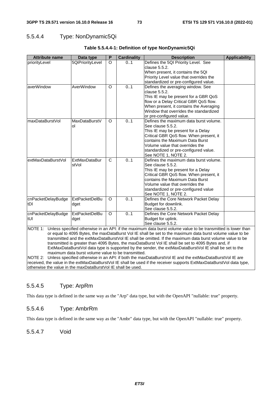### 5.5.4.4 Type: NonDynamic5Qi

| <b>Attribute name</b> | Data type             | P        | <b>Cardinality</b> | <b>Description</b>                                                                                                   | <b>Applicability</b> |
|-----------------------|-----------------------|----------|--------------------|----------------------------------------------------------------------------------------------------------------------|----------------------|
| priorityLevel         | 5QiPriorityLevel      | $\circ$  | 01                 | Defines the 5QI Priority Level. See                                                                                  |                      |
|                       |                       |          |                    | clause 5.5.2.                                                                                                        |                      |
|                       |                       |          |                    | When present, it contains the 5QI                                                                                    |                      |
|                       |                       |          |                    | Priority Level value that overrides the                                                                              |                      |
|                       |                       |          |                    | standardized or pre-configured value.                                                                                |                      |
| averWindow            | AverWindow            | $\circ$  | 0.1                | Defines the averaging window. See                                                                                    |                      |
|                       |                       |          |                    | clause 5.5.2.                                                                                                        |                      |
|                       |                       |          |                    | This IE may be present for a GBR QoS                                                                                 |                      |
|                       |                       |          |                    | flow or a Delay Critical GBR QoS flow.                                                                               |                      |
|                       |                       |          |                    | When present, it contains the Averaging                                                                              |                      |
|                       |                       |          |                    | Window that overrides the standardized                                                                               |                      |
|                       |                       |          |                    | or pre-configured value.                                                                                             |                      |
| maxDataBurstVol       | MaxDataBurstV         | O.       | 0.1                | Defines the maximum data burst volume.                                                                               |                      |
|                       | οl                    |          |                    | See clause 5.5.2.                                                                                                    |                      |
|                       |                       |          |                    | This IE may be present for a Delay                                                                                   |                      |
|                       |                       |          |                    | Critical GBR QoS flow. When present, it                                                                              |                      |
|                       |                       |          |                    | contains the Maximum Data Burst                                                                                      |                      |
|                       |                       |          |                    | Volume value that overrides the                                                                                      |                      |
|                       |                       |          |                    | standardized or pre-configured value.                                                                                |                      |
|                       |                       |          |                    | See NOTE 1, NOTE 2.                                                                                                  |                      |
| extMaxDataBurstVol    | <b>ExtMaxDataBur</b>  | C        | 0.1                | Defines the maximum data burst volume.                                                                               |                      |
|                       | stVol                 |          |                    | See clause 5.5.2.                                                                                                    |                      |
|                       |                       |          |                    | This IE may be present for a Delay                                                                                   |                      |
|                       |                       |          |                    | Critical GBR QoS flow. When present, it                                                                              |                      |
|                       |                       |          |                    | contains the Maximum Data Burst                                                                                      |                      |
|                       |                       |          |                    | Volume value that overrides the                                                                                      |                      |
|                       |                       |          |                    | standardized or pre-configured value                                                                                 |                      |
|                       |                       |          |                    | See NOTE 1, NOTE 2.                                                                                                  |                      |
| cnPacketDelayBudge    | <b>ExtPacketDelBu</b> | $\circ$  | 0.1                | Defines the Core Network Packet Delay                                                                                |                      |
| tDI                   | dget                  |          |                    | Budget for downlink.                                                                                                 |                      |
|                       |                       |          |                    | See clause 5.5.2.                                                                                                    |                      |
| cnPacketDelayBudge    | <b>ExtPacketDelBu</b> | $\Omega$ | 0.1                | Defines the Core Network Packet Delay                                                                                |                      |
| ltUI                  | dget                  |          |                    | Budget for uplink.                                                                                                   |                      |
|                       |                       |          |                    | See clause 5.5.2.                                                                                                    |                      |
|                       |                       |          |                    | NOTE 1: Unless specified otherwise in an API: if the maximum data burst volume value to be transmitted is lower than |                      |
|                       |                       |          |                    | or equal to 4095 Bytes, the maxDataBurst Vol IE shall be set to the maximum data burst volume value to be            |                      |

#### **Table 5.5.4.4-1: Definition of type NonDynamic5Qi**

or equal to 4095 Bytes, the maxDataBurst Vol IE shall be set to the maximum data burst volume value to be transmitted and the extMaxDataBurstVol IE shall be omitted. If the maximum data burst volume value to be transmitted is greater than 4095 Bytes, the maxDataBurst Vol IE shall be set to 4095 Bytes and, if ExtMaxDataBurstVol data type is supported by the sender, the extMaxDataBurstVol IE shall be set to the maximum data burst volume value to be transmitted.

NOTE 2: Unless specified otherwise in an API: if both the maxDataBurstVol IE and the extMaxDataBurstVol IE are received, the value in the extMaxDataBurstVol IE shall be used if the receiver supports ExtMaxDataBurstVol data type, otherwise the value in the maxDataBurstVol IE shall be used.

### 5.5.4.5 Type: ArpRm

This data type is defined in the same way as the "Arp" data type, but with the OpenAPI "nullable: true" property.

### 5.5.4.6 Type: AmbrRm

This data type is defined in the same way as the "Ambr" data type, but with the OpenAPI "nullable: true" property.

5.5.4.7 Void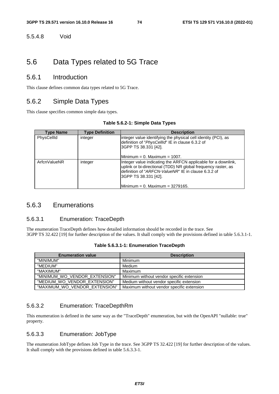5.5.4.8 Void

# 5.6 Data Types related to 5G Trace

### 5.6.1 Introduction

This clause defines common data types related to 5G Trace.

### 5.6.2 Simple Data Types

This clause specifies common simple data types.

#### **Table 5.6.2-1: Simple Data Types**

| <b>Type Name</b> | <b>Type Definition</b> | <b>Description</b>                                                                                                                                                                                                                                          |
|------------------|------------------------|-------------------------------------------------------------------------------------------------------------------------------------------------------------------------------------------------------------------------------------------------------------|
| PhysCellId       | integer                | linteger value identifying the physical cell identity (PCI), as<br>definition of "PhysCellId" IE in clause 6.3.2 of<br>3GPP TS 38.331 [42].<br>Minimum = 0. Maximum = 1007.                                                                                 |
| ArfcnValueNR     | integer                | Integer value indicating the ARFCN applicable for a downlink,<br>uplink or bi-directional (TDD) NR global frequency raster, as<br>ldefinition of " <i>ARFCN-ValueNR</i> " IE in clause 6.3.2 of<br>3GPP TS 38.331 [42].<br>IMinimum = 0. Maximum = 3279165. |

### 5.6.3 Enumerations

#### 5.6.3.1 Enumeration: TraceDepth

The enumeration TraceDepth defines how detailed information should be recorded in the trace. See 3GPP TS 32.422 [19] for further description of the values. It shall comply with the provisions defined in table 5.6.3.1-1.

| <b>Enumeration value</b>      | <b>Description</b>                        |
|-------------------------------|-------------------------------------------|
| "MINIMUM"                     | Minimum                                   |
| "MEDIUM"                      | Medium                                    |
| "MAXIMUM"                     | Maximum                                   |
| "MINIMUM WO VENDOR EXTENSION" | Minimum without vendor specific extension |
| "MEDIUM_WO_VENDOR_EXTENSION"  | Medium without vendor specific extension  |
| "MAXIMUM WO VENDOR EXTENSION" | Maximum without vendor specific extension |

### 5.6.3.2 Enumeration: TraceDepthRm

This enumeration is defined in the same way as the "TraceDepth" enumeration, but with the OpenAPI "nullable: true" property.

#### 5.6.3.3 Enumeration: JobType

The enumeration JobType defines Job Type in the trace. See 3GPP TS 32.422 [19] for further description of the values. It shall comply with the provisions defined in table 5.6.3.3-1.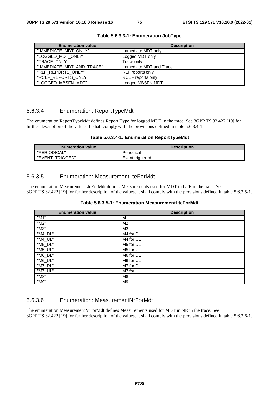| <b>Enumeration value</b>  | <b>Description</b>       |
|---------------------------|--------------------------|
| "IMMEDIATE_MDT_ONLY"      | Immediate MDT only       |
| "LOGGED_MDT_ONLY"         | Logged MDT only          |
| "TRACE_ONLY"              | Trace only               |
| "IMMEDIATE_MDT_AND_TRACE" | Immediate MDT and Trace  |
| "RLF_REPORTS_ONLY"        | RLF reports only         |
| "RCEF_REPORTS_ONLY"       | <b>RCEF</b> reports only |
| "LOGGED_MBSFN_MDT"        | Logged MBSFN MDT         |

**Table 5.6.3.3-1: Enumeration JobType** 

### 5.6.3.4 Enumeration: ReportTypeMdt

The enumeration ReportTypeMdt defines Report Type for logged MDT in the trace. See 3GPP TS 32.422 [19] for further description of the values. It shall comply with the provisions defined in table 5.6.3.4-1.

|  |  | Table 5.6.3.4-1: Enumeration ReportTypeMdt |
|--|--|--------------------------------------------|
|--|--|--------------------------------------------|

| <b>Enumeration value</b> | <b>Description</b> |
|--------------------------|--------------------|
| "PERIODICAL"             | Periodical         |
| "EVENT TRIGGED"          | Event triggered    |

#### 5.6.3.5 Enumeration: MeasurementLteForMdt

The enumeration MeasurementLteForMdt defines Measurements used for MDT in LTE in the trace. See 3GPP TS 32.422 [19] for further description of the values. It shall comply with the provisions defined in table 5.6.3.5-1.

| <b>Enumeration value</b> | <b>Description</b> |
|--------------------------|--------------------|
| "M1"                     | M1                 |
| "M2"                     | M2                 |
| "M3"                     | M <sub>3</sub>     |
| "M4_DL"                  | M4 for DL          |
| "M4_UL"                  | M4 for UL          |
| "M5_DL"                  | M5 for DL          |
| "M5_UL"                  | M5 for UL          |
| "M6_DL"                  | M6 for DL          |
| "M6_UL"                  | M6 for UL          |
| "M7_DL"                  | M7 for DL          |
| "M7_UL"                  | M7 for UL          |
| "M8"                     | M8                 |
| "M9"                     | M <sub>9</sub>     |

### 5.6.3.6 Enumeration: MeasurementNrForMdt

The enumeration MeasurementNrForMdt defines Measurements used for MDT in NR in the trace. See 3GPP TS 32.422 [19] for further description of the values. It shall comply with the provisions defined in table 5.6.3.6-1.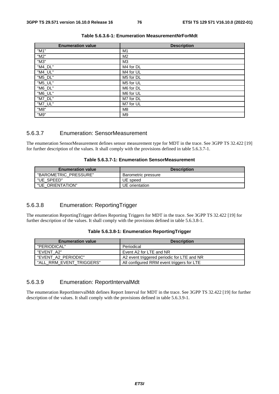| <b>Enumeration value</b> | <b>Description</b> |
|--------------------------|--------------------|
| "M1"                     | M1                 |
| "M2"                     | M2                 |
| "M3"                     | M <sub>3</sub>     |
| "M4_DL"                  | M4 for DL          |
| "M4_UL"                  | M4 for UL          |
| "M5_DL"                  | M5 for DL          |
| "M5_UL"                  | M5 for UL          |
| "M6_DL"                  | M6 for DL          |
| "M6_UL"                  | M6 for UL          |
| "M7_DL"                  | M7 for DL          |
| "M7_UL"                  | M7 for UL          |
| "M8"                     | M8                 |
| "M9"                     | M <sub>9</sub>     |

#### **Table 5.6.3.6-1: Enumeration MeasurementNrForMdt**

### 5.6.3.7 Enumeration: SensorMeasurement

The enumeration SensorMeasurement defines sensor measurement type for MDT in the trace. See 3GPP TS 32.422 [19] for further description of the values. It shall comply with the provisions defined in table 5.6.3.7-1.

#### **Table 5.6.3.7-1: Enumeration SensorMeasurement**

| <b>Enumeration value</b> | <b>Description</b>  |
|--------------------------|---------------------|
| "BAROMETRIC PRESSURE"    | Barometric pressure |
| "UE SPEED"               | UE speed            |
| "UE ORIENTATION"         | UE orientation      |

### 5.6.3.8 Enumeration: ReportingTrigger

The enumeration ReportingTrigger defines Reporting Triggers for MDT in the trace. See 3GPP TS 32.422 [19] for further description of the values. It shall comply with the provisions defined in table 5.6.3.8-1.

|  |  | Table 5.6.3.8-1: Enumeration ReportingTrigger |
|--|--|-----------------------------------------------|
|--|--|-----------------------------------------------|

| <b>Enumeration value</b> | <b>Description</b>                         |
|--------------------------|--------------------------------------------|
| "PERIODICAL"             | Periodical                                 |
| "EVENT A2"               | Event A2 for LTE and NR                    |
| "EVENT A2 PERIODIC"      | A2 event triggered periodic for LTE and NR |
| "ALL RRM EVENT TRIGGERS" | All configured RRM event triggers for LTE  |

### 5.6.3.9 Enumeration: ReportIntervalMdt

The enumeration ReportIntervalMdt defines Report Interval for MDT in the trace. See 3GPP TS 32.422 [19] for further description of the values. It shall comply with the provisions defined in table 5.6.3.9-1.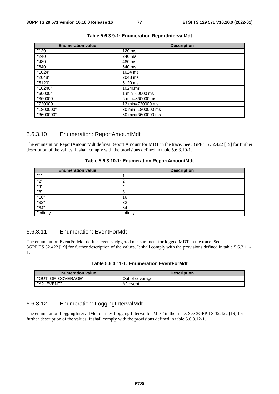| <b>Enumeration value</b> | <b>Description</b> |
|--------------------------|--------------------|
| "120"                    | 120 ms             |
| "240"                    | 240 ms             |
| "480"                    | 480 ms             |
| "640"                    | 640 ms             |
| "1024"                   | 1024 ms            |
| "2048"                   | 2048 ms            |
| "5120"                   | 5120 ms            |
| "10240"                  | 10240ms            |
| "60000"                  | 1 min=60000 ms     |
| "360000"                 | 6 min=360000 ms    |
| "720000"                 | 12 min=720000 ms   |
| "1800000"                | 30 min=1800000 ms  |
| "3600000"                | 60 min=3600000 ms  |

#### **Table 5.6.3.9-1: Enumeration ReportIntervalMdt**

### 5.6.3.10 Enumeration: ReportAmountMdt

The enumeration ReportAmountMdt defines Report Amount for MDT in the trace. See 3GPP TS 32.422 [19] for further description of the values. It shall comply with the provisions defined in table 5.6.3.10-1.

| <b>Enumeration value</b> | <b>Description</b> |
|--------------------------|--------------------|
| $H \rightarrow H$        |                    |
| "2"                      |                    |
| "4"                      |                    |
| "8"                      | 8                  |
| "16"                     | 16                 |
| "32"                     | 32                 |
| "64"                     | 64                 |
| "infinity"               | Infinity           |

#### **Table 5.6.3.10-1: Enumeration ReportAmountMdt**

### 5.6.3.11 Enumeration: EventForMdt

The enumeration EventForMdt defines events triggered measurement for logged MDT in the trace. See 3GPP TS 32.422 [19] for further description of the values. It shall comply with the provisions defined in table 5.6.3.11- 1.

|--|--|

| <b>Enumeration value</b> | <b>Description</b>   |
|--------------------------|----------------------|
| "OUT OF COVERAGE"        | Out of coverage      |
| "A2 EVENT"               | A <sub>2</sub> event |

### 5.6.3.12 Enumeration: LoggingIntervalMdt

The enumeration LoggingIntervalMdt defines Logging Interval for MDT in the trace. See 3GPP TS 32.422 [19] for further description of the values. It shall comply with the provisions defined in table 5.6.3.12-1.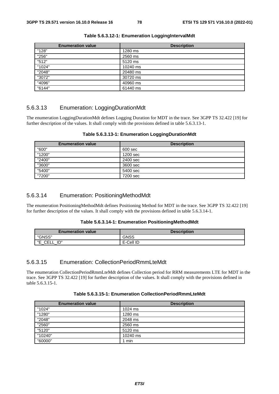| <b>Enumeration value</b> | <b>Description</b> |
|--------------------------|--------------------|
| "128"                    | 1280 ms            |
| "256"                    | 2560 ms            |
| "512"                    | 5120 ms            |
| "1024"                   | 10240 ms           |
| "2048"                   | 20480 ms           |
| "3072"                   | 30720 ms           |
| "4096"                   | 40960 ms           |
| "6144"                   | 61440 ms           |

**Table 5.6.3.12-1: Enumeration LoggingIntervalMdt** 

### 5.6.3.13 Enumeration: LoggingDurationMdt

The enumeration LoggingDurationMdt defines Logging Duration for MDT in the trace. See 3GPP TS 32.422 [19] for further description of the values. It shall comply with the provisions defined in table 5.6.3.13-1.

| <b>Enumeration value</b> | <b>Description</b> |
|--------------------------|--------------------|
| "600"                    | 600 sec            |
| "1200"                   | 1200 sec           |
| "2400"                   | 2400 sec           |
| "3600"                   | 3600 sec           |
| "5400"                   | 5400 sec           |
| "7200"                   | 7200 sec           |

**Table 5.6.3.13-1: Enumeration LoggingDurationMdt** 

#### 5.6.3.14 Enumeration: PositioningMethodMdt

The enumeration PositioningMethodMdt defines Positioning Method for MDT in the trace. See 3GPP TS 32.422 [19] for further description of the values. It shall comply with the provisions defined in table 5.6.3.14-1.

|  | Table 5.6.3.14-1: Enumeration PositioningMethodMdt |
|--|----------------------------------------------------|
|--|----------------------------------------------------|

| <b>Enumeration value</b>      | <b>Description</b> |
|-------------------------------|--------------------|
| "GNSS"                        | GNSS               |
| "⊏<br>ID"<br>∩⊏i<br>UELL<br>- | E-Cell ID          |

### 5.6.3.15 Enumeration: CollectionPeriodRmmLteMdt

The enumeration CollectionPeriodRmmLteMdt defines Collection period for RRM measurements LTE for MDT in the trace. See 3GPP TS 32.422 [19] for further description of the values. It shall comply with the provisions defined in table 5.6.3.15-1.

| <b>Enumeration value</b> | <b>Description</b> |
|--------------------------|--------------------|
| "1024"                   | 1024 ms            |
| "1280"                   | 1280 ms            |
| "2048"                   | 2048 ms            |
| "2560"                   | 2560 ms            |
| "5120"                   | 5120 ms            |
| "10240"                  | 10240 ms           |
| "60000"                  | min                |

#### **Table 5.6.3.15-1: Enumeration CollectionPeriodRmmLteMdt**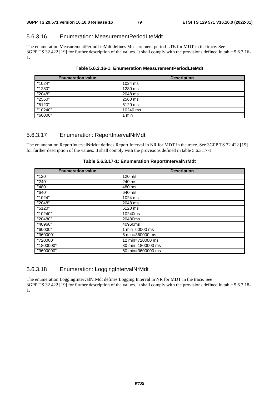### 5.6.3.16 Enumeration: MeasurementPeriodLteMdt

The enumeration MeasurementPeriodLteMdt defines Measurement period LTE for MDT in the trace. See 3GPP TS 32.422 [19] for further description of the values. It shall comply with the provisions defined in table 5.6.3.16- 1.

| <b>Enumeration value</b> | <b>Description</b> |
|--------------------------|--------------------|
| "1024"                   | 1024 ms            |
| "1280"                   | 1280 ms            |
| "2048"                   | 2048 ms            |
| "2560"                   | 2560 ms            |
| "5120"                   | 5120 ms            |
| "10240"                  | 10240 ms           |
| "60000"                  | min                |

#### **Table 5.6.3.16-1: Enumeration MeasurementPeriodLteMdt**

### 5.6.3.17 Enumeration: ReportIntervalNrMdt

The enumeration ReportIntervalNrMdt defines Report Interval in NR for MDT in the trace. See 3GPP TS 32.422 [19] for further description of the values. It shall comply with the provisions defined in table 5.6.3.17-1.

| <b>Enumeration value</b> | <b>Description</b> |
|--------------------------|--------------------|
| "120"                    | 120 ms             |
| "240"                    | 240 ms             |
| "480"                    | 480 ms             |
| "640"                    | 640 ms             |
| "1024"                   | 1024 ms            |
| "2048"                   | 2048 ms            |
| "5120"                   | 5120 ms            |
| "10240"                  | 10240ms            |
| "20480"                  | 20480ms            |
| "40960"                  | 40960ms            |
| "60000"                  | 1 min=60000 ms     |
| "360000"                 | 6 min=360000 ms    |
| "720000"                 | 12 min=720000 ms   |
| "1800000"                | 30 min=1800000 ms  |
| "3600000"                | 60 min=3600000 ms  |

#### **Table 5.6.3.17-1: Enumeration ReportIntervalNrMdt**

### 5.6.3.18 Enumeration: LoggingIntervalNrMdt

The enumeration LoggingIntervalNrMdt defines Logging Interval in NR for MDT in the trace. See 3GPP TS 32.422 [19] for further description of the values. It shall comply with the provisions defined in table 5.6.3.18- 1.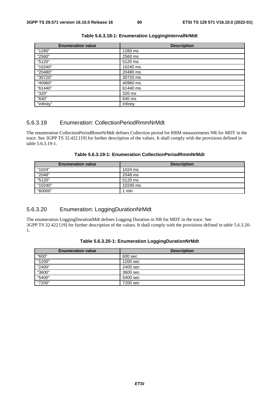| <b>Enumeration value</b> | <b>Description</b> |
|--------------------------|--------------------|
| "1280"                   | 1280 ms            |
| "2560"                   | 2560 ms            |
| "5120"                   | 5120 ms            |
| "10240"                  | 10240 ms           |
| "20480"                  | 20480 ms           |
| "30720"                  | 30720 ms           |
| "40960"                  | 40960 ms           |
| "61440"                  | 61440 ms           |
| "320"                    | 320 ms             |
| "640"                    | 640 ms             |
| "infinity"               | Infinity           |

#### **Table 5.6.3.18-1: Enumeration LoggingIntervalNrMdt**

### 5.6.3.19 Enumeration: CollectionPeriodRmmNrMdt

The enumeration CollectionPeriodRmmNrMdt defines Collection period for RRM measurements NR for MDT in the trace. See 3GPP TS 32.422 [19] for further description of the values. It shall comply with the provisions defined in table 5.6.3.19-1.

| Table 5.6.3.19-1: Enumeration CollectionPeriodRmmNrMdt |  |
|--------------------------------------------------------|--|
|--------------------------------------------------------|--|

| <b>Enumeration value</b> | <b>Description</b> |
|--------------------------|--------------------|
| "1024"                   | 1024 ms            |
| "2048"                   | 2048 ms            |
| "5120"                   | 5120 ms            |
| "10240"                  | 10240 ms           |
| "60000"                  | l min              |

### 5.6.3.20 Enumeration: LoggingDurationNrMdt

The enumeration LoggingDurationMdt defines Logging Duration in NR for MDT in the trace. See 3GPP TS 32.422 [19] for further description of the values. It shall comply with the provisions defined in table 5.6.3.20- 1.

| <b>Enumeration value</b> | <b>Description</b> |
|--------------------------|--------------------|
| "600"                    | 600 sec            |
| "1200"                   | 1200 sec           |
| "2400"                   | 2400 sec           |
| "3600"                   | 3600 sec           |
| "5400"                   | 5400 sec           |
| "7200"                   | 7200 sec           |

|  | Table 5.6.3.20-1: Enumeration LoggingDurationNrMdt |
|--|----------------------------------------------------|
|  |                                                    |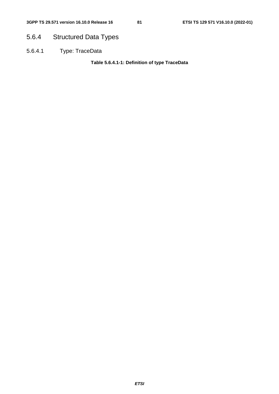# 5.6.4 Structured Data Types

5.6.4.1 Type: TraceData

**Table 5.6.4.1-1: Definition of type TraceData**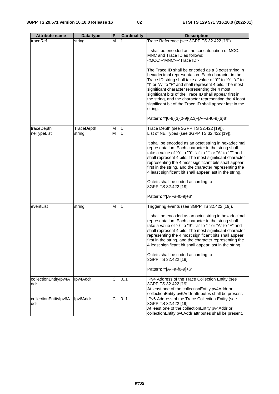| <b>Attribute name</b>        | Data type  | P | <b>Cardinality</b> | <b>Description</b>                                                                                                                                                                                                                                                                                                                                                                                                                                                                                                                                                                                                       |
|------------------------------|------------|---|--------------------|--------------------------------------------------------------------------------------------------------------------------------------------------------------------------------------------------------------------------------------------------------------------------------------------------------------------------------------------------------------------------------------------------------------------------------------------------------------------------------------------------------------------------------------------------------------------------------------------------------------------------|
| traceRef                     | string     | м | 1                  | Trace Reference (see 3GPP TS 32.422 [19]).                                                                                                                                                                                                                                                                                                                                                                                                                                                                                                                                                                               |
|                              |            |   |                    | It shall be encoded as the concatenation of MCC,<br>MNC and Trace ID as follows:<br><mcc><mnc>-<trace id=""><br/>The Trace ID shall be encoded as a 3 octet string in<br/>hexadecimal representation. Each character in the<br/>Trace ID string shall take a value of "0" to "9", "a" to<br/>"f" or "A" to "F" and shall represent 4 bits. The most<br/>significant character representing the 4 most<br/>significant bits of the Trace ID shall appear first in<br/>the string, and the character representing the 4 least<br/>significant bit of the Trace ID shall appear last in the<br/>string.</trace></mnc></mcc> |
|                              |            |   |                    | Pattern: '^[0-9]{3}[0-9]{2,3}-[A-Fa-f0-9]{6}\$'                                                                                                                                                                                                                                                                                                                                                                                                                                                                                                                                                                          |
| traceDepth                   | TraceDepth | M |                    | Trace Depth (see 3GPP TS 32.422 [19]).                                                                                                                                                                                                                                                                                                                                                                                                                                                                                                                                                                                   |
| neTypeList                   | string     | м | 1                  | List of NE Types (see 3GPP TS 32.422 [19]).                                                                                                                                                                                                                                                                                                                                                                                                                                                                                                                                                                              |
|                              |            |   |                    | It shall be encoded as an octet string in hexadecimal<br>representation. Each character in the string shall<br>take a value of "0" to "9", "a" to "f" or "A" to "F" and<br>shall represent 4 bits. The most significant character<br>representing the 4 most significant bits shall appear<br>first in the string, and the character representing the<br>4 least significant bit shall appear last in the string.                                                                                                                                                                                                        |
|                              |            |   |                    | Octets shall be coded according to                                                                                                                                                                                                                                                                                                                                                                                                                                                                                                                                                                                       |
|                              |            |   |                    | 3GPP TS 32.422 [19].                                                                                                                                                                                                                                                                                                                                                                                                                                                                                                                                                                                                     |
|                              |            |   |                    | Pattern: '^[A-Fa-f0-9]+\$'                                                                                                                                                                                                                                                                                                                                                                                                                                                                                                                                                                                               |
| eventList                    | string     | M | 1                  | Triggering events (see 3GPP TS 32.422 [19]).                                                                                                                                                                                                                                                                                                                                                                                                                                                                                                                                                                             |
|                              |            |   |                    | It shall be encoded as an octet string in hexadecimal<br>representation. Each character in the string shall<br>take a value of "0" to "9", "a" to "f" or "A" to "F" and<br>shall represent 4 bits. The most significant character<br>representing the 4 most significant bits shall appear<br>first in the string, and the character representing the<br>4 least significant bit shall appear last in the string.                                                                                                                                                                                                        |
|                              |            |   |                    | Octets shall be coded according to<br>3GPP TS 32.422 [19].                                                                                                                                                                                                                                                                                                                                                                                                                                                                                                                                                               |
|                              |            |   |                    | Pattern: '^[A-Fa-f0-9]+\$'                                                                                                                                                                                                                                                                                                                                                                                                                                                                                                                                                                                               |
| collectionEntitylpv4A<br>ddr | Ipv4Addr   | C | 0.1                | IPv4 Address of the Trace Collection Entity (see<br>3GPP TS 32.422 [19].<br>At least one of the collectionEntitylpv4Addr or<br>collectionEntityIpv6Addr attributes shall be present.                                                                                                                                                                                                                                                                                                                                                                                                                                     |
| collectionEntitylpv6A<br>ddr | Ipv6Addr   | C | 0.1                | IPv6 Address of the Trace Collection Entity (see<br>3GPP TS 32.422 [19].<br>At least one of the collectionEntitylpv4Addr or<br>collectionEntityIpv6Addr attributes shall be present.                                                                                                                                                                                                                                                                                                                                                                                                                                     |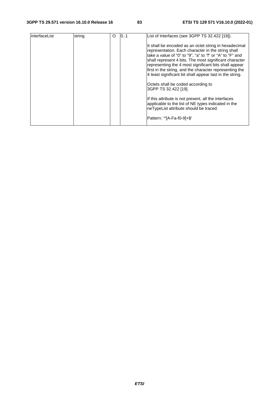| interfaceList | string | O | 0.1 | List of Interfaces (see 3GPP TS 32.422 [19]).                                                                                                                                                                                                                                                                                                                                                                     |
|---------------|--------|---|-----|-------------------------------------------------------------------------------------------------------------------------------------------------------------------------------------------------------------------------------------------------------------------------------------------------------------------------------------------------------------------------------------------------------------------|
|               |        |   |     | It shall be encoded as an octet string in hexadecimal<br>representation. Each character in the string shall<br>take a value of "0" to "9", "a" to "f" or "A" to "F" and<br>shall represent 4 bits. The most significant character<br>representing the 4 most significant bits shall appear<br>first in the string, and the character representing the<br>4 least significant bit shall appear last in the string. |
|               |        |   |     | Octets shall be coded according to<br>3GPP TS 32.422 [19].                                                                                                                                                                                                                                                                                                                                                        |
|               |        |   |     | If this attribute is not present, all the interfaces<br>applicable to the list of NE types indicated in the<br>neTypeList attribute should be traced.                                                                                                                                                                                                                                                             |
|               |        |   |     | lPattern: '^IA-Fa-f0-91+\$'                                                                                                                                                                                                                                                                                                                                                                                       |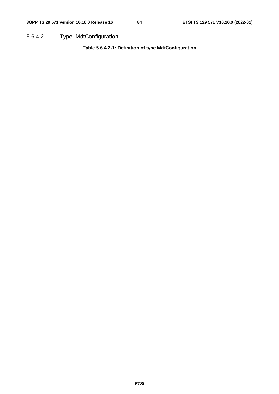5.6.4.2 Type: MdtConfiguration

**Table 5.6.4.2-1: Definition of type MdtConfiguration**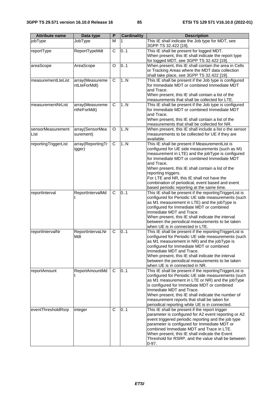| <b>Attribute name</b>     | Data type                       | $\overline{P}$ | <b>Cardinality</b> | <b>Description</b>                                                                                                                                                                                                                                                                                                                                                                                                                              |
|---------------------------|---------------------------------|----------------|--------------------|-------------------------------------------------------------------------------------------------------------------------------------------------------------------------------------------------------------------------------------------------------------------------------------------------------------------------------------------------------------------------------------------------------------------------------------------------|
| jobType                   | JobType                         | м              |                    | This IE shall indicate the Job type for MDT, see<br>3GPP TS 32.422 [19].                                                                                                                                                                                                                                                                                                                                                                        |
| reportType                | ReportTypeMdt                   | C              | 0.1                | This IE shall be present for logged MDT.<br>When present, this IE shall indicate the report type<br>for logged MDT, see 3GPP TS 32.422 [19].                                                                                                                                                                                                                                                                                                    |
| areaScope                 | AreaScope                       | O              | 0.1                | When present, this IE shall contain the area in Cells<br>or Tracking Areas where the MDT data collection<br>shall take place, see 3GPP TS 32.422 [19].                                                                                                                                                                                                                                                                                          |
| measurementLteList        | array(Measureme<br>ntLteForMdt) | C              | 1N                 | This IE shall be present if the Job type is configured<br>for Immediate MDT or combined Immediate MDT<br>and Trace.<br>When present, this IE shall contain a list of the                                                                                                                                                                                                                                                                        |
| measurementNrList         | array(Measureme<br>ntNrForMdt)  | C              | 1N                 | measurements that shall be collected for LTE.<br>This IE shall be present if the Job type is configured<br>for Immediate MDT or combined Immediate MDT<br>and Trace.<br>When present, this IE shall contain a list of the<br>measurements that shall be collected for NR.                                                                                                                                                                       |
| sensorMeasurement<br>List | array(SensorMea<br>surement)    | O              | 1N                 | When present, this IE shall include a list o the sensor<br>measurements to be collected for UE if they are<br>available.                                                                                                                                                                                                                                                                                                                        |
| reportingTriggerList      | array(ReportingTr<br>igger)     | C              | 1.N                | This IE shall be present if MeasurementList is<br>configured for UE side measurements (such as M1<br>measurement in LTE) and the jobType is configured<br>for Immediate MDT or combined Immediate MDT<br>and Trace.<br>When present, this IE shall contain a list of the<br>reporting triggers.<br>For LTE and NR, this IE shall not have the<br>combination of periodical, event based and event<br>based periodic reporting at the same time. |
| reportInterval            | ReportIntervalMd                | C              | 0.1                | This IE shall be present if the reporting TriggerList is<br>configured for Periodic UE side measurements (such<br>as M1 measurement in LTE) and the jobType is<br>configured for Immediate MDT or combined<br>Immediate MDT and Trace.<br>When present, this IE shall indicate the interval<br>between the periodical measurements to be taken<br>when UE is in connected in LTE.                                                               |
| reportIntervalNr          | ReportIntervaLNr<br>Mdt         | C              | 0.1                | This IE shall be present if the reporting TriggerList is<br>configured for Periodic UE side measurements (such<br>as M1 measurement in NR) and the jobType is<br>configured for Immediate MDT or combined<br>Immediate MDT and Trace.<br>When present, this IE shall indicate the interval<br>between the periodical measurements to be taken<br>when UE is in connected in NR.                                                                 |
| reportAmount              | ReportAmountMd                  | C              | 0.1                | This IE shall be present if the reporting TriggerList is<br>configured for Periodic UE side measurements (such<br>as M1 measurement in LTE or NR) and the jobType<br>is configured for Immediate MDT or combined<br>Immediate MDT and Trace.<br>When present, this IE shall indicate the number of<br>measurement reports that shall be taken for<br>periodical reporting while UE is in connected.                                             |
| eventThresholdRsrp        | integer                         | C              | 0.1                | This IE shall be present if the report trigger<br>parameter is configured for A2 event reporting or A2<br>event triggered periodic reporting and the job type<br>parameter is configured for Immediate MDT or<br>combined Immediate MDT and Trace in LTE.<br>When present, this IE shall indicate the Event<br>Threshold for RSRP, and the value shall be between<br>$0 - 97.$                                                                  |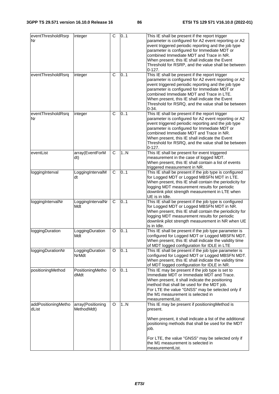|                              |                                 | $\overline{\text{c}}$ | 0.1 |                                                                                                                                                                                                                                                                                                                                                                                |
|------------------------------|---------------------------------|-----------------------|-----|--------------------------------------------------------------------------------------------------------------------------------------------------------------------------------------------------------------------------------------------------------------------------------------------------------------------------------------------------------------------------------|
| eventThresholdRsrp<br>Nr     | integer                         |                       |     | This IE shall be present if the report trigger<br>parameter is configured for A2 event reporting or A2<br>event triggered periodic reporting and the job type<br>parameter is configured for Immediate MDT or<br>combined Immediate MDT and Trace in NR.<br>When present, this IE shall indicate the Event<br>Threshold for RSRP, and the value shall be between<br>$0-127.$   |
| eventThresholdRsrq           | integer                         | C                     | 0.1 | This IE shall be present if the report trigger<br>parameter is configured for A2 event reporting or A2<br>event triggered periodic reporting and the job type<br>parameter is configured for Immediate MDT or<br>combined Immediate MDT and Trace in LTE.<br>When present, this IE shall indicate the Event<br>Threshold for RSRQ, and the value shall be between<br>$0 - 34.$ |
| eventThresholdRsrq<br>Nr     | integer                         | C                     | 0.1 | This IE shall be present if the report trigger<br>parameter is configured for A2 event reporting or A2<br>event triggered periodic reporting and the job type<br>parameter is configured for Immediate MDT or<br>combined Immediate MDT and Trace in NR.<br>When present, this IE shall indicate the Event<br>Threshold for RSRQ, and the value shall be between<br>$0 - 127.$ |
| eventList                    | array(EventForM<br>dt)          | C                     | 1N  | This IE shall be present for event triggered<br>measurement in the case of logged MDT.<br>When present, this IE shall contain a list of events<br>triggered measurement in NR.                                                                                                                                                                                                 |
| loggingInterval              | LoggingIntervalM<br>dt          | C                     | 0.1 | This IE shall be present if the job type is configured<br>for Logged MDT or Logged MBSFN MDT in LTE.<br>When present, this IE shall contain the periodicity for<br>logging MDT measurement results for periodic<br>downlink pilot strength measurement in LTE when<br>UE is in Idle.                                                                                           |
| loggingIntervalNr            | LoggingIntervalNr<br>Mdt        | С                     | 0.1 | This IE shall be present if the job type is configured<br>for Logged MDT or Logged MBSFN MDT in NR.<br>When present, this IE shall contain the periodicity for<br>logging MDT measurement results for periodic<br>downlink pilot strength measurement in NR when UE<br>is in Idle.                                                                                             |
| loggingDuration              | LoggingDuration<br>Mdt          | O                     | 0.1 | This IE shall be present if the job type parameter is<br>configured for Logged MDT or Logged MBSFN MDT.<br>When present, this IE shall indicate the validity time<br>of MDT logged configuration for IDLE in LTE                                                                                                                                                               |
| loggingDurationNr            | LoggingDuration<br>NrMdt        | O                     | 0.1 | This IE shall be present if the job type parameter is<br>configured for Logged MDT or Logged MBSFN MDT.<br>When present, this IE shall indicate the validity time<br>of MDT logged configuration for IDLE in NR.                                                                                                                                                               |
| positioningMethod            | PositioningMetho<br>dMdt        | O                     | 0.1 | This IE may be present if the job type is set to<br>Immediate MDT or Immediate MDT and Trace.<br>When present, it shall indicate the positioning<br>method that shall be used for the MDT job.<br>For LTE the value "GNSS" may be selected only if<br>the M1 measurement is selected in<br>measurementList.                                                                    |
| addPositioningMetho<br>dList | array(Positioning<br>MethodMdt) | O                     | 1N  | This IE may be present if positioningMethod is<br>present.<br>When present, it shall indicate a list of the additional<br>positioning methods that shall be used for the MDT<br>job.<br>For LTE, the value "GNSS" may be selected only if<br>the M1 measurement is selected in<br>measurementList.                                                                             |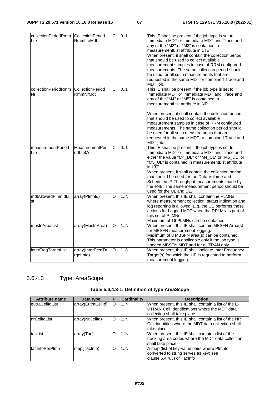| collectionPeriodRmm | <b>CollectionPeriod</b> | $\mathsf{C}$ | 0.1 | This IE shall be present if the job type is set to   |
|---------------------|-------------------------|--------------|-----|------------------------------------------------------|
| Lte                 | <b>RmmLteMdt</b>        |              |     | Immediate MDT or Immediate MDT and Trace and         |
|                     |                         |              |     | any of the "M2" or "M3" is contained in              |
|                     |                         |              |     | measurementList attribute in LTE.                    |
|                     |                         |              |     | When present, it shall contain the collection period |
|                     |                         |              |     | that should be used to collect available             |
|                     |                         |              |     | measurement samples in case of RRM configured        |
|                     |                         |              |     | measurements. The same collection period should      |
|                     |                         |              |     | be used for all such measurements that are           |
|                     |                         |              |     | requested in the same MDT or combined Trace and      |
|                     |                         |              |     | MDT job.                                             |
| collectionPeriodRmm | <b>CollectionPeriod</b> | $\mathsf{C}$ | 0.1 | This IE shall be present if the job type is set to   |
|                     |                         |              |     |                                                      |
| Nr                  | RmmNrMdt                |              |     | Immediate MDT or Immediate MDT and Trace and         |
|                     |                         |              |     | any of the "M4" or "M5" is contained in              |
|                     |                         |              |     | measurementList attribute in NR.                     |
|                     |                         |              |     | When present, it shall contain the collection period |
|                     |                         |              |     | that should be used to collect available             |
|                     |                         |              |     | measurement samples in case of RRM configured        |
|                     |                         |              |     | measurements. The same collection period should      |
|                     |                         |              |     | be used for all such measurements that are           |
|                     |                         |              |     | requested in the same MDT or combined Trace and      |
|                     |                         |              |     | MDT job.                                             |
| measurementPeriod   | <b>MeasurementPeri</b>  | $\mathsf{C}$ | 0.1 | This IE shall be present if the job type is set to   |
| Lte                 | odLteMdt                |              |     | Immediate MDT or Immediate MDT and Trace and         |
|                     |                         |              |     | either the value "M4_DL" or "M4_UL" or "M5_DL" or    |
|                     |                         |              |     | "M5_UL" is contained in measurementList attribute    |
|                     |                         |              |     | in LTE.                                              |
|                     |                         |              |     | When present, it shall contain the collection period |
|                     |                         |              |     | that should be used for the Data Volume and          |
|                     |                         |              |     | Scheduled IP Throughput measurements made by         |
|                     |                         |              |     | the eNB. The same measurement period should be       |
|                     |                         |              |     | used for the UL and DL.                              |
| mdtAllowedPlmnldLi  | array(Plmnld)           | $\circ$      | 1.N | When present, this IE shall contain the PLMNs        |
| st                  |                         |              |     | where measurement collection, status indication and  |
|                     |                         |              |     | log reporting is allowed. E.g. the UE performs these |
|                     |                         |              |     | actions for Logged MDT when the RPLMN is part of     |
|                     |                         |              |     | this set of PLMNs.                                   |
|                     |                         |              |     | Maximum of 16 PLMNs can be contained.                |
| mbsfnAreaList       | array(MbsfnArea)        | $\circ$      | 1N  | When present, this IE shall contain MBSFN Area(s)    |
|                     |                         |              |     | for MBSFN measurement logging.                       |
|                     |                         |              |     | Maximum of 8 MBSFN area(s) can be contained.         |
|                     |                         |              |     | This parameter is applicable only if the job type is |
|                     |                         |              |     | Logged MBSFN MDT and for eUTRAN only.                |
| interFreqTargetList | array(InterFreqTa       | $\circ$      | 1.8 | When present, this IE shall indicate Inter Frequency |
|                     | rgetInfo)               |              |     | Target(s) for which the UE is requested to perform   |
|                     |                         |              |     | measurement logging.                                 |

## 5.6.4.3 Type: AreaScope

| <b>Attribute name</b>   | Data type          | P       | <b>Cardinality</b> | <b>Description</b>                                                                                                          |
|-------------------------|--------------------|---------|--------------------|-----------------------------------------------------------------------------------------------------------------------------|
| <b>leutraCellIdList</b> | array(EutraCellId) | $\circ$ | 1N                 | When present, this IE shall contain a list of the E-<br>UTRAN Cell Identifications where the MDT data                       |
|                         |                    |         |                    | collection shall take place.                                                                                                |
| InrCellIdList           | array(NrCellId)    | $\circ$ | 1N                 | When present, this IE shall contain a list of the NR<br>Cell Identities where the MDT data collection shall<br>Itake place. |
| tacList                 | array(Tac)         | O       | 1N                 | When present, this IE shall contain a list of the<br>tracking area codes where the MDT data collection<br>shall take place. |
| <b>ItacInfoPerPlmn</b>  | map(TacInfo)       | O       | 1N                 | A map (list of key-value pairs where Plmnld<br>converted to string serves as key; see<br>clause 5.4.4.3) of Tacinfo         |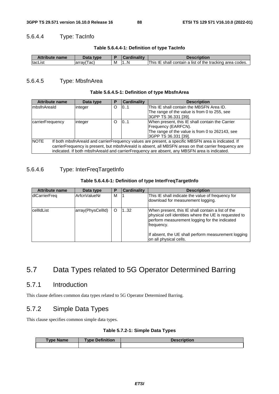### 5.6.4.4 Type: TacInfo

| Table 5.6.4.4-1: Definition of type TacInfo |  |
|---------------------------------------------|--|
|---------------------------------------------|--|

| і 4 | <b>Attribute name</b> | Data type     |   |   | Description                                              |
|-----|-----------------------|---------------|---|---|----------------------------------------------------------|
| .   | tacList               | ∣ac`<br>arrav | M | N | This IE shall contain a list of the tracking area codes. |

### 5.6.4.5 Type: MbsfnArea

### **Table 5.6.4.5-1: Definition of type MbsfnArea**

| <b>Attribute name</b>                                                                                              | Data type                                                              | P        | <b>Cardinality</b> | <b>Description</b>                                                                           |  |
|--------------------------------------------------------------------------------------------------------------------|------------------------------------------------------------------------|----------|--------------------|----------------------------------------------------------------------------------------------|--|
| ImbsfnAreald                                                                                                       | integer                                                                | $\Omega$ | 0.1                | This IE shall contain the MBSFN Area ID.                                                     |  |
|                                                                                                                    |                                                                        |          |                    | The range of the value is from 0 to 255, see                                                 |  |
|                                                                                                                    |                                                                        |          |                    | 3GPP TS 36.331 [39].                                                                         |  |
| carrierFrequency                                                                                                   | When present, this IE shall contain the Carrier<br>101<br>O<br>integer |          |                    |                                                                                              |  |
| Frequency (EARFCN).                                                                                                |                                                                        |          |                    |                                                                                              |  |
|                                                                                                                    |                                                                        |          |                    | The range of the value is from 0 to 262143, see                                              |  |
|                                                                                                                    |                                                                        |          |                    | 3GPP TS 36.331 [39].                                                                         |  |
| <b>NOTE</b><br>If both mbsfnAreald and carrierFrequency values are present, a specific MBSFN area is indicated. If |                                                                        |          |                    |                                                                                              |  |
| carrierFrequency is present, but mbsfnAreald is absent, all MBSFN areas on that carrier frequency are              |                                                                        |          |                    |                                                                                              |  |
|                                                                                                                    |                                                                        |          |                    | indicated. If both mbsfnAreald and carrierFrequency are absent, any MBSFN area is indicated. |  |

### 5.6.4.6 Type: InterFreqTargetInfo

#### **Table 5.6.4.6-1: Definition of type InterFreqTargetInfo**

| <b>Attribute name</b> | Data type         | P | <b>Cardinality</b> | <b>Description</b>                                                                                                                                                        |
|-----------------------|-------------------|---|--------------------|---------------------------------------------------------------------------------------------------------------------------------------------------------------------------|
| dlCarrierFreq         | ArfcnValueNr      | м |                    | This IE shall indicate the value of frequency for<br>download for measurement logging.                                                                                    |
| lcellIdList           | array(PhysCellId) | O | 132                | When present, this IE shall contain a list of the<br>physical cell identities where the UE is requested to<br>perform measurement logging for the indicated<br>frequency. |
|                       |                   |   |                    | If absent, the UE shall perform measurement logging<br>on all physical cells.                                                                                             |

# 5.7 Data Types related to 5G Operator Determined Barring

### 5.7.1 Introduction

This clause defines common data types related to 5G Operator Determined Barring.

## 5.7.2 Simple Data Types

This clause specifies common simple data types.

### **Table 5.7.2-1: Simple Data Types**

| <b>Type Name</b> | <b>Type Definition</b> | Description |
|------------------|------------------------|-------------|
|                  |                        |             |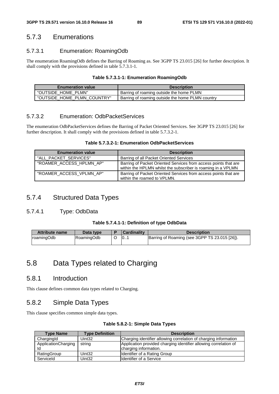### 5.7.3 Enumerations

### 5.7.3.1 Enumeration: RoamingOdb

The enumeration RoamingOdb defines the Barring of Roaming as. See 3GPP TS 23.015 [26] for further description. It shall comply with the provisions defined in table 5.7.3.1-1.

#### **Table 5.7.3.1-1: Enumeration RoamingOdb**

| <b>Enumeration value</b>    | <b>Description</b>                               |
|-----------------------------|--------------------------------------------------|
| "OUTSIDE HOME PLMN"         | Barring of roaming outside the home PLMN         |
| "OUTSIDE HOME PLMN COUNTRY" | Barring of roaming outside the home PLMN country |

### 5.7.3.2 Enumeration: OdbPacketServices

The enumeration OdbPacketServices defines the Barring of Packet Oriented Services. See 3GPP TS 23.015 [26] for further description. It shall comply with the provisions defined in table 5.7.3.2-1.

#### **Table 5.7.3.2-1: Enumeration OdbPacketServices**

| <b>Enumeration value</b> | <b>Description</b>                                                                                                              |
|--------------------------|---------------------------------------------------------------------------------------------------------------------------------|
| "ALL PACKET SERVICES"    | Barring of all Packet Oriented Services                                                                                         |
| "ROAMER ACCESS HPLMN AP" | Barring of Packet Oriented Services from access points that are<br>within the HPLMN whilst the subscriber is roaming in a VPLMN |
| "ROAMER_ACCESS_VPLMN_AP" | Barring of Packet Oriented Services from access points that are<br>within the roamed to VPLMN.                                  |

### 5.7.4 Structured Data Types

### 5.7.4.1 Type: OdbData

#### **Table 5.7.4.1-1: Definition of type OdbData**

| <b>Attribute name</b> | Data type  | <b>Cardinality</b> | <b>Description</b>                            |
|-----------------------|------------|--------------------|-----------------------------------------------|
| roamingOdb            | RoamingOdb | 10                 | Barring of Roaming (see 3GPP TS 23.015 [26]). |

# 5.8 Data Types related to Charging

### 5.8.1 Introduction

This clause defines common data types related to Charging.

## 5.8.2 Simple Data Types

This clause specifies common simple data types.

| Table 5.8.2-1: Simple Data Types |
|----------------------------------|
|----------------------------------|

| <b>Type Name</b>    | <b>Type Definition</b> | <b>Description</b>                                               |
|---------------------|------------------------|------------------------------------------------------------------|
| ChargingId          | Uint <sub>32</sub>     | Charging identifier allowing correlation of charging information |
| ApplicationCharging | string                 | Application provided charging identifier allowing correlation of |
| ld                  |                        | charging information.                                            |
| RatingGroup         | Uint <sub>32</sub>     | Identifier of a Rating Group                                     |
| Serviceld           | Uint <sub>32</sub>     | <b>I</b> Identifier of a Service                                 |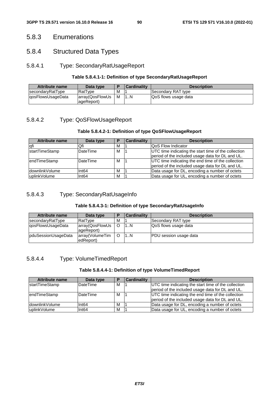### 5.8.3 Enumerations

### 5.8.4 Structured Data Types

### 5.8.4.1 Type: SecondaryRatUsageReport

### **Table 5.8.4.1-1: Definition of type SecondaryRatUsageReport**

| <b>Attribute name</b> | Data type                      |   | <b>Cardinality</b> | <b>Description</b>    |
|-----------------------|--------------------------------|---|--------------------|-----------------------|
| secondaryRatType      | lRatTvpe∶                      | м |                    | Secondary RAT type    |
| lgosFlowsUsageData    | array(QosFlowUs<br> ageReport) | M | . . N              | IQoS flows usage data |

### 5.8.4.2 Type: QoSFlowUsageReport

### **Table 5.8.4.2-1: Definition of type QoSFlowUsageReport**

| <b>Attribute name</b> | Data type        |   | <b>Cardinality</b> | <b>Description</b>                                   |
|-----------------------|------------------|---|--------------------|------------------------------------------------------|
| lqfi                  | Qfi              | м |                    | <b>QoS Flow Indicator</b>                            |
| <b>startTimeStamp</b> | <b>IDateTime</b> | м |                    | UTC time indicating the start time of the collection |
|                       |                  |   |                    | period of the included usage data for DL and UL.     |
| endTimeStamp          | <b>IDateTime</b> | м |                    | UTC time indicating the end time of the collection   |
|                       |                  |   |                    | period of the included usage data for DL and UL.     |
| IdownlinkVolume       | Int64            | м |                    | Data usage for DL, encoding a number of octets       |
| uplinkVolume          | Int64            | M |                    | Data usage for UL, encoding a number of octets       |

### 5.8.4.3 Type: SecondaryRatUsageInfo

### **Table 5.8.4.3-1: Definition of type SecondaryRatUsageInfo**

| <b>Attribute name</b>      | Data type                     | в | <b>Cardinality</b> | <b>Description</b>            |
|----------------------------|-------------------------------|---|--------------------|-------------------------------|
| secondaryRatType           | RatType                       | м |                    | Secondary RAT type            |
| lgosFlowsUsageData         | array(QosFlowUs<br>ageReport) | O | 1N                 | QoS flows usage data          |
| <b>pduSessionUsageData</b> | array(VolumeTim<br>edReport)  |   | . N                | <b>PDU</b> session usage data |

### 5.8.4.4 Type: VolumeTimedReport

#### **Table 5.8.4.4-1: Definition of type VolumeTimedReport**

| <b>Attribute name</b> | Data type       |   | <b>Cardinality</b> | <b>Description</b>                                   |
|-----------------------|-----------------|---|--------------------|------------------------------------------------------|
| <b>startTimeStamp</b> | <b>DateTime</b> | м |                    | UTC time indicating the start time of the collection |
|                       |                 |   |                    | period of the included usage data for DL and UL.     |
| lendTimeStamp         | <b>DateTime</b> | м |                    | UTC time indicating the end time of the collection   |
|                       |                 |   |                    | period of the included usage data for DL and UL.     |
| downlinkVolume        | Int64           | м |                    | Data usage for DL, encoding a number of octets       |
| uplinkVolume          | Int64           | M |                    | Data usage for UL, encoding a number of octets       |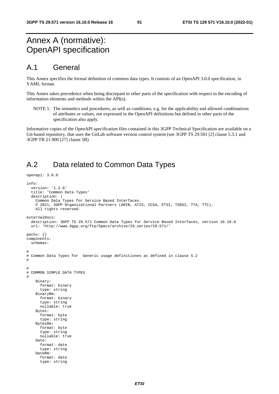# Annex A (normative): OpenAPI specification

## A.1 General

This Annex specifies the formal definition of common data types. It consists of an OpenAPI 3.0.0 specification, in YAML format.

This Annex takes precedence when being discrepant to other parts of the specification with respect to the encoding of information elements and methods within the API(s).

NOTE 1: The semantics and procedures, as well as conditions, e.g. for the applicability and allowed combinations of attributes or values, not expressed in the OpenAPI definitions but defined in other parts of the specification also apply.

Informative copies of the OpenAPI specification files contained in this 3GPP Technical Specification are available on a Git-based repository, that uses the GitLab software version control system (see 3GPP TS 29.501 [2] clause 5.3.1 and 3GPP TR 21.900 [27] clause 5B)

## A.2 Data related to Common Data Types

```
openapi: 3.0.0 
info: 
   version: '1.2.6' 
   title: 'Common Data Types' 
   description: | 
     Common Data Types for Service Based Interfaces. 
     © 2021, 3GPP Organizational Partners (ARIB, ATIS, CCSA, ETSI, TSDSI, TTA, TTC). 
    All rights reserved.
externalDocs: 
   description: 3GPP TS 29.571 Common Data Types for Service Based Interfaces, version 16.10.0 
   url: 'http://www.3gpp.org/ftp/Specs/archive/29_series/29.571/' 
paths: {} 
components: 
   schemas: 
# 
# Common Data Types for Generic usage definitiones as defined in clause 5.2 
# 
# 
# COMMON SIMPLE DATA TYPES 
# 
     Binary: 
       format: binary 
       type: string 
     BinaryRm: 
       format: binary 
       type: string 
       nullable: true 
     Bytes: 
       format: byte 
       type: string 
     BytesRm: 
       format: byte 
       type: string 
       nullable: true 
     Date: 
       format: date 
       type: string 
     DateRm: 
       format: date 
       type: string
```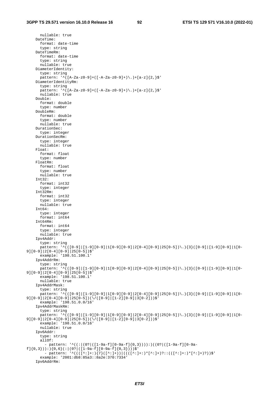nullable: true DateTime: format: date-time type: string DateTimeRm: format: date-time type: string nullable: true DiameterIdentity: type: string pattern:  $'^([A-Za-z0-9]+([A-Za-z0-9]+)\ .]+[a-z]{2}$  DiameterIdentityRm: type: string pattern: '^([A-Za-z0-9]+([-A-Za-z0-9]+)\.)+[a-z]{2,}\$' nullable: true Double: format: double type: number DoubleRm: format: double type: number nullable: true DurationSec: type: integer DurationSecRm: type: integer nullable: true Float: format: float type: number FloatRm: format: float type: number nullable: true Int32: format: int32 type: integer Int32Rm: format: int32 type: integer nullable: true Int64: type: integer format: int64 Int64Rm: format: int64 type: integer nullable: true Ipv4Addr: type: string pattern: '^(([0-9]|[1-9][0-9]|1[0-9]|2[0-4][0-9]|25[0-5])\.){3}([0-9]|[1-9][0-9]]1[0-9][0-9]|2[0-4][0-9]|25[0-5])\$' example: '198.51.100.1' Ipv4AddrRm: type: string pattern: '^(([0-9]|[1-9][0-9]|1[0-9]|2[0-4][0-9]|25[0-5])\.){3}([0-9]|[1-9][0-9]|1[0-9][0-9]|2[0-4][0-9]|25[0-5])\$' example: '198.51.100.1' nullable: true Ipv4AddrMask: type: string pattern:  $\binom{(10-9)[1-9][0-9][0-9][0-9][0-9][2[0-4][0-9][25[0-5])\cdot)}{3}\cdot$   $\binom{3}{0-9}{1-9}{1-9}{10-9}$ 9][0-9]|2[0-4][0-9]|25[0-5])(\/([0-9]|[1-2][0-9]|3[0-2]))\$' example: '198.51.0.0/16' Ipv4AddrMaskRm: type: string pattern:  $\binom{(10-9)[1-9][0-9][0-9][0-9][0-9][2[0-4][0-9][25[0-5])}{\lambda}$   $\binom{3}{[0-9][1-9][0-9][1[0-9][0-9][1[0-9][0-9][1[0-9][0-9][1[0-9][0-9][1[0-9][0-9][1[0-9][0-9][1[0-9][0-9][1[0-9][0-9][1[0-9][0-9][1[0-9][0-9][1[0-9][0-9][1[0-9][0-9][1[0-9][0-9][1[0-9][0-9$ 9][0-9]|2[0-4][0-9]|25[0-5])(\/([0-9]|[1-2][0-9]|3[0-2]))\$' example: '198.51.0.0/16' nullable: true Ipv6Addr: type: string allOf: - pattern: '^((:|(0?|([1-9a-f][0-9a-f]{0,3}))):)((0?|([1-9a-f][0-9a $f$ ]{0,3})):){0,6}(:|(0?|([1-9a-f][0-9a-f]{0,3})))\$' - pattern: '^((([^:]+:){7}([^:]+))|((([^:]+:)\*[^:]+)?::(([^:]+:)\*[^:]+)?))\$' example: '2001:db8:85a3::8a2e:370:7334' Ipv6AddrRm: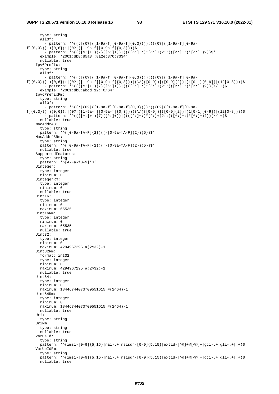```
 type: string 
       allOf: 
         - pattern: '^((:|(0?|([1-9a-f][0-9a-f]{0,3}))):)((0?|([1-9a-f][0-9a-
f]\{0,3\})):)\{0,6\}(:|(0?|(1-9a-f|[0-9a-f]\{0,3\})) - pattern: '^((([^:]+:){7}([^:]+))|((([^:]+:)*[^:]+)?::(([^:]+:)*[^:]+)?))$' 
       example: '2001:db8:85a3::8a2e:370:7334' 
       nullable: true 
     Ipv6Prefix: 
       type: string 
       allOf: 
          - pattern: '^((:|(0?|([1-9a-f][0-9a-f]{0,3}))):)((0?|([1-9a-f][0-9a-
f]{0,3})):){0,6}(:|(0?|([1-9a-f][0-9a-f]{0,3})))(\/(([0-9])|([0-9]{2})|(1[0-1][0-9])|(12[0-8])))$' 
 - pattern: '^((([^:]+:){7}([^:]+))|((([^:]+:)*[^:]+)?::(([^:]+:)*[^:]+)?))(\/.+)$' 
       example: '2001:db8:abcd:12::0/64' 
     Ipv6PrefixRm: 
       type: string 
       allOf: 
         - pattern: '^((:|(0?|([1-9a-f][0-9a-f]{0,3}))):)((0?|([1-9a-f][0-9a-
f]{0,3})):){0,6}(:|(0?|([1-9a-f][0-9a-f]{0,3})))(\/(([0-9])|([0-9]{2})|(1[0-1][0-9])|(12[0-8])))$'
         - pattern: '^((([^:]+:){7}([^:]+))|((([^:]+:)*[^:]+)?::(([^:]+:)*[^:]+)?))(\/.+)$' 
       nullable: true 
     MacAddr48: 
       type: string 
       pattern: '^([0-9a-fA-F]{2})((-[0-9a-fA-F]{2}){5})$' 
     MacAddr48Rm: 
       type: string 
       pattern: '^([0-9a-fA-F]{2})((-[0-9a-fA-F]{2}){5})$' 
       nullable: true 
     SupportedFeatures: 
       type: string 
       pattern: '^[A-Fa-f0-9]*$' 
     Uinteger: 
       type: integer 
       minimum: 0 
     UintegerRm: 
       type: integer 
       minimum: 0 
       nullable: true 
    Uint16:
       type: integer 
       minimum: 0 
       maximum: 65535 
     Uint16Rm: 
       type: integer 
       minimum: 0 
       maximum: 65535 
       nullable: true 
    Uint32:
       type: integer 
       minimum: 0 
       maximum: 4294967295 #(2^32)-1 
    IIint32Rm:
       format: int32 
       type: integer 
       minimum: 0 
       maximum: 4294967295 #(2^32)-1 
       nullable: true 
     Uint64: 
       type: integer 
       minimum: 0 
       maximum: 18446744073709551615 #(2^64)-1 
     Uint64Rm: 
       type: integer 
       minimum: 0 
       maximum: 18446744073709551615 #(2^64)-1 
       nullable: true 
     Uri: 
      type: string 
     UriRm: 
       type: string 
       nullable: true 
     VarUeId: 
       type: string 
      pattern: '^(imsi-[0-9]{5,15}|nai-.+|msisdn-[0-9]{5,15}|extid-[^@]+@[^@]+|gci-.+|gli-.+|.+)$'
     VarUeIdRm: 
       type: string 
      pattern: '^(imsi-[0-9]{5,15}|nai-.+|msisdn-[0-9]{5,15}|extid-[^@]+@[^@]+|qci-.+|qli-.+|.+)$'
       nullable: true
```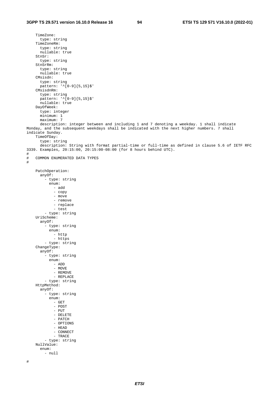TimeZone: type: string TimeZoneRm: type: string nullable: true StnSr: type: string StnSrRm: type: string nullable: true CMsisdn: type: string pattern: '^[0-9]{5,15}\$' CMsisdnRm: type: string  $p$ attern: '^[0-9]{5,15}\$' nullable: true DayOfWeek: type: integer minimum: 1 maximum: 7 description: integer between and including 1 and 7 denoting a weekday. 1 shall indicate Monday, and the subsequent weekdays shall be indicated with the next higher numbers. 7 shall indicate Sunday. TimeOfDay: type: string description: String with format partial-time or full-time as defined in clause 5.6 of IETF RFC 3339. Examples, 20:15:00, 20:15:00-08:00 (for 8 hours behind UTC).  $\begin{array}{c} \# \\ \# \end{array}$ COMMON ENUMERATED DATA TYPES # PatchOperation: anyOf: - type: string enum: - add - copy - move - remove - replace - test - type: string UriScheme: anyOf: -<br>- type: string enum: - http - https - type: string ChangeType: anyOf: - type: string enum: - ADD - MOVE - REMOVE - REPLACE - type: string HttpMethod: anyOf: - type: string enum: - GET - POST - PUT - DELETE - PATCH - OPTIONS - HEAD - CONNECT - TRACE - type: string NullValue: enum: - null #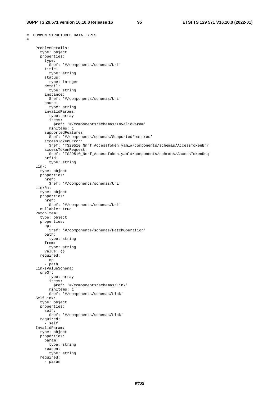# COMMON STRUCTURED DATA TYPES

#

```
 ProblemDetails: 
       type: object 
       properties: 
         type: 
          ..<br>$ref: '#/components/schemas/Uri'
         title: 
           type: string 
         status: 
           type: integer 
         detail: 
           type: string 
         instance: 
          $ref: '#/components/schemas/Uri' 
         cause: 
           type: string 
         invalidParams: 
           type: array 
           items: 
              $ref: '#/components/schemas/InvalidParam' 
           minItems: 1 
         supportedFeatures: 
           $ref: '#/components/schemas/SupportedFeatures' 
         accessTokenError: 
           $ref: 'TS29510_Nnrf_AccessToken.yaml#/components/schemas/AccessTokenErr' 
         accessTokenRequest: 
          $ref: 'TS29510_Nnrf_AccessToken.yaml#/components/schemas/AccessTokenReq' 
         nrfId: 
           type: string 
     Link: 
       type: object 
       properties: 
         href: 
          $ref: '#/components/schemas/Uri' 
     LinkRm: 
       type: object 
       properties: 
         href: 
           $ref: '#/components/schemas/Uri' 
      nullable: true 
     PatchItem: 
       type: object 
       properties: 
         op: 
          $ref: '#/components/schemas/PatchOperation' 
         path: 
           type: string 
         from: 
           type: string 
         value: {} 
       required: 
 - op 
- path
    LinksValueSchema: 
       oneOf: 
         - type: array 
           items: 
              $ref: '#/components/schemas/Link' 
           minItems: 1 
          - $ref: '#/components/schemas/Link' 
     SelfLink: 
       type: object 
       properties: 
         self: 
           $ref: '#/components/schemas/Link' 
       required: 
         - self 
     InvalidParam: 
       type: object 
       properties: 
         param: 
           type: string 
         reason: 
          type: string 
       required: 
         - param
```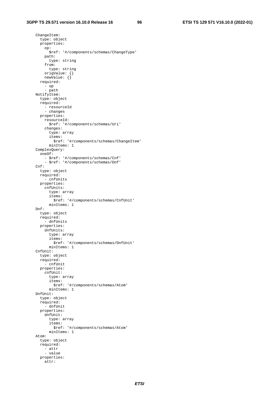ChangeItem: type: object properties: op: \$ref: '#/components/schemas/ChangeType' path: type: string from: type: string origValue: {} newValue: {} required: - op - path NotifyItem: type: object required: - resourceId - changes properties: resourceId: \$ref: '#/components/schemas/Uri' changes: type: array items: \$ref: '#/components/schemas/ChangeItem' minItems: 1 ComplexQuery: oneOf: - \$ref: '#/components/schemas/Cnf' - \$ref: '#/components/schemas/Dnf'  $Cnf$ : type: object required: - cnfUnits properties: cnfUnits: type: array items: \$ref: '#/components/schemas/CnfUnit' minItems: 1 Dnf: type: object required: - dnfUnits properties: dnfUnits: type: array items: \$ref: '#/components/schemas/DnfUnit' minItems: 1 CnfUnit: type: object required: - cnfUnit properties: cnfUnit: type: array items: \$ref: '#/components/schemas/Atom' minItems: 1 DnfUnit: type: object required:  $-$  dnfUnit properties: dnfUnit: type: array items: \$ref: '#/components/schemas/Atom' minItems: 1 Atom: type: object required: - attr - value properties: attr: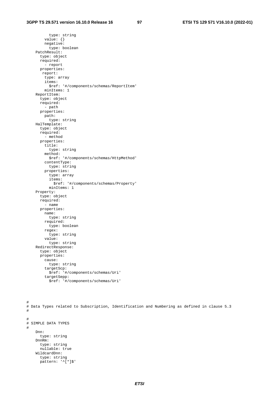type: string value: {} negative: type: boolean PatchResult: type: object required: - report properties: report: type: array items: \$ref: '#/components/schemas/ReportItem' minItems: 1 ReportItem: type: object required: - path properties: path: type: string HalTemplate: type: object required: - method properties: title: type: string method: \$ref: '#/components/schemas/HttpMethod' contentType: type: string properties: type: array items: \$ref: '#/components/schemas/Property' minItems: 1 Property: type: object required: - name properties: name: type: string required: type: boolean regex: type: string value: type: string RedirectResponse: type: object properties: cause: type: string targetScp: \$ref: '#/components/schemas/Uri' targetSepp: \$ref: '#/components/schemas/Uri'

```
# 
# Data Types related to Subscription, Identification and Numbering as defined in clause 5.3 
# 
# 
# SIMPLE DATA TYPES 
# 
     Dnn: 
       type: string 
     DnnRm: 
       type: string 
       nullable: true 
     WildcardDnn: 
       type: string 
      pattern: '<sup>^[*]$'</sup>
```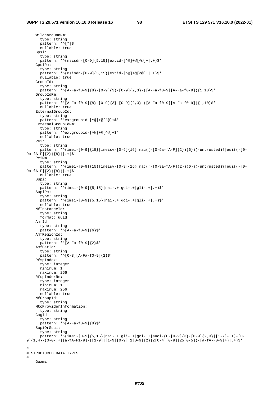```
 WildcardDnnRm: 
       type: string 
      pattern: '<sup>^[*]$'</sup>
       nullable: true 
     Gpsi: 
       type: string 
      pattern: '^(msisdn-[0-9]{5,15}|extid-[^@]+@[^@]+|.+)$'
     GpsiRm: 
       type: string 
       pattern: '^(msisdn-[0-9]{5,15}|extid-[^@]+@[^@]+|.+)$' 
       nullable: true 
     GroupId: 
       type: string 
      pattern: '^[A-Fa-f0-9]{8}-[0-9]{3}-[0-9]{2,3}-([A-Fa-f0-9][A-Fa-f0-9]){1,10}$'
     GroupIdRm: 
      type: string 
      pattern: '^[A-Fa-f0-9]{8}-[0-9]{3}-[0-9]{2,3}-([A-Fa-f0-9][A-Fa-f0-9]){1,10}$'
       nullable: true 
     ExternalGroupId: 
       type: string 
       pattern: '^extgroupid-[^@]+@[^@]+$' 
     ExternalGroupIdRm: 
       type: string 
       pattern: '^extgroupid-[^@]+@[^@]+$' 
       nullable: true 
     Pei: 
       type: string 
       pattern: '^(imei-[0-9]{15}|imeisv-[0-9]{16}|mac((-[0-9a-fA-F]{2}){6})(-untrusted)?|eui((-[0-
9a-fA-F]{2}){8})|.+)$' 
     PeiRm: 
       type: string 
       pattern: '^(imei-[0-9]{15}|imeisv-[0-9]{16}|mac((-[0-9a-fA-F]{2}){6})(-untrusted)?|eui((-[0-
9a-fA-F]{2}){8})| .+)$'
      nullable: true 
     Supi: 
       type: string 
      pattern: '^(imsi-[0-9]{5,15}|nai-.+|qci-.+|qli-.+|.+)$'
     SupiRm: 
       type: string 
      pattern: '^(imsi-[0-9]{5,15}|nai-.+|gci-.+|gli-.+|.+)$'
       nullable: true 
     NfInstanceId: 
       type: string 
       format: uuid 
     AmfId: 
       type: string 
      pattern: \sqrt{\text{A-Fa-f0-9}}[6]$'
     AmfRegionId: 
       type: string 
       pattern: '^[A-Fa-f0-9]{2}$' 
     AmfSetId: 
       type: string 
       pattern: '^[0-3][A-Fa-f0-9]{2}$' 
     RfspIndex: 
       type: integer 
       minimum: 1 
       maximum: 256 
     RfspIndexRm: 
       type: integer 
       minimum: 1 
       maximum: 256 
       nullable: true 
     NfGroupId: 
       type: string 
     MtcProviderInformation: 
       type: string 
     CagId: 
       type: string 
      pattern: '\tilde{[A-Fa-f0-9]}{8}$'
     SupiOrSuci: 
       type: string 
      pattern: '\{(insi - [0-9]{5,15}\}|nai-.+|gli-.+|gci-.+|suci-(0-[0-9]{3}-[0-9]{2,3}|[1-7]-.+)-[0-
9]{1,4}-(0-0-.+|[a-fA-F1-9]-([1-9]|[1-9][0-9]|1[0-9]{2}|2[0-4][0-9]|25[0-5])-[a-fA-F0-9]+)|.+)$' 
# 
# STRUCTURED DATA TYPES 
# 
     Guami:
```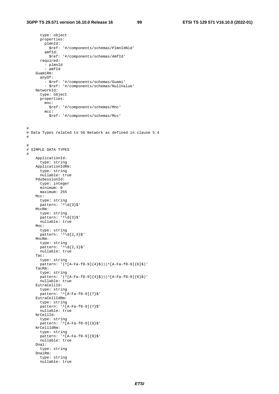```
 type: object 
       properties: 
         plmnId: 
           $ref: '#/components/schemas/PlmnIdNid' 
         amfId: 
           $ref: '#/components/schemas/AmfId' 
       required: 
         - plmnId 
         - amfId 
     GuamiRm: 
       anyOf: 
 - $ref: '#/components/schemas/Guami' 
 - $ref: '#/components/schemas/NullValue' 
     NetworkId: 
       type: object 
       properties: 
         mnc: 
           $ref: '#/components/schemas/Mnc' 
         mcc: 
           $ref: '#/components/schemas/Mcc' 
# 
# Data Types related to 5G Network as defined in clause 5.4 
# 
# 
# SIMPLE DATA TYPES 
# 
     ApplicationId: 
       type: string 
     ApplicationIdRm: 
      ..<br>type: string
       nullable: true 
     PduSessionId: 
       type: integer 
       minimum: 0 
       maximum: 255 
    MCT: type: string 
      pattern: '^\d{3}$'
     MccRm: 
       type: string 
      pattern: '^\d{3}$'
       nullable: true 
     Mnc: 
       type: string 
      pattern: '^\d{2,3}$'
     MncRm: 
       type: string 
 pattern: '^\d{2,3}$' 
 nullable: true 
     Tac: 
       type: string 
      pattern: '(^[A-Fa-f0-9]{4}$)|(^[A-Fa-f0-9]{6}$)'
     TacRm: 
       type: string 
       pattern: '(^[A-Fa-f0-9]{4}$)|(^[A-Fa-f0-9]{6}$)' 
       nullable: true 
     EutraCellId: 
       type: string 
       pattern: '^[A-Fa-f0-9]{7}$' 
     EutraCellIdRm: 
       type: string 
       pattern: '^[A-Fa-f0-9]{7}$' 
       nullable: true 
     NrCellId: 
       type: string 
      pattern: '^[A-Fa-f0-9]{9}$'
     NrCellIdRm: 
       type: string 
       pattern: '^[A-Fa-f0-9]{9}$' 
       nullable: true 
     Dnai: 
       type: string 
     DnaiRm: 
       type: string 
       nullable: true
```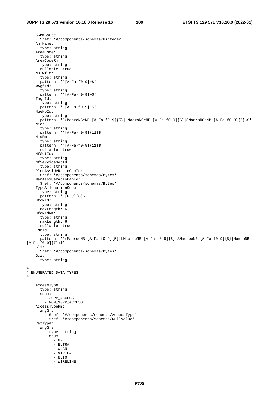5GMmCause: \$ref: '#/components/schemas/Uinteger' AmfName: type: string AreaCode: type: string AreaCodeRm: type: string nullable: true N3IwfId: type: string pattern: '^[A-Fa-f0-9]+\$' WAgfId: type: string pattern: '^[A-Fa-f0-9]+\$' TngfId: type: string pattern: '^[A-Fa-f0-9]+\$' NgeNbId: type: string pattern: '^(MacroNGeNB-[A-Fa-f0-9]{5}|LMacroNGeNB-[A-Fa-f0-9]{6}|SMacroNGeNB-[A-Fa-f0-9]{5})\$' Nid: type: string pattern: '^[A-Fa-f0-9]{11}\$' NidRm: type: string pattern: '^[A-Fa-f0-9]{11}\$' nullable: true NfSetId: type: string NfServiceSetId: type: string PlmnAssiUeRadioCapId: \$ref: '#/components/schemas/Bytes' ManAssiUeRadioCapId: \$ref: '#/components/schemas/Bytes' TypeAllocationCode: type: string pattern: '^[0-9]{8}\$' HfcNId: type: string maxLength: 6 HfcNIdRm: type: string maxLength: 6 nullable: true ENbId: type: string pattern: '^(MacroeNB-[A-Fa-f0-9]{5}|LMacroeNB-[A-Fa-f0-9]{6}|SMacroeNB-[A-Fa-f0-9]{5}|HomeeNB-  $[A-Fa-f0-9]{7}$  Gli: \$ref: '#/components/schemas/Bytes' Gci: type: string # # ENUMERATED DATA TYPES # AccessType: type: string enum: - 3GPP\_ACCESS - NON\_3GPP\_ACCESS AccessTypeRm: anyOf: - \$ref: '#/components/schemas/AccessType' - \$ref: '#/components/schemas/NullValue' RatType: anyOf: - type: string enum: - NR - EUTRA - WLAN - VIRTUAL - NBIOT - WIRELINE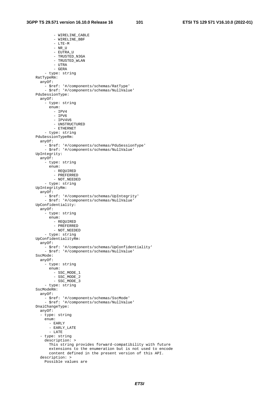- WIRELINE\_CABLE - WIRELINE BBF - LTE-M - NR\_U - EUTRA\_U - TRUSTED\_N3GA - TRUSTED\_WLAN - UTRA - GERA - type: string RatTypeRm: anyOf: - \$ref: '#/components/schemas/RatType' - \$ref: '#/components/schemas/NullValue' PduSessionType: anyOf: - type: string enum: - IPV4 - IPV6 - IPV4V6 - UNSTRUCTURED - ETHERNET - type: string PduSessionTypeRm: anyOf: - \$ref: '#/components/schemas/PduSessionType' - \$ref: '#/components/schemas/NullValue' UpIntegrity: anyOf: - type: string enum: - REQUIRED - PREFERRED - NOT\_NEEDED - type: string UpIntegrityRm: anyOf: - \$ref: '#/components/schemas/UpIntegrity' - \$ref: '#/components/schemas/NullValue' UpConfidentiality: anyOf: - type: string enum: - REQUIRED - PREFERRED - NOT\_NEEDED - type: string UpConfidentialityRm: anyOf: - \$ref: '#/components/schemas/UpConfidentiality' - \$ref: '#/components/schemas/NullValue' SscMode: anyOf: - type: string enum: - SSC\_MODE\_1 - SSC\_MODE\_2 - SSC\_MODE\_3 - type: string SscModeRm: anyOf: - \$ref: '#/components/schemas/SscMode' - \$ref: '#/components/schemas/NullValue' DnaiChangeType: anyOf: - type: string enum: - EARLY - EARLY\_LATE - LATE - type: string description: > This string provides forward-compatibility with future extensions to the enumeration but is not used to encode content defined in the present version of this API. description: > Possible values are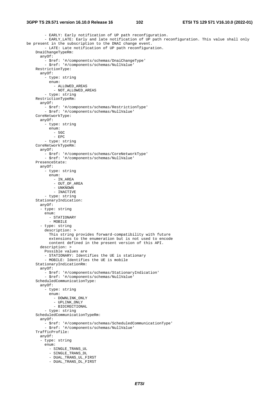#### **3GPP TS 29.571 version 16.10.0 Release 16 102 ETSI TS 129 571 V16.10.0 (2022-01)**

```
 - EARLY: Early notification of UP path reconfiguration. 
         - EARLY LATE: Early and late notification of UP path reconfiguration. This value shall only
be present in the subscription to the DNAI change event. 
          - LATE: Late notification of UP path reconfiguration. 
     DnaiChangeTypeRm: 
       anyOf: 
          - $ref: '#/components/schemas/DnaiChangeType' 
          - $ref: '#/components/schemas/NullValue' 
     RestrictionType: 
       anyOf: 
          - type: string 
            enum: 
              - ALLOWED_AREAS 
              - NOT_ALLOWED_AREAS 
          - type: string 
     RestrictionTypeRm: 
       anyOf: 
          - $ref: '#/components/schemas/RestrictionType' 
          - $ref: '#/components/schemas/NullValue' 
     CoreNetworkType: 
       anyOf: 
          - type: string 
           enum: 
             - 5GC 
              - EPC 
         - type: string 
     CoreNetworkTypeRm: 
       anyOf: 
         - $ref: '#/components/schemas/CoreNetworkType' 
          - $ref: '#/components/schemas/NullValue' 
     PresenceState: 
       anyOf: 
         -<br>- type: string
           enum: 
              - IN_AREA 
              - OUT_OF_AREA 
              - UNKNOWN 
              - INACTIVE 
          - type: string 
     StationaryIndication: 
       anyOf: 
       - type: string 
         enum: 
           - STATIONARY 
           - MOBILE 
       - type: string 
         description: > 
           This string provides forward-compatibility with future 
            extensions to the enumeration but is not used to encode 
           content defined in the present version of this API. 
       description: > 
         Possible values are 
          - STATIONARY: Identifies the UE is stationary 
          - MOBILE: Identifies the UE is mobile 
     StationaryIndicationRm: 
       anyOf: 
         - $ref: '#/components/schemas/StationaryIndication' 
          - $ref: '#/components/schemas/NullValue' 
     ScheduledCommunicationType: 
       anyOf: 
          - type: string 
            enum: 
             - DOWNLINK_ONLY 
              - UPLINK_ONLY 
              - BIDIRECTIONAL 
          - type: string 
     ScheduledCommunicationTypeRm: 
       anyOf: 
          - $ref: '#/components/schemas/ScheduledCommunicationType' 
          - $ref: '#/components/schemas/NullValue' 
     TrafficProfile: 
       anyOf: 
       - type: string 
          enum: 
           - SINGLE_TRANS_UL 
            - SINGLE_TRANS_DL 
            - DUAL_TRANS_UL_FIRST 
           - DUAL_TRANS_DL_FIRST
```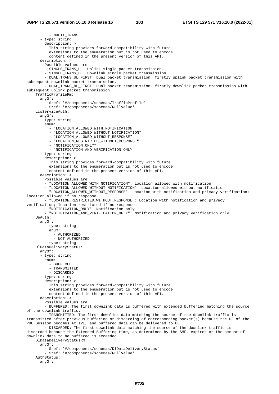- MULTI TRANS - type: string description: > This string provides forward-compatibility with future extensions to the enumeration but is not used to encode content defined in the present version of this API. description: > Possible values are - SINGLE\_TRANS\_UL: Uplink single packet transmission. - SINGLE\_TRANS\_DL: Downlink single packet transmission. - DUAL\_TRANS\_UL\_FIRST: Dual packet transmission, firstly uplink packet transmission with subsequent downlink packet transmission. - DUAL\_TRANS\_DL\_FIRST: Dual packet transmission, firstly downlink packet transmission with subsequent uplink packet transmission. TrafficProfileRm: anyOf: - \$ref: '#/components/schemas/TrafficProfile' - \$ref: '#/components/schemas/NullValue' LcsServiceAuth: anyOf: - type: string enum: - "LOCATION\_ALLOWED\_WITH\_NOTIFICATION" - "LOCATION\_ALLOWED\_WITHOUT\_NOTIFICATION" - "LOCATION\_ALLOWED\_WITHOUT\_RESPONSE" - "LOCATION\_RESTRICTED\_WITHOUT\_RESPONSE" - "NOTIFICATION\_ONLY" - "NOTIFICATION\_AND\_VERIFICATION\_ONLY" - type: string description: > This string provides forward-compatibility with future extensions to the enumeration but is not used to encode content defined in the present version of this API. description: > Possible values are - "LOCATION\_ALLOWED\_WITH\_NOTIFICATION": Location allowed with notification - "LOCATION ALLOWED WITHOUT NOTIFICATION": Location allowed without notification - "LOCATION\_ALLOWED\_WITHOUT\_RESPONSE": Location with notification and privacy verification; location allowed if no response - "LOCATION\_RESTRICTED\_WITHOUT\_RESPONSE": Location with notification and privacy verification; location restricted if no response - "NOTIFICATION ONLY": Notification only - "NOTIFICATION\_AND\_VERIFICATION\_ONLY": Notification and privacy verification only UeAuth: anyOf: - type: string enum: - AUTHORIZED - NOT\_AUTHORIZED - type: string DlDataDeliveryStatus: anyOf: - type: string enum: - BUFFERED - TRANSMITTED - DISCARDED - type: string description: > This string provides forward-compatibility with future extensions to the enumeration but is not used to encode content defined in the present version of this API. description: > Possible values are - BUFFERED: The first downlink data is buffered with extended buffering matching the source of the downlink traffic. - TRANSMITTED: The first downlink data matching the source of the downlink traffic is transmitted after previous buffering or discarding of corresponding packet(s) because the UE of the PDU Session becomes ACTIVE, and buffered data can be delivered to UE. - DISCARDED: The first downlink data matching the source of the downlink traffic is discarded because the Extended Buffering time, as determined by the SMF, expires or the amount of downlink data to be buffered is exceeded. DlDataDeliveryStatusRm: anyOf: - \$ref: '#/components/schemas/DlDataDeliveryStatus' - \$ref: '#/components/schemas/NullValue' AuthStatus: anyOf: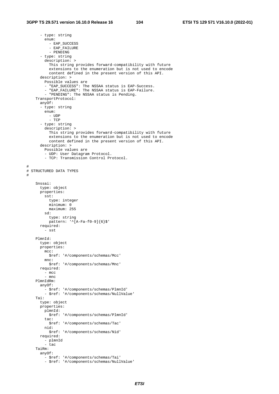#

#

```
 - type: string 
         enum: 
          - EAP SUCCESS
           - EAP_FAILURE 
           - PENDING 
       - type: string 
         description: > 
           This string provides forward-compatibility with future 
           extensions to the enumeration but is not used to encode 
           content defined in the present version of this API. 
       description: > 
         Possible values are 
          - "EAP_SUCCESS": The NSSAA status is EAP-Success. 
         - "EAP_FAILURE": The NSSAA status is EAP-Failure. 
          - "PENDING": The NSSAA status is Pending. 
     TransportProtocol: 
       anyOf: 
       - type: string 
         enum: 
           - UDP 
           - TCP 
       - type: string 
         description: > 
           This string provides forward-compatibility with future 
           extensions to the enumeration but is not used to encode 
           content defined in the present version of this API. 
       description: > 
         Possible values are 
         - UDP: User Datagram Protocol. 
         - TCP: Transmission Control Protocol. 
# STRUCTURED DATA TYPES 
     Snssai: 
       type: object 
       properties: 
         sst: 
           type: integer 
           minimum: 0 
           maximum: 255 
         sd: 
           type: string 
           pattern: '^[A-Fa-f0-9]{6}$' 
       required: 
         - sst 
     PlmnId: 
       type: object 
       properties: 
        mcc:
           $ref: '#/components/schemas/Mcc' 
         mnc: 
          $ref: '#/components/schemas/Mnc' 
       required: 
         - mcc 
         - mnc 
     PlmnIdRm: 
       anyOf: 
 - $ref: '#/components/schemas/PlmnId' 
 - $ref: '#/components/schemas/NullValue' 
     Tai: 
       type: object 
       properties: 
         plmnId: 
           $ref: '#/components/schemas/PlmnId' 
         tac: 
           $ref: '#/components/schemas/Tac' 
         nid: 
           $ref: '#/components/schemas/Nid' 
       required: 
         - plmnId 
         - tac 
     TaiRm: 
       anyOf: 
         - $ref: '#/components/schemas/Tai' 
         - $ref: '#/components/schemas/NullValue'
```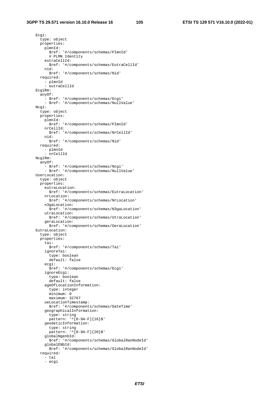Ecgi:

 type: object properties: plmnId: \$ref: '#/components/schemas/PlmnId' # PLMN Identity eutraCellId: \$ref: '#/components/schemas/EutraCellId' nid: \$ref: '#/components/schemas/Nid' required: - plmnId - eutraCellId EcgiRm: anyOf: - \$ref: '#/components/schemas/Ecgi' - \$ref: '#/components/schemas/NullValue' Ncgi: type: object properties: plmnId: \$ref: '#/components/schemas/PlmnId' nrCellId: \$ref: '#/components/schemas/NrCellId' nid: \$ref: '#/components/schemas/Nid' required: - plmnId - nrCellId NcgiRm: anyOf: - \$ref: '#/components/schemas/Ncgi' - \$ref: '#/components/schemas/NullValue' UserLocation: type: object properties: eutraLocation: \$ref: '#/components/schemas/EutraLocation' nrLocation: \$ref: '#/components/schemas/NrLocation' n3gaLocation: \$ref: '#/components/schemas/N3gaLocation' utraLocation: \$ref: '#/components/schemas/UtraLocation' geraLocation: \$ref: '#/components/schemas/GeraLocation' EutraLocation: type: object properties: tai: \$ref: '#/components/schemas/Tai' ignoreTai: type: boolean default: false ecgi: \$ref: '#/components/schemas/Ecgi' ignoreEcgi: type: boolean default: false ageOfLocationInformation: type: integer minimum: 0 maximum: 32767 ueLocationTimestamp: \$ref: '#/components/schemas/DateTime' geographicalInformation: type: string pattern: '^[0-9A-F]{16}\$' geodeticInformation: type: string pattern: '^[0-9A-F]{20}\$' globalNgenbId: \$ref: '#/components/schemas/GlobalRanNodeId' globalENbId: \$ref: '#/components/schemas/GlobalRanNodeId' required: - tai - ecgi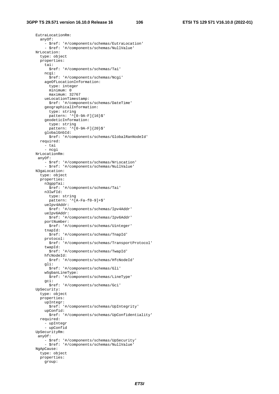EutraLocationRm: anyOf: - \$ref: '#/components/schemas/EutraLocation' - \$ref: '#/components/schemas/NullValue' NrLocation: type: object properties: tai: \$ref: '#/components/schemas/Tai' ncgi: \$ref: '#/components/schemas/Ncgi' ageOfLocationInformation: type: integer minimum: 0 maximum: 32767 ueLocationTimestamp: \$ref: '#/components/schemas/DateTime' geographicalInformation: type: string  $p$ attern: ' $(0-9A-F){16}$  geodeticInformation: type: string pattern: '^[0-9A-F]{20}\$' globalGnbId: \$ref: '#/components/schemas/GlobalRanNodeId' required: - tai - ncgi NrLocationRm: anyOf: - \$ref: '#/components/schemas/NrLocation' - \$ref: '#/components/schemas/NullValue' N3gaLocation: type: object properties: n3gppTai: \$ref: '#/components/schemas/Tai' n3IwfId: type: string pattern: '^[A-Fa-f0-9]+\$' ueIpv4Addr: \$ref: '#/components/schemas/Ipv4Addr' ueIpv6Addr: \$ref: '#/components/schemas/Ipv6Addr' portNumber: \$ref: '#/components/schemas/Uinteger' tnapId: \$ref: '#/components/schemas/TnapId' protocol: \$ref: '#/components/schemas/TransportProtocol' twapId: \$ref: '#/components/schemas/TwapId' hfcNodeId: \$ref: '#/components/schemas/HfcNodeId' gli: \$ref: '#/components/schemas/Gli' w5gbanLineType: \$ref: '#/components/schemas/LineType' gci: \$ref: '#/components/schemas/Gci' UpSecurity: type: object properties: upIntegr: \$ref: '#/components/schemas/UpIntegrity' upConfid: \$ref: '#/components/schemas/UpConfidentiality' required: - upIntegr - upConfid UpSecurityRm: anyOf: - \$ref: '#/components/schemas/UpSecurity' - \$ref: '#/components/schemas/NullValue' NgApCause: type: object properties: group: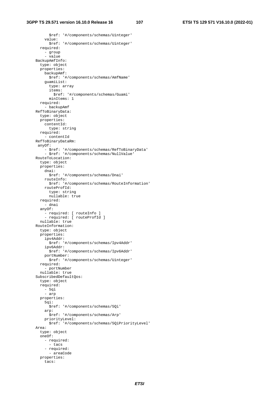#### **3GPP TS 29.571 version 16.10.0 Release 16 107 ETSI TS 129 571 V16.10.0 (2022-01)**

 \$ref: '#/components/schemas/Uinteger' value: \$ref: '#/components/schemas/Uinteger' required: - group - value BackupAmfInfo: type: object properties: backupAmf: \$ref: '#/components/schemas/AmfName' guamiList: type: array items: \$ref: '#/components/schemas/Guami' minItems: 1 required: - backupAmf RefToBinaryData: type: object properties: contentId: type: string required: - contentId RefToBinaryDataRm: anyOf: - \$ref: '#/components/schemas/RefToBinaryData' - \$ref: '#/components/schemas/NullValue' RouteToLocation: type: object properties: dnai: \$ref: '#/components/schemas/Dnai' routeInfo: \$ref: '#/components/schemas/RouteInformation' routeProfId: type: string nullable: true required: - dnai anyOf: - required: [ routeInfo ] - required: [ rowderned: ] nullable: true RouteInformation: type: object properties: ipv4Addr: \$ref: '#/components/schemas/Ipv4Addr' ipv6Addr: \$ref: '#/components/schemas/Ipv6Addr' portNumber: \$ref: '#/components/schemas/Uinteger' required: - portNumber nullable: true SubscribedDefaultQos: type: object required: - 5qi - arp properties: 5qi: \$ref: '#/components/schemas/5Qi' arp: \$ref: '#/components/schemas/Arp' priorityLevel: \$ref: '#/components/schemas/5QiPriorityLevel' Area: type: object oneOf: - required: - tacs - required: - areaCode properties: tacs: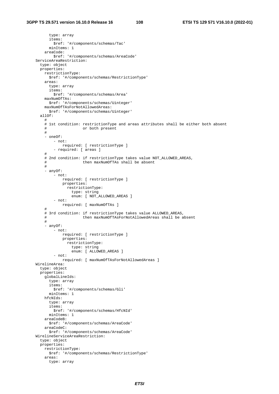type: array items: \$ref: '#/components/schemas/Tac' minItems: 1 areaCode: \$ref: '#/components/schemas/AreaCode' ServiceAreaRestriction: type: object properties: restrictionType: \$ref: '#/components/schemas/RestrictionType' areas: type: array items: \$ref: '#/components/schemas/Area' maxNumOfTAs: \$ref: '#/components/schemas/Uinteger' maxNumOfTAsForNotAllowedAreas: \$ref: '#/components/schemas/Uinteger' allOf: # # 1st condition: restrictionType and areas attributes shall be either both absent # or both present # - oneOf: - not: required: [ restrictionType ] - required: [ areas ] # # 2nd condition: if restrictionType takes value NOT\_ALLOWED\_AREAS, # then maxNumOfTAs shall be absent # - anyOf:  $-$  not: required: [ restrictionType ] properties: restrictionType: type: string enum: [ NOT\_ALLOWED\_AREAS ] - not: required: [ maxNumOfTAs ] # # 3rd condition: if restrictionType takes value ALLOWED AREAS, # then maxNumOfTAsForNotAllowedAreas shall be absent # - anyOf: - not: required: [ restrictionType ] properties: restrictionType: type: string enum: [ ALLOWED\_AREAS ] - not: required: [ maxNumOfTAsForNotAllowedAreas ] WirelineArea: type: object properties: globalLineIds: type: array items: \$ref: '#/components/schemas/Gli' minItems: 1 hfcNIds: type: array items: \$ref: '#/components/schemas/HfcNId' minItems: 1 areaCodeB: \$ref: '#/components/schemas/AreaCode' areaCodeC: \$ref: '#/components/schemas/AreaCode' WirelineServiceAreaRestriction: type: object properties: restrictionType: \$ref: '#/components/schemas/RestrictionType' areas: type: array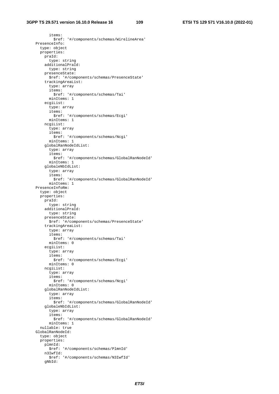items: \$ref: '#/components/schemas/WirelineArea' PresenceInfo: type: object properties: praId: type: string additionalPraId: type: string presenceState: \$ref: '#/components/schemas/PresenceState' trackingAreaList: type: array items: \$ref: '#/components/schemas/Tai' minItems: 1 ecgiList: type: array items: \$ref: '#/components/schemas/Ecgi' minItems: 1 ncgiList: type: array items: \$ref: '#/components/schemas/Ncgi' minItems: 1 globalRanNodeIdList: type: array items: \$ref: '#/components/schemas/GlobalRanNodeId' minItems: 1 globaleNbIdList: type: array items: \$ref: '#/components/schemas/GlobalRanNodeId' minItems: 1 PresenceInfoRm: type: object properties: praId: type: string additionalPraId: type: string presenceState: \$ref: '#/components/schemas/PresenceState' trackingAreaList: type: array items: \$ref: '#/components/schemas/Tai' minItems: 0 ecgiList: type: array items: \$ref: '#/components/schemas/Ecgi' minItems: 0 ncgiList: type: array items: \$ref: '#/components/schemas/Ncgi' minItems: 0 globalRanNodeIdList: type: array items: \$ref: '#/components/schemas/GlobalRanNodeId' globaleNbIdList: type: array items: \$ref: '#/components/schemas/GlobalRanNodeId' minItems: 1 nullable: true GlobalRanNodeId: type: object properties: plmnId: \$ref: '#/components/schemas/PlmnId' n3IwfId: \$ref: '#/components/schemas/N3IwfId' gNbId: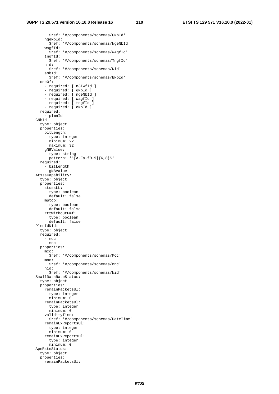### **3GPP TS 29.571 version 16.10.0 Release 16 110 ETSI TS 129 571 V16.10.0 (2022-01)**

 \$ref: '#/components/schemas/GNbId' ngeNbId: \$ref: '#/components/schemas/NgeNbId' wagfId: \$ref: '#/components/schemas/WAgfId' tngfId: \$ref: '#/components/schemas/TngfId' nid: \$ref: '#/components/schemas/Nid' eNbId: \$ref: '#/components/schemas/ENbId' oneOf: - required: [ n3IwfId ] - required: [ gNbId ] - required: [ ngeNbId ] - required: [ wagfId ] - required: [ tngfId ] - required: [ eNbId ] required: - plmnId GNbId: type: object properties: bitLength: type: integer minimum: 22 maximum: 32 gNBValue: type: string  $p$ attern: '^[A-Fa-f0-9]{6,8}\$' required: - bitLength - gNBValue AtsssCapability: type: object properties: atsssLL: type: boolean default: false mptcp: type: boolean default: false rttWithoutPmf: type: boolean default: false PlmnIdNid: type: object required: - mcc - mnc properties: mcc: \$ref: '#/components/schemas/Mcc' mnc: \$ref: '#/components/schemas/Mnc' nid: \$ref: '#/components/schemas/Nid' SmallDataRateStatus: type: object properties: remainPacketsUl: type: integer minimum: 0 remainPacketsDl: type: integer minimum: 0 validityTime: \$ref: '#/components/schemas/DateTime' remainExReportsUl: type: integer minimum: 0 remainExReportsDl: type: integer minimum: 0 ApnRateStatus: type: object properties: remainPacketsUl: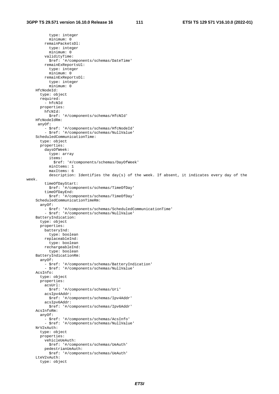type: integer minimum: 0 remainPacketsDl: type: integer minimum: 0 validityTime: \$ref: '#/components/schemas/DateTime' remainExReportsUl: type: integer minimum: 0 remainExReportsDl: type: integer minimum: 0 HfcNodeId: type: object required: - hfcNId properties: hfcNId: \$ref: '#/components/schemas/HfcNId' HfcNodeIdRm: anyOf: - \$ref: '#/components/schemas/HfcNodeId' - \$ref: '#/components/schemas/NullValue' ScheduledCommunicationTime: type: object properties: daysOfWeek: type: array items: \$ref: '#/components/schemas/DayOfWeek' minItems: 1 maxItems: 6 description: Identifies the day(s) of the week. If absent, it indicates every day of the week. timeOfDayStart: \$ref: '#/components/schemas/TimeOfDay' timeOfDayEnd: \$ref: '#/components/schemas/TimeOfDay' ScheduledCommunicationTimeRm: anyOf: - \$ref: '#/components/schemas/ScheduledCommunicationTime' - \$ref: '#/components/schemas/NullValue' BatteryIndication: type: object properties: batteryInd: type: boolean replaceableInd: type: boolean rechargeableInd: type: boolean BatteryIndicationRm: anyOf: - \$ref: '#/components/schemas/BatteryIndication' - \$ref: '#/components/schemas/NullValue' AcsInfo: type: object properties: acsUrl: \$ref: '#/components/schemas/Uri' acsIpv4Addr: \$ref: '#/components/schemas/Ipv4Addr' acsIpv6Addr: \$ref: '#/components/schemas/Ipv6Addr' AcsInfoRm: anyOf: - \$ref: '#/components/schemas/AcsInfo' - \$ref: '#/components/schemas/NullValue' NrV2xAuth: type: object properties: vehicleUeAuth: \$ref: '#/components/schemas/UeAuth' pedestrianUeAuth: \$ref: '#/components/schemas/UeAuth' LteV2xAuth: type: object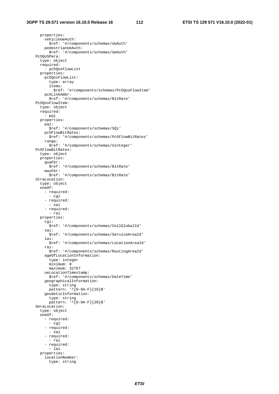properties: vehicleUeAuth: \$ref: '#/components/schemas/UeAuth' pedestrianUeAuth: \$ref: '#/components/schemas/UeAuth' Pc5QoSPara: type: object required: - pc5QosFlowList properties: pc5QosFlowList: type: array items: \$ref: '#/components/schemas/Pc5QosFlowItem' pc5LinkAmbr: \$ref: '#/components/schemas/BitRate' Pc5QosFlowItem: type: object required: - pqi properties: pqi: \$ref: '#/components/schemas/5Qi' pc5FlowBitRates: \$ref: '#/components/schemas/Pc5FlowBitRates' range: \$ref: '#/components/schemas/Uinteger' Pc5FlowBitRates: type: object properties: guaFbr: \$ref: '#/components/schemas/BitRate' maxFbr: \$ref: '#/components/schemas/BitRate' UtraLocation: type: object oneOf: - required: - cgi - required: - sai - required: - rai properties: cgi: \$ref: '#/components/schemas/CellGlobalId' sai: \$ref: '#/components/schemas/ServiceAreaId' lai: \$ref: '#/components/schemas/LocationAreaId' rai: \$ref: '#/components/schemas/RoutingAreaId' ageOfLocationInformation: type: integer minimum: 0 maximum: 32767 ueLocationTimestamp: \$ref: '#/components/schemas/DateTime' geographicalInformation: type: string pattern: '^[0-9A-F]{16}\$' geodeticInformation: type: string  $pattern: '^[0-9A-F]{20}$  GeraLocation: type: object oneOf: - required: - cgi - required: - sai - required: - rai - required: - lai properties: locationNumber: type: string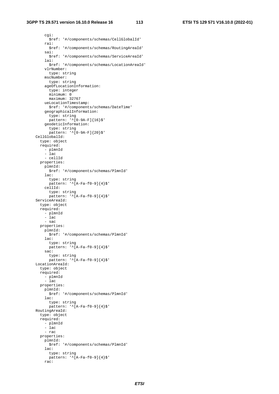#### **3GPP TS 29.571 version 16.10.0 Release 16 113 ETSI TS 129 571 V16.10.0 (2022-01)**

 cgi: \$ref: '#/components/schemas/CellGlobalId' rai: \$ref: '#/components/schemas/RoutingAreaId' sai: \$ref: '#/components/schemas/ServiceAreaId' lai: \$ref: '#/components/schemas/LocationAreaId' vlrNumber: type: string mscNumber: type: string ageOfLocationInformation: type: integer minimum: 0 maximum: 32767 ueLocationTimestamp: \$ref: '#/components/schemas/DateTime' geographicalInformation: type: string pattern: '<sup>^</sup>[0-9A-F]{16}\$' geodeticInformation: type: string pattern: '^[0-9A-F]{20}\$' CellGlobalId: type: object required: - plmnId - lac - cellId properties: plmnId: \$ref: '#/components/schemas/PlmnId' lac: type: string pattern: '^[A-Fa-f0-9]{4}\$' cellId: type: string pattern:  $\sqrt{[A-Fa-f0-9]}{4}$  ServiceAreaId: type: object required: - plmnId - lac - sac properties: plmnId: \$ref: '#/components/schemas/PlmnId' lac: type: string pattern: '^[A-Fa-f0-9]{4}\$' sac: type: string pattern: '^[A-Fa-f0-9]{4}\$' LocationAreaId: type: object required: - plmnId - lac properties: plmnId: \$ref: '#/components/schemas/PlmnId' lac: type: string pattern: '^[A-Fa-f0-9]{4}\$' RoutingAreaId: type: object required: - plmnId - lac - rac properties: plmnId: \$ref: '#/components/schemas/PlmnId' lac: type: string pattern:  $\sqrt{\text{A-Fa-f0-9}}$ {4}\$'

rac: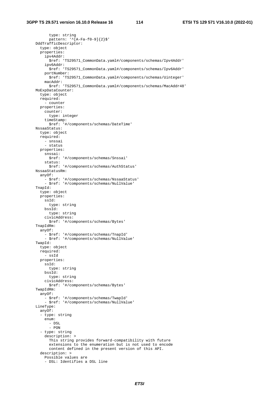type: string pattern:  $\sqrt{\text{A-Fa-f0-9}}$  {2}\$' DddTrafficDescriptor: type: object properties: ipv4Addr: .<br>\$ref: 'TS29571 CommonData.yaml#/components/schemas/Ipv4Addr' ipv6Addr: \$ref: 'TS29571\_CommonData.yaml#/components/schemas/Ipv6Addr' portNumber: \$ref: 'TS29571\_CommonData.yaml#/components/schemas/Uinteger' macAddr: \$ref: 'TS29571\_CommonData.yaml#/components/schemas/MacAddr48' MoExpDataCounter: type: object required: - counter properties: counter: type: integer timeStamp: \$ref: '#/components/schemas/DateTime' NssaaStatus: type: object required: - snssai - status properties: snssai: \$ref: '#/components/schemas/Snssai' status: \$ref: '#/components/schemas/AuthStatus' NssaaStatusRm: anyOf: - \$ref: '#/components/schemas/NssaaStatus' - \$ref: '#/components/schemas/NullValue' TnapId: type: object properties: ssId: type: string bssId: type: string civicAddress: \$ref: '#/components/schemas/Bytes' TnapIdRm: anyOf: - \$ref: '#/components/schemas/TnapId' - \$ref: '#/components/schemas/NullValue' TwapId: type: object required: - ssId properties: ssId: type: string bssId: type: string civicAddress: \$ref: '#/components/schemas/Bytes' TwapIdRm: anyOf: - \$ref: '#/components/schemas/TwapId' - \$ref: '#/components/schemas/NullValue' LineType: anyOf: - type: string enum: - DSL - PON - type: string description: > This string provides forward-compatibility with future extensions to the enumeration but is not used to encode content defined in the present version of this API. description: > Possible values are - DSL: Identifies a DSL line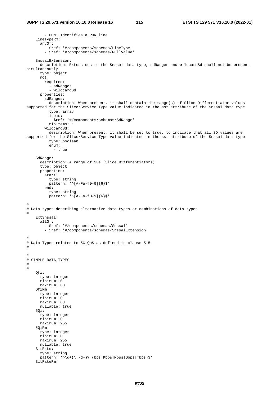- PON: Identifies a PON line LineTypeRm: anyOf: - \$ref: '#/components/schemas/LineType' - \$ref: '#/components/schemas/NullValue' SnssaiExtension: description: Extensions to the Snssai data type, sdRanges and wildcardSd shall not be present simultaneously type: object not: required: - sdRanges - wildcardSd properties: sdRanges: description: When present, it shall contain the range(s) of Slice Differentiator values supported for the Slice/Service Type value indicated in the sst attribute of the Snssai data type type: array items: \$ref: '#/components/schemas/SdRange' minItems: 1 wildcardSd: description: When present, it shall be set to true, to indicate that all SD values are supported for the Slice/Service Type value indicated in the sst attribute of the Snssai data type type: boolean enum: - true SdRange: description: A range of SDs (Slice Differentiators) type: object properties: start: type: string pattern: '^[A-Fa-f0-9]{6}\$' end: type: string pattern:  $\sqrt{A-Fa-f0-9}$ {6}\$' # # Data types describing alternative data types or combinations of data types # ExtSnssai:  $a110f$ : - \$ref: '#/components/schemas/Snssai' - \$ref: '#/components/schemas/SnssaiExtension' # # Data Types related to 5G QoS as defined in clause 5.5 # # # SIMPLE DATA TYPES # # Qfi: type: integer minimum: 0 maximum: 63 QfiRm: type: integer minimum: 0 maximum: 63 nullable: true  $50i$ : type: integer minimum: 0 maximum: 255 5QiRm: type: integer minimum: 0 maximum: 255 nullable: true BitRate: type: string pattern: ' $\dot{\ddot{\cdot}}$  ( $\dot{\ddot{\cdot}}$ )? (bps|Kbps|Mbps|Gbps|Tbps)\$' BitRateRm: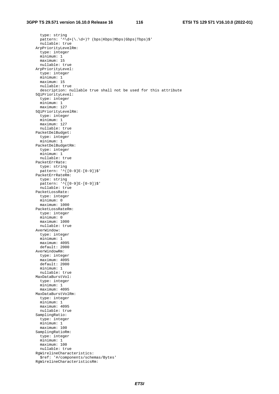#### **3GPP TS 29.571 version 16.10.0 Release 16 116 ETSI TS 129 571 V16.10.0 (2022-01)**

 type: string  $p$ attern: ' $\sqrt{d}$ +(\.\d+)? (bps|Kbps|Mbps|Gbps|Tbps)\$' nullable: true ArpPriorityLevelRm: type: integer minimum: 1 maximum: 15 nullable: true ArpPriorityLevel: type: integer minimum: 1 maximum: 15 nullable: true description: nullable true shall not be used for this attribute 5QiPriorityLevel: type: integer minimum: 1 maximum: 127 5QiPriorityLevelRm: type: integer minimum: 1 maximum: 127 nullable: true PacketDelBudget: type: integer minimum: 1 PacketDelBudgetRm: type: integer minimum: 1 nullable: true PacketErrRate: type: string pattern: '^([0-9]E-[0-9])\$' PacketErrRateRm: type: string pattern: '^([0-9]E-[0-9])\$' nullable: true PacketLossRate: type: integer minimum: 0 maximum: 1000 PacketLossRateRm: type: integer minimum: 0 maximum: 1000 nullable: true AverWindow: type: integer minimum: 1 maximum: 4095 default: 2000 AverWindowRm: type: integer maximum: 4095 default: 2000 minimum: 1 nullable: true MaxDataBurstVol: type: integer minimum: 1 maximum: 4095 MaxDataBurstVolRm: type: integer minimum: 1 maximum: 4095 nullable: true SamplingRatio: type: integer minimum: 1 maximum: 100 SamplingRatioRm: type: integer minimum: 1 maximum: 100 nullable: true RgWirelineCharacteristics: \$ref: '#/components/schemas/Bytes' RgWirelineCharacteristicsRm: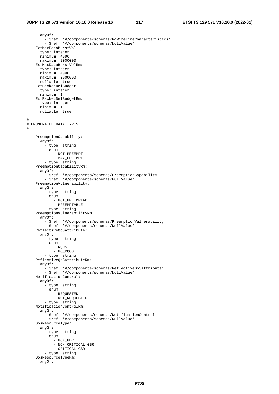#

#

 anyOf: - \$ref: '#/components/schemas/RgWirelineCharacteristics' - \$ref: '#/components/schemas/NullValue' ExtMaxDataBurstVol: type: integer minimum: 4096 maximum: 2000000 ExtMaxDataBurstVolRm: type: integer minimum: 4096 maximum: 2000000 nullable: true ExtPacketDelBudget: type: integer minimum: 1 ExtPacketDelBudgetRm: type: integer minimum: 1 nullable: true # ENUMERATED DATA TYPES PreemptionCapability: anyOf: - type: string enum: - NOT\_PREEMPT - MAY\_PREEMPT - type: string PreemptionCapabilityRm: anyOf: - \$ref: '#/components/schemas/PreemptionCapability' - \$ref: '#/components/schemas/NullValue' PreemptionVulnerability: anyOf: - type: string enum: - NOT\_PREEMPTABLE - PREEMPTABLE - type: string PreemptionVulnerabilityRm: anyOf: - \$ref: '#/components/schemas/PreemptionVulnerability' - \$ref: '#/components/schemas/NullValue' ReflectiveQoSAttribute: anyOf: - type: string enum: - RQOS - NO\_RQOS - type: string ReflectiveQoSAttributeRm: anyOf: - \$ref: '#/components/schemas/ReflectiveQoSAttribute' - \$ref: '#/components/schemas/NullValue' NotificationControl: anyOf: - type: string enum: - REQUESTED - NOT\_REQUESTED - type: string NotificationControlRm: anyOf: - \$ref: '#/components/schemas/NotificationControl' - \$ref: '#/components/schemas/NullValue' QosResourceType: anyOf: - type: string enum: - NON\_GBR - NON\_CRITICAL\_GBR - CRITICAL\_GBR - type: string QosResourceTypeRm: anyOf: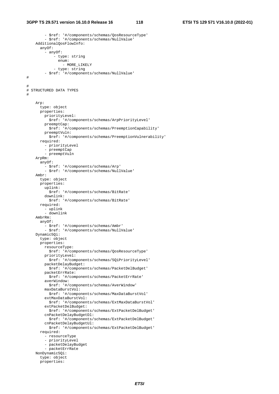### **3GPP TS 29.571 version 16.10.0 Release 16 118 ETSI TS 129 571 V16.10.0 (2022-01)**

# #

#

- \$ref: '#/components/schemas/QosResourceType'

```
 - $ref: '#/components/schemas/NullValue' 
     AdditionalQosFlowInfo: 
       anyOf: 
          - anyOf: 
              - type: string 
                enum: 
                  - MORE_LIKELY 
              - type: string 
          - $ref: '#/components/schemas/NullValue' 
# STRUCTURED DATA TYPES 
     Arp: 
       type: object 
       properties: 
         priorityLevel: 
           $ref: '#/components/schemas/ArpPriorityLevel' 
         preemptCap: 
           $ref: '#/components/schemas/PreemptionCapability' 
         preemptVuln: 
           $ref: '#/components/schemas/PreemptionVulnerability' 
       required: 
         - priorityLevel 
          - preemptCap 
         - preemptVuln 
     ArpRm: 
       anyOf: 
         - $ref: '#/components/schemas/Arp' 
         - $ref: '#/components/schemas/NullValue' 
     Ambr: 
       type: object 
       properties: 
         uplink: 
            $ref: '#/components/schemas/BitRate' 
         downlink: 
           $ref: '#/components/schemas/BitRate' 
       required: 
         - uplink 
          - downlink 
     AmbrRm: 
       anyOf: 
         - $ref: '#/components/schemas/Ambr' 
         - $ref: '#/components/schemas/NullValue' 
     Dynamic5Qi: 
       type: object 
       properties: 
         resourceType: 
           $ref: '#/components/schemas/QosResourceType' 
         priorityLevel: 
           $ref: '#/components/schemas/5QiPriorityLevel' 
         packetDelayBudget: 
           $ref: '#/components/schemas/PacketDelBudget' 
         packetErrRate: 
           $ref: '#/components/schemas/PacketErrRate' 
         averWindow: 
           $ref: '#/components/schemas/AverWindow' 
         maxDataBurstVol: 
           $ref: '#/components/schemas/MaxDataBurstVol' 
         extMaxDataBurstVol: 
           $ref: '#/components/schemas/ExtMaxDataBurstVol' 
         extPacketDelBudget: 
           $ref: '#/components/schemas/ExtPacketDelBudget' 
         cnPacketDelayBudgetDl: 
           $ref: '#/components/schemas/ExtPacketDelBudget' 
         cnPacketDelayBudgetUl: 
           $ref: '#/components/schemas/ExtPacketDelBudget' 
       required: 
         - resourceType 
         - priorityLevel 
         - packetDelayBudget 
         - packetErrRate 
     NonDynamic5Qi: 
       type: object 
       properties:
```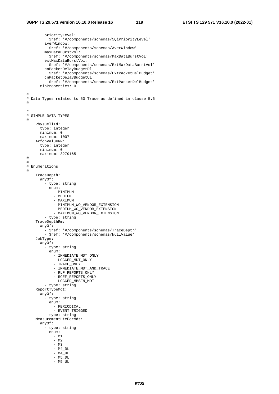priorityLevel: \$ref: '#/components/schemas/5QiPriorityLevel' averWindow: \$ref: '#/components/schemas/AverWindow' maxDataBurstVol: \$ref: '#/components/schemas/MaxDataBurstVol' extMaxDataBurstVol: \$ref: '#/components/schemas/ExtMaxDataBurstVol' cnPacketDelayBudgetDl: \$ref: '#/components/schemas/ExtPacketDelBudget' cnPacketDelayBudgetUl: \$ref: '#/components/schemas/ExtPacketDelBudget' minProperties: 0 # # Data Types related to 5G Trace as defined in clause 5.6 # # # SIMPLE DATA TYPES # PhysCellId: type: integer minimum: 0 maximum: 1007 ArfcnValueNR: type: integer minimum: 0 maximum: 3279165 # # # Enumerations # TraceDepth: anyOf: - type: string enum: - MINIMUM - MEDIUM - MAXIMUM - MINIMUM\_WO\_VENDOR\_EXTENSION - MEDIUM WO VENDOR EXTENSION - MAXIMUM\_WO\_VENDOR\_EXTENSION - type: string TraceDepthRm: anyOf: - \$ref: '#/components/schemas/TraceDepth' - \$ref: '#/components/schemas/NullValue' JobType: anyOf: - type: string enum: - IMMEDIATE\_MDT\_ONLY - LOGGED\_MDT\_ONLY - TRACE\_ONLY - IMMEDIATE\_MDT\_AND\_TRACE - RLF\_REPORTS\_ONLY - RCEF\_REPORTS\_ONLY - LOGGED\_MBSFN\_MDT - type: string ReportTypeMdt: anyOf: - type: string enum: - PERIODICAL - EVENT\_TRIGGED - type: string MeasurementLteForMdt: anyOf: - type: string enum: - M1 - M2 - M3 - M4\_DL  $- M4_UL$  - M5\_DL  $-$  M5\_UL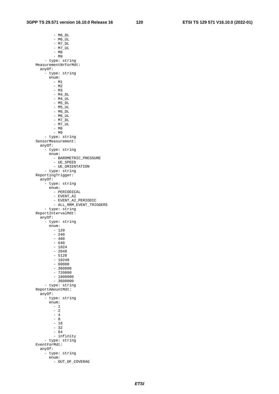- M6\_DL  $- M6$ UL - M7\_DL - M7\_UL - M8  $- M9$  - type: string MeasurementNrForMdt: anyOf: - type: string enum:  $- M1$  $- M2$  - M3  $- M4_DL$  $- M4_U$  - M5\_DL - M5\_UL  $- M6_DL$  $- M6$ UL  $-$  M7\_DL - M7\_UL - M8 - M9 - type: string SensorMeasurement: anyOf: - type: string enum: - BAROMETRIC\_PRESSURE - UE\_SPEED - UE\_ORIENTATION - type: string ReportingTrigger: anyOf: - type: string enum: - PERIODICAL - EVENT\_A2 - EVENT\_A2\_PERIODIC - ALL\_RRM\_EVENT\_TRIGGERS - type: string ReportIntervalMdt: anyOf: - type: string enum:  $- 120$  $- 240$  $-480$  $- 640$  - 1024  $- 2048$  $-5120$  $- 10240$  - 60000  $-360000$  $- 720000$  $- 1800000$  $-3600000$  - type: string ReportAmountMdt: anyOf: - type: string enum:  $-1$  $-$  2  $-4$  $-8$  $- 16$  $-32$  $- 64$  - infinity - type: string EventForMdt: anyOf: - type: string enum: - OUT\_OF\_COVERAG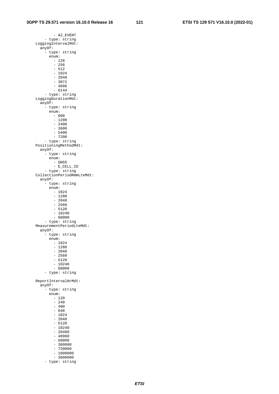- A2\_EVENT - type: string LoggingIntervalMdt: anyOf: - type: string enum:  $- 128$  $- 256$  $-512$  - 1024 - 2048  $-3072$  $-4096$  - 6144 - type: string LoggingDurationMdt: anyOf: - type: string enum:  $- 600$  $- 1200$  - 2400  $-3600$  $-5400$  - 7200 - type: string PositioningMethodMdt: anyOf: - type: string enum: - GNSS - E\_CELL\_ID - type: string CollectionPeriodRmmLteMdt: anyOf: - type: string enum:  $- 1024$  $- 1280$  $- 2048$  $- 2560$  $-5120$  $- 10240$  $- 60000$  - type: string MeasurementPeriodLteMdt: anyOf: - type: string enum: - 1024  $- 1280$  $- 2048$  $- 2560$  $-5120$  $- 10240$  $- 60000$  - type: string ReportIntervalNrMdt: anyOf: - type: string enum: - 120  $- 240$  $-480$  - 640  $- 1024$  - 2048  $-5120$  $- 10240$  $- 20480$  - 40960  $- 60000$  $-360000$  $-720000$  $- 1800000$  $-3600000$ 

- type: string

*ETSI*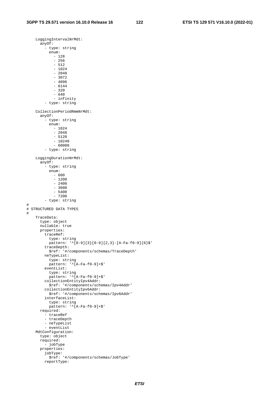LoggingIntervalNrMdt: anyOf: - type: string enum: - 128 - 256  $-512$  $- 1024$  - 2048 - 3072  $-4096$  - 6144 - 320 - 640 - infinity - type: string CollectionPeriodRmmNrMdt: anyOf: - type: string enum:  $- 1024$  $- 2048$  - 5120 - 10240 - 60000 - type: string LoggingDurationNrMdt: anyOf: - type: string enum:  $- 600$  - 1200 - 2400 - 3600 - 5400  $- 7200$  - type: string # # STRUCTURED DATA TYPES # TraceData: type: object nullable: true properties: traceRef: type: string pattern:  $\binom{1}{0-9}$ [3][0-9][2,3]-[A-Fa-f0-9][6]\$' traceDepth: \$ref: '#/components/schemas/TraceDepth' neTypeList: type: string pattern: '^[A-Fa-f0-9]+\$'  $eventList:$  type: string pattern: '^[A-Fa-f0-9]+\$' collectionEntityIpv4Addr: \$ref: '#/components/schemas/Ipv4Addr' collectionEntityIpv6Addr: \$ref: '#/components/schemas/Ipv6Addr' interfaceList: type: string pattern: '^[A-Fa-f0-9]+\$' required: - traceRef - traceDepth - neTypeList - eventList MdtConfiguration: type: object required: - jobType properties: jobType: \$ref: '#/components/schemas/JobType' reportType: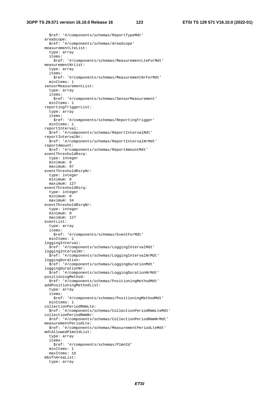\$ref: '#/components/schemas/ReportTypeMdt' areaScope: \$ref: '#/components/schemas/AreaScope' measurementLteList: type: array items: \$ref: '#/components/schemas/MeasurementLteForMdt' measurementNrList: type: array items: \$ref: '#/components/schemas/MeasurementNrForMdt' minItems: 1 sensorMeasurementList: type: array items: \$ref: '#/components/schemas/SensorMeasurement' minItems: 1 reportingTriggerList: type: array items: \$ref: '#/components/schemas/ReportingTrigger' minItems: 1 reportInterval: \$ref: '#/components/schemas/ReportIntervalMdt' reportIntervalNr: \$ref: '#/components/schemas/ReportIntervalNrMdt' reportAmount: \$ref: '#/components/schemas/ReportAmountMdt' eventThresholdRsrp: type: integer minimum: 0 maximum: 97 eventThresholdRsrpNr: type: integer minimum: 0 maximum: 127 eventThresholdRsrq: type: integer minimum: 0 maximum: 34 eventThresholdRsrqNr: type: integer minimum: 0 maximum: 127 eventList: type: array items: \$ref: '#/components/schemas/EventForMdt' minItems: 1 loggingInterval: \$ref: '#/components/schemas/LoggingIntervalMdt' loggingIntervalNr: \$ref: '#/components/schemas/LoggingIntervalNrMdt' loggingDuration: \$ref: '#/components/schemas/LoggingDurationMdt' loggingDurationNr: \$ref: '#/components/schemas/LoggingDurationNrMdt' positioningMethod: \$ref: '#/components/schemas/PositioningMethodMdt' addPositioningMethodList: type: array items: \$ref: '#/components/schemas/PositioningMethodMdt' minItems: 1 collectionPeriodRmmLte: \$ref: '#/components/schemas/CollectionPeriodRmmLteMdt' collectionPeriodRmmNr: \$ref: '#/components/schemas/CollectionPeriodRmmNrMdt' measurementPeriodLte: \$ref: '#/components/schemas/MeasurementPeriodLteMdt' mdtAllowedPlmnIdList: type: array items: \$ref: '#/components/schemas/PlmnId' minItems: 1 maxItems: 16 mbsfnAreaList: type: array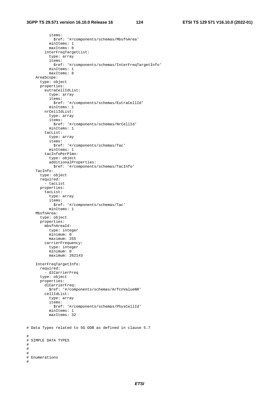items: \$ref: '#/components/schemas/MbsfnArea' minItems: 1 maxItems: 8 interFreqTargetList: type: array items: \$ref: '#/components/schemas/InterFreqTargetInfo' minItems: 1 maxItems: 8 AreaScope: type: object properties: eutraCellIdList: type: array items: \$ref: '#/components/schemas/EutraCellId' minItems: 1 nrCellIdList: type: array items: \$ref: '#/components/schemas/NrCellId' minItems: 1 tacList: type: array items: \$ref: '#/components/schemas/Tac' minItems: 1 tacInfoPerPlmn: type: object additionalProperties: \$ref: '#/components/schemas/TacInfo' TacInfo: type: object required: - tacList properties: tacList: type: array items: \$ref: '#/components/schemas/Tac' minItems: 1 MbsfnArea: type: object properties: mbsfnAreaId: type: integer minimum: 0 maximum: 255 carrierFrequency: type: integer minimum: 0 maximum: 262143 InterFreqTargetInfo: required: - dlCarrierFreq type: object properties: dlCarrierFreq: \$ref: '#/components/schemas/ArfcnValueNR' cellIdList: type: array items: \$ref: '#/components/schemas/PhysCellId' minItems: 1 maxItems: 32 # Data Types related to 5G ODB as defined in clause 5.7 # SIMPLE DATA TYPES # Enumerations

#

# # #

#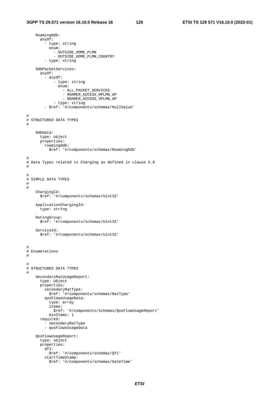RoamingOdb:

 anyOf: - type: string enum: - OUTSIDE\_HOME\_PLMN - OUTSIDE\_HOME\_PLMN\_COUNTRY - type: string OdbPacketServices: anyOf: - anyOf: - type: string enum: - ALL\_PACKET\_SERVICES - ROAMER\_ACCESS\_HPLMN\_AP - ROAMER\_ACCESS\_VPLMN\_AP - type: string - \$ref: '#/components/schemas/NullValue' # # STRUCTURED DATA TYPES # OdbData: type: object properties: roamingOdb: \$ref: '#/components/schemas/RoamingOdb' # # Data Types related to Charging as defined in clause 5.8 # # # SIMPLE DATA TYPES # # ChargingId: \$ref: '#/components/schemas/Uint32' ApplicationChargingId: type: string RatingGroup: \$ref: '#/components/schemas/Uint32' ServiceId: \$ref: '#/components/schemas/Uint32' # # Enumerations # # # STRUCTURED DATA TYPES # SecondaryRatUsageReport: type: object properties: secondaryRatType: \$ref: '#/components/schemas/RatType' qosFlowsUsageData: type: array items: \$ref: '#/components/schemas/QosFlowUsageReport' minItems: 1 required: - secondaryRatType - qosFlowsUsageData QosFlowUsageReport: type: object properties: qfi: \$ref: '#/components/schemas/Qfi' startTimeStamp: \$ref: '#/components/schemas/DateTime'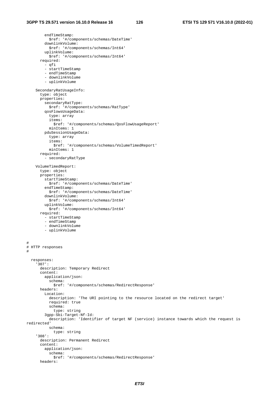endTimeStamp: \$ref: '#/components/schemas/DateTime' downlinkVolume: \$ref: '#/components/schemas/Int64' uplinkVolume: \$ref: '#/components/schemas/Int64' required:  $-$  qfi - startTimeStamp - endTimeStamp - downlinkVolume - uplinkVolume SecondaryRatUsageInfo: type: object properties: secondaryRatType: \$ref: '#/components/schemas/RatType' qosFlowsUsageData: type: array items: \$ref: '#/components/schemas/QosFlowUsageReport' minItems: 1 pduSessionUsageData: type: array items: \$ref: '#/components/schemas/VolumeTimedReport' minItems: 1 required: - secondaryRatType VolumeTimedReport: type: object properties: startTimeStamp: \$ref: '#/components/schemas/DateTime' endTimeStamp: \$ref: '#/components/schemas/DateTime' downlinkVolume: \$ref: '#/components/schemas/Int64' uplinkVolume: \$ref: '#/components/schemas/Int64' required: -<br>- startTimeStamp - endTimeStamp - downlinkVolume - uplinkVolume # # HTTP responses # responses: '307': description: Temporary Redirect content: application/json: schema: \$ref: '#/components/schemas/RedirectResponse' headers: Location: description: 'The URI pointing to the resource located on the redirect target' required: true schema: type: string 3gpp-Sbi-Target-Nf-Id: description: 'Identifier of target NF (service) instance towards which the request is redirected' schema: type: string '308': description: Permanent Redirect content: application/json: schema: \$ref: '#/components/schemas/RedirectResponse'

```
 headers:
```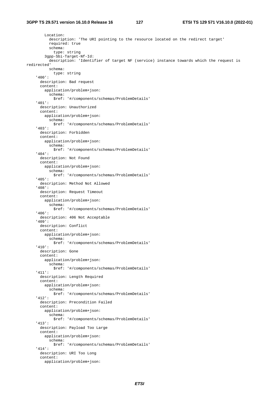Location: description: 'The URI pointing to the resource located on the redirect target' required: true schema: type: string 3gpp-Sbi-Target-Nf-Id: description: 'Identifier of target NF (service) instance towards which the request is redirected' schema: type: string '400': description: Bad request content: application/problem+json: schema: \$ref: '#/components/schemas/ProblemDetails' '401': description: Unauthorized content: application/problem+json: schema: \$ref: '#/components/schemas/ProblemDetails' '403': description: Forbidden content: application/problem+json: schema: \$ref: '#/components/schemas/ProblemDetails' '404': description: Not Found content: application/problem+json: schema: \$ref: '#/components/schemas/ProblemDetails' '405': description: Method Not Allowed '408': description: Request Timeout content: application/problem+json: schema: \$ref: '#/components/schemas/ProblemDetails' '406': description: 406 Not Acceptable '409': description: Conflict content: application/problem+json: schema: \$ref: '#/components/schemas/ProblemDetails' '410': description: Gone content: application/problem+json: schema: \$ref: '#/components/schemas/ProblemDetails' '411': description: Length Required content: application/problem+json: schema: \$ref: '#/components/schemas/ProblemDetails' '412': description: Precondition Failed content: application/problem+json: schema: \$ref: '#/components/schemas/ProblemDetails' '413': description: Payload Too Large content: application/problem+json: schema: \$ref: '#/components/schemas/ProblemDetails' '414': description: URI Too Long content: application/problem+json: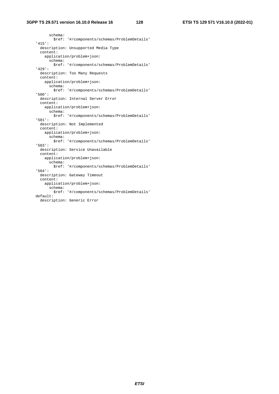## **3GPP TS 29.571 version 16.10.0 Release 16 128 ETSI TS 129 571 V16.10.0 (2022-01)**

 schema: \$ref: '#/components/schemas/ProblemDetails' '415': description: Unsupported Media Type content: application/problem+json: schema: \$ref: '#/components/schemas/ProblemDetails' '429': description: Too Many Requests content: application/problem+json: schema: \$ref: '#/components/schemas/ProblemDetails' '500': description: Internal Server Error content: application/problem+json: schema: \$ref: '#/components/schemas/ProblemDetails' '501': description: Not Implemented content: application/problem+json: schema: \$ref: '#/components/schemas/ProblemDetails' '503': description: Service Unavailable content: application/problem+json: schema: \$ref: '#/components/schemas/ProblemDetails' '504': description: Gateway Timeout content: application/problem+json: schema: \$ref: '#/components/schemas/ProblemDetails' default: description: Generic Error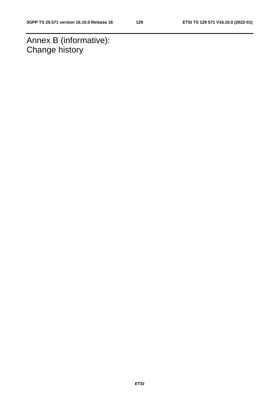Annex B (informative): Change history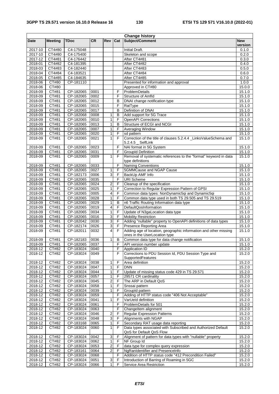| <b>Change history</b> |                    |               |           |                         |                |                                                                                          |            |
|-----------------------|--------------------|---------------|-----------|-------------------------|----------------|------------------------------------------------------------------------------------------|------------|
| <b>Date</b>           | <b>Meeting</b>     | <b>TDoc</b>   | <b>CR</b> | Rev                     | Cat            | Subject/Comment                                                                          | <b>New</b> |
|                       |                    |               |           |                         |                |                                                                                          | version    |
| 2017-10               | CT4#80             | C4-175048     |           |                         |                | <b>Initial Draft.</b>                                                                    | 0.1.0      |
| 2017-10               | CT4#80             | C4-175400     |           |                         |                | Skeleton and scope                                                                       | 0.2.0      |
| 2017-12               | CT4#81             | C4-176442     |           |                         |                | After CT4#81                                                                             | 0.3.0      |
| 2018-01               | CT4#82             | C4-181395     |           |                         |                | After CT4#82                                                                             | 0.4.0      |
| $2018 - 03$           | CT4#83             | $C4 - 182440$ |           |                         |                | After CT4#83                                                                             | 0.5.0      |
| 2018-04               | CT4#84             | C4-183521     |           |                         |                | After CT4#84                                                                             | 0.6.0      |
| 2018-05               | CT4#85             | C4-184635     |           |                         |                | After CT4#85                                                                             | 0.7.0      |
| 2018-06               | CT#80              | CP-181110     |           |                         |                | Presented for information and approval                                                   | 1.0.0      |
| 2018-06               | <b>CT#80</b>       |               |           |                         |                | Approved in CT#80                                                                        | 15.0.0     |
| 2018-09               | CT#81              | CP-182065     | 0001      |                         | F              | ProblemDetails                                                                           | 15.1.0     |
| 2018-09               | CT#81              | CP-182065     | 0002      |                         | F              | Structure of Amfld                                                                       | 15.1.0     |
| 2018-09               | CT#81              | CP-182065     | 0012      |                         | В              | DNAI change notification type                                                            | 15.1.0     |
| 2018-09               | CT#81              | CP-182065     | 0015      |                         | F              | RatType                                                                                  | 15.1.0     |
| 2018-09               | CT#81              | CP-182065     | 0017      |                         | $\overline{B}$ | Definition of DNAI                                                                       | 15.1.0     |
| 2018-09               | CT#81              | CP-182068     | 0008      | 1                       | $\sf B$        | Add support for 5G Trace                                                                 | 15.1.0     |
| 2018-09               | CT#81              | CP-182065     | 0010      | $\overline{1}$          | F              | <b>OpenAPI</b> Corrections                                                               | 15.1.0     |
| 2018-09               | CT#81              | CP-182065     | 0013      | $\mathbf{1}$            | B              | Structure of ECGI and NCGI                                                               | 15.1.0     |
| 2018-09               | CT#81              | CP-182065     | 0007      | 1                       | F              | <b>Averaging Window</b>                                                                  | 15.1.0     |
| 2018-09               | CT#81              | CP-182065     | 0020      | $\overline{1}$          | F              | sd pattern                                                                               | 15.1.0     |
| 2018-09               | CT#81              | CP-182065     | 0021      | $\mathbf{1}$            | F              | Correction of the title of clauses 5.2.4.4 _LinksValueSchema and                         | 15.1.0     |
|                       |                    |               |           |                         |                | $5.2.4.5$ $\_$ SelfLink                                                                  |            |
| 2018-09               | CT#81              | CP-182065     | 0023      |                         | F              | NAI format in 5G System                                                                  | 15.1.0     |
| 2018-09               | CT#81              | CP-182065     | 0031      |                         | F              | <b>GroupId Definition</b>                                                                | 15.1.0     |
| 2018-09               | CT#81              | CP-182065     | 0009      | 1                       | F              | Removal of systematic references to the "format" keyword in data                         | 15.1.0     |
|                       |                    |               |           |                         |                | type definitions                                                                         |            |
| 2018-09               | CT#81              | CP-182065     | 0033      |                         | F              | <b>Naming Conventions</b>                                                                | 15.1.0     |
| 2018-09               | CT#81              | CP-182065     | 0027      | 1                       | F              | 5GMMCause and NGAP Cause                                                                 | 15.1.0     |
| 2018-09               | CT#81              | CP-182173     | 0006      | $\overline{3}$          | F              | BackUp AMF Info                                                                          | 15.1.0     |
| 2018-09               | CT#81              | CP-182065     | 0035      |                         | F              | <b>URI</b> Scheme                                                                        | 15.1.0     |
| 2018-09               | CT#81              | CP-182065     | 0024      | $\overline{2}$          | F              | Cleanup of the specification                                                             | 15.1.0     |
|                       |                    |               |           | $\overline{1}$          |                | Correction to Regular Expression Pattern of GPSI                                         |            |
| 2018-09               | CT#81              | CP-182065     | 0025      |                         | F<br>F         |                                                                                          | 15.1.0     |
| 2018-09               | CT#81              | CP-182065     | 0005      | 4                       |                | Common data types: NonDynamic5qi and Dynamic5qi                                          | 15.1.0     |
| 2018-09               | CT#81              | CP-182065     | 0028      | $\overline{1}$          | $\overline{F}$ | Common data type used in both TS 29.505 and TS 29.519                                    | 15.1.0     |
| 2018-09               | CT#81              | CP-182065     | 0029      | 1                       | B              | n6 Traffic Routing Information data type                                                 | 15.1.0     |
| 2018-09               | CT#81              | CP-182065     | 0019      | $\overline{\mathbf{4}}$ | F              | DefaultQosInformation                                                                    | 15.1.0     |
| 2018-09               | CT#81              | CP-182065     | 0034      | $\overline{1}$          | F              | Update of N3gaLocation data type                                                         | 15.1.0     |
| 2018-09               | CT#81              | CP-182065     | 0016      | 3                       | F              | <b>Mobility Restriction</b>                                                              | 15.1.0     |
| 2018-09               | CT#81              | CP-182042     | 0030      | $\overline{3}$          | $\overline{F}$ | Adding "nullable" property to OpenAPI definitions of data types                          | 15.1.0     |
| 2018-09               | CT#81              | CP-182174     | 0026      | $\overline{3}$          | F              | Presence Reporting Area                                                                  | 15.1.0     |
| 2018-09               | CT#81              | CP-182011     | 0032      | 4                       | F              | Adding age of location, geographic information and other missing                         | 15.1.0     |
|                       |                    |               |           |                         |                | ones in the UserLocation type                                                            |            |
| 2018-09               | $\overline{CT#81}$ | CP-182183     | 0036      | 1                       | B              | Common data type for data change notification                                            | 15.1.0     |
| 2018-09               | C1#81              | CP-182065     | 0037      |                         | ۲              | API version number update                                                                | 15.1.0     |
| 2018-12               | CT#82              | CP-183024     | 0040      |                         | F              | Application ID                                                                           | 15.2.0     |
| 2018-12               | CT#82              | CP-183024     | 0049      |                         | F              | Corrections to PDU Session Id, PDU Session Type and                                      | 15.2.0     |
|                       |                    |               |           |                         |                | SupportedFeatures                                                                        |            |
| 2018-12               | CT#82              | CP-183024     | 0038      | 1                       | F              | Area definition                                                                          | 15.2.0     |
| 2018-12               | CT#82              | CP-183024     | 0047      | 1                       | F              | <b>DNN</b>                                                                               | 15.2.0     |
| 2018-12               | CT#82              | CP-183024     | 0044      | 1                       | F              | Update of missing status code 429 in TS 29.571                                           | 15.2.0     |
| 2018-12               | CT#82              | CP-183024     | 0057      | 1                       | F              | 29571 CR cardinality                                                                     | 15.2.0     |
| 2018-12               | CT#82              | CP-183024     | 0045      | 2                       | F              | The ARP in Default QoS                                                                   | 15.2.0     |
| 2018-12               | CT#82              | CP-183024     | 0058      | $\mathbf{1}$            | F              | Snssai pattern                                                                           | 15.2.0     |
| 2018-12               | CT#82              | CP-183024     | 0039      | $\mathbf{1}$            | F              | GroupId pattern                                                                          | 15.2.0     |
| 2018-12               | CT#82              | CP-183024     | 0059      |                         | F              | Adding of HTTP status code "406 Not Acceptable"                                          | 15.2.0     |
| 2018-12               | CT#82              | CP-183024     | 0041      | 1                       | $\mathsf F$    | VarUeld definition                                                                       | 15.2.0     |
| 2018-12               | CT#82              | CP-183024     | 0061      |                         | $\overline{F}$ | ProblemDetails for 501                                                                   | 15.2.0     |
| 2018-12               | CT#82              | CP-183024     | 0063      |                         | F              | Changeltem alignment                                                                     | 15.2.0     |
| 2018-12               | CT#82              | CP-183024     | 0046      | 2                       | F              | <b>Regular Expression Patterns</b>                                                       | 15.2.0     |
| 2018-12               | CT#82              | CP-183024     | 0048      | $\overline{3}$          | F              | Alignments with NGAP                                                                     | 15.2.0     |
| 2018-12               | CT#82              | CP-183168     | 0065      | $\mathbf{1}$            | F              | Secondary RAT usage data reporting                                                       | 15.2.0     |
|                       | $\overline{CT#82}$ |               | 0060      | 1                       | F              | Data types associated with Subscribed and Authorized Default                             |            |
| 2018-12               |                    | CP-183024     |           |                         |                |                                                                                          | 15.2.0     |
|                       |                    |               |           |                         | $\mathsf F$    | QoS for Default QoS Flow<br>Alignment of pattern for data types with "nullable" property |            |
| 2018-12               | CT#82              | CP-183024     | 0042      | 3                       |                |                                                                                          | 15.2.0     |
| 2018-12               | CT#82              | CP-183024     | 0062      | $\mathbf{1}$            | $\mathsf F$    | NF Group Id                                                                              | 15.2.0     |
| 2018-12               | CT#82              | CP-183024     | 0053      | $\overline{2}$          | F              | data type for complex query expression                                                   | 15.2.0     |
| 2018-12               | CT#82              | CP-183161     | 0064      | $\overline{2}$          | F              | NgRanldentifier and PresenceInfo                                                         | 15.2.0     |
| 2018-12               | CT#82              | CP-183024     | 0068      |                         | F              | Addition of HTTP status code "412 Precondition Failed"                                   | 15.2.0     |
| 2018-12               | CT#82              | CP-183024     | 0051      | $\mathbf{3}$            | F              | Introduction of Barring of Roaming in 5GC                                                | 15.2.0     |
| 2018-12               | CT#82              | CP-183024     | 0066      | $\mathbf{1}$            | F              | Service Area Restriction                                                                 | 15.2.0     |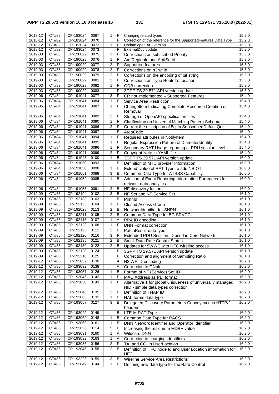| 2018-12     | CT#82 | CP-183024 | 0067 | $\mathbf{1}$   | $\mathsf F$    | Charging related types                                                    | 15.2.0 |
|-------------|-------|-----------|------|----------------|----------------|---------------------------------------------------------------------------|--------|
| 2018-12     | CT#82 | CP-183024 | 0070 |                | F              | Correction of the reference for the SupportedFeatures Data Type           | 15.2.0 |
| $2018 - 12$ | CT#82 | CP-183024 | 0072 | 1              | F              | Update open API version                                                   | 15.2.0 |
| 2018-12     | CT#82 | CP-183024 | 0073 |                | F              | ExternalDoc update                                                        | 15.2.0 |
| 2019-03     | CT#83 | CP-190029 | 0075 | 3              | $\mathsf F$    | Corrections on subscribed Priority                                        | 15.3.0 |
| 2019-03     | CT#83 | CP-190029 | 0076 | $\overline{1}$ | F              | AmfRegionId and AmfSetId                                                  | 15.3.0 |
| 2019-03     | CT#83 | CP-190029 | 0077 | $\overline{c}$ | F              | Supported features                                                        | 15.3.0 |
| 2019-03     | CT#83 | CP-190029 | 0078 | $\overline{2}$ | F              | Corrections on n3iwf Id                                                   | 15.3.0 |
| 2019-03     | CT#83 | CP-190029 | 0079 | $\overline{2}$ | F              | Corrections on the encoding of bit string                                 | 15.3.0 |
| 2019-03     | CT#83 | CP-190029 | 0081 | $\overline{2}$ | F              | Corrections on Type RouteToLocation                                       | 15.3.0 |
| 2019-03     | CT#83 | CP-190029 | 0082 | $\mathbf{1}$   | $\overline{F}$ | <b>ODB</b> correction                                                     | 15.3.0 |
|             | CT#83 | CP-190029 | 0083 |                | F              |                                                                           |        |
| 2019-03     |       |           |      |                |                | 3GPP TS 29.571 API version update                                         | 15.3.0 |
| 2019-06     | CT#84 | CP-191041 | 0077 | 3              | F              | CR not implemented - Supported Features                                   | 15.4.0 |
| 2019-06     | CT#84 | CP-191041 | 0084 | 1              | F              | Service Area Restriction                                                  | 15.4.0 |
| 2019-06     | CT#84 | CP-191041 | 0087 | $\mathbf{1}$   | F              | Changeltem Indicating Complete Resource Creation or<br>Removal            | 15.4.0 |
| 2019-06     | CT#84 | CP-191041 | 0089 | $\overline{2}$ | F              | Storage of OpenAPI specification files                                    | 15.4.0 |
| 2019-06     | CT#84 | CP-191041 | 0090 | $\mathbf{1}$   | F              | Clarificaiton on Universal Matching Pattern Schema                        | 15.4.0 |
| 2019-06     | CT#84 | CP-191041 | 0086 | $\overline{2}$ | $\mathsf F$    | Correct the discription of 5qi in SubscribedDefaultQos                    | 15.4.0 |
| 2019-06     | CT#84 | CP-191041 | 0097 |                | F              | AreaCode                                                                  | 15.4.0 |
| 2019-06     | CT#84 | CP-191041 | 0094 | 1              | F              | Required attributes in NotifyItem                                         | 15.4.0 |
| 2019-06     | CT#84 | CP-191041 | 0095 | 1              | $\mathsf F$    |                                                                           | 15.4.0 |
|             |       |           |      |                |                | Regular Expression Pattern of DiameterIdentity                            |        |
| 2019-06     | CT#84 | CP-191041 | 0096 | $\mathbf{1}$   | F              | Secondary RAT Usage reporting at PDU session level                        | 15.4.0 |
| 2019-06     | CT#84 | CP-191041 | 0099 | $\overline{2}$ | F              | Copyright Note in YAML file                                               | 15.4.0 |
| 2019-06     | CT#84 | CP-191048 | 0100 | $\mathbf{1}$   | $\sf B$        | 3GPP TS 29.571 API version update                                         | 16.0.0 |
| 2019-06     | CT#84 | CP-191050 | 0093 |                | $\sf B$        | Definition of MTC provider Information                                    | 16.0.0 |
| 2019-06     | CT#84 | CP-191050 | 0098 | 1              | B              | Extend value of RAT Type to add NBIOT                                     | 16.0.0 |
| 2019-06     | CT#84 | CP-191051 | 0088 | 3              | в              | Common Data Type for ATSSS Capability                                     | 16.0.0 |
| 2019-06     | CT#84 | CP-191052 | 0085 | 1              | B              | Addition of Event Reporting Information Parameters for                    | 16.0.0 |
|             |       |           |      |                |                | network data analytics                                                    |        |
| 2019-06     | CT#84 | CP-191055 | 0091 | $\sqrt{2}$     | B              | NF discovery factors                                                      | 16.0.0 |
| 2019-09     | CT#85 | CP-192194 | 0102 | 3              | B              | NF Set and NF Service Set                                                 | 16.1.0 |
| 2019-09     | CT#85 | CP-192133 | 0103 |                | B              | Plmnld                                                                    | 16.1.0 |
| 2019-09     | CT#85 | CP-192133 | 0104 | 1              | В              | Closed Access Group                                                       | 16.1.0 |
| 2019-09     | CT#85 | CP-192028 | 0113 | $\overline{2}$ | B              |                                                                           | 16.1.0 |
|             |       |           |      | $\overline{c}$ | B              | Network Identifier for SNPN                                               |        |
| 2019-09     | CT#85 | CP-192211 | 0105 |                |                | Common Data Type for 5G SRVCC                                             | 16.1.0 |
| 2019-09     | CT#85 | CP-192115 | 0107 | $\mathbf{1}$   | Α              | PRA ID encoding                                                           | 16.1.0 |
| 2019-09     | CT#85 | CP-192123 | 0108 | $\mathbf{1}$   | F              | <b>DNN Format correction</b>                                              | 16.1.0 |
| 2019-09     | CT#85 | CP-192123 | 0111 | 2              | B              | PatchResult data type                                                     | 16.1.0 |
| 2019-09     | CT#85 | CP-192120 | 0116 | 3              | F              | Extended PDU Session ID used in Core Network                              | 16.1.0 |
| 2019-09     | CT#85 | CP-192195 | 0121 | $\overline{2}$ | B              | Small Data Rate Control Status                                            | 16.1.0 |
| 2019-09     | CT#85 | CP-192130 | 0122 | $\overline{2}$ | B              | Updates for 5WWC with HFC wireline access                                 | 16.1.0 |
| 2019-09     | CT#85 | CP-192120 | 0124 |                | F              | 3GPP TS 29.571 API version update                                         | 16.1.0 |
| 2019-09     | CT#85 | CP-192210 | 0125 |                | F              | Correction and alignment of Sampling Ratio                                | 16.1.0 |
| 2019-12     | CT#86 | CP-193032 | 0130 |                | A              | N3IWF ID encoding                                                         | 16.2.0 |
| 2019-12     | CT#86 | CP-193032 | 0138 |                | Α              | Correction to GNbld                                                       | 16.2.0 |
| 2019-12     | CT#86 | CP-193057 | 0126 | 1              | В              | Format of NF (Service) Set ID                                             | 16.2.0 |
| 2019-12     | CT#86 | CP-193046 | 0142 | 1              | F              | MAC Address as PEI format                                                 | 16.2.0 |
| 2019-12     | CT#86 | CP-193050 | 0143 | 1              | F              | Alternative 1 for global uniqueness of universally managed                | 16.2.0 |
|             |       |           |      |                |                | NID - simple data types correction                                        |        |
| 2019-12     | CT#86 | CP-193046 | 0135 | $\sqrt{2}$     | $\sf B$        | Definition of TNAP ID                                                     | 16.2.0 |
| 2019-12     | CT#86 | CP-193063 | 0131 | 1              | В              |                                                                           | 16.2.0 |
|             |       |           |      |                |                | HAL-forms data type                                                       |        |
| 2019-12     | CT#86 | CP-193057 | 0127 | 3              | в              | Delegated Discovery Parameters Conveyance in HTTP/2<br>headers            | 16.2.0 |
| 2019-12     | CT#86 | CP-193049 | 0149 |                | B              | LTE-M RAT Type                                                            | 16.2.0 |
| 2019-12     | CT#86 | CP-193062 | 0148 | $\mathbf{1}$   | B              | Common Data Type for RACS                                                 | 16.2.0 |
| 2019-12     | CT#86 | CP-193063 | 0161 | 1              | B              | DNN Network Identifier and Operator Identifier                            | 16.2.0 |
| 2019-12     | CT#86 | CP-193036 | 0114 | 5              | В              | Increasing the maximum MDBV value                                         | 16.2.0 |
| 2019-12     | CT#86 | CP-193031 | 0160 | 1              | Α              | <b>Wildcard DNN</b>                                                       | 16.2.0 |
| 2019-12     | CT#86 | CP-193032 | 0163 | 1              | Α              | Correction to charging identifiers                                        | 16.2.0 |
| 2019-12     | CT#86 | CP-193036 | 0156 | 2              | F              | TAI and CGI in UserLocation                                               | 16.2.0 |
|             |       |           |      | $\overline{2}$ | B              |                                                                           | 16.2.0 |
| 2019-12     | CT#86 | CP-193046 | 0158 |                |                | Definition of HFC node Id and User Location information for<br><b>HFC</b> |        |
| 2019-12     | CT#86 | CP-193225 | 0159 | 3              | B              | Wireline Service Area Restrictions                                        | 16.2.0 |
| 2019-12     | CT#86 | CP-193049 | 0144 | $\mathbf{1}$   | в              | Defining new data type for the Rate Control                               | 16.2.0 |
|             |       |           |      |                |                |                                                                           |        |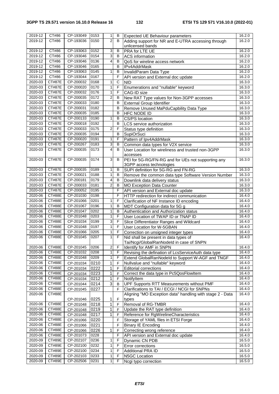| 2019-12     | CT#86         | CP-193049              | 0153         | 1                | В              | Expected UE Behaviour parameters                                              | 16.2.0 |
|-------------|---------------|------------------------|--------------|------------------|----------------|-------------------------------------------------------------------------------|--------|
| 2019-12     | CT#86         | CP-193036              | 0150         | 2                | B              | Adding support for NR and E-UTRA accessing through                            | 16.2.0 |
|             |               |                        |              |                  |                | unlicensed bands                                                              |        |
| 2019-12     | CT#86         | CP-193063              | 0152         | 3                | B              | PRA for LTE UE                                                                | 16.2.0 |
| 2019-12     | CT#86         | CP-193046              | 0154         | $\overline{3}$   | B              | <b>ACS</b> information                                                        | 16.2.0 |
| 2019-12     | CT#86         | CP-193046              | 0136         | 4                | B              | QoS for wireline access network                                               | 16.2.0 |
| 2019-12     | CT#86         | CP-193046              | 0165         |                  | B              | IPv4AddrMask                                                                  | 16.2.0 |
| 2019-12     | CT#86         | CP-193063              | 0145         | 1                | B              | InvalidParam Data Type                                                        | 16.2.0 |
| 2019-12     | CT#86         | CP-193044              | 0167         |                  | F              | API version and External doc update                                           | 16.2.0 |
| 2020-03     | <b>CT#87E</b> | CP-200032              | 0168         | 1                | C              | <b>NID</b>                                                                    | 16.3.0 |
| 2020-03     | <b>CT#87E</b> | CP-200020              | 0170         | 1                | $\mathsf F$    | Enumerations and "nullable" keyword                                           | 16.3.0 |
| 2020-03     | <b>CT#87E</b> | CP-200032              | 0176         | 1                | F              | CAG-ID size                                                                   | 16.3.0 |
| 2020-03     | <b>CT#87E</b> | CP-200035              | 0172         | 2                | В              | New RAT Type values for Non-3GPP accesses                                     | 16.3.0 |
| 2020-03     | <b>CT#87E</b> | CP-200033              | 0180         |                  | B              | <b>External Group Identifier</b>                                              | 16.3.0 |
| 2020-03     | <b>CT#87E</b> | CP-200031              | 0182         |                  | B              | Remove Unused MaPduCapbility Data Type                                        | 16.3.0 |
| 2020-03     | <b>CT#87E</b> | CP-200035              | 0185         |                  | B              | HFC NODE ID                                                                   | 16.3.0 |
| 2020-03     | <b>CT#87E</b> | CP-200133              | 0190         | 1                | B              | CS/PS location                                                                | 16.3.0 |
| 2020-03     | <b>CT#87E</b> | CP-200018              | 0192         |                  | B              | LCS service authorization                                                     | 16.3.0 |
| 2020-03     | <b>CT#87E</b> | CP-200033              | 0175         | $\overline{2}$   | F              | Status type definition                                                        | 16.3.0 |
| 2020-03     | <b>CT#87E</b> | CP-200035              | 0194         |                  | B              | SupiOrSuci                                                                    | 16.3.0 |
| 2020-03     | <b>CT#87E</b> | CP-200020              | 0191         | 1                | F              | Pattern of Ipv4AddrMask                                                       | 16.3.0 |
| 2020-03     | <b>CT#87E</b> | CP-200267              | 0183         | 3                | B              | Common data types for V2X service                                             | 16.3.0 |
| 2020-03     | <b>CT#87E</b> | CP-200035              | 0173         | 4                | B              | User Location for wireliness and trusted non-3GPP                             | 16.3.0 |
|             |               |                        |              |                  |                |                                                                               |        |
| 2020-03     | <b>CT#87E</b> | CP-200035              | 0174         | 3                | B              | accesses<br>PEI for 5G-RG/FN-RG and for UEs not supporting any                | 16.3.0 |
|             |               |                        |              |                  |                | 3GPP access technologies                                                      |        |
| 2020-03     | <b>CT#87E</b> | CP-200035              | 0189         | 1                | B              | SUPI definition for 5G-RG and FN-RG                                           | 16.3.0 |
| 2020-03     | <b>CT#87E</b> | CP-200021              | 0188         | 1                | B              | Remove the common data type Software Version Number                           | 16.3.0 |
| 2020-03     | <b>CT#87E</b> | CP-200181              | 0179         | 4                | B              | Downlink data delivery status                                                 | 16.3.0 |
| 2020-03     | <b>CT#87E</b> | CP-200033              | 0181         | $\overline{2}$   | B              | <b>MO Exception Data Counter</b>                                              | 16.3.0 |
| 2020-03     | <b>CT#87E</b> | CP-200052              | 0195         |                  | F              | API version and External doc update                                           | 16.3.0 |
| 2020-06     | <b>CT#88E</b> | CP-201030              | 0198         |                  | F              | HTTP redirection for indirect communication                                   | 16.4.0 |
| 2020-06     | <b>CT#88E</b> | CP-201066              | 0201         | 1                | F              | Clarification of NF Instance ID encoding                                      | 16.4.0 |
| 2020-06     | <b>CT#88E</b> | CP-201067              | 0196         | 1                | $\sf B$        | MDT Configuration data for 5G g                                               | 16.4.0 |
| $2020 - 06$ | <b>CT#88E</b> | CP-201047              | 0202         | 1                | B              | Authentication and Authorization status                                       | 16.4.0 |
| 2020-06     | <b>CT#88E</b> | CP-201048              | 0203         | 1                | F              | User Location of TWAP ID or TNAP ID                                           | 16.4.0 |
| 2020-06     | <b>CT#88E</b> | CP-201034              | 0199         | 3                | F              | Slice Differentiator Ranges and Wildcard                                      | 16.4.0 |
| 2020-06     | <b>CT#88E</b> | CP-201048              | 0197         | 1                | F              | User Location for W-5GBAN                                                     | 16.4.0 |
| 2020-06     | <b>CT#88E</b> | CP-201066              | 0205         | 1                | F              |                                                                               | 16.4.0 |
| 2020-06     | <b>CT#88E</b> | CP-201045              | 0207         | 1                | F              | Correction on unsigned integer types<br>Nid shall be present in data types of | 16.4.0 |
|             |               |                        |              |                  |                | Tai/Ncgi/GlobalRanNodeld in case of SNPN                                      |        |
| $2020 - 06$ | CT#88E        | CP-201045              | 0206         | $\boldsymbol{2}$ | F              | Identify for AMF in SNPN                                                      | 16.4.0 |
| 2020-06     | CT#88E        | CP-201032              | 0208         | 1                | F              | Revising the defination of LcsServiceAuth data type                           | 16.4.0 |
| 2020-06     | CT#88E        | CP-201048              | 0209         | 1                | F              | Extend GlobalRanNodeld to Support W-AGF and TNGF                              | 16.4.0 |
| 2020-06     | CT#88E        | CP-201034              | 0210         | 1                | F              | Nullvalue and "nullable" keyword                                              | 16.4.0 |
| 2020-06     | CT#88E        |                        | 0222         | 1                | F              | <b>Editorial corrections</b>                                                  | 16.4.0 |
| 2020-06     | CT#88E        | CP-201034<br>CP-201034 | 0223         | 1                | F              | Correct the data type in Pc5QosFlowItem                                       | 16.4.0 |
| 2020-06     | <b>CT#88E</b> | CP-201034              | 0212         | 1                | F              | NotifyItem                                                                    | 16.4.0 |
| 2020-06     | <b>CT#88E</b> | CP-201044              | 0214         | 3 <sup>1</sup>   | B              | UPF Supports RTT Measurements without PMF                                     | 16.4.0 |
| 2020-06     | <b>CT#88E</b> | CP-201045              | 0227         |                  | $\mathsf{F}$   | Clarifications to TAI / ECGI / NCGI for SNPNs                                 | 16.4.0 |
| 2020-06     | <b>CT#88E</b> |                        |              |                  |                | Aligning "MO Exception data" handling with stage 2 - Data                     | 16.4.0 |
|             |               | CP-201046              | 0225         | 1                | F              | types                                                                         |        |
| 2020-06     | <b>CT#88E</b> | CP-201048              | 0218         | 1                | F              | Removal of RG-TMBR                                                            | 16.4.0 |
| 2020-06     | <b>CT#88E</b> | CP-201048              | 0219         | 1                | F              | Update the RAT type definition                                                | 16.4.0 |
| 2020-06     | CT#88E        | CP-201048              | 0217         | 1                | F              | Reference for RgWirelineCharacteristics                                       | 16.4.0 |
| 2020-06     | CT#88E        | CP-201066              | 0220         |                  | F              | Storage of YAML files in ETSI Forge                                           | 16.4.0 |
| 2020-06     | CT#88E        |                        | 0221         |                  | F              | <b>Binary IE Encoding</b>                                                     | 16.4.0 |
| 2020-06     | CT#88E        | CP-201066              |              |                  |                | Correcting wrong reference                                                    | 16.4.0 |
| 2020-06     | CT#88E        | CP-201066<br>CP-201073 | 0226<br>0228 | 1                | F<br>F         |                                                                               | 16.4.0 |
| 2020-09     | CT#89E        | CP-202107              | 0236         | 1                | F              | API version and External doc update                                           | 16.5.0 |
| 2020-09     | <b>CT#89E</b> | CP-202100              | 0232         | 1                | $\overline{F}$ | Dynamic CN PDB                                                                | 16.5.0 |
| 2020-09     | CT#89E        | CP-202100              | 0234         | 1                | F              | Error corrections<br>Additional PRA ID                                        | 16.5.0 |
| 2020-09     | CT#89E        | CP-202103              | 0233         | 1                | F              | N5GC Location                                                                 | 16.5.0 |
| 2020-09     | CT#89E        | CP-202506              | 0231         | 1                | F              |                                                                               | 16.5.0 |
|             |               |                        |              |                  |                | Ncgi typo correction                                                          |        |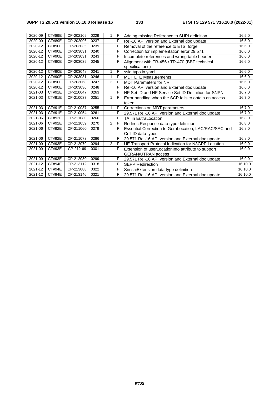| 2020-09     | <b>CT#89E</b> | CP-202109 | 0229 | 1            | F | Adding missing Reference to SUPI definition           | 16.5.0  |
|-------------|---------------|-----------|------|--------------|---|-------------------------------------------------------|---------|
| 2020-09     | <b>CT#89E</b> | CP-202096 | 0237 |              | F | Rel-16 API version and External doc update            | 16.5.0  |
| 2020-12     | <b>CT#90E</b> | CP-203035 | 0239 |              | F | Removal of the reference to ETSI forge                | 16.6.0  |
| 2020-12     | <b>CT#90E</b> | CP-203031 | 0240 |              | F | Correction for implementation error 29.571            | 16.6.0  |
| 2020-12     | CT#90E        | CP-203031 | 0243 |              | F | Incomplete references and wrong table header          | 16.6.0  |
| 2020-12     | <b>CT#90E</b> | CP-203039 | 0245 |              | F | Alignment with TR-456 / TR-470 (BBF technical         | 16.6.0  |
|             |               |           |      |              |   | specifications)                                       |         |
| 2020-12     | <b>CT#90E</b> | CP-203048 | 0241 | 1            | F | ssid typo in yaml                                     | 16.6.0  |
| 2020-12     | <b>CT#90E</b> | CP-203031 | 0246 | 1            | F | <b>MDT LTE Measurements</b>                           | 16.6.0  |
| 2020-12     | <b>CT#90E</b> | CP-203068 | 0247 | $\mathbf{2}$ | F | <b>MDT Parameters for NR</b>                          | 16.6.0  |
| 2020-12     | CT#90E        | CP-203036 | 0248 |              | F | Rel-16 API version and External doc update            | 16.6.0  |
| 2021-03     | CT#91E        | CP-210047 | 0263 |              | F | NF Set ID and NF Service Set ID Definition for SNPN   | 16.7.0  |
| 2021-03     | CT#91E        | CP-210037 | 0251 | 1            | F | Error handling when the SCP fails to obtain an access | 16.7.0  |
|             |               |           |      |              |   | token                                                 |         |
| 2021-03     | <b>CT#91E</b> | CP-210037 | 0255 | $\mathbf{1}$ | F | Corrections on MDT parameters                         | 16.7.0  |
| 2021-03     | CT#91E        | CP-210054 | 0261 |              | F | 29.571 Rel-16 API version and External doc update     | 16.7.0  |
| 2021-06     | CT#92E        | CP-211080 | 0266 |              | F | <b>TAI</b> in EutraLocation                           | 16.8.0  |
| 2021-06     | CT#92E        | CP-211059 | 0270 | $\mathbf{2}$ | F | RedirectResponse data type definition                 | 16.8.0  |
| 2021-06     | CT#92E        | CP-211060 | 0279 |              | F | Essential Correction to GeraLocation, LAC/RAC/SAC and | 16.8.0  |
|             |               |           |      |              |   | Cell ID data types                                    |         |
| 2021-06     | CT#92E        | CP-211073 | 0286 |              | F | 29.571 Rel-16 API version and External doc update     | 16.8.0  |
| 2021-09     | CT#93E        | CP-212079 | 0294 | 2            | F | UE Transport Protocol Indication for N3GPP Location   | 16.9.0  |
| 2021-09     | CT#93E        | CP-212-69 | 0301 |              | F | Extension of userLocationInfo attribute to support    | 16.9.0  |
|             |               |           |      |              |   | <b>GERAN/UTRAN access</b>                             |         |
| $2021 - 09$ | CT#93E        | CP-212080 | 0299 |              | F | 29.571 Rel-16 API version and External doc update     | 16.9.0  |
| 2021-12     | <b>CT#94E</b> | CP-213112 | 0318 |              | F | <b>SEPP Redirection</b>                               | 16.10.0 |
| 2021-12     | <b>CT#94E</b> | CP-213088 | 0322 |              | F | SnssaiExtension data type definition                  | 16.10.0 |
| 2021-12     | <b>CT#94E</b> | CP-213146 | 0321 |              | F | 29.571 Rel-16 API version and External doc update     | 16.10.0 |